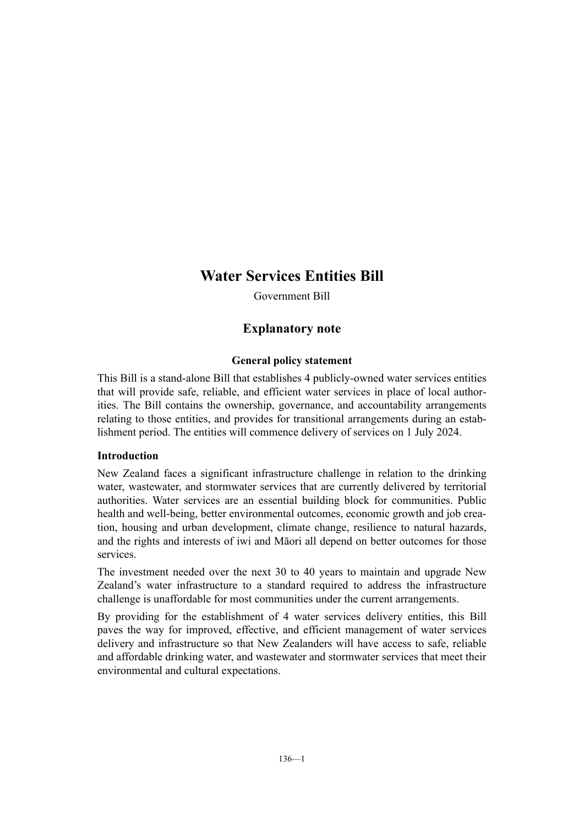# **Water Services Entities Bill**

Government Bill

## **Explanatory note**

## **General policy statement**

This Bill is a stand-alone Bill that establishes 4 publicly-owned water services entities that will provide safe, reliable, and efficient water services in place of local authorities. The Bill contains the ownership, governance, and accountability arrangements relating to those entities, and provides for transitional arrangements during an establishment period. The entities will commence delivery of services on 1 July 2024.

## **Introduction**

New Zealand faces a significant infrastructure challenge in relation to the drinking water, wastewater, and stormwater services that are currently delivered by territorial authorities. Water services are an essential building block for communities. Public health and well-being, better environmental outcomes, economic growth and job creation, housing and urban development, climate change, resilience to natural hazards, and the rights and interests of iwi and Māori all depend on better outcomes for those services.

The investment needed over the next 30 to 40 years to maintain and upgrade New Zealand's water infrastructure to a standard required to address the infrastructure challenge is unaffordable for most communities under the current arrangements.

By providing for the establishment of 4 water services delivery entities, this Bill paves the way for improved, effective, and efficient management of water services delivery and infrastructure so that New Zealanders will have access to safe, reliable and affordable drinking water, and wastewater and stormwater services that meet their environmental and cultural expectations.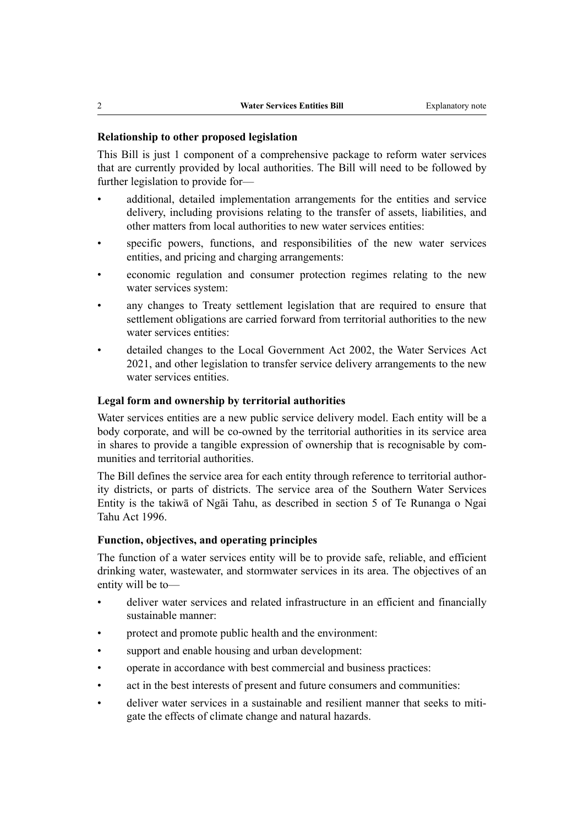#### **Relationship to other proposed legislation**

This Bill is just 1 component of a comprehensive package to reform water services that are currently provided by local authorities. The Bill will need to be followed by further legislation to provide for—

- additional, detailed implementation arrangements for the entities and service delivery, including provisions relating to the transfer of assets, liabilities, and other matters from local authorities to new water services entities:
- specific powers, functions, and responsibilities of the new water services entities, and pricing and charging arrangements:
- economic regulation and consumer protection regimes relating to the new water services system:
- any changes to Treaty settlement legislation that are required to ensure that settlement obligations are carried forward from territorial authorities to the new water services entities:
- detailed changes to the Local Government Act 2002, the Water Services Act 2021, and other legislation to transfer service delivery arrangements to the new water services entities.

#### **Legal form and ownership by territorial authorities**

Water services entities are a new public service delivery model. Each entity will be a body corporate, and will be co-owned by the territorial authorities in its service area in shares to provide a tangible expression of ownership that is recognisable by communities and territorial authorities.

The Bill defines the service area for each entity through reference to territorial authority districts, or parts of districts. The service area of the Southern Water Services Entity is the takiwā of Ngāi Tahu, as described in section 5 of Te Runanga o Ngai Tahu Act 1996.

#### **Function, objectives, and operating principles**

The function of a water services entity will be to provide safe, reliable, and efficient drinking water, wastewater, and stormwater services in its area. The objectives of an entity will be to—

- deliver water services and related infrastructure in an efficient and financially sustainable manner:
- protect and promote public health and the environment:
- support and enable housing and urban development:
- operate in accordance with best commercial and business practices:
- act in the best interests of present and future consumers and communities:
- deliver water services in a sustainable and resilient manner that seeks to mitigate the effects of climate change and natural hazards.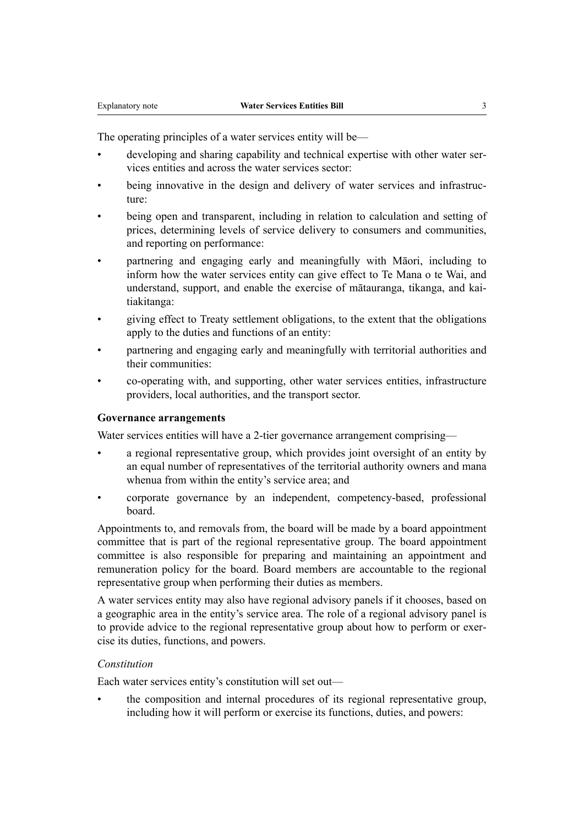The operating principles of a water services entity will be—

- developing and sharing capability and technical expertise with other water services entities and across the water services sector:
- being innovative in the design and delivery of water services and infrastructure:
- being open and transparent, including in relation to calculation and setting of prices, determining levels of service delivery to consumers and communities, and reporting on performance:
- partnering and engaging early and meaningfully with Māori, including to inform how the water services entity can give effect to Te Mana o te Wai, and understand, support, and enable the exercise of mātauranga, tikanga, and kai‐ tiakitanga:
- giving effect to Treaty settlement obligations, to the extent that the obligations apply to the duties and functions of an entity:
- partnering and engaging early and meaningfully with territorial authorities and their communities:
- co-operating with, and supporting, other water services entities, infrastructure providers, local authorities, and the transport sector.

#### **Governance arrangements**

Water services entities will have a 2-tier governance arrangement comprising—

- a regional representative group, which provides joint oversight of an entity by an equal number of representatives of the territorial authority owners and mana whenua from within the entity's service area; and
- corporate governance by an independent, competency-based, professional board.

Appointments to, and removals from, the board will be made by a board appointment committee that is part of the regional representative group. The board appointment committee is also responsible for preparing and maintaining an appointment and remuneration policy for the board. Board members are accountable to the regional representative group when performing their duties as members.

A water services entity may also have regional advisory panels if it chooses, based on a geographic area in the entity's service area. The role of a regional advisory panel is to provide advice to the regional representative group about how to perform or exercise its duties, functions, and powers.

#### *Constitution*

Each water services entity's constitution will set out—

• the composition and internal procedures of its regional representative group, including how it will perform or exercise its functions, duties, and powers: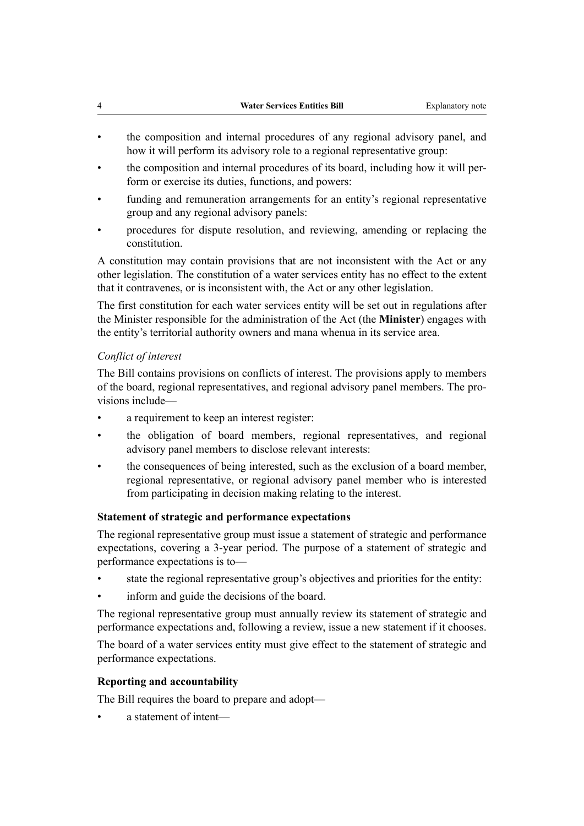- the composition and internal procedures of any regional advisory panel, and how it will perform its advisory role to a regional representative group:
- the composition and internal procedures of its board, including how it will per‐ form or exercise its duties, functions, and powers:
- funding and remuneration arrangements for an entity's regional representative group and any regional advisory panels:
- procedures for dispute resolution, and reviewing, amending or replacing the constitution.

A constitution may contain provisions that are not inconsistent with the Act or any other legislation. The constitution of a water services entity has no effect to the extent that it contravenes, or is inconsistent with, the Act or any other legislation.

The first constitution for each water services entity will be set out in regulations after the Minister responsible for the administration of the Act (the **Minister**) engages with the entity's territorial authority owners and mana whenua in its service area.

#### *Conflict of interest*

The Bill contains provisions on conflicts of interest. The provisions apply to members of the board, regional representatives, and regional advisory panel members. The pro‐ visions include—

- a requirement to keep an interest register:
- the obligation of board members, regional representatives, and regional advisory panel members to disclose relevant interests:
- the consequences of being interested, such as the exclusion of a board member, regional representative, or regional advisory panel member who is interested from participating in decision making relating to the interest.

#### **Statement of strategic and performance expectations**

The regional representative group must issue a statement of strategic and performance expectations, covering a 3-year period. The purpose of a statement of strategic and performance expectations is to—

- state the regional representative group's objectives and priorities for the entity:
- inform and guide the decisions of the board.

The regional representative group must annually review its statement of strategic and performance expectations and, following a review, issue a new statement if it chooses.

The board of a water services entity must give effect to the statement of strategic and performance expectations.

#### **Reporting and accountability**

The Bill requires the board to prepare and adopt—

• a statement of intent—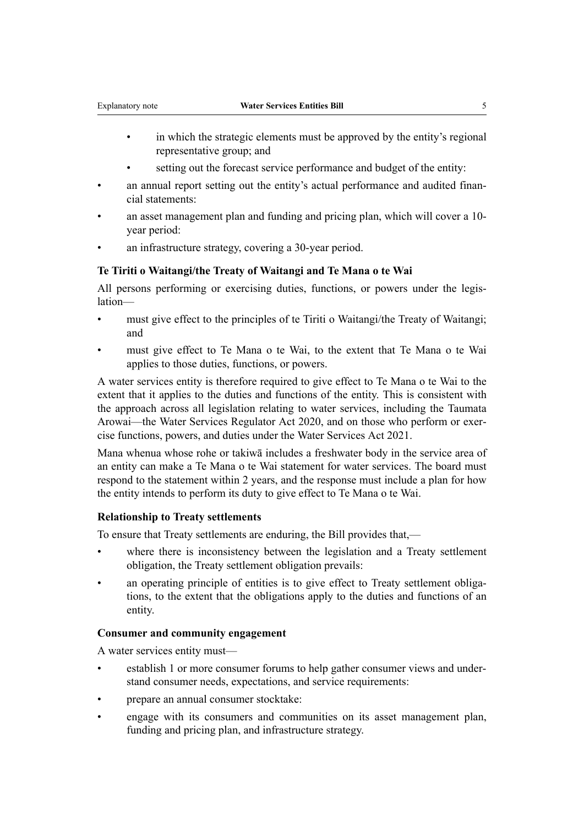- in which the strategic elements must be approved by the entity's regional representative group; and
- setting out the forecast service performance and budget of the entity:
- an annual report setting out the entity's actual performance and audited financial statements:
- an asset management plan and funding and pricing plan, which will cover a 10 year period:
- an infrastructure strategy, covering a 30-year period.

#### **Te Tiriti o Waitangi/the Treaty of Waitangi and Te Mana o te Wai**

All persons performing or exercising duties, functions, or powers under the legis‐ lation—

- must give effect to the principles of te Tiriti o Waitangi/the Treaty of Waitangi; and
- must give effect to Te Mana o te Wai, to the extent that Te Mana o te Wai applies to those duties, functions, or powers.

A water services entity is therefore required to give effect to Te Mana o te Wai to the extent that it applies to the duties and functions of the entity. This is consistent with the approach across all legislation relating to water services, including the Taumata Arowai—the Water Services Regulator Act 2020, and on those who perform or exercise functions, powers, and duties under the Water Services Act 2021.

Mana whenua whose rohe or takiwā includes a freshwater body in the service area of an entity can make a Te Mana o te Wai statement for water services. The board must respond to the statement within 2 years, and the response must include a plan for how the entity intends to perform its duty to give effect to Te Mana o te Wai.

#### **Relationship to Treaty settlements**

To ensure that Treaty settlements are enduring, the Bill provides that,—

- where there is inconsistency between the legislation and a Treaty settlement obligation, the Treaty settlement obligation prevails:
- an operating principle of entities is to give effect to Treaty settlement obligations, to the extent that the obligations apply to the duties and functions of an entity.

#### **Consumer and community engagement**

A water services entity must—

- establish 1 or more consumer forums to help gather consumer views and under‐ stand consumer needs, expectations, and service requirements:
- prepare an annual consumer stocktake:
- engage with its consumers and communities on its asset management plan, funding and pricing plan, and infrastructure strategy.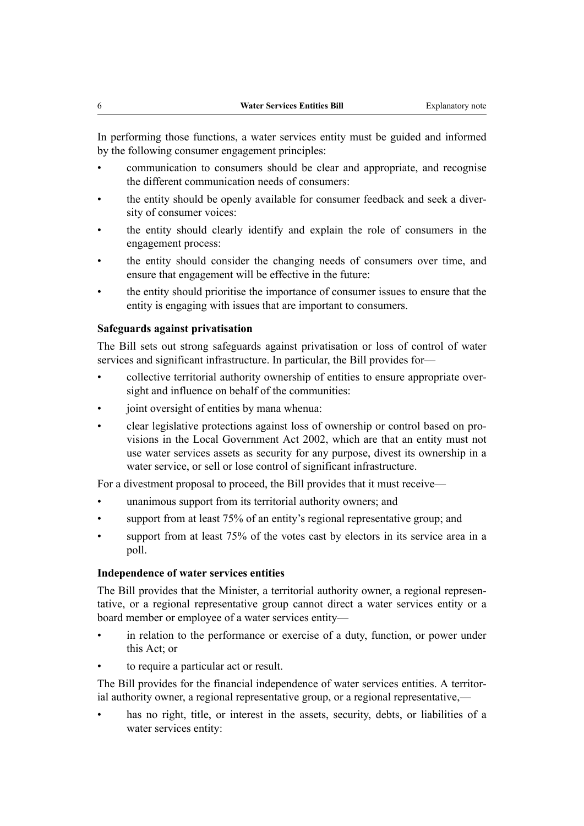In performing those functions, a water services entity must be guided and informed by the following consumer engagement principles:

- communication to consumers should be clear and appropriate, and recognise the different communication needs of consumers:
- the entity should be openly available for consumer feedback and seek a diver‐ sity of consumer voices:
- the entity should clearly identify and explain the role of consumers in the engagement process:
- the entity should consider the changing needs of consumers over time, and ensure that engagement will be effective in the future:
- the entity should prioritise the importance of consumer issues to ensure that the entity is engaging with issues that are important to consumers.

#### **Safeguards against privatisation**

The Bill sets out strong safeguards against privatisation or loss of control of water services and significant infrastructure. In particular, the Bill provides for—

- collective territorial authority ownership of entities to ensure appropriate over‐ sight and influence on behalf of the communities:
- joint oversight of entities by mana whenua:
- clear legislative protections against loss of ownership or control based on pro‐ visions in the Local Government Act 2002, which are that an entity must not use water services assets as security for any purpose, divest its ownership in a water service, or sell or lose control of significant infrastructure.

For a divestment proposal to proceed, the Bill provides that it must receive—

- unanimous support from its territorial authority owners; and
- support from at least 75% of an entity's regional representative group; and
- support from at least 75% of the votes cast by electors in its service area in a poll.

#### **Independence of water services entities**

The Bill provides that the Minister, a territorial authority owner, a regional representative, or a regional representative group cannot direct a water services entity or a board member or employee of a water services entity—

- in relation to the performance or exercise of a duty, function, or power under this Act; or
- to require a particular act or result.

The Bill provides for the financial independence of water services entities. A territorial authority owner, a regional representative group, or a regional representative,—

has no right, title, or interest in the assets, security, debts, or liabilities of a water services entity: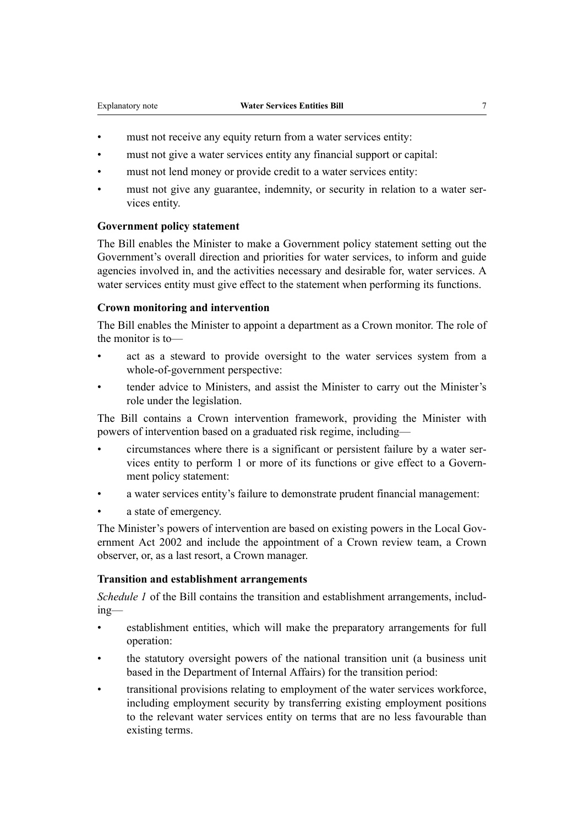- must not receive any equity return from a water services entity:
- must not give a water services entity any financial support or capital:
- must not lend money or provide credit to a water services entity:
- must not give any guarantee, indemnity, or security in relation to a water services entity.

#### **Government policy statement**

The Bill enables the Minister to make a Government policy statement setting out the Government's overall direction and priorities for water services, to inform and guide agencies involved in, and the activities necessary and desirable for, water services. A water services entity must give effect to the statement when performing its functions.

#### **Crown monitoring and intervention**

The Bill enables the Minister to appoint a department as a Crown monitor. The role of the monitor is to—

- act as a steward to provide oversight to the water services system from a whole-of-government perspective:
- tender advice to Ministers, and assist the Minister to carry out the Minister's role under the legislation.

The Bill contains a Crown intervention framework, providing the Minister with powers of intervention based on a graduated risk regime, including—

- circumstances where there is a significant or persistent failure by a water ser‐ vices entity to perform 1 or more of its functions or give effect to a Govern‐ ment policy statement:
- a water services entity's failure to demonstrate prudent financial management:
- a state of emergency.

The Minister's powers of intervention are based on existing powers in the Local Government Act 2002 and include the appointment of a Crown review team, a Crown observer, or, as a last resort, a Crown manager.

#### **Transition and establishment arrangements**

*Schedule 1* of the Bill contains the transition and establishment arrangements, including—

- establishment entities, which will make the preparatory arrangements for full operation:
- the statutory oversight powers of the national transition unit (a business unit based in the Department of Internal Affairs) for the transition period:
- transitional provisions relating to employment of the water services workforce, including employment security by transferring existing employment positions to the relevant water services entity on terms that are no less favourable than existing terms.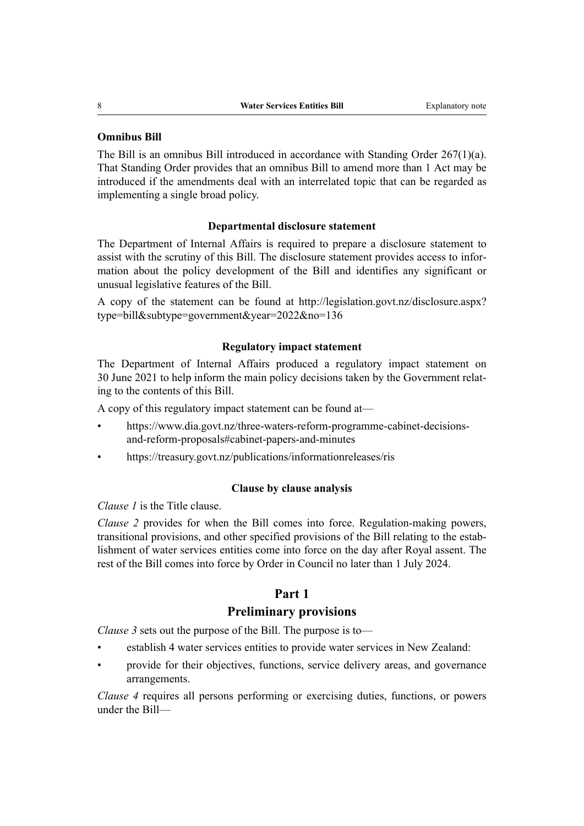#### **Omnibus Bill**

The Bill is an omnibus Bill introduced in accordance with Standing Order 267(1)(a). That Standing Order provides that an omnibus Bill to amend more than 1 Act may be introduced if the amendments deal with an interrelated topic that can be regarded as implementing a single broad policy.

#### **Departmental disclosure statement**

The Department of Internal Affairs is required to prepare a disclosure statement to assist with the scrutiny of this Bill. The disclosure statement provides access to infor‐ mation about the policy development of the Bill and identifies any significant or unusual legislative features of the Bill.

A copy of the statement can be found at [http://legislation.govt.nz/disclosure.aspx?](http://legislation.govt.nz/disclosure.aspx?type=bill&subtype=government&year=2022&no=136) [type=bill&subtype=government&year=2022&no=136](http://legislation.govt.nz/disclosure.aspx?type=bill&subtype=government&year=2022&no=136)

#### **Regulatory impact statement**

The Department of Internal Affairs produced a regulatory impact statement on 30 June 2021 to help inform the main policy decisions taken by the Government relat‐ ing to the contents of this Bill.

A copy of this regulatory impact statement can be found at—

- [https://www.dia.govt.nz/three-waters-reform-programme-cabinet-decisions](https://www.dia.govt.nz/three-waters-reform-programme-cabinet-decisions-and-reform-proposals#cabinet-papers-and-minutes)[and-reform-proposals#cabinet-papers-and-minutes](https://www.dia.govt.nz/three-waters-reform-programme-cabinet-decisions-and-reform-proposals#cabinet-papers-and-minutes)
- [https://treasury.govt.nz/publications/informationreleases/ris](http://www.treasury.govt.nz/publications/informationreleases/ria)

#### **Clause by clause analysis**

*Clause 1* is the Title clause.

*Clause 2* provides for when the Bill comes into force. Regulation-making powers, transitional provisions, and other specified provisions of the Bill relating to the estab‐ lishment of water services entities come into force on the day after Royal assent. The rest of the Bill comes into force by Order in Council no later than 1 July 2024.

#### **Part 1**

#### **Preliminary provisions**

*Clause 3* sets out the purpose of the Bill. The purpose is to—

- establish 4 water services entities to provide water services in New Zealand:
- provide for their objectives, functions, service delivery areas, and governance arrangements.

*Clause 4* requires all persons performing or exercising duties, functions, or powers under the Bill—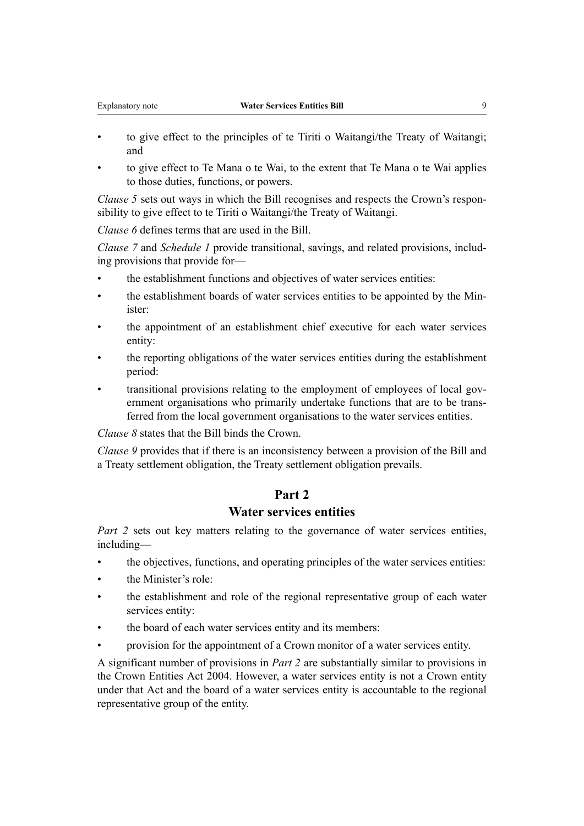- to give effect to the principles of te Tiriti o Waitangi/the Treaty of Waitangi; and
- to give effect to Te Mana o te Wai, to the extent that Te Mana o te Wai applies to those duties, functions, or powers.

*Clause 5* sets out ways in which the Bill recognises and respects the Crown's responsibility to give effect to te Tiriti o Waitangi/the Treaty of Waitangi.

*Clause 6* defines terms that are used in the Bill.

*Clause 7* and *Schedule 1* provide transitional, savings, and related provisions, includ‐ ing provisions that provide for—

- the establishment functions and objectives of water services entities:
- the establishment boards of water services entities to be appointed by the Min‐ ister:
- the appointment of an establishment chief executive for each water services entity:
- the reporting obligations of the water services entities during the establishment period:
- transitional provisions relating to the employment of employees of local government organisations who primarily undertake functions that are to be transferred from the local government organisations to the water services entities.

*Clause 8* states that the Bill binds the Crown.

*Clause 9* provides that if there is an inconsistency between a provision of the Bill and a Treaty settlement obligation, the Treaty settlement obligation prevails.

## **Part 2**

## **Water services entities**

*Part 2* sets out key matters relating to the governance of water services entities, including—

- the objectives, functions, and operating principles of the water services entities:
- the Minister's role:
- the establishment and role of the regional representative group of each water services entity:
- the board of each water services entity and its members:
- provision for the appointment of a Crown monitor of a water services entity.

A significant number of provisions in *Part 2* are substantially similar to provisions in the Crown Entities Act 2004. However, a water services entity is not a Crown entity under that Act and the board of a water services entity is accountable to the regional representative group of the entity.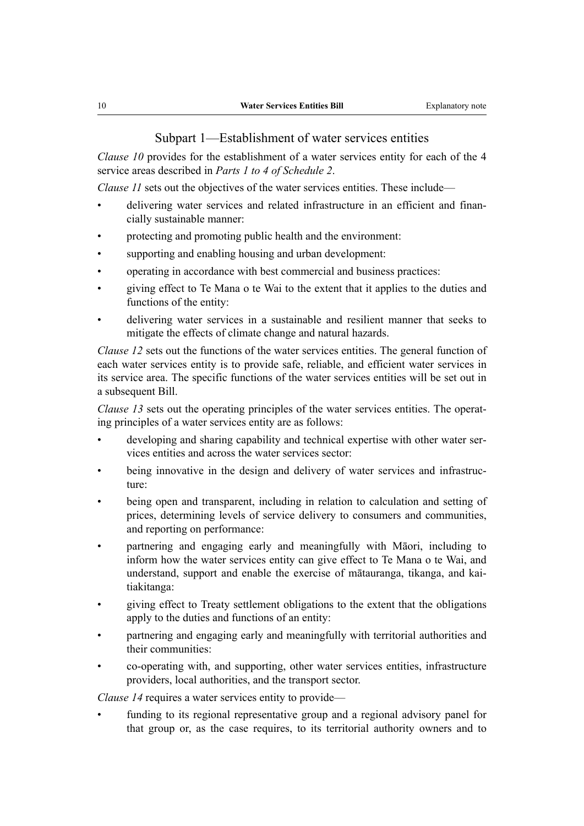Subpart 1—Establishment of water services entities

*Clause 10* provides for the establishment of a water services entity for each of the 4 service areas described in *Parts 1 to 4 of Schedule 2*.

*Clause 11* sets out the objectives of the water services entities. These include—

- delivering water services and related infrastructure in an efficient and financially sustainable manner:
- protecting and promoting public health and the environment:
- supporting and enabling housing and urban development:
- operating in accordance with best commercial and business practices:
- giving effect to Te Mana o te Wai to the extent that it applies to the duties and functions of the entity:
- delivering water services in a sustainable and resilient manner that seeks to mitigate the effects of climate change and natural hazards.

*Clause 12* sets out the functions of the water services entities. The general function of each water services entity is to provide safe, reliable, and efficient water services in its service area. The specific functions of the water services entities will be set out in a subsequent Bill.

*Clause 13* sets out the operating principles of the water services entities. The operating principles of a water services entity are as follows:

- developing and sharing capability and technical expertise with other water services entities and across the water services sector:
- being innovative in the design and delivery of water services and infrastructure:
- being open and transparent, including in relation to calculation and setting of prices, determining levels of service delivery to consumers and communities, and reporting on performance:
- partnering and engaging early and meaningfully with Māori, including to inform how the water services entity can give effect to Te Mana o te Wai, and understand, support and enable the exercise of mātauranga, tikanga, and kai‐ tiakitanga:
- giving effect to Treaty settlement obligations to the extent that the obligations apply to the duties and functions of an entity:
- partnering and engaging early and meaningfully with territorial authorities and their communities:
- co-operating with, and supporting, other water services entities, infrastructure providers, local authorities, and the transport sector.

*Clause 14* requires a water services entity to provide—

funding to its regional representative group and a regional advisory panel for that group or, as the case requires, to its territorial authority owners and to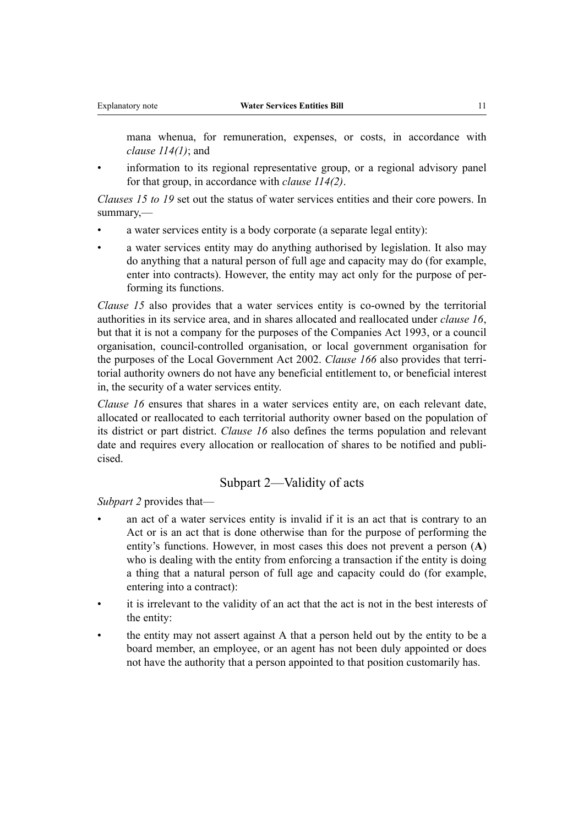mana whenua, for remuneration, expenses, or costs, in accordance with *clause 114(1)*; and

information to its regional representative group, or a regional advisory panel for that group, in accordance with *clause 114(2)*.

*Clauses 15 to 19* set out the status of water services entities and their core powers. In summary,—

- a water services entity is a body corporate (a separate legal entity):
- a water services entity may do anything authorised by legislation. It also may do anything that a natural person of full age and capacity may do (for example, enter into contracts). However, the entity may act only for the purpose of performing its functions.

*Clause 15* also provides that a water services entity is co-owned by the territorial authorities in its service area, and in shares allocated and reallocated under *clause 16*, but that it is not a company for the purposes of the Companies Act 1993, or a council organisation, council-controlled organisation, or local government organisation for the purposes of the Local Government Act 2002. *Clause 166* also provides that terri‐ torial authority owners do not have any beneficial entitlement to, or beneficial interest in, the security of a water services entity.

*Clause 16* ensures that shares in a water services entity are, on each relevant date, allocated or reallocated to each territorial authority owner based on the population of its district or part district. *Clause 16* also defines the terms population and relevant date and requires every allocation or reallocation of shares to be notified and publicised.

#### Subpart 2—Validity of acts

*Subpart 2* provides that—

- an act of a water services entity is invalid if it is an act that is contrary to an Act or is an act that is done otherwise than for the purpose of performing the entity's functions. However, in most cases this does not prevent a person (**A**) who is dealing with the entity from enforcing a transaction if the entity is doing a thing that a natural person of full age and capacity could do (for example, entering into a contract):
- it is irrelevant to the validity of an act that the act is not in the best interests of the entity:
- the entity may not assert against A that a person held out by the entity to be a board member, an employee, or an agent has not been duly appointed or does not have the authority that a person appointed to that position customarily has.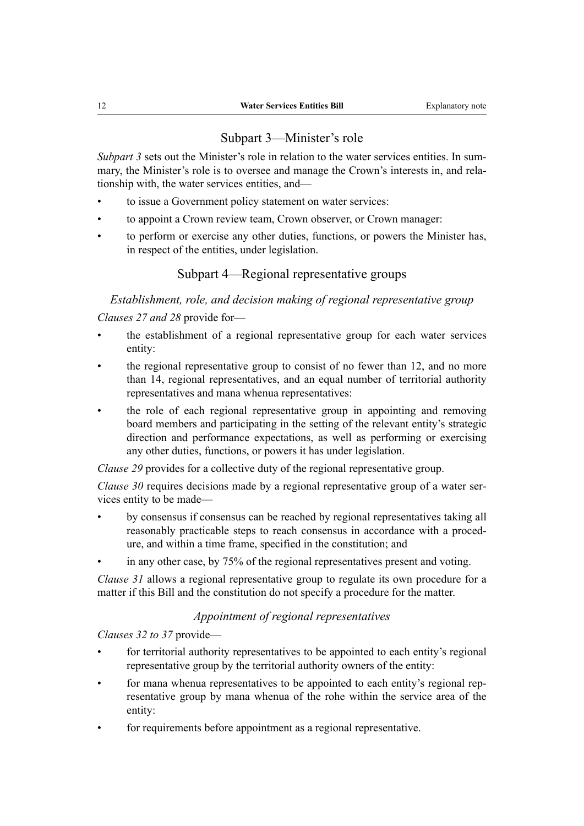## Subpart 3—Minister's role

*Subpart 3* sets out the Minister's role in relation to the water services entities. In summary, the Minister's role is to oversee and manage the Crown's interests in, and relationship with, the water services entities, and—

- to issue a Government policy statement on water services:
- to appoint a Crown review team, Crown observer, or Crown manager:
- to perform or exercise any other duties, functions, or powers the Minister has, in respect of the entities, under legislation.

## Subpart 4—Regional representative groups

## *Establishment, role, and decision making of regional representative group*

*Clauses 27 and 28* provide for—

- the establishment of a regional representative group for each water services entity:
- the regional representative group to consist of no fewer than 12, and no more than 14, regional representatives, and an equal number of territorial authority representatives and mana whenua representatives:
- the role of each regional representative group in appointing and removing board members and participating in the setting of the relevant entity's strategic direction and performance expectations, as well as performing or exercising any other duties, functions, or powers it has under legislation.

*Clause 29* provides for a collective duty of the regional representative group.

*Clause 30* requires decisions made by a regional representative group of a water services entity to be made—

- by consensus if consensus can be reached by regional representatives taking all reasonably practicable steps to reach consensus in accordance with a proced‐ ure, and within a time frame, specified in the constitution; and
- in any other case, by 75% of the regional representatives present and voting.

*Clause 31* allows a regional representative group to regulate its own procedure for a matter if this Bill and the constitution do not specify a procedure for the matter.

## *Appointment of regional representatives*

*Clauses 32 to 37* provide—

- for territorial authority representatives to be appointed to each entity's regional representative group by the territorial authority owners of the entity:
- for mana whenua representatives to be appointed to each entity's regional representative group by mana whenua of the rohe within the service area of the entity:
- for requirements before appointment as a regional representative.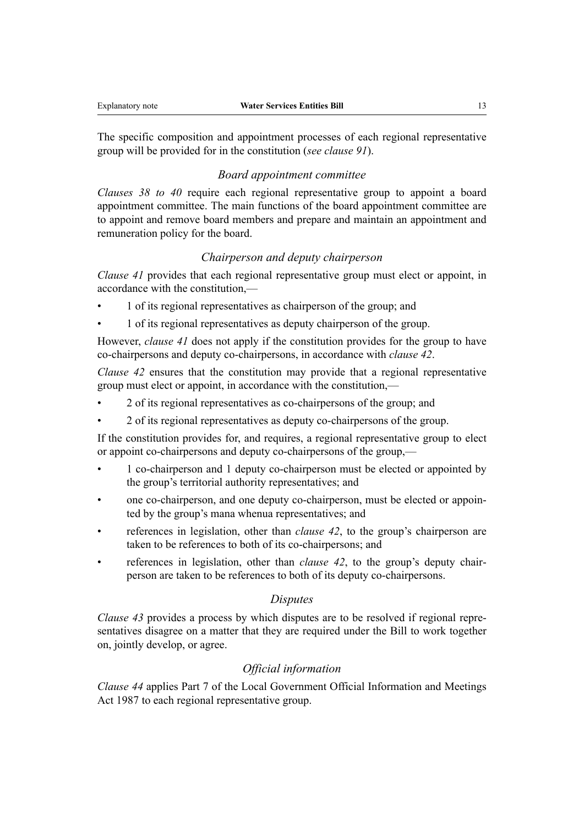The specific composition and appointment processes of each regional representative group will be provided for in the constitution (*see clause 91*).

#### *Board appointment committee*

*Clauses 38 to 40* require each regional representative group to appoint a board appointment committee. The main functions of the board appointment committee are to appoint and remove board members and prepare and maintain an appointment and remuneration policy for the board.

#### *Chairperson and deputy chairperson*

*Clause 41* provides that each regional representative group must elect or appoint, in accordance with the constitution,—

- 1 of its regional representatives as chairperson of the group; and
- 1 of its regional representatives as deputy chairperson of the group.

However, *clause 41* does not apply if the constitution provides for the group to have co-chairpersons and deputy co-chairpersons, in accordance with *clause 42*.

*Clause 42* ensures that the constitution may provide that a regional representative group must elect or appoint, in accordance with the constitution,—

- 2 of its regional representatives as co-chairpersons of the group; and
- 2 of its regional representatives as deputy co-chairpersons of the group.

If the constitution provides for, and requires, a regional representative group to elect or appoint co-chairpersons and deputy co-chairpersons of the group,—

- 1 co-chairperson and 1 deputy co-chairperson must be elected or appointed by the group's territorial authority representatives; and
- one co-chairperson, and one deputy co-chairperson, must be elected or appoin‐ ted by the group's mana whenua representatives; and
- references in legislation, other than *clause 42*, to the group's chairperson are taken to be references to both of its co-chairpersons; and
- references in legislation, other than *clause 42*, to the group's deputy chairperson are taken to be references to both of its deputy co-chairpersons.

#### *Disputes*

*Clause 43* provides a process by which disputes are to be resolved if regional representatives disagree on a matter that they are required under the Bill to work together on, jointly develop, or agree.

#### *Official information*

*Clause 44* applies Part 7 of the Local Government Official Information and Meetings Act 1987 to each regional representative group.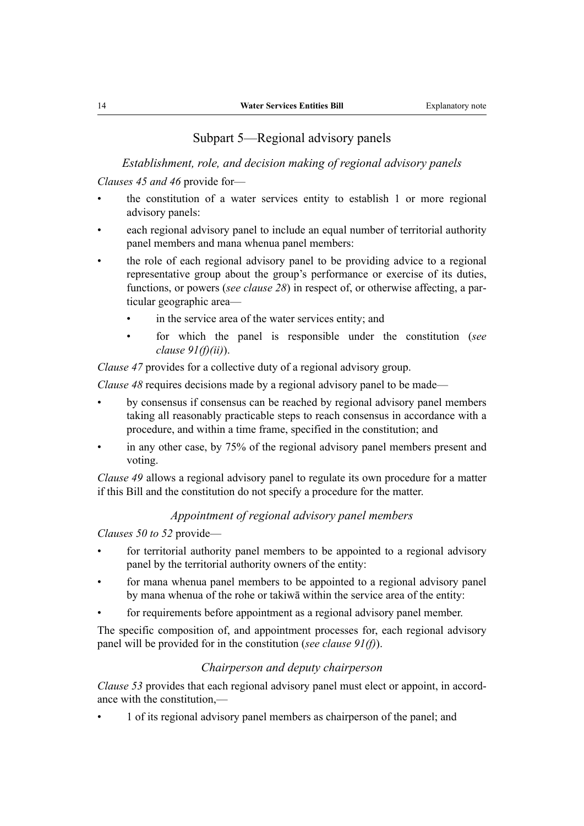## Subpart 5—Regional advisory panels

*Establishment, role, and decision making of regional advisory panels*

*Clauses 45 and 46* provide for—

- the constitution of a water services entity to establish 1 or more regional advisory panels:
- each regional advisory panel to include an equal number of territorial authority panel members and mana whenua panel members:
- the role of each regional advisory panel to be providing advice to a regional representative group about the group's performance or exercise of its duties, functions, or powers (*see clause 28*) in respect of, or otherwise affecting, a par‐ ticular geographic area
	- in the service area of the water services entity; and
	- for which the panel is responsible under the constitution (*see clause 91(f)(ii)*).

*Clause 47* provides for a collective duty of a regional advisory group.

*Clause 48* requires decisions made by a regional advisory panel to be made—

- by consensus if consensus can be reached by regional advisory panel members taking all reasonably practicable steps to reach consensus in accordance with a procedure, and within a time frame, specified in the constitution; and
- in any other case, by 75% of the regional advisory panel members present and voting.

*Clause 49* allows a regional advisory panel to regulate its own procedure for a matter if this Bill and the constitution do not specify a procedure for the matter.

#### *Appointment of regional advisory panel members*

*Clauses 50 to 52* provide—

- for territorial authority panel members to be appointed to a regional advisory panel by the territorial authority owners of the entity:
- for mana whenua panel members to be appointed to a regional advisory panel by mana whenua of the rohe or takiwā within the service area of the entity:
- for requirements before appointment as a regional advisory panel member.

The specific composition of, and appointment processes for, each regional advisory panel will be provided for in the constitution (*see clause 91(f)*).

#### *Chairperson and deputy chairperson*

*Clause 53* provides that each regional advisory panel must elect or appoint, in accordance with the constitution,—

• 1 of its regional advisory panel members as chairperson of the panel; and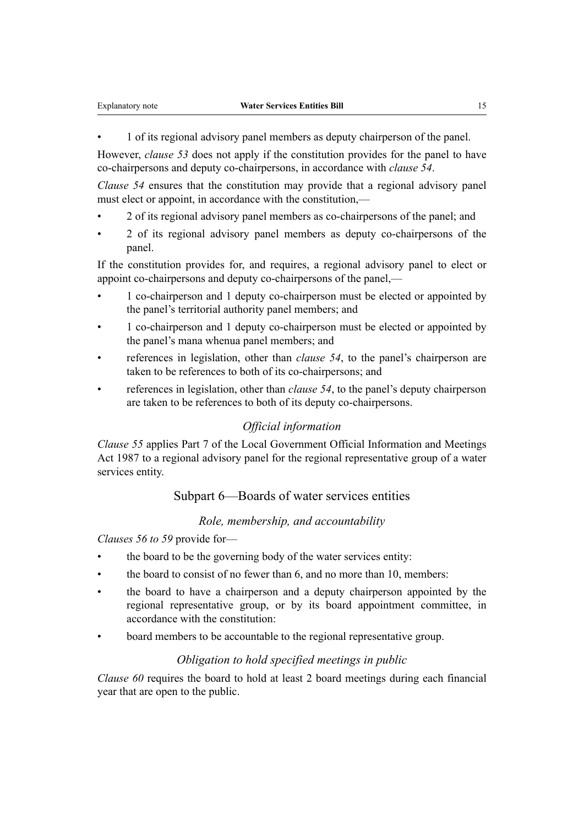• 1 of its regional advisory panel members as deputy chairperson of the panel.

However, *clause 53* does not apply if the constitution provides for the panel to have co-chairpersons and deputy co-chairpersons, in accordance with *clause 54*.

*Clause 54* ensures that the constitution may provide that a regional advisory panel must elect or appoint, in accordance with the constitution,—

- 2 of its regional advisory panel members as co-chairpersons of the panel; and
- 2 of its regional advisory panel members as deputy co-chairpersons of the panel.

If the constitution provides for, and requires, a regional advisory panel to elect or appoint co-chairpersons and deputy co-chairpersons of the panel,—

- 1 co-chairperson and 1 deputy co-chairperson must be elected or appointed by the panel's territorial authority panel members; and
- 1 co-chairperson and 1 deputy co-chairperson must be elected or appointed by the panel's mana whenua panel members; and
- references in legislation, other than *clause 54*, to the panel's chairperson are taken to be references to both of its co-chairpersons; and
- references in legislation, other than *clause 54*, to the panel's deputy chairperson are taken to be references to both of its deputy co-chairpersons.

#### *Official information*

*Clause 55* applies Part 7 of the Local Government Official Information and Meetings Act 1987 to a regional advisory panel for the regional representative group of a water services entity.

## Subpart 6—Boards of water services entities

## *Role, membership, and accountability*

*Clauses 56 to 59* provide for—

- the board to be the governing body of the water services entity:
- the board to consist of no fewer than 6, and no more than 10, members:
- the board to have a chairperson and a deputy chairperson appointed by the regional representative group, or by its board appointment committee, in accordance with the constitution:
- board members to be accountable to the regional representative group.

#### *Obligation to hold specified meetings in public*

*Clause 60* requires the board to hold at least 2 board meetings during each financial year that are open to the public.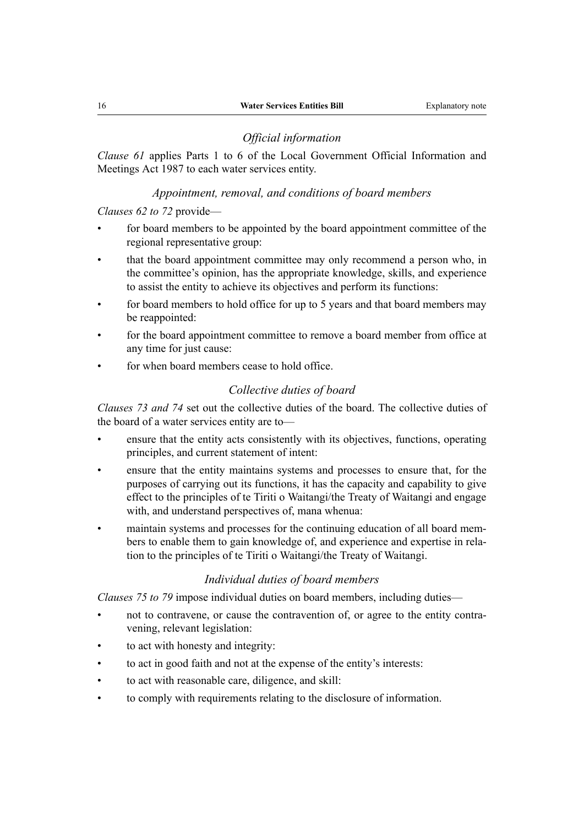#### *Official information*

*Clause 61* applies Parts 1 to 6 of the Local Government Official Information and Meetings Act 1987 to each water services entity.

#### *Appointment, removal, and conditions of board members*

*Clauses 62 to 72* provide—

- for board members to be appointed by the board appointment committee of the regional representative group:
- that the board appointment committee may only recommend a person who, in the committee's opinion, has the appropriate knowledge, skills, and experience to assist the entity to achieve its objectives and perform its functions:
- for board members to hold office for up to 5 years and that board members may be reappointed:
- for the board appointment committee to remove a board member from office at any time for just cause:
- for when board members cease to hold office.

#### *Collective duties of board*

*Clauses 73 and 74* set out the collective duties of the board. The collective duties of the board of a water services entity are to—

- ensure that the entity acts consistently with its objectives, functions, operating principles, and current statement of intent:
- ensure that the entity maintains systems and processes to ensure that, for the purposes of carrying out its functions, it has the capacity and capability to give effect to the principles of te Tiriti o Waitangi/the Treaty of Waitangi and engage with, and understand perspectives of, mana whenua:
- maintain systems and processes for the continuing education of all board members to enable them to gain knowledge of, and experience and expertise in relation to the principles of te Tiriti o Waitangi/the Treaty of Waitangi.

## *Individual duties of board members*

*Clauses 75 to 79* impose individual duties on board members, including duties—

- not to contravene, or cause the contravention of, or agree to the entity contravening, relevant legislation:
- to act with honesty and integrity:
- to act in good faith and not at the expense of the entity's interests:
- to act with reasonable care, diligence, and skill:
- to comply with requirements relating to the disclosure of information.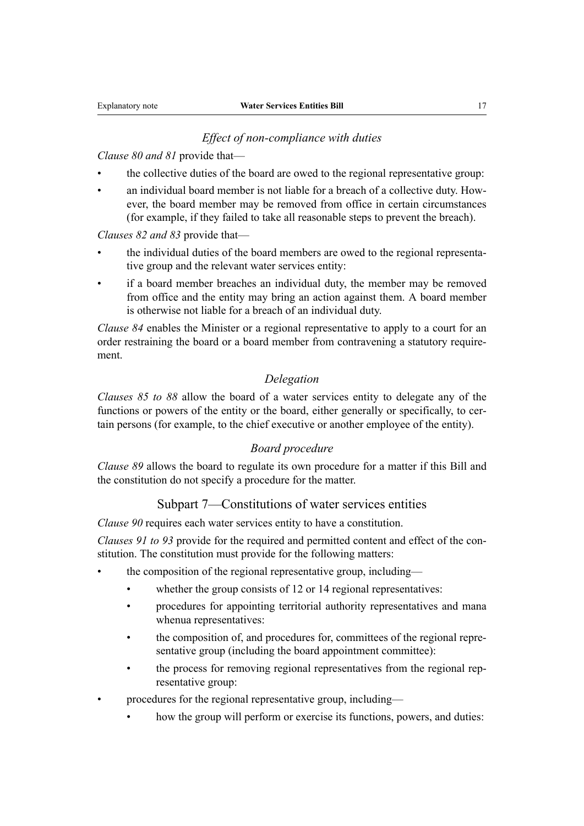#### *Effect of non-compliance with duties*

*Clause 80 and 81* provide that—

- the collective duties of the board are owed to the regional representative group:
- an individual board member is not liable for a breach of a collective duty. However, the board member may be removed from office in certain circumstances (for example, if they failed to take all reasonable steps to prevent the breach).

*Clauses 82 and 83* provide that—

- the individual duties of the board members are owed to the regional representative group and the relevant water services entity:
- if a board member breaches an individual duty, the member may be removed from office and the entity may bring an action against them. A board member is otherwise not liable for a breach of an individual duty.

*Clause 84* enables the Minister or a regional representative to apply to a court for an order restraining the board or a board member from contravening a statutory require‐ ment.

#### *Delegation*

*Clauses 85 to 88* allow the board of a water services entity to delegate any of the functions or powers of the entity or the board, either generally or specifically, to certain persons (for example, to the chief executive or another employee of the entity).

## *Board procedure*

*Clause 89* allows the board to regulate its own procedure for a matter if this Bill and the constitution do not specify a procedure for the matter.

## Subpart 7—Constitutions of water services entities

*Clause 90* requires each water services entity to have a constitution.

*Clauses 91 to 93* provide for the required and permitted content and effect of the constitution. The constitution must provide for the following matters:

- the composition of the regional representative group, including
	- whether the group consists of 12 or 14 regional representatives:
	- procedures for appointing territorial authority representatives and mana whenua representatives:
	- the composition of, and procedures for, committees of the regional representative group (including the board appointment committee):
	- the process for removing regional representatives from the regional representative group:
- procedures for the regional representative group, including
	- how the group will perform or exercise its functions, powers, and duties: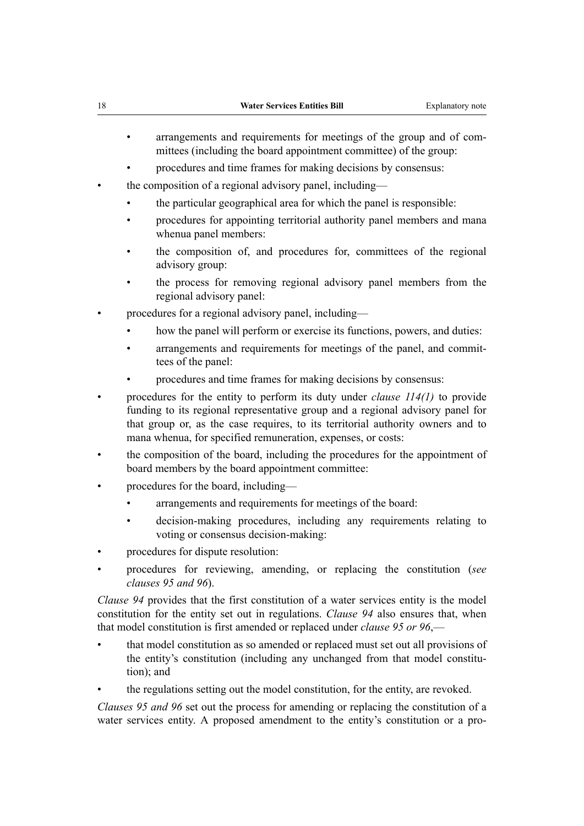- arrangements and requirements for meetings of the group and of committees (including the board appointment committee) of the group:
- procedures and time frames for making decisions by consensus:
- the composition of a regional advisory panel, including—
	- the particular geographical area for which the panel is responsible:
	- procedures for appointing territorial authority panel members and mana whenua panel members:
	- the composition of, and procedures for, committees of the regional advisory group:
	- the process for removing regional advisory panel members from the regional advisory panel:
- procedures for a regional advisory panel, including
	- how the panel will perform or exercise its functions, powers, and duties:
	- arrangements and requirements for meetings of the panel, and committees of the panel:
	- procedures and time frames for making decisions by consensus:
- procedures for the entity to perform its duty under *clause 114(1)* to provide funding to its regional representative group and a regional advisory panel for that group or, as the case requires, to its territorial authority owners and to mana whenua, for specified remuneration, expenses, or costs:
- the composition of the board, including the procedures for the appointment of board members by the board appointment committee:
- procedures for the board, including
	- arrangements and requirements for meetings of the board:
	- decision-making procedures, including any requirements relating to voting or consensus decision-making:
- procedures for dispute resolution:
- procedures for reviewing, amending, or replacing the constitution (*see clauses 95 and 96*).

*Clause 94* provides that the first constitution of a water services entity is the model constitution for the entity set out in regulations. *Clause 94* also ensures that, when that model constitution is first amended or replaced under *clause 95 or 96*,—

- that model constitution as so amended or replaced must set out all provisions of the entity's constitution (including any unchanged from that model constitu‐ tion); and
- the regulations setting out the model constitution, for the entity, are revoked.

*Clauses 95 and 96* set out the process for amending or replacing the constitution of a water services entity. A proposed amendment to the entity's constitution or a pro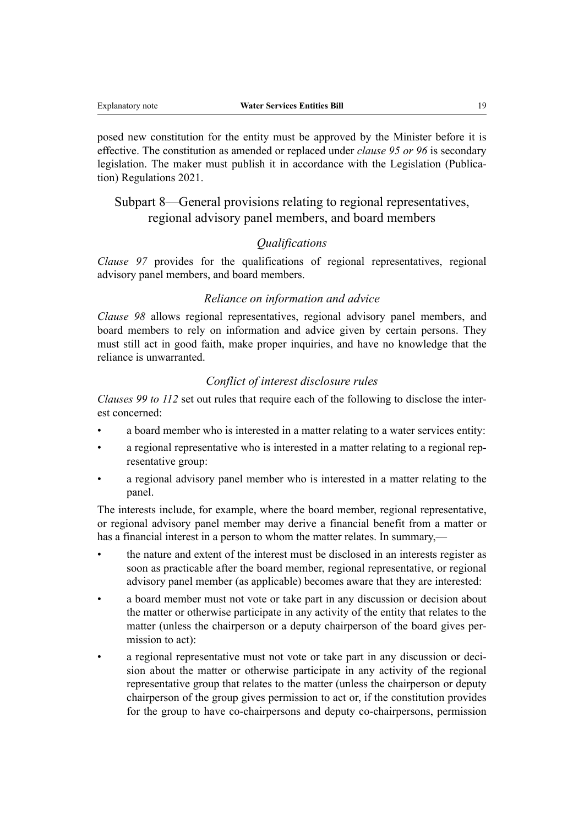posed new constitution for the entity must be approved by the Minister before it is effective. The constitution as amended or replaced under *clause 95 or 96* is secondary legislation. The maker must publish it in accordance with the Legislation (Publication) Regulations 2021.

## Subpart 8—General provisions relating to regional representatives, regional advisory panel members, and board members

## *Qualifications*

*Clause 97* provides for the qualifications of regional representatives, regional advisory panel members, and board members.

## *Reliance on information and advice*

*Clause 98* allows regional representatives, regional advisory panel members, and board members to rely on information and advice given by certain persons. They must still act in good faith, make proper inquiries, and have no knowledge that the reliance is unwarranted.

#### *Conflict of interest disclosure rules*

*Clauses 99 to 112* set out rules that require each of the following to disclose the inter‐ est concerned:

- a board member who is interested in a matter relating to a water services entity:
- a regional representative who is interested in a matter relating to a regional representative group:
- a regional advisory panel member who is interested in a matter relating to the panel.

The interests include, for example, where the board member, regional representative, or regional advisory panel member may derive a financial benefit from a matter or has a financial interest in a person to whom the matter relates. In summary,—

- the nature and extent of the interest must be disclosed in an interests register as soon as practicable after the board member, regional representative, or regional advisory panel member (as applicable) becomes aware that they are interested:
- a board member must not vote or take part in any discussion or decision about the matter or otherwise participate in any activity of the entity that relates to the matter (unless the chairperson or a deputy chairperson of the board gives per‐ mission to act):
- a regional representative must not vote or take part in any discussion or decision about the matter or otherwise participate in any activity of the regional representative group that relates to the matter (unless the chairperson or deputy chairperson of the group gives permission to act or, if the constitution provides for the group to have co-chairpersons and deputy co-chairpersons, permission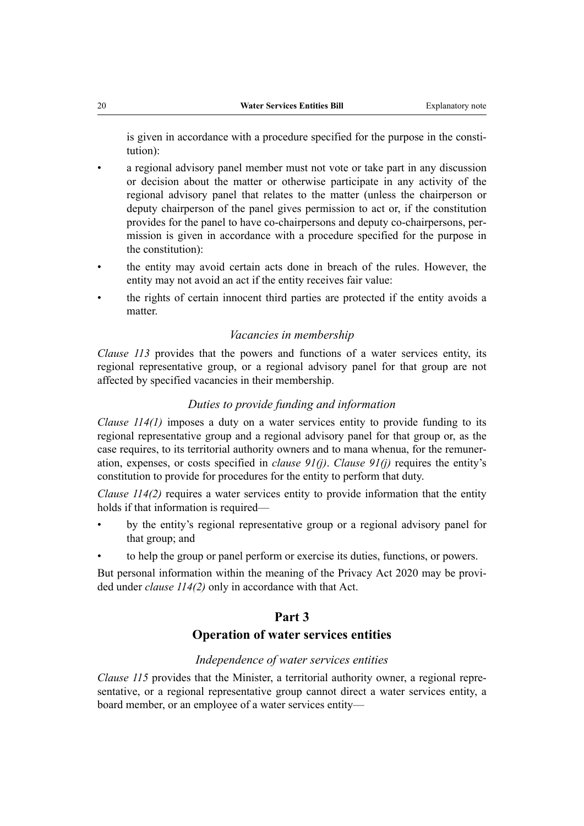is given in accordance with a procedure specified for the purpose in the constitution):

- a regional advisory panel member must not vote or take part in any discussion or decision about the matter or otherwise participate in any activity of the regional advisory panel that relates to the matter (unless the chairperson or deputy chairperson of the panel gives permission to act or, if the constitution provides for the panel to have co-chairpersons and deputy co-chairpersons, per‐ mission is given in accordance with a procedure specified for the purpose in the constitution):
- the entity may avoid certain acts done in breach of the rules. However, the entity may not avoid an act if the entity receives fair value:
- the rights of certain innocent third parties are protected if the entity avoids a matter.

#### *Vacancies in membership*

*Clause 113* provides that the powers and functions of a water services entity, its regional representative group, or a regional advisory panel for that group are not affected by specified vacancies in their membership.

#### *Duties to provide funding and information*

*Clause 114(1)* imposes a duty on a water services entity to provide funding to its regional representative group and a regional advisory panel for that group or, as the case requires, to its territorial authority owners and to mana whenua, for the remuneration, expenses, or costs specified in *clause 91(j)*. *Clause 91(j)* requires the entity's constitution to provide for procedures for the entity to perform that duty.

*Clause 114(2)* requires a water services entity to provide information that the entity holds if that information is required—

- by the entity's regional representative group or a regional advisory panel for that group; and
- to help the group or panel perform or exercise its duties, functions, or powers.

But personal information within the meaning of the Privacy Act 2020 may be provided under *clause 114(2)* only in accordance with that Act.

#### **Part 3**

## **Operation of water services entities**

#### *Independence of water services entities*

*Clause 115* provides that the Minister, a territorial authority owner, a regional representative, or a regional representative group cannot direct a water services entity, a board member, or an employee of a water services entity—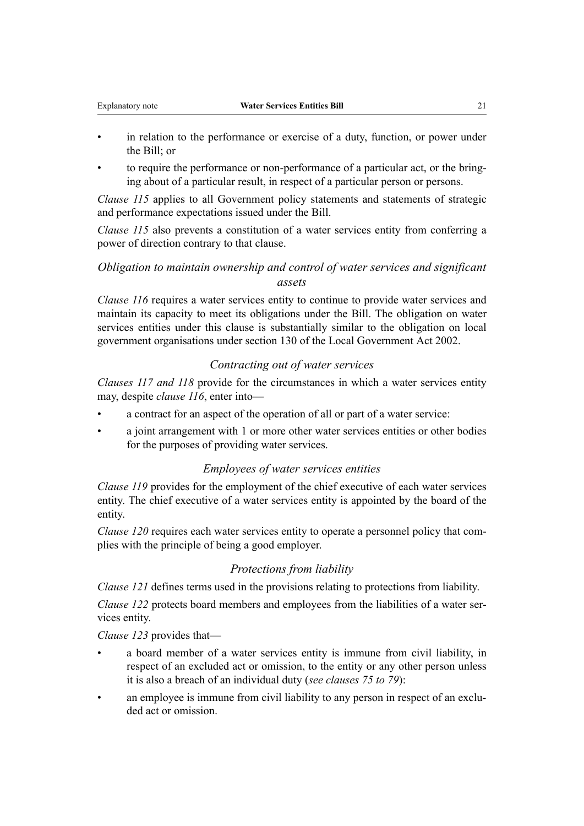- in relation to the performance or exercise of a duty, function, or power under the Bill; or
- to require the performance or non-performance of a particular act, or the bringing about of a particular result, in respect of a particular person or persons.

*Clause 115* applies to all Government policy statements and statements of strategic and performance expectations issued under the Bill.

*Clause 115* also prevents a constitution of a water services entity from conferring a power of direction contrary to that clause.

## *Obligation to maintain ownership and control of water services and significant assets*

*Clause 116* requires a water services entity to continue to provide water services and maintain its capacity to meet its obligations under the Bill. The obligation on water services entities under this clause is substantially similar to the obligation on local government organisations under section 130 of the Local Government Act 2002.

#### *Contracting out of water services*

*Clauses 117 and 118* provide for the circumstances in which a water services entity may, despite *clause 116*, enter into—

- a contract for an aspect of the operation of all or part of a water service:
- a joint arrangement with 1 or more other water services entities or other bodies for the purposes of providing water services.

### *Employees of water services entities*

*Clause 119* provides for the employment of the chief executive of each water services entity. The chief executive of a water services entity is appointed by the board of the entity.

*Clause 120* requires each water services entity to operate a personnel policy that complies with the principle of being a good employer.

#### *Protections from liability*

*Clause 121* defines terms used in the provisions relating to protections from liability.

*Clause 122* protects board members and employees from the liabilities of a water services entity.

*Clause 123* provides that—

- a board member of a water services entity is immune from civil liability, in respect of an excluded act or omission, to the entity or any other person unless it is also a breach of an individual duty (*see clauses 75 to 79*):
- an employee is immune from civil liability to any person in respect of an excluded act or omission.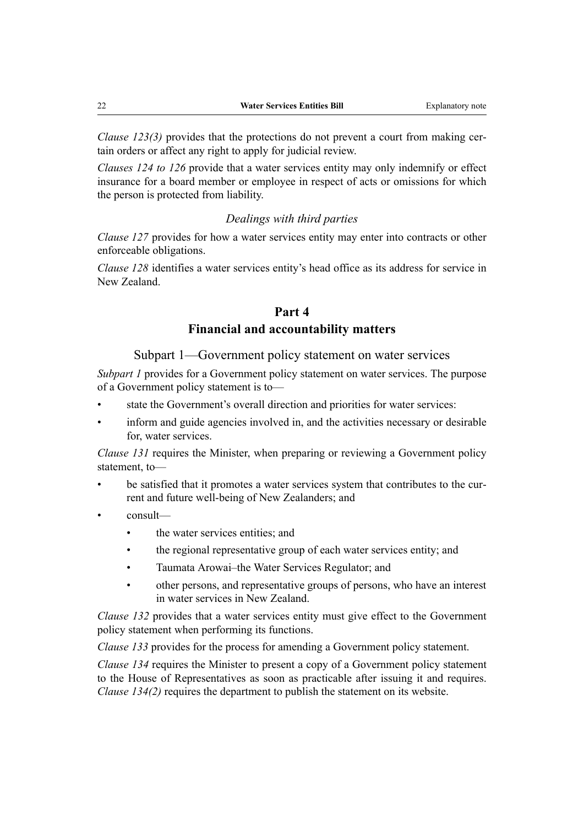*Clause 123(3)* provides that the protections do not prevent a court from making certain orders or affect any right to apply for judicial review.

*Clauses 124 to 126* provide that a water services entity may only indemnify or effect insurance for a board member or employee in respect of acts or omissions for which the person is protected from liability.

#### *Dealings with third parties*

*Clause 127* provides for how a water services entity may enter into contracts or other enforceable obligations.

*Clause 128* identifies a water services entity's head office as its address for service in New Zealand.

## **Part 4 Financial and accountability matters**

Subpart 1—Government policy statement on water services

*Subpart 1* provides for a Government policy statement on water services. The purpose of a Government policy statement is to—

- state the Government's overall direction and priorities for water services:
- inform and guide agencies involved in, and the activities necessary or desirable for, water services.

*Clause 131* requires the Minister, when preparing or reviewing a Government policy statement, to—

- be satisfied that it promotes a water services system that contributes to the current and future well-being of New Zealanders; and
- consult
	- the water services entities; and
	- the regional representative group of each water services entity; and
	- Taumata Arowai–the Water Services Regulator; and
	- other persons, and representative groups of persons, who have an interest in water services in New Zealand.

*Clause 132* provides that a water services entity must give effect to the Government policy statement when performing its functions.

*Clause 133* provides for the process for amending a Government policy statement.

*Clause 134* requires the Minister to present a copy of a Government policy statement to the House of Representatives as soon as practicable after issuing it and requires. *Clause 134(2)* requires the department to publish the statement on its website.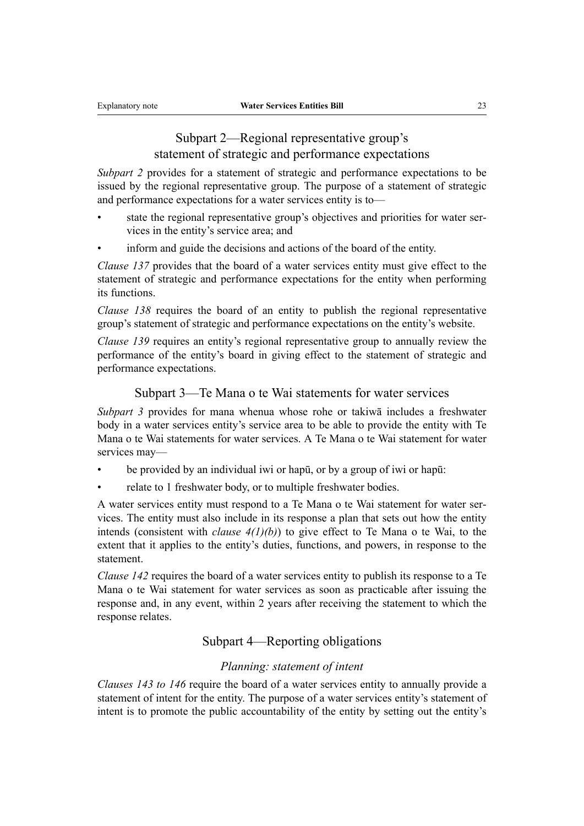## Subpart 2—Regional representative group's statement of strategic and performance expectations

*Subpart 2* provides for a statement of strategic and performance expectations to be issued by the regional representative group. The purpose of a statement of strategic and performance expectations for a water services entity is to—

- state the regional representative group's objectives and priorities for water services in the entity's service area; and
- inform and guide the decisions and actions of the board of the entity.

*Clause 137* provides that the board of a water services entity must give effect to the statement of strategic and performance expectations for the entity when performing its functions.

*Clause 138* requires the board of an entity to publish the regional representative group's statement of strategic and performance expectations on the entity's website.

*Clause 139* requires an entity's regional representative group to annually review the performance of the entity's board in giving effect to the statement of strategic and performance expectations.

#### Subpart 3—Te Mana o te Wai statements for water services

*Subpart 3* provides for mana whenua whose rohe or takiwā includes a freshwater body in a water services entity's service area to be able to provide the entity with Te Mana o te Wai statements for water services. A Te Mana o te Wai statement for water services may—

- be provided by an individual iwi or hapū, or by a group of iwi or hapū:
- relate to 1 freshwater body, or to multiple freshwater bodies.

A water services entity must respond to a Te Mana o te Wai statement for water ser‐ vices. The entity must also include in its response a plan that sets out how the entity intends (consistent with *clause*  $4(1)(b)$ ) to give effect to Te Mana o te Wai, to the extent that it applies to the entity's duties, functions, and powers, in response to the statement.

*Clause 142* requires the board of a water services entity to publish its response to a Te Mana o te Wai statement for water services as soon as practicable after issuing the response and, in any event, within 2 years after receiving the statement to which the response relates.

## Subpart 4—Reporting obligations

#### *Planning: statement of intent*

*Clauses 143 to 146* require the board of a water services entity to annually provide a statement of intent for the entity. The purpose of a water services entity's statement of intent is to promote the public accountability of the entity by setting out the entity's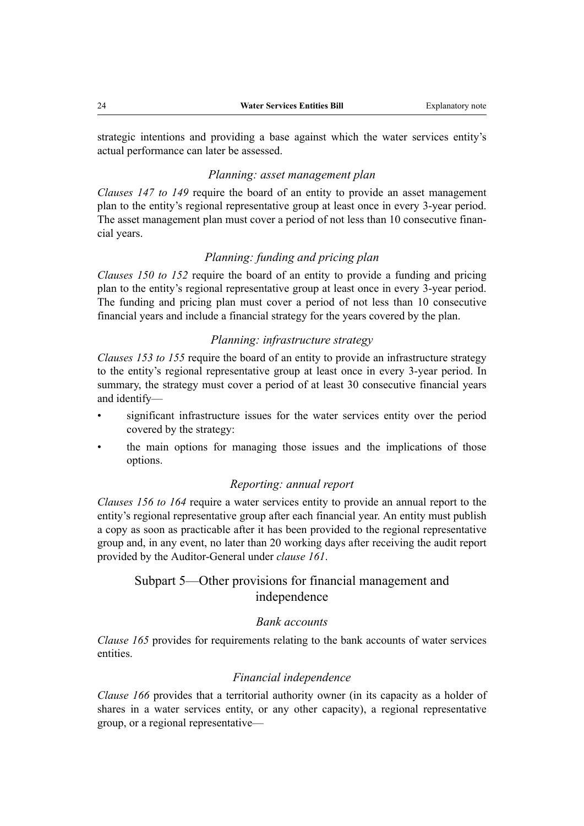strategic intentions and providing a base against which the water services entity's actual performance can later be assessed.

#### *Planning: asset management plan*

*Clauses 147 to 149* require the board of an entity to provide an asset management plan to the entity's regional representative group at least once in every 3-year period. The asset management plan must cover a period of not less than 10 consecutive financial years.

## *Planning: funding and pricing plan*

*Clauses 150 to 152* require the board of an entity to provide a funding and pricing plan to the entity's regional representative group at least once in every 3-year period. The funding and pricing plan must cover a period of not less than 10 consecutive financial years and include a financial strategy for the years covered by the plan.

### *Planning: infrastructure strategy*

*Clauses 153 to 155* require the board of an entity to provide an infrastructure strategy to the entity's regional representative group at least once in every 3-year period. In summary, the strategy must cover a period of at least 30 consecutive financial years and identify—

- significant infrastructure issues for the water services entity over the period covered by the strategy:
- the main options for managing those issues and the implications of those options.

#### *Reporting: annual report*

*Clauses 156 to 164* require a water services entity to provide an annual report to the entity's regional representative group after each financial year. An entity must publish a copy as soon as practicable after it has been provided to the regional representative group and, in any event, no later than 20 working days after receiving the audit report provided by the Auditor-General under *clause 161*.

## Subpart 5—Other provisions for financial management and independence

#### *Bank accounts*

*Clause 165* provides for requirements relating to the bank accounts of water services entities.

#### *Financial independence*

*Clause 166* provides that a territorial authority owner (in its capacity as a holder of shares in a water services entity, or any other capacity), a regional representative group, or a regional representative—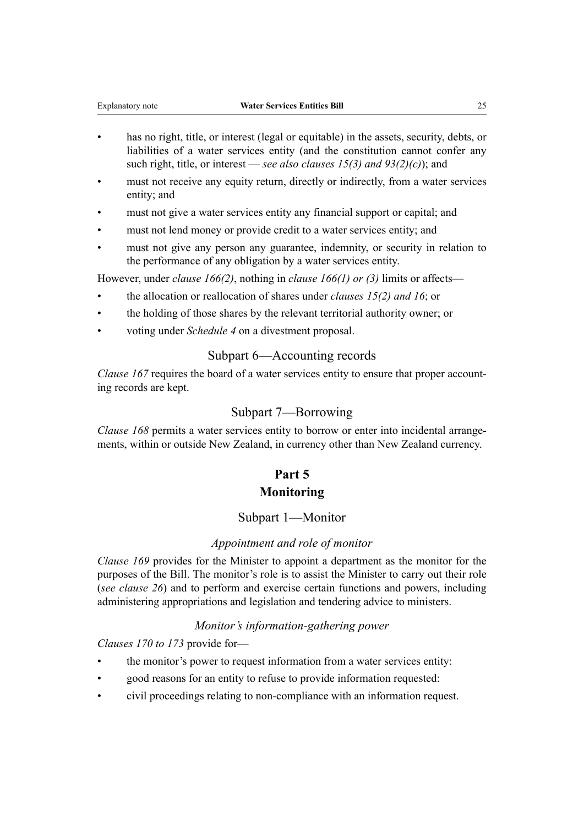- has no right, title, or interest (legal or equitable) in the assets, security, debts, or liabilities of a water services entity (and the constitution cannot confer any such right, title, or interest — *see also clauses 15(3) and 93(2)(c)*); and
- must not receive any equity return, directly or indirectly, from a water services entity; and
- must not give a water services entity any financial support or capital; and
- must not lend money or provide credit to a water services entity; and
- must not give any person any guarantee, indemnity, or security in relation to the performance of any obligation by a water services entity.

However, under *clause 166(2)*, nothing in *clause 166(1) or (3)* limits or affects—

- the allocation or reallocation of shares under *clauses 15(2) and 16*; or
- the holding of those shares by the relevant territorial authority owner; or
- voting under *Schedule 4* on a divestment proposal.

## Subpart 6—Accounting records

*Clause 167* requires the board of a water services entity to ensure that proper accounting records are kept.

#### Subpart 7—Borrowing

*Clause 168* permits a water services entity to borrow or enter into incidental arrangements, within or outside New Zealand, in currency other than New Zealand currency.

## **Part 5 Monitoring**

#### Subpart 1—Monitor

#### *Appointment and role of monitor*

*Clause 169* provides for the Minister to appoint a department as the monitor for the purposes of the Bill. The monitor's role is to assist the Minister to carry out their role (*see clause 26*) and to perform and exercise certain functions and powers, including administering appropriations and legislation and tendering advice to ministers.

#### *Monitor's information-gathering power*

*Clauses 170 to 173* provide for—

- the monitor's power to request information from a water services entity:
- good reasons for an entity to refuse to provide information requested:
- civil proceedings relating to non-compliance with an information request.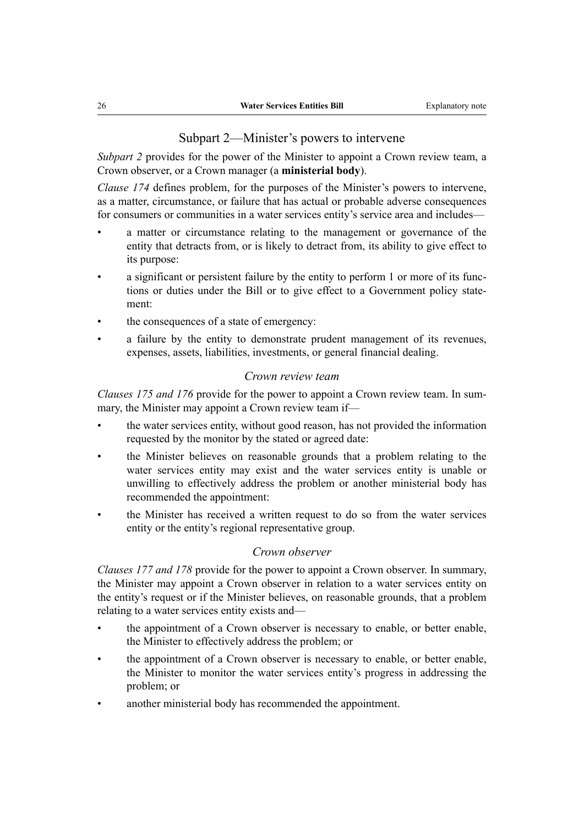#### Subpart 2—Minister's powers to intervene

*Subpart 2* provides for the power of the Minister to appoint a Crown review team, a Crown observer, or a Crown manager (a **ministerial body**).

*Clause 174* defines problem, for the purposes of the Minister's powers to intervene, as a matter, circumstance, or failure that has actual or probable adverse consequences for consumers or communities in a water services entity's service area and includes—

- a matter or circumstance relating to the management or governance of the entity that detracts from, or is likely to detract from, its ability to give effect to its purpose:
- a significant or persistent failure by the entity to perform 1 or more of its functions or duties under the Bill or to give effect to a Government policy state‐ ment:
- the consequences of a state of emergency:
- a failure by the entity to demonstrate prudent management of its revenues, expenses, assets, liabilities, investments, or general financial dealing.

#### *Crown review team*

*Clauses 175 and 176* provide for the power to appoint a Crown review team. In summary, the Minister may appoint a Crown review team if—

- the water services entity, without good reason, has not provided the information requested by the monitor by the stated or agreed date:
- the Minister believes on reasonable grounds that a problem relating to the water services entity may exist and the water services entity is unable or unwilling to effectively address the problem or another ministerial body has recommended the appointment:
- the Minister has received a written request to do so from the water services entity or the entity's regional representative group.

#### *Crown observer*

*Clauses 177 and 178* provide for the power to appoint a Crown observer. In summary, the Minister may appoint a Crown observer in relation to a water services entity on the entity's request or if the Minister believes, on reasonable grounds, that a problem relating to a water services entity exists and—

- the appointment of a Crown observer is necessary to enable, or better enable, the Minister to effectively address the problem; or
- the appointment of a Crown observer is necessary to enable, or better enable, the Minister to monitor the water services entity's progress in addressing the problem; or
- another ministerial body has recommended the appointment.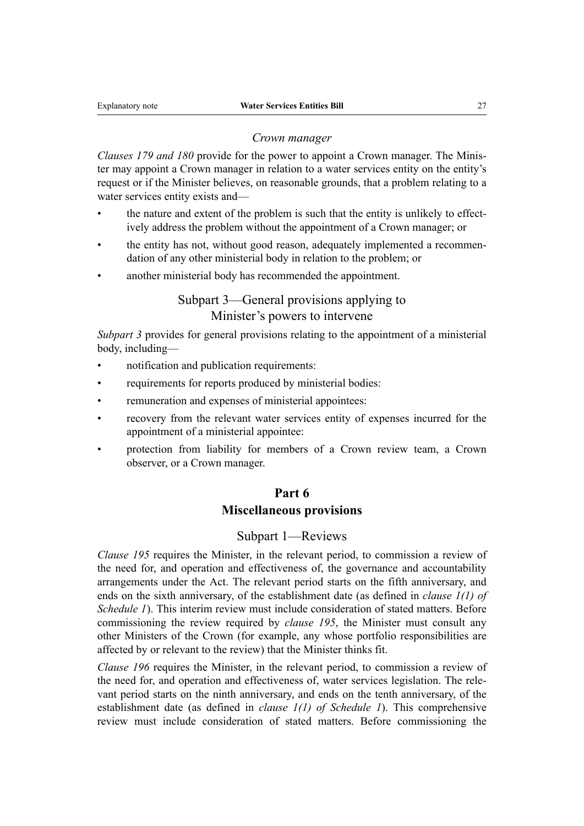#### *Crown manager*

*Clauses 179 and 180* provide for the power to appoint a Crown manager. The Minis‐ ter may appoint a Crown manager in relation to a water services entity on the entity's request or if the Minister believes, on reasonable grounds, that a problem relating to a water services entity exists and—

- the nature and extent of the problem is such that the entity is unlikely to effectively address the problem without the appointment of a Crown manager; or
- the entity has not, without good reason, adequately implemented a recommendation of any other ministerial body in relation to the problem; or
- another ministerial body has recommended the appointment.

## Subpart 3—General provisions applying to Minister's powers to intervene

*Subpart 3* provides for general provisions relating to the appointment of a ministerial body, including—

- notification and publication requirements:
- requirements for reports produced by ministerial bodies:
- remuneration and expenses of ministerial appointees:
- recovery from the relevant water services entity of expenses incurred for the appointment of a ministerial appointee:
- protection from liability for members of a Crown review team, a Crown observer, or a Crown manager.

#### **Part 6**

### **Miscellaneous provisions**

#### Subpart 1—Reviews

*Clause 195* requires the Minister, in the relevant period, to commission a review of the need for, and operation and effectiveness of, the governance and accountability arrangements under the Act. The relevant period starts on the fifth anniversary, and ends on the sixth anniversary, of the establishment date (as defined in *clause 1(1) of Schedule 1*). This interim review must include consideration of stated matters. Before commissioning the review required by *clause 195*, the Minister must consult any other Ministers of the Crown (for example, any whose portfolio responsibilities are affected by or relevant to the review) that the Minister thinks fit.

*Clause 196* requires the Minister, in the relevant period, to commission a review of the need for, and operation and effectiveness of, water services legislation. The relevant period starts on the ninth anniversary, and ends on the tenth anniversary, of the establishment date (as defined in *clause 1(1) of Schedule 1*). This comprehensive review must include consideration of stated matters. Before commissioning the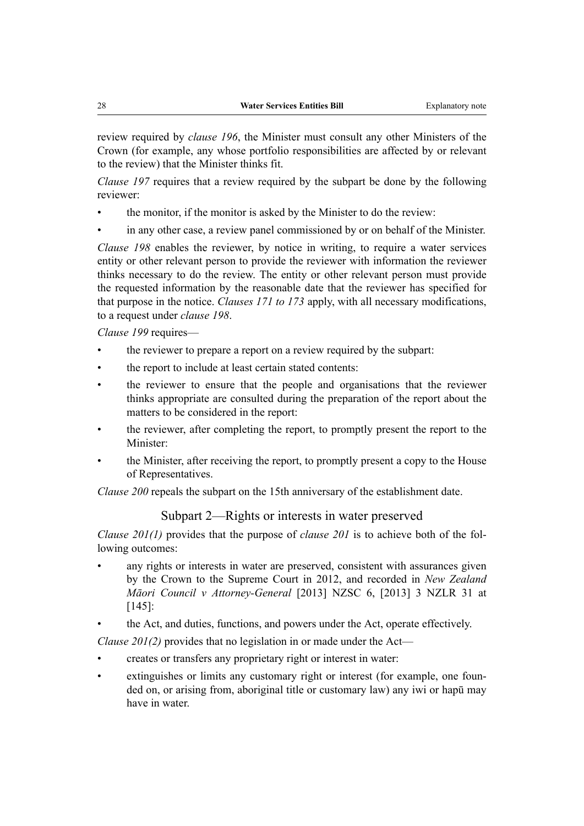review required by *clause 196*, the Minister must consult any other Ministers of the Crown (for example, any whose portfolio responsibilities are affected by or relevant to the review) that the Minister thinks fit.

*Clause 197* requires that a review required by the subpart be done by the following reviewer:

- the monitor, if the monitor is asked by the Minister to do the review:
- in any other case, a review panel commissioned by or on behalf of the Minister.

*Clause 198* enables the reviewer, by notice in writing, to require a water services entity or other relevant person to provide the reviewer with information the reviewer thinks necessary to do the review. The entity or other relevant person must provide the requested information by the reasonable date that the reviewer has specified for that purpose in the notice. *Clauses 171 to 173* apply, with all necessary modifications, to a request under *clause 198*.

*Clause 199* requires—

- the reviewer to prepare a report on a review required by the subpart:
- the report to include at least certain stated contents:
- the reviewer to ensure that the people and organisations that the reviewer thinks appropriate are consulted during the preparation of the report about the matters to be considered in the report:
- the reviewer, after completing the report, to promptly present the report to the Minister:
- the Minister, after receiving the report, to promptly present a copy to the House of Representatives.

*Clause 200* repeals the subpart on the 15th anniversary of the establishment date.

#### Subpart 2—Rights or interests in water preserved

*Clause 201(1)* provides that the purpose of *clause 201* is to achieve both of the following outcomes:

- any rights or interests in water are preserved, consistent with assurances given by the Crown to the Supreme Court in 2012, and recorded in *New Zealand Māori Council v Attorney-General* [2013] NZSC 6, [2013] 3 NZLR 31 at [145]:
- the Act, and duties, functions, and powers under the Act, operate effectively.

*Clause 201(2)* provides that no legislation in or made under the Act—

- creates or transfers any proprietary right or interest in water:
- extinguishes or limits any customary right or interest (for example, one founded on, or arising from, aboriginal title or customary law) any iwi or hapū may have in water.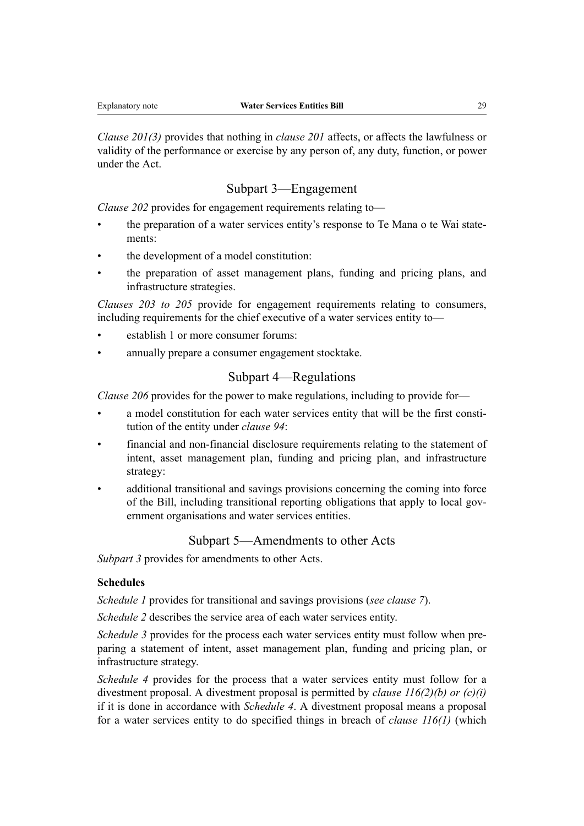*Clause 201(3)* provides that nothing in *clause 201* affects, or affects the lawfulness or validity of the performance or exercise by any person of, any duty, function, or power under the Act.

#### Subpart 3—Engagement

*Clause 202* provides for engagement requirements relating to—

- the preparation of a water services entity's response to Te Mana o te Wai statements:
- the development of a model constitution:
- the preparation of asset management plans, funding and pricing plans, and infrastructure strategies.

*Clauses 203 to 205* provide for engagement requirements relating to consumers, including requirements for the chief executive of a water services entity to—

- establish 1 or more consumer forums:
- annually prepare a consumer engagement stocktake.

#### Subpart 4—Regulations

*Clause 206* provides for the power to make regulations, including to provide for—

- a model constitution for each water services entity that will be the first constitution of the entity under *clause 94*:
- financial and non-financial disclosure requirements relating to the statement of intent, asset management plan, funding and pricing plan, and infrastructure strategy:
- additional transitional and savings provisions concerning the coming into force of the Bill, including transitional reporting obligations that apply to local government organisations and water services entities.

#### Subpart 5—Amendments to other Acts

*Subpart 3* provides for amendments to other Acts.

#### **Schedules**

*Schedule 1* provides for transitional and savings provisions (*see clause 7*).

*Schedule 2* describes the service area of each water services entity.

*Schedule 3* provides for the process each water services entity must follow when preparing a statement of intent, asset management plan, funding and pricing plan, or infrastructure strategy.

*Schedule 4* provides for the process that a water services entity must follow for a divestment proposal. A divestment proposal is permitted by *clause 116(2)(b) or (c)(i)* if it is done in accordance with *Schedule 4*. A divestment proposal means a proposal for a water services entity to do specified things in breach of *clause 116(1)* (which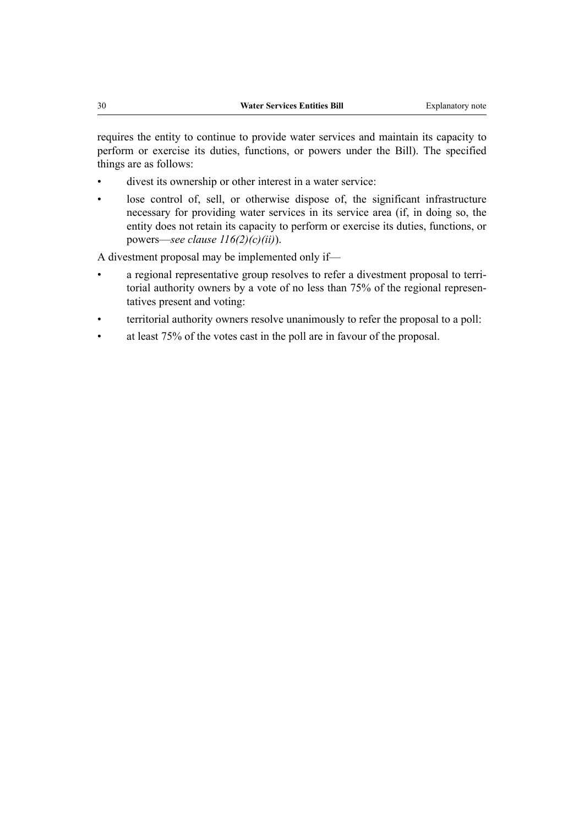requires the entity to continue to provide water services and maintain its capacity to perform or exercise its duties, functions, or powers under the Bill). The specified things are as follows:

- divest its ownership or other interest in a water service:
- lose control of, sell, or otherwise dispose of, the significant infrastructure necessary for providing water services in its service area (if, in doing so, the entity does not retain its capacity to perform or exercise its duties, functions, or powers—*see clause 116(2)(c)(ii)*).

A divestment proposal may be implemented only if—

- a regional representative group resolves to refer a divestment proposal to territorial authority owners by a vote of no less than 75% of the regional representatives present and voting:
- territorial authority owners resolve unanimously to refer the proposal to a poll:
- at least 75% of the votes cast in the poll are in favour of the proposal.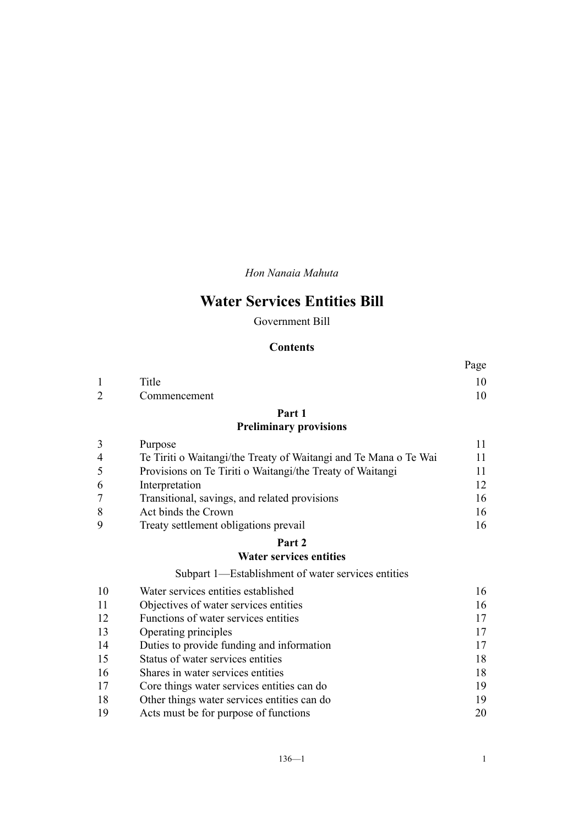*Hon Nanaia Mahuta*

# **Water Services Entities Bill**

## Government Bill

#### **Contents**

|    |                                                                  | .  |
|----|------------------------------------------------------------------|----|
| 1  | Title                                                            | 10 |
|    | Commencement                                                     | 10 |
|    | Part 1                                                           |    |
|    | <b>Preliminary provisions</b>                                    |    |
| 3  | Purpose                                                          | 11 |
| 4  | Te Tiriti o Waitangi/the Treaty of Waitangi and Te Mana o Te Wai | 11 |
| 5  | Provisions on Te Tiriti o Waitangi/the Treaty of Waitangi        | 11 |
| 6  | Interpretation                                                   | 12 |
|    | Transitional, savings, and related provisions                    | 16 |
| 8  | Act binds the Crown                                              | 16 |
| 9  | Treaty settlement obligations prevail                            | 16 |
|    | Part 2                                                           |    |
|    | <b>Water services entities</b>                                   |    |
|    | Subpart 1—Establishment of water services entities               |    |
| 10 | Water services entities established                              | 16 |
| 11 | Objectives of water services entities                            | 16 |
| 12 | Functions of water services entities                             | 17 |
| 13 | Operating principles                                             | 17 |

 [Duties to provide funding and information](#page-46-0) [17](#page-46-0) [Status of water services entities](#page-47-0) [18](#page-47-0) [Shares in water services entities](#page-47-0) [18](#page-47-0) [Core things water services entities can do](#page-48-0) [19](#page-48-0) [Other things water services entities can do](#page-48-0) [19](#page-48-0) [Acts must be for purpose of functions](#page-49-0) [20](#page-49-0)

Page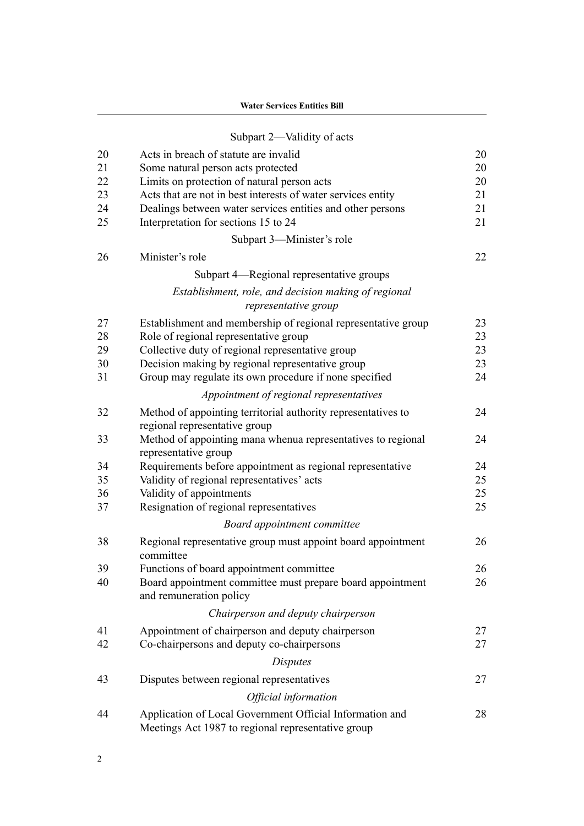| <b>Water Services Entities Bill</b> |  |  |
|-------------------------------------|--|--|
|-------------------------------------|--|--|

|                | Subpart 2-Validity of acts                                                                                     |          |
|----------------|----------------------------------------------------------------------------------------------------------------|----------|
| 20<br>21<br>22 | Acts in breach of statute are invalid<br>Some natural person acts protected                                    | 20<br>20 |
|                | Limits on protection of natural person acts                                                                    | 20       |
| 23<br>24       | Acts that are not in best interests of water services entity                                                   | 21<br>21 |
| 25             | Dealings between water services entities and other persons<br>Interpretation for sections 15 to 24             | 21       |
|                |                                                                                                                |          |
|                | Subpart 3-Minister's role                                                                                      |          |
| 26             | Minister's role                                                                                                | 22       |
|                | Subpart 4—Regional representative groups                                                                       |          |
|                | Establishment, role, and decision making of regional<br>representative group                                   |          |
| 27             | Establishment and membership of regional representative group                                                  | 23       |
| 28             | Role of regional representative group                                                                          | 23       |
| 29             | Collective duty of regional representative group                                                               | 23       |
| 30             | Decision making by regional representative group                                                               | 23       |
| 31             | Group may regulate its own procedure if none specified                                                         | 24       |
|                | Appointment of regional representatives                                                                        |          |
| 32             | Method of appointing territorial authority representatives to<br>regional representative group                 | 24       |
| 33             | Method of appointing mana whenua representatives to regional<br>representative group                           | 24       |
| 34             | Requirements before appointment as regional representative                                                     | 24       |
| 35             | Validity of regional representatives' acts                                                                     | 25       |
| 36             | Validity of appointments                                                                                       | 25       |
| 37             | Resignation of regional representatives                                                                        | 25       |
|                | Board appointment committee                                                                                    |          |
| 38             | Regional representative group must appoint board appointment<br>committee                                      | 26       |
| 39             | Functions of board appointment committee                                                                       | 26       |
| 40             | Board appointment committee must prepare board appointment<br>and remuneration policy                          | 26       |
|                | Chairperson and deputy chairperson                                                                             |          |
| 41             | Appointment of chairperson and deputy chairperson                                                              | 27       |
| 42             | Co-chairpersons and deputy co-chairpersons                                                                     | 27       |
|                | <i>Disputes</i>                                                                                                |          |
| 43             | Disputes between regional representatives                                                                      | 27       |
|                | Official information                                                                                           |          |
| 44             | Application of Local Government Official Information and<br>Meetings Act 1987 to regional representative group | 28       |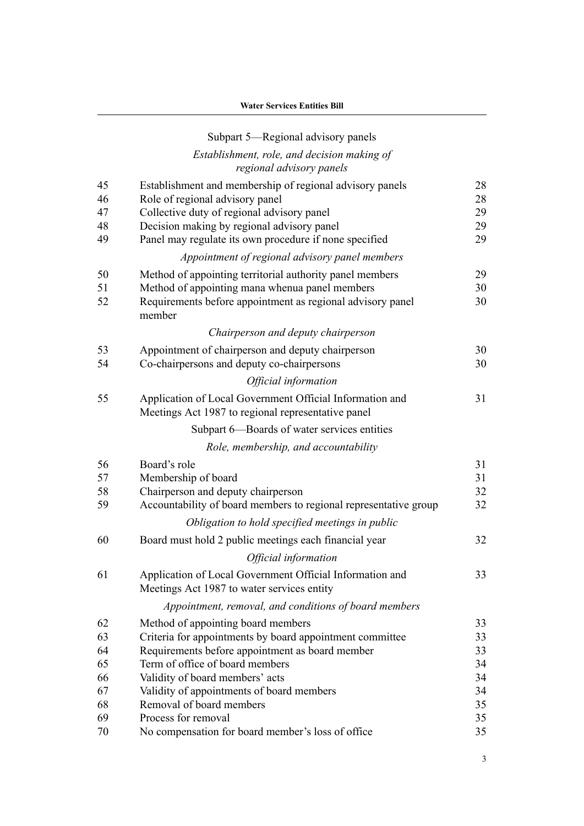|    | Subpart 5-Regional advisory panels                                                                             |    |
|----|----------------------------------------------------------------------------------------------------------------|----|
|    | Establishment, role, and decision making of<br>regional advisory panels                                        |    |
| 45 | Establishment and membership of regional advisory panels                                                       | 28 |
| 46 | Role of regional advisory panel                                                                                | 28 |
| 47 | Collective duty of regional advisory panel                                                                     | 29 |
| 48 | Decision making by regional advisory panel                                                                     | 29 |
| 49 | Panel may regulate its own procedure if none specified                                                         | 29 |
|    | Appointment of regional advisory panel members                                                                 |    |
| 50 | Method of appointing territorial authority panel members                                                       | 29 |
| 51 | Method of appointing mana whenua panel members                                                                 | 30 |
| 52 | Requirements before appointment as regional advisory panel<br>member                                           | 30 |
|    | Chairperson and deputy chairperson                                                                             |    |
| 53 | Appointment of chairperson and deputy chairperson                                                              | 30 |
| 54 | Co-chairpersons and deputy co-chairpersons                                                                     | 30 |
|    | Official information                                                                                           |    |
| 55 | Application of Local Government Official Information and<br>Meetings Act 1987 to regional representative panel | 31 |
|    | Subpart 6-Boards of water services entities                                                                    |    |
|    | Role, membership, and accountability                                                                           |    |
| 56 | Board's role                                                                                                   | 31 |
| 57 | Membership of board                                                                                            | 31 |
| 58 | Chairperson and deputy chairperson                                                                             | 32 |
| 59 | Accountability of board members to regional representative group                                               | 32 |
|    | Obligation to hold specified meetings in public                                                                |    |
| 60 | Board must hold 2 public meetings each financial year                                                          | 32 |
|    | Official information                                                                                           |    |
| 61 | Application of Local Government Official Information and<br>Meetings Act 1987 to water services entity         | 33 |
|    | Appointment, removal, and conditions of board members                                                          |    |
| 62 | Method of appointing board members                                                                             | 33 |
| 63 | Criteria for appointments by board appointment committee                                                       | 33 |
| 64 | Requirements before appointment as board member                                                                | 33 |
| 65 | Term of office of board members                                                                                | 34 |
| 66 | Validity of board members' acts                                                                                | 34 |
| 67 | Validity of appointments of board members                                                                      | 34 |
| 68 | Removal of board members                                                                                       | 35 |
| 69 | Process for removal                                                                                            | 35 |
| 70 | No compensation for board member's loss of office                                                              | 35 |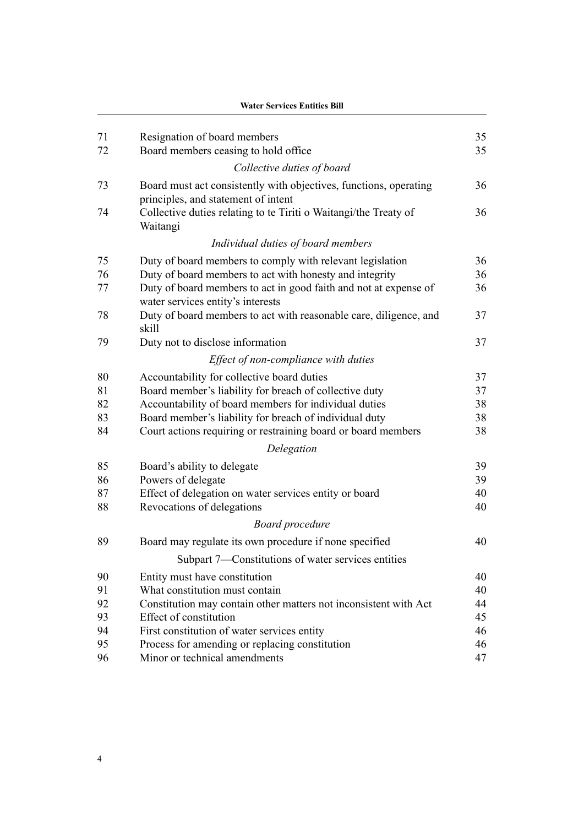|    | <b>Water Services Entities Bill</b>                                                                      |    |
|----|----------------------------------------------------------------------------------------------------------|----|
| 71 | Resignation of board members                                                                             | 35 |
| 72 | Board members ceasing to hold office                                                                     | 35 |
|    | Collective duties of board                                                                               |    |
| 73 | Board must act consistently with objectives, functions, operating<br>principles, and statement of intent | 36 |
| 74 | Collective duties relating to te Tiriti o Waitangi/the Treaty of<br>Waitangi                             | 36 |
|    | Individual duties of board members                                                                       |    |
| 75 | Duty of board members to comply with relevant legislation                                                | 36 |
| 76 | Duty of board members to act with honesty and integrity                                                  | 36 |
| 77 | Duty of board members to act in good faith and not at expense of<br>water services entity's interests    | 36 |
| 78 | Duty of board members to act with reasonable care, diligence, and<br>skill                               | 37 |
| 79 | Duty not to disclose information                                                                         | 37 |
|    | Effect of non-compliance with duties                                                                     |    |
| 80 | Accountability for collective board duties                                                               | 37 |
| 81 | Board member's liability for breach of collective duty                                                   | 37 |
| 82 | Accountability of board members for individual duties                                                    | 38 |
| 83 | Board member's liability for breach of individual duty                                                   | 38 |
| 84 | Court actions requiring or restraining board or board members                                            | 38 |
|    | Delegation                                                                                               |    |
| 85 | Board's ability to delegate                                                                              | 39 |
| 86 | Powers of delegate                                                                                       | 39 |
| 87 | Effect of delegation on water services entity or board                                                   | 40 |
| 88 | Revocations of delegations                                                                               | 40 |
|    | <b>Board</b> procedure                                                                                   |    |
| 89 | Board may regulate its own procedure if none specified                                                   | 40 |
|    | Subpart 7—Constitutions of water services entities                                                       |    |
| 90 | Entity must have constitution                                                                            | 40 |
| 91 | What constitution must contain                                                                           | 40 |
| 92 | Constitution may contain other matters not inconsistent with Act                                         | 44 |
| 93 | Effect of constitution                                                                                   | 45 |
| 94 | First constitution of water services entity                                                              | 46 |
| 95 | Process for amending or replacing constitution                                                           | 46 |
| 96 | Minor or technical amendments                                                                            | 47 |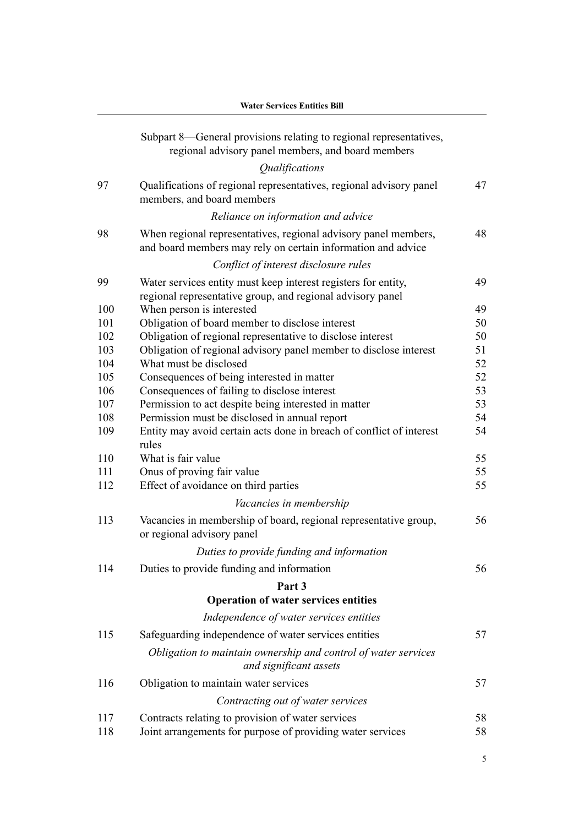|     | Water Services Entities Bill                                                                                                    |    |
|-----|---------------------------------------------------------------------------------------------------------------------------------|----|
|     | Subpart 8—General provisions relating to regional representatives,<br>regional advisory panel members, and board members        |    |
|     | Qualifications                                                                                                                  |    |
| 97  | Qualifications of regional representatives, regional advisory panel<br>members, and board members                               | 47 |
|     | Reliance on information and advice                                                                                              |    |
| 98  | When regional representatives, regional advisory panel members,<br>and board members may rely on certain information and advice | 48 |
|     | Conflict of interest disclosure rules                                                                                           |    |
| 99  | Water services entity must keep interest registers for entity,<br>regional representative group, and regional advisory panel    | 49 |
| 100 | When person is interested                                                                                                       | 49 |
| 101 | Obligation of board member to disclose interest                                                                                 | 50 |
| 102 | Obligation of regional representative to disclose interest                                                                      | 50 |
| 103 | Obligation of regional advisory panel member to disclose interest                                                               | 51 |
| 104 | What must be disclosed                                                                                                          | 52 |
| 105 | Consequences of being interested in matter                                                                                      | 52 |
| 106 | Consequences of failing to disclose interest                                                                                    | 53 |
| 107 | Permission to act despite being interested in matter                                                                            | 53 |
| 108 | Permission must be disclosed in annual report                                                                                   | 54 |
| 109 | Entity may avoid certain acts done in breach of conflict of interest<br>rules                                                   | 54 |
| 110 | What is fair value                                                                                                              | 55 |
| 111 | Onus of proving fair value                                                                                                      | 55 |
| 112 | Effect of avoidance on third parties                                                                                            | 55 |
|     | Vacancies in membership                                                                                                         |    |
| 113 | Vacancies in membership of board, regional representative group,<br>or regional advisory panel                                  | 56 |
|     | Duties to provide funding and information                                                                                       |    |
| 114 | Duties to provide funding and information                                                                                       | 56 |
|     | Part <sub>3</sub>                                                                                                               |    |
|     | <b>Operation of water services entities</b>                                                                                     |    |
|     |                                                                                                                                 |    |
|     | Independence of water services entities                                                                                         |    |
| 115 | Safeguarding independence of water services entities                                                                            | 57 |
|     | Obligation to maintain ownership and control of water services<br>and significant assets                                        |    |
| 116 | Obligation to maintain water services                                                                                           | 57 |
|     | Contracting out of water services                                                                                               |    |
| 117 |                                                                                                                                 | 58 |
| 118 | Contracts relating to provision of water services<br>Joint arrangements for purpose of providing water services                 | 58 |
|     |                                                                                                                                 |    |

## **Water Services Entities Bill**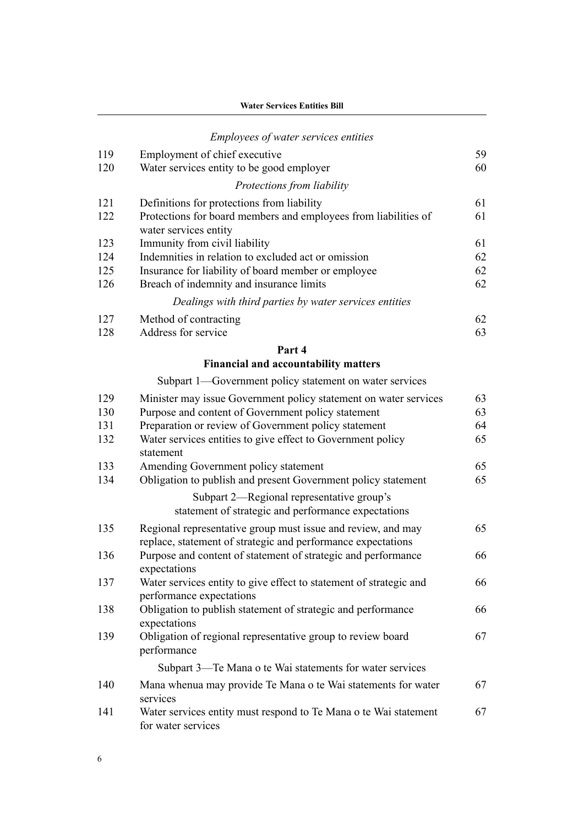| <b>Water Services Entities Bill</b> |  |
|-------------------------------------|--|
|-------------------------------------|--|

|     | <i>Employees of water services entities</i>                                              |    |
|-----|------------------------------------------------------------------------------------------|----|
| 119 | Employment of chief executive                                                            | 59 |
| 120 | Water services entity to be good employer                                                | 60 |
|     | Protections from liability                                                               |    |
| 121 | Definitions for protections from liability                                               | 61 |
| 122 | Protections for board members and employees from liabilities of<br>water services entity | 61 |
| 123 | Immunity from civil liability                                                            | 61 |
| 124 | Indemnities in relation to excluded act or omission                                      | 62 |
| 125 | Insurance for liability of board member or employee                                      | 62 |
| 126 | Breach of indemnity and insurance limits                                                 | 62 |
|     | Dealings with third parties by water services entities                                   |    |
| 127 | Method of contracting                                                                    | 62 |
| 128 | Address for service                                                                      | 63 |
|     | Part 4                                                                                   |    |
|     | <b>Financial and accountability matters</b>                                              |    |
|     | Subpart 1—Government policy statement on water services                                  |    |
| 129 | Minister may issue Government policy statement on water services                         | 63 |
| 130 | Purpose and content of Government policy statement                                       | 63 |
| 131 | Preparation or review of Government policy statement                                     | 64 |
| 132 | Water services entities to give effect to Government policy<br>statement                 | 65 |
| 133 | Amending Government policy statement                                                     | 65 |
| 134 | Obligation to publish and present Government policy statement                            | 65 |

#### [Subpart 2—Regional representative group's](#page-94-0) [statement of strategic and performance expectations](#page-94-0)

| 135 | Regional representative group must issue and review, and may<br>replace, statement of strategic and performance expectations | 65 |
|-----|------------------------------------------------------------------------------------------------------------------------------|----|
| 136 | Purpose and content of statement of strategic and performance<br>expectations                                                | 66 |
| 137 | Water services entity to give effect to statement of strategic and<br>performance expectations                               | 66 |
| 138 | Obligation to publish statement of strategic and performance<br>expectations                                                 | 66 |
| 139 | Obligation of regional representative group to review board<br>performance                                                   | 67 |
|     | Subpart 3—Te Mana o te Wai statements for water services                                                                     |    |
| 140 | Mana whenua may provide Te Mana o te Wai statements for water<br>services                                                    | 67 |

 [Water services entity must respond to Te Mana o te Wai statement](#page-96-0) [for water services](#page-96-0)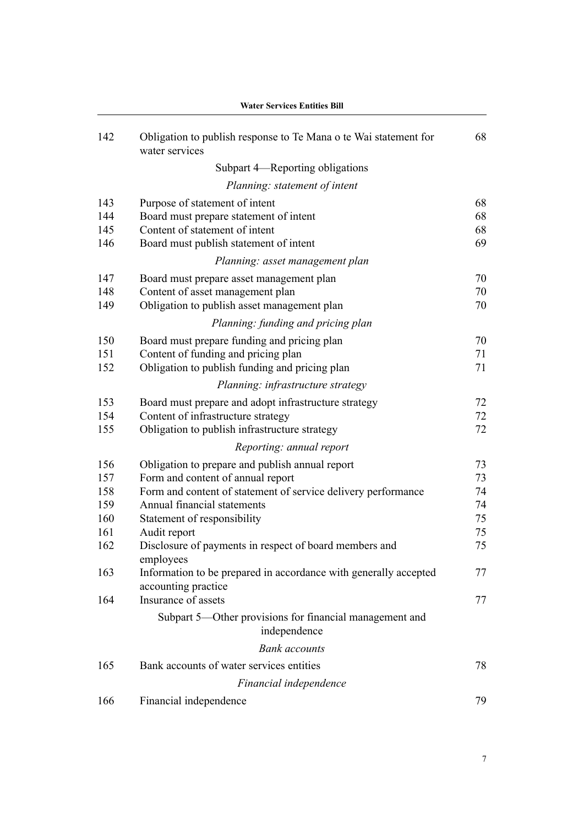| 142 | Obligation to publish response to Te Mana o te Wai statement for<br>water services | 68 |
|-----|------------------------------------------------------------------------------------|----|
|     | Subpart 4—Reporting obligations                                                    |    |
|     | Planning: statement of intent                                                      |    |
| 143 | Purpose of statement of intent                                                     | 68 |
| 144 | Board must prepare statement of intent                                             | 68 |
| 145 | Content of statement of intent                                                     | 68 |
| 146 | Board must publish statement of intent                                             | 69 |
|     | Planning: asset management plan                                                    |    |
| 147 | Board must prepare asset management plan                                           | 70 |
| 148 | Content of asset management plan                                                   | 70 |
| 149 | Obligation to publish asset management plan                                        | 70 |
|     | Planning: funding and pricing plan                                                 |    |
| 150 | Board must prepare funding and pricing plan                                        | 70 |
| 151 | Content of funding and pricing plan                                                | 71 |
| 152 | Obligation to publish funding and pricing plan                                     | 71 |
|     | Planning: infrastructure strategy                                                  |    |
| 153 | Board must prepare and adopt infrastructure strategy                               | 72 |
| 154 | Content of infrastructure strategy                                                 | 72 |
| 155 | Obligation to publish infrastructure strategy                                      | 72 |
|     | Reporting: annual report                                                           |    |
| 156 | Obligation to prepare and publish annual report                                    | 73 |
| 157 | Form and content of annual report                                                  | 73 |
| 158 | Form and content of statement of service delivery performance                      | 74 |
| 159 | Annual financial statements                                                        | 74 |
| 160 | Statement of responsibility                                                        | 75 |
| 161 | Audit report                                                                       | 75 |
| 162 | Disclosure of payments in respect of board members and<br>employees                | 75 |
| 163 | Information to be prepared in accordance with generally accepted                   | 77 |
|     | accounting practice                                                                |    |
| 164 | Insurance of assets                                                                | 77 |
|     | Subpart 5—Other provisions for financial management and<br>independence            |    |
|     | <b>Bank</b> accounts                                                               |    |
| 165 | Bank accounts of water services entities                                           | 78 |
|     | Financial independence                                                             |    |
| 166 | Financial independence                                                             | 79 |
|     |                                                                                    |    |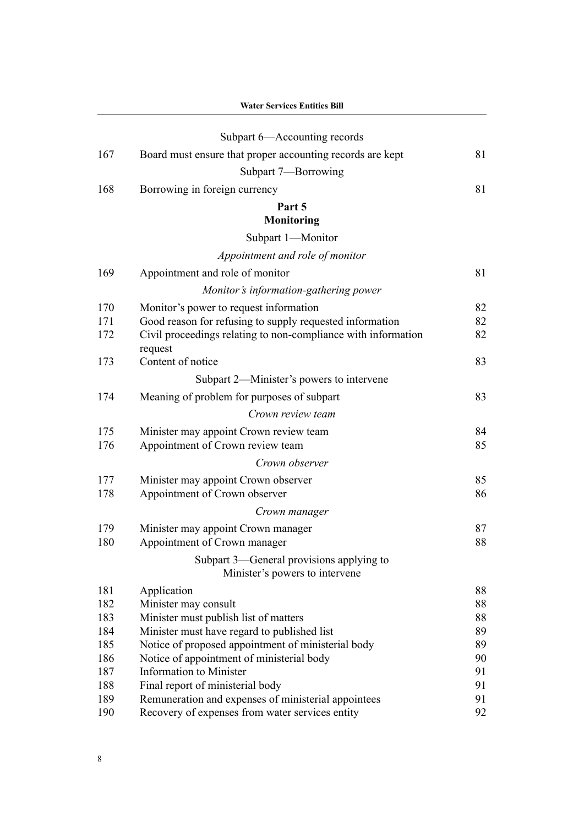|            | <b>Water Services Entities Bill</b>                                        |          |  |  |  |
|------------|----------------------------------------------------------------------------|----------|--|--|--|
|            | Subpart 6—Accounting records                                               |          |  |  |  |
| 167        | Board must ensure that proper accounting records are kept                  | 81       |  |  |  |
|            | Subpart 7-Borrowing                                                        |          |  |  |  |
| 168        | Borrowing in foreign currency                                              | 81       |  |  |  |
|            | Part 5                                                                     |          |  |  |  |
|            | <b>Monitoring</b>                                                          |          |  |  |  |
|            | Subpart 1-Monitor                                                          |          |  |  |  |
|            | Appointment and role of monitor                                            |          |  |  |  |
| 169        | Appointment and role of monitor                                            | 81       |  |  |  |
|            | Monitor's information-gathering power                                      |          |  |  |  |
| 170        | Monitor's power to request information                                     | 82       |  |  |  |
| 171        | Good reason for refusing to supply requested information                   | 82       |  |  |  |
| 172        | Civil proceedings relating to non-compliance with information              | 82       |  |  |  |
|            | request                                                                    |          |  |  |  |
| 173        | Content of notice                                                          | 83       |  |  |  |
|            | Subpart 2—Minister's powers to intervene                                   |          |  |  |  |
| 174        | Meaning of problem for purposes of subpart                                 | 83       |  |  |  |
|            | Crown review team                                                          |          |  |  |  |
| 175        | Minister may appoint Crown review team                                     | 84       |  |  |  |
| 176        | Appointment of Crown review team                                           | 85       |  |  |  |
|            | Crown observer                                                             |          |  |  |  |
| 177        | Minister may appoint Crown observer                                        | 85       |  |  |  |
| 178        | Appointment of Crown observer                                              | 86       |  |  |  |
|            | Crown manager                                                              |          |  |  |  |
| 179        | Minister may appoint Crown manager                                         | 87       |  |  |  |
| 180        | Appointment of Crown manager                                               | 88       |  |  |  |
|            | Subpart 3—General provisions applying to<br>Minister's powers to intervene |          |  |  |  |
| 181        | Application                                                                | 88       |  |  |  |
| 182        | Minister may consult                                                       | 88       |  |  |  |
| 183        | Minister must publish list of matters                                      | 88       |  |  |  |
| 184        | Minister must have regard to published list                                | 89       |  |  |  |
| 185        | Notice of proposed appointment of ministerial body                         | 89       |  |  |  |
| 186<br>187 | Notice of appointment of ministerial body<br>Information to Minister       | 90<br>91 |  |  |  |
| 188        | Final report of ministerial body                                           | 91       |  |  |  |
| 189        | Remuneration and expenses of ministerial appointees                        | 91       |  |  |  |
| 190        | Recovery of expenses from water services entity                            | 92       |  |  |  |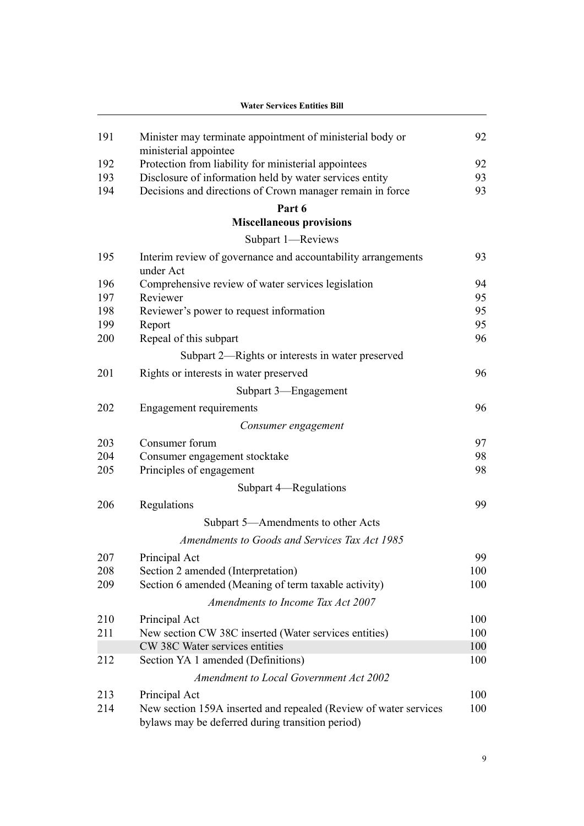|     | <b>Water Services Entities Bill</b>                                                                                  |     |  |
|-----|----------------------------------------------------------------------------------------------------------------------|-----|--|
| 191 | Minister may terminate appointment of ministerial body or                                                            | 92  |  |
| 192 | ministerial appointee<br>Protection from liability for ministerial appointees                                        | 92  |  |
| 193 | Disclosure of information held by water services entity                                                              | 93  |  |
| 194 | Decisions and directions of Crown manager remain in force                                                            | 93  |  |
|     | Part 6                                                                                                               |     |  |
|     | <b>Miscellaneous provisions</b>                                                                                      |     |  |
|     | Subpart 1-Reviews                                                                                                    |     |  |
| 195 | Interim review of governance and accountability arrangements<br>under Act                                            | 93  |  |
| 196 | Comprehensive review of water services legislation                                                                   | 94  |  |
| 197 | Reviewer                                                                                                             | 95  |  |
| 198 | Reviewer's power to request information                                                                              | 95  |  |
| 199 | Report                                                                                                               | 95  |  |
| 200 | Repeal of this subpart                                                                                               | 96  |  |
|     | Subpart 2—Rights or interests in water preserved                                                                     |     |  |
| 201 | Rights or interests in water preserved                                                                               | 96  |  |
|     | Subpart 3—Engagement                                                                                                 |     |  |
| 202 | <b>Engagement requirements</b>                                                                                       | 96  |  |
|     | Consumer engagement                                                                                                  |     |  |
| 203 | Consumer forum                                                                                                       | 97  |  |
| 204 | Consumer engagement stocktake                                                                                        | 98  |  |
| 205 | Principles of engagement                                                                                             | 98  |  |
|     | Subpart 4—Regulations                                                                                                |     |  |
| 206 | Regulations                                                                                                          | 99  |  |
|     | Subpart 5—Amendments to other Acts                                                                                   |     |  |
|     | Amendments to Goods and Services Tax Act 1985                                                                        |     |  |
| 207 | Principal Act                                                                                                        | 99  |  |
| 208 | Section 2 amended (Interpretation)                                                                                   | 100 |  |
| 209 | Section 6 amended (Meaning of term taxable activity)                                                                 | 100 |  |
|     | Amendments to Income Tax Act 2007                                                                                    |     |  |
| 210 | Principal Act                                                                                                        | 100 |  |
| 211 | New section CW 38C inserted (Water services entities)                                                                | 100 |  |
|     | CW 38C Water services entities                                                                                       | 100 |  |
| 212 | Section YA 1 amended (Definitions)                                                                                   | 100 |  |
|     | <b>Amendment to Local Government Act 2002</b>                                                                        |     |  |
| 213 | Principal Act                                                                                                        | 100 |  |
| 214 | New section 159A inserted and repealed (Review of water services<br>bylaws may be deferred during transition period) | 100 |  |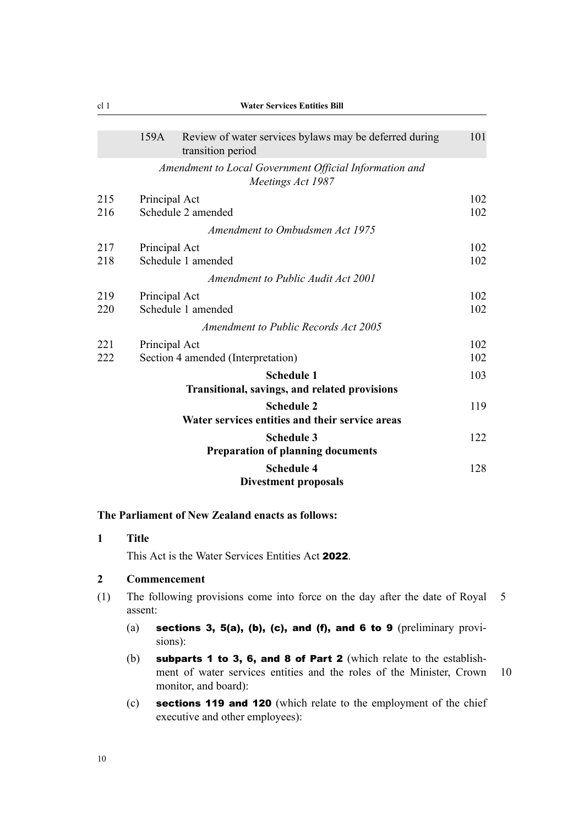|     | 159A          | Review of water services bylaws may be deferred during<br>transition period | 101 |
|-----|---------------|-----------------------------------------------------------------------------|-----|
|     |               | Amendment to Local Government Official Information and<br>Meetings Act 1987 |     |
| 215 | Principal Act |                                                                             | 102 |
| 216 |               | Schedule 2 amended                                                          | 102 |
|     |               | Amendment to Ombudsmen Act 1975                                             |     |
| 217 | Principal Act |                                                                             | 102 |
| 218 |               | Schedule 1 amended                                                          | 102 |
|     |               | Amendment to Public Audit Act 2001                                          |     |
| 219 | Principal Act |                                                                             | 102 |
| 220 |               | Schedule 1 amended                                                          | 102 |
|     |               | Amendment to Public Records Act 2005                                        |     |
| 221 | Principal Act |                                                                             | 102 |
| 222 |               | Section 4 amended (Interpretation)                                          | 102 |
|     |               | <b>Schedule 1</b>                                                           | 103 |
|     |               | Transitional, savings, and related provisions                               |     |
|     |               | <b>Schedule 2</b>                                                           | 119 |
|     |               | Water services entities and their service areas                             |     |
|     |               | <b>Schedule 3</b>                                                           | 122 |
|     |               | <b>Preparation of planning documents</b>                                    |     |
|     |               | <b>Schedule 4</b>                                                           | 128 |
|     |               | <b>Divestment proposals</b>                                                 |     |

#### **The Parliament of New Zealand enacts as follows:**

**1 Title**

This Act is the Water Services Entities Act 2022.

#### **2 Commencement**

- (1) The following provisions come into force on the day after the date of Royal 5 assent:
	- (a) sections 3, 5(a), (b), (c), and (f), and 6 to 9 (preliminary provisions):
	- (b) subparts 1 to 3, 6, and 8 of Part 2 (which relate to the establishment of water services entities and the roles of the Minister, Crown 10 monitor, and board):
	- (c) sections 119 and 120 (which relate to the employment of the chief executive and other employees):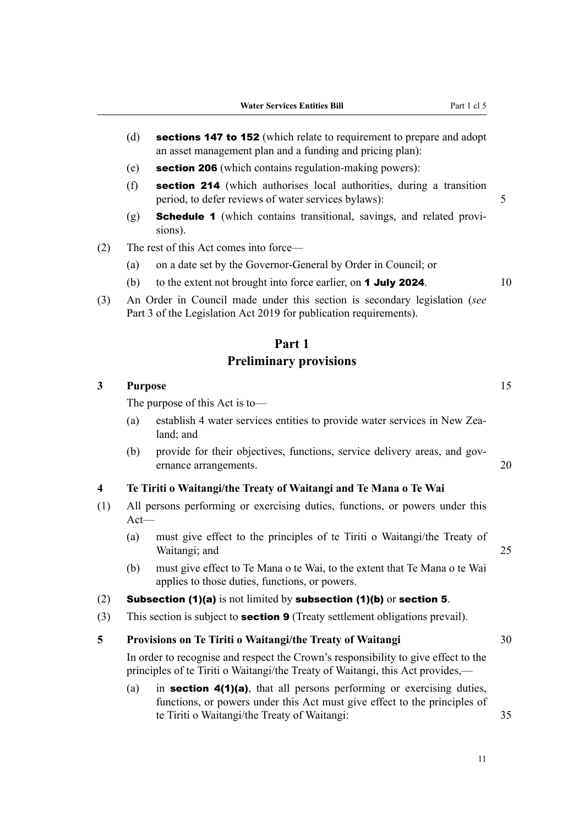- (d) **sections 147 to 152** (which relate to requirement to prepare and adopt an asset management plan and a funding and pricing plan):
- (e) section 206 (which contains regulation-making powers):
- (f) section 214 (which authorises local authorities, during a transition period, to defer reviews of water services bylaws): 5
- $(g)$  **Schedule 1** (which contains transitional, savings, and related provisions).
- (2) The rest of this Act comes into force—
	- (a) on a date set by the Governor-General by Order in Council; or
	- (b) to the extent not brought into force earlier, on **1 July 2024**.  $10$
- (3) An Order in Council made under this section is secondary legislation (*see* Part 3 of the Legislation Act 2019 for publication requirements).

#### **Part 1**

## **Preliminary provisions**

# **3 Purpose** 15 The purpose of this Act is to—

- (a) establish 4 water services entities to provide water services in New Zealand; and
- (b) provide for their objectives, functions, service delivery areas, and governance arrangements. 20

#### **4 Te Tiriti o Waitangi/the Treaty of Waitangi and Te Mana o Te Wai**

- (1) All persons performing or exercising duties, functions, or powers under this Act—
	- (a) must give effect to the principles of te Tiriti o Waitangi/the Treaty of Waitangi; and 25
	- (b) must give effect to Te Mana o te Wai, to the extent that Te Mana o te Wai applies to those duties, functions, or powers.

## (2) Subsection (1)(a) is not limited by subsection (1)(b) or section 5.

(3) This section is subject to **section 9** (Treaty settlement obligations prevail).

## **5 Provisions on Te Tiriti o Waitangi/the Treaty of Waitangi** 30

In order to recognise and respect the Crown's responsibility to give effect to the principles of te Tiriti o Waitangi/the Treaty of Waitangi, this Act provides,—

(a) in **section 4(1)(a)**, that all persons performing or exercising duties, functions, or powers under this Act must give effect to the principles of te Tiriti o Waitangi/the Treaty of Waitangi: 35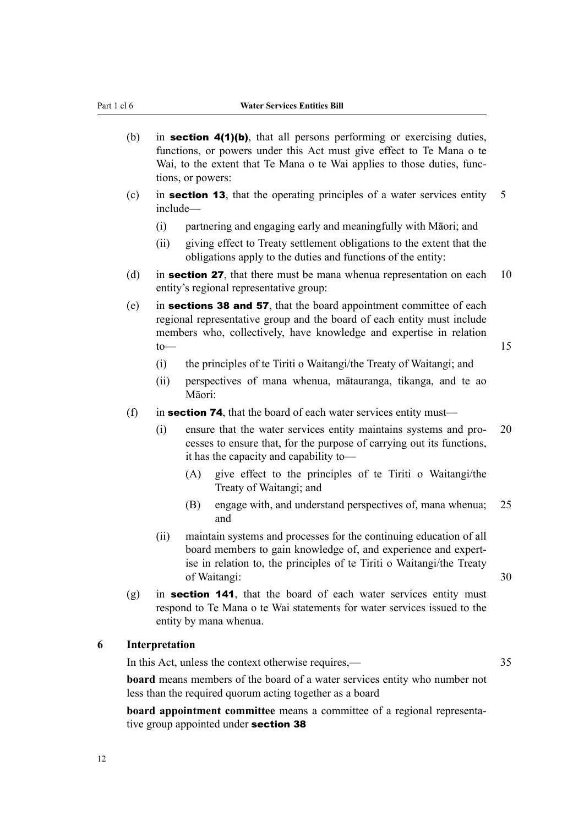- (b) in **section 4(1)(b)**, that all persons performing or exercising duties, functions, or powers under this Act must give effect to Te Mana o te Wai, to the extent that Te Mana o te Wai applies to those duties, functions, or powers:
- (c) in **section 13**, that the operating principles of a water services entity  $\overline{5}$ include—
	- (i) partnering and engaging early and meaningfully with Māori; and
	- (ii) giving effect to Treaty settlement obligations to the extent that the obligations apply to the duties and functions of the entity:
- (d) in **section 27**, that there must be mana whenua representation on each  $10$ entity's regional representative group:
- (e) in sections 38 and 57, that the board appointment committee of each regional representative group and the board of each entity must include members who, collectively, have knowledge and expertise in relation  $\frac{15}{15}$ 
	- (i) the principles of te Tiriti o Waitangi/the Treaty of Waitangi; and
	- (ii) perspectives of mana whenua, mātauranga, tikanga, and te ao Māori:
- (f) in **section 74**, that the board of each water services entity must—
	- (i) ensure that the water services entity maintains systems and pro‐ 20 cesses to ensure that, for the purpose of carrying out its functions, it has the capacity and capability to—
		- (A) give effect to the principles of te Tiriti o Waitangi/the Treaty of Waitangi; and
		- (B) engage with, and understand perspectives of, mana whenua; 25 and
	- (ii) maintain systems and processes for the continuing education of all board members to gain knowledge of, and experience and expert‐ ise in relation to, the principles of te Tiriti o Waitangi/the Treaty of Waitangi: 30
- $(g)$  in **section 141**, that the board of each water services entity must respond to Te Mana o te Wai statements for water services issued to the entity by mana whenua.

#### **6 Interpretation**

In this Act, unless the context otherwise requires,— 35

**board** means members of the board of a water services entity who number not less than the required quorum acting together as a board

**board appointment committee** means a committee of a regional representative group appointed under **section 38**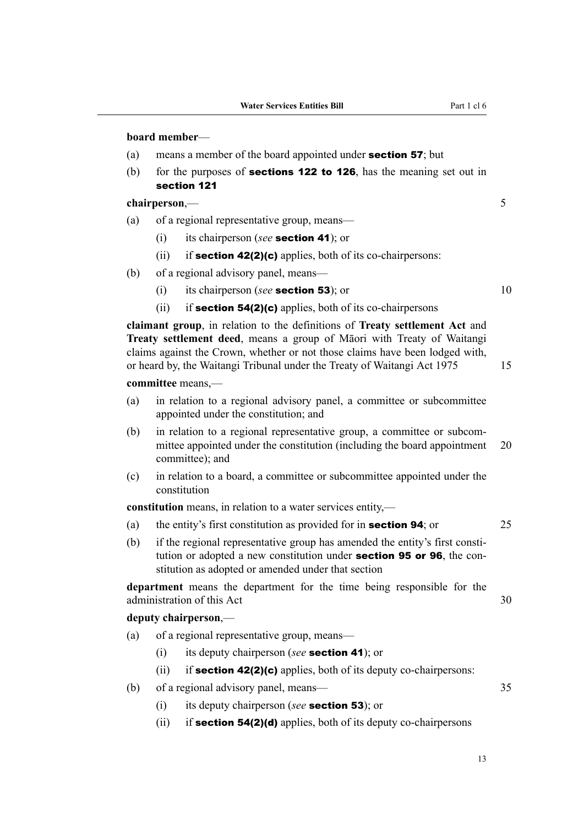#### **board member**—

- (a) means a member of the board appointed under **section 57**; but
- (b) for the purposes of **sections 122 to 126**, has the meaning set out in section 121

# **chairperson**,— 5

- (a) of a regional representative group, means—
	- (i) its chairperson (*see* section 41); or
	- (ii) if **section 42(2)(c)** applies, both of its co-chairpersons:
- (b) of a regional advisory panel, means—
	- (i) its chairperson (*see* **section 53**); or 10
	- (ii) if **section 54(2)(c)** applies, both of its co-chairpersons

**claimant group**, in relation to the definitions of **Treaty settlement Act** and **Treaty settlement deed**, means a group of Māori with Treaty of Waitangi claims against the Crown, whether or not those claims have been lodged with, or heard by, the Waitangi Tribunal under the Treaty of Waitangi Act 1975 15

#### **committee** means,—

- (a) in relation to a regional advisory panel, a committee or subcommittee appointed under the constitution; and
- (b) in relation to a regional representative group, a committee or subcommittee appointed under the constitution (including the board appointment 20 committee); and
- (c) in relation to a board, a committee or subcommittee appointed under the constitution

**constitution** means, in relation to a water services entity,—

- (a) the entity's first constitution as provided for in **section 94**; or 25
- (b) if the regional representative group has amended the entity's first constitution or adopted a new constitution under **section 95 or 96**, the constitution as adopted or amended under that section

**department** means the department for the time being responsible for the administration of this Act 30

## **deputy chairperson**,—

- (a) of a regional representative group, means—
	- (i) its deputy chairperson (*see* section 41); or
	- (ii) if **section 42(2)(c)** applies, both of its deputy co-chairpersons:
- (b) of a regional advisory panel, means— 35
	- (i) its deputy chairperson (*see* section 53); or
	- (ii) if **section 54(2)(d)** applies, both of its deputy co-chairpersons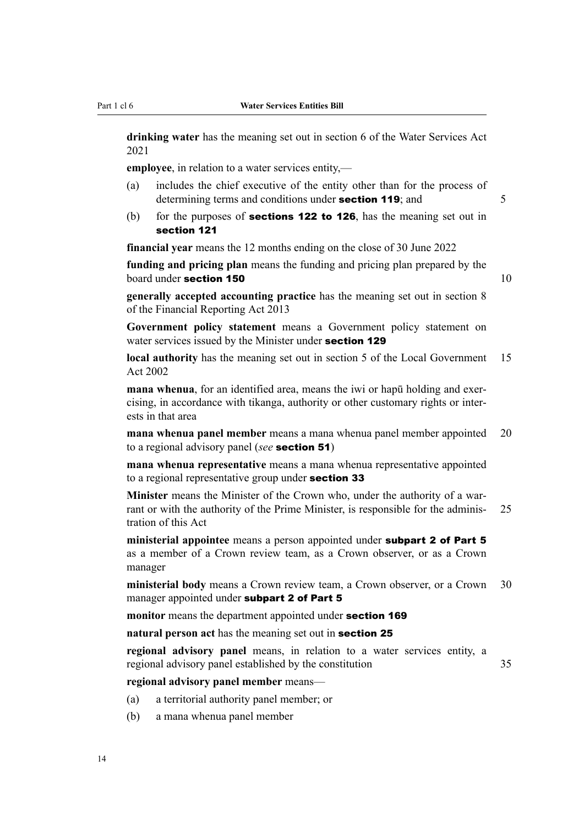**drinking water** has the meaning set out in section 6 of the Water Services Act 2021

**employee**, in relation to a water services entity,—

- (a) includes the chief executive of the entity other than for the process of determining terms and conditions under **section 119**; and 5
- (b) for the purposes of **sections 122 to 126**, has the meaning set out in section 121

**financial year** means the 12 months ending on the close of 30 June 2022

**funding and pricing plan** means the funding and pricing plan prepared by the  $\alpha$  board under section 150  $\alpha$  10  $\alpha$ 

**generally accepted accounting practice** has the meaning set out in section 8 of the Financial Reporting Act 2013

**Government policy statement** means a Government policy statement on water services issued by the Minister under **section 129** 

**local authority** has the meaning set out in section 5 of the Local Government 15 Act 2002

**mana whenua**, for an identified area, means the iwi or hapu holding and exercising, in accordance with tikanga, authority or other customary rights or inter‐ ests in that area

**mana whenua panel member** means a mana whenua panel member appointed 20 to a regional advisory panel (*see* section 51)

**mana whenua representative** means a mana whenua representative appointed to a regional representative group under **section 33** 

**Minister** means the Minister of the Crown who, under the authority of a warrant or with the authority of the Prime Minister, is responsible for the adminis- 25 tration of this Act

**ministerial appointee** means a person appointed under subpart 2 of Part 5 as a member of a Crown review team, as a Crown observer, or as a Crown manager

**ministerial body** means a Crown review team, a Crown observer, or a Crown 30 manager appointed under subpart 2 of Part 5

**monitor** means the department appointed under section 169

**natural person act** has the meaning set out in section 25

**regional advisory panel** means, in relation to a water services entity, a regional advisory panel established by the constitution 35

**regional advisory panel member** means—

- (a) a territorial authority panel member; or
- (b) a mana whenua panel member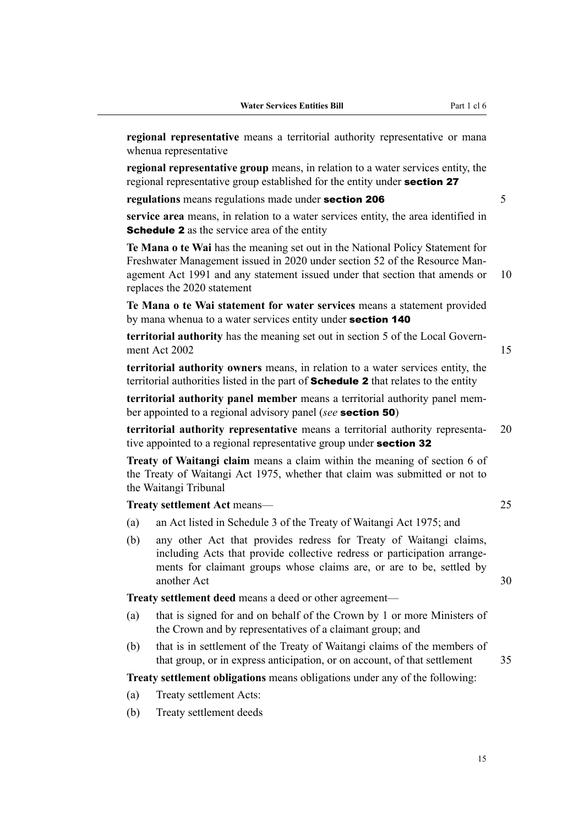**regional representative** means a territorial authority representative or mana whenua representative

**regional representative group** means, in relation to a water services entity, the regional representative group established for the entity under **section 27** 

**regulations** means regulations made under **section 206** 5

**service area** means, in relation to a water services entity, the area identified in **Schedule 2** as the service area of the entity

**Te Mana o te Wai** has the meaning set out in the National Policy Statement for Freshwater Management issued in 2020 under section 52 of the Resource Management Act 1991 and any statement issued under that section that amends or 10 replaces the 2020 statement

**Te Mana o te Wai statement for water services** means a statement provided by mana whenua to a water services entity under **section 140** 

**territorial authority** has the meaning set out in section 5 of the Local Govern‐ ment Act 2002 15

**territorial authority owners** means, in relation to a water services entity, the territorial authorities listed in the part of **Schedule 2** that relates to the entity

**territorial authority panel member** means a territorial authority panel member appointed to a regional advisory panel (*see* section 50)

**territorial authority representative** means a territorial authority representa‐ 20 tive appointed to a regional representative group under **section 32** 

**Treaty of Waitangi claim** means a claim within the meaning of section 6 of the Treaty of Waitangi Act 1975, whether that claim was submitted or not to the Waitangi Tribunal

**Treaty settlement Act** means— 25

- (a) an Act listed in Schedule 3 of the Treaty of Waitangi Act 1975; and
- (b) any other Act that provides redress for Treaty of Waitangi claims, including Acts that provide collective redress or participation arrangements for claimant groups whose claims are, or are to be, settled by another Act 30

**Treaty settlement deed** means a deed or other agreement—

- (a) that is signed for and on behalf of the Crown by 1 or more Ministers of the Crown and by representatives of a claimant group; and
- (b) that is in settlement of the Treaty of Waitangi claims of the members of that group, or in express anticipation, or on account, of that settlement 35

**Treaty settlement obligations** means obligations under any of the following:

- (a) Treaty settlement Acts:
- (b) Treaty settlement deeds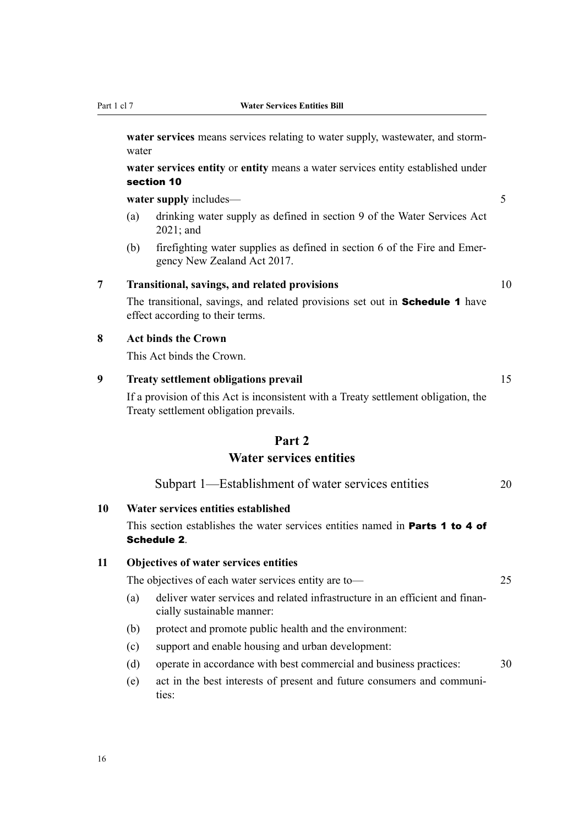**water services** means services relating to water supply, wastewater, and stormwater

**water services entity** or **entity** means a water services entity established under section 10

water supply includes— 5

- (a) drinking water supply as defined in section 9 of the Water Services Act 2021; and
- (b) firefighting water supplies as defined in section 6 of the Fire and Emer‐ gency New Zealand Act 2017.

## **7 Transitional, savings, and related provisions** 10

The transitional, savings, and related provisions set out in **Schedule 1** have effect according to their terms.

### **8 Act binds the Crown**

This Act binds the Crown.

## **9 Treaty settlement obligations prevail** 15

If a provision of this Act is inconsistent with a Treaty settlement obligation, the Treaty settlement obligation prevails.

# **Part 2**

# **Water services entities**

| Subpart 1—Establishment of water services entities |  |
|----------------------------------------------------|--|
|----------------------------------------------------|--|

### **10 Water services entities established**

This section establishes the water services entities named in Parts 1 to 4 of Schedule 2.

### **11 Objectives of water services entities**

The objectives of each water services entity are to — 25

- 
- (a) deliver water services and related infrastructure in an efficient and financially sustainable manner:
- (b) protect and promote public health and the environment:
- (c) support and enable housing and urban development:
- (d) operate in accordance with best commercial and business practices: 30
- (e) act in the best interests of present and future consumers and communi‐ ties: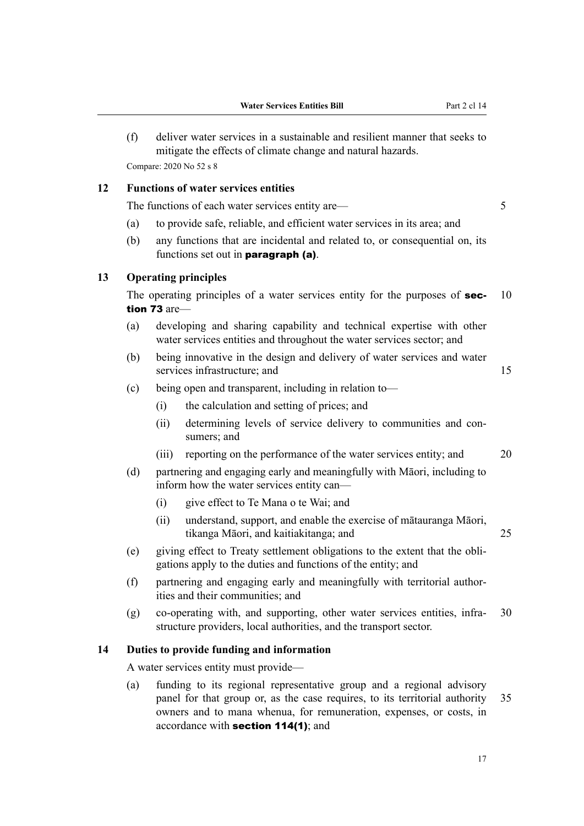(f) deliver water services in a sustainable and resilient manner that seeks to mitigate the effects of climate change and natural hazards. Compare: 2020 No 52 s 8

### **12 Functions of water services entities**

The functions of each water services entity are— 5

- (a) to provide safe, reliable, and efficient water services in its area; and
- (b) any functions that are incidental and related to, or consequential on, its functions set out in paragraph (a).

### **13 Operating principles**

The operating principles of a water services entity for the purposes of **sec-** 10 tion 73 are—

- (a) developing and sharing capability and technical expertise with other water services entities and throughout the water services sector; and
- (b) being innovative in the design and delivery of water services and water services infrastructure; and 15
- (c) being open and transparent, including in relation to—
	- (i) the calculation and setting of prices; and
	- (ii) determining levels of service delivery to communities and consumers; and
	- (iii) reporting on the performance of the water services entity; and 20
- (d) partnering and engaging early and meaningfully with Māori, including to inform how the water services entity can—
	- (i) give effect to Te Mana o te Wai; and
	- (ii) understand, support, and enable the exercise of mātauranga Māori, tikanga Māori, and kaitiakitanga; and 25
- (e) giving effect to Treaty settlement obligations to the extent that the obli‐ gations apply to the duties and functions of the entity; and
- (f) partnering and engaging early and meaningfully with territorial author‐ ities and their communities; and
- $(g)$  co-operating with, and supporting, other water services entities, infra- 30 structure providers, local authorities, and the transport sector.

### **14 Duties to provide funding and information**

A water services entity must provide—

(a) funding to its regional representative group and a regional advisory panel for that group or, as the case requires, to its territorial authority 35 owners and to mana whenua, for remuneration, expenses, or costs, in accordance with section 114(1); and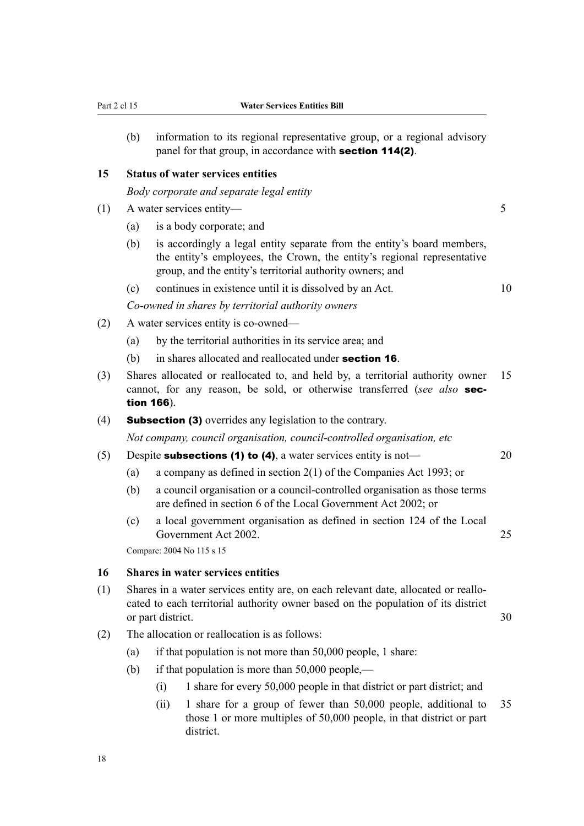(b) information to its regional representative group, or a regional advisory panel for that group, in accordance with **section 114(2)**.

#### **15 Status of water services entities**

*Body corporate and separate legal entity*

- (1) A water services entity— 5
	- (a) is a body corporate; and
	- (b) is accordingly a legal entity separate from the entity's board members, the entity's employees, the Crown, the entity's regional representative group, and the entity's territorial authority owners; and
	- (c) continues in existence until it is dissolved by an Act.  $10$

*Co-owned in shares by territorial authority owners*

- (2) A water services entity is co-owned—
	- (a) by the territorial authorities in its service area; and
	- (b) in shares allocated and reallocated under **section 16**.
- (3) Shares allocated or reallocated to, and held by, a territorial authority owner 15 cannot, for any reason, be sold, or otherwise transferred (*see also* section 166).
- (4) Subsection (3) overrides any legislation to the contrary.

*Not company, council organisation, council-controlled organisation, etc*

- (5) Despite **subsections (1) to (4)**, a water services entity is not—  $20$ 
	- (a) a company as defined in section 2(1) of the Companies Act 1993; or
	- (b) a council organisation or a council-controlled organisation as those terms are defined in section 6 of the Local Government Act 2002; or
	- (c) a local government organisation as defined in section 124 of the Local Government Act 2002.

Compare: 2004 No 115 s 15

#### **16 Shares in water services entities**

- (1) Shares in a water services entity are, on each relevant date, allocated or reallo‐ cated to each territorial authority owner based on the population of its district or part district. 30
- (2) The allocation or reallocation is as follows:
	- (a) if that population is not more than 50,000 people, 1 share:
	- (b) if that population is more than  $50,000$  people,—
		- (i) 1 share for every 50,000 people in that district or part district; and
		- (ii) 1 share for a group of fewer than 50,000 people, additional to 35 those 1 or more multiples of 50,000 people, in that district or part district.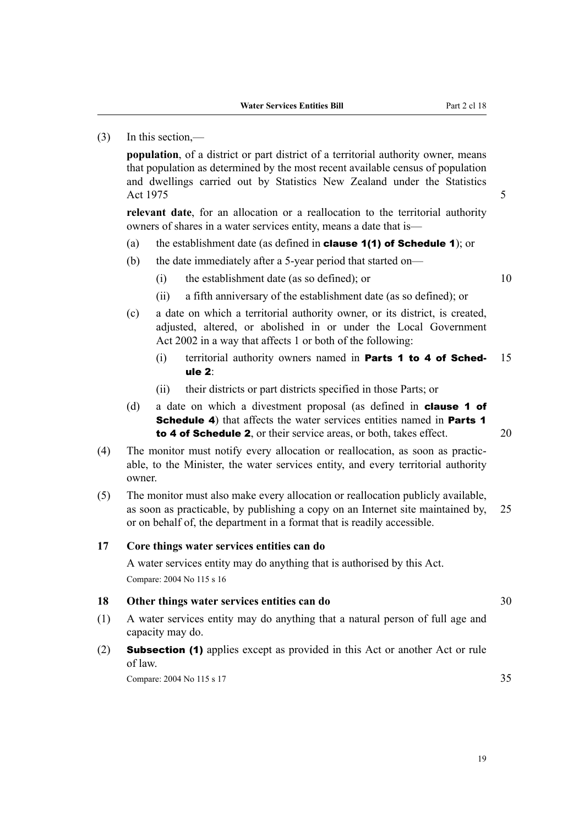### (3) In this section,—

**population**, of a district or part district of a territorial authority owner, means that population as determined by the most recent available census of population and dwellings carried out by Statistics New Zealand under the Statistics Act 1975 5

**relevant date**, for an allocation or a reallocation to the territorial authority owners of shares in a water services entity, means a date that is—

- (a) the establishment date (as defined in **clause 1(1) of Schedule 1**); or
- (b) the date immediately after a 5-year period that started on—
	- $(i)$  the establishment date (as so defined); or  $10$

- (ii) a fifth anniversary of the establishment date (as so defined); or
- (c) a date on which a territorial authority owner, or its district, is created, adjusted, altered, or abolished in or under the Local Government Act 2002 in a way that affects 1 or both of the following:
	- (i) territorial authority owners named in **Parts 1 to 4 of Sched-**  $15$ ule 2:
	- (ii) their districts or part districts specified in those Parts; or
- (d) a date on which a divestment proposal (as defined in clause 1 of Schedule 4) that affects the water services entities named in Parts 1 to 4 of Schedule 2, or their service areas, or both, takes effect. 20
- (4) The monitor must notify every allocation or reallocation, as soon as practic‐ able, to the Minister, the water services entity, and every territorial authority owner.
- (5) The monitor must also make every allocation or reallocation publicly available, as soon as practicable, by publishing a copy on an Internet site maintained by, 25 or on behalf of, the department in a format that is readily accessible.

### **17 Core things water services entities can do**

A water services entity may do anything that is authorised by this Act. Compare: 2004 No 115 s 16

#### **18 Other things water services entities can do** 30

- (1) A water services entity may do anything that a natural person of full age and capacity may do.
- (2) Subsection (1) applies except as provided in this Act or another Act or rule of law.

Compare: 2004 No 115 s 17 35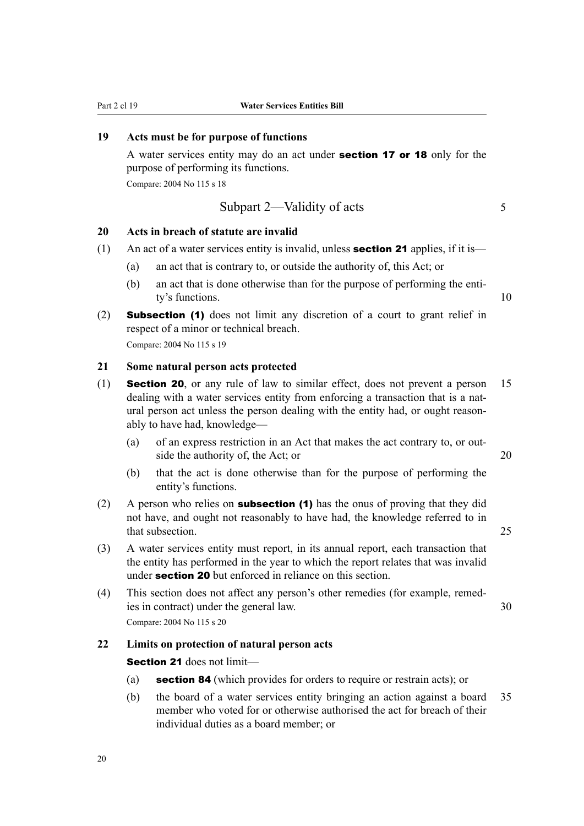## **19 Acts must be for purpose of functions**

A water services entity may do an act under **section 17 or 18** only for the purpose of performing its functions.

Compare: 2004 No 115 s 18

## Subpart 2—Validity of acts 5

# **20 Acts in breach of statute are invalid**

- (1) An act of a water services entity is invalid, unless **section 21** applies, if it is—
	- (a) an act that is contrary to, or outside the authority of, this Act; or
	- (b) an act that is done otherwise than for the purpose of performing the entity's functions. 10
- (2) Subsection (1) does not limit any discretion of a court to grant relief in respect of a minor or technical breach. Compare: 2004 No 115 s 19

#### **21 Some natural person acts protected**

- (1) Section 20, or any rule of law to similar effect, does not prevent a person 15 dealing with a water services entity from enforcing a transaction that is a natural person act unless the person dealing with the entity had, or ought reasonably to have had, knowledge—
	- (a) of an express restriction in an Act that makes the act contrary to, or out‐ side the authority of, the Act; or 20
	- (b) that the act is done otherwise than for the purpose of performing the entity's functions.
- (2) A person who relies on **subsection (1)** has the onus of proving that they did not have, and ought not reasonably to have had, the knowledge referred to in that subsection. 25
- (3) A water services entity must report, in its annual report, each transaction that the entity has performed in the year to which the report relates that was invalid under **section 20** but enforced in reliance on this section.
- (4) This section does not affect any person's other remedies (for example, remed‐ ies in contract) under the general law. 30 Compare: 2004 No 115 s 20

#### **22 Limits on protection of natural person acts**

Section 21 does not limit-

- (a) **section 84** (which provides for orders to require or restrain acts); or
- (b) the board of a water services entity bringing an action against a board 35 member who voted for or otherwise authorised the act for breach of their individual duties as a board member; or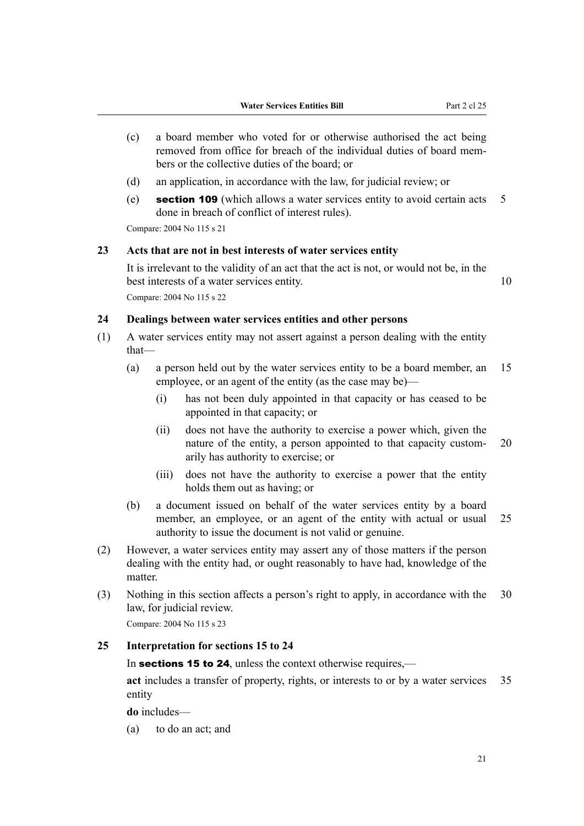- (c) a board member who voted for or otherwise authorised the act being removed from office for breach of the individual duties of board mem‐ bers or the collective duties of the board; or
- (d) an application, in accordance with the law, for judicial review; or
- (e) section 109 (which allows a water services entity to avoid certain acts 5 done in breach of conflict of interest rules).

Compare: 2004 No 115 s 21

#### **23 Acts that are not in best interests of water services entity**

It is irrelevant to the validity of an act that the act is not, or would not be, in the best interests of a water services entity. 10 Compare: 2004 No 115 s 22

#### **24 Dealings between water services entities and other persons**

- (1) A water services entity may not assert against a person dealing with the entity that—
	- (a) a person held out by the water services entity to be a board member, an 15 employee, or an agent of the entity (as the case may be)—
		- (i) has not been duly appointed in that capacity or has ceased to be appointed in that capacity; or
		- (ii) does not have the authority to exercise a power which, given the nature of the entity, a person appointed to that capacity custom- 20 arily has authority to exercise; or
		- (iii) does not have the authority to exercise a power that the entity holds them out as having; or
	- (b) a document issued on behalf of the water services entity by a board member, an employee, or an agent of the entity with actual or usual 25 authority to issue the document is not valid or genuine.
- (2) However, a water services entity may assert any of those matters if the person dealing with the entity had, or ought reasonably to have had, knowledge of the matter.
- (3) Nothing in this section affects a person's right to apply, in accordance with the 30 law, for judicial review.

Compare: 2004 No 115 s 23

## **25 Interpretation for sections 15 to 24**

In **sections 15 to 24**, unless the context otherwise requires,—

**act** includes a transfer of property, rights, or interests to or by a water services 35 entity

**do** includes—

(a) to do an act; and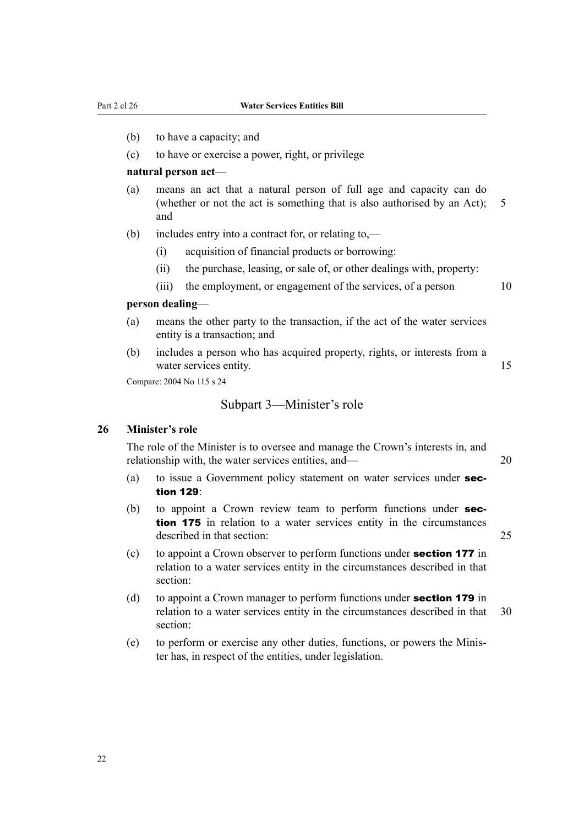- (b) to have a capacity; and
- (c) to have or exercise a power, right, or privilege

#### **natural person act**—

- (a) means an act that a natural person of full age and capacity can do (whether or not the act is something that is also authorised by an Act); 5 and
- (b) includes entry into a contract for, or relating to,—
	- (i) acquisition of financial products or borrowing:
	- (ii) the purchase, leasing, or sale of, or other dealings with, property:
	- (iii) the employment, or engagement of the services, of a person 10

#### **person dealing**—

- (a) means the other party to the transaction, if the act of the water services entity is a transaction; and
- (b) includes a person who has acquired property, rights, or interests from a water services entity. 15

Compare: 2004 No 115 s 24

#### Subpart 3—Minister's role

#### **26 Minister's role**

The role of the Minister is to oversee and manage the Crown's interests in, and relationship with, the water services entities, and— 20

- (a) to issue a Government policy statement on water services under section 129:
- (b) to appoint a Crown review team to perform functions under **sec**tion 175 in relation to a water services entity in the circumstances described in that section: 25
- (c) to appoint a Crown observer to perform functions under section 177 in relation to a water services entity in the circumstances described in that section:
- (d) to appoint a Crown manager to perform functions under **section 179** in relation to a water services entity in the circumstances described in that 30 section:
- (e) to perform or exercise any other duties, functions, or powers the Minis‐ ter has, in respect of the entities, under legislation.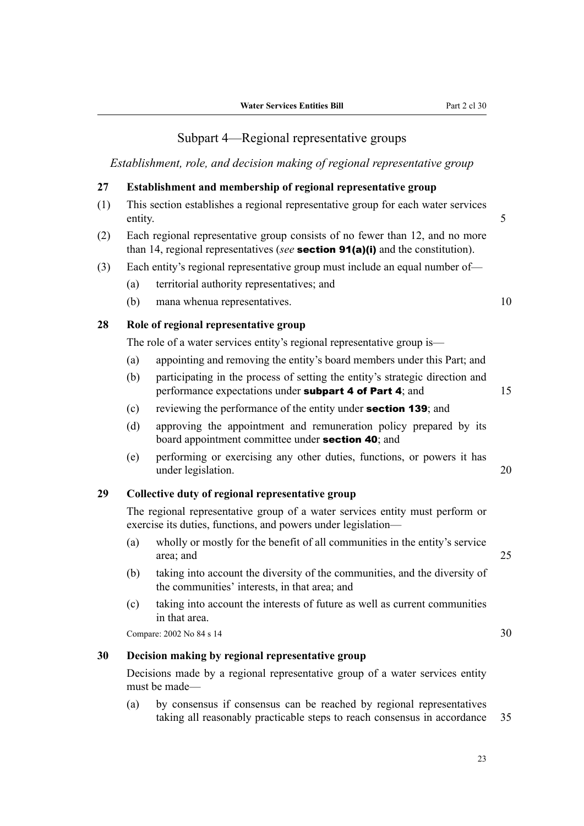# Subpart 4—Regional representative groups

*Establishment, role, and decision making of regional representative group*

### **27 Establishment and membership of regional representative group**

- (1) This section establishes a regional representative group for each water services entity. 5
- (2) Each regional representative group consists of no fewer than 12, and no more than 14, regional representatives (*see* section 91(a)(i) and the constitution).
- (3) Each entity's regional representative group must include an equal number of—
	- (a) territorial authority representatives; and
	- (b) mana whenua representatives. 10

#### **28 Role of regional representative group**

The role of a water services entity's regional representative group is—

- (a) appointing and removing the entity's board members under this Part; and
- (b) participating in the process of setting the entity's strategic direction and performance expectations under **subpart 4 of Part 4**; and  $15$
- (c) reviewing the performance of the entity under section 139; and
- (d) approving the appointment and remuneration policy prepared by its board appointment committee under section 40; and
- (e) performing or exercising any other duties, functions, or powers it has under legislation. 20

#### **29 Collective duty of regional representative group**

The regional representative group of a water services entity must perform or exercise its duties, functions, and powers under legislation—

- (a) wholly or mostly for the benefit of all communities in the entity's service area; and 25
- (b) taking into account the diversity of the communities, and the diversity of the communities' interests, in that area; and
- (c) taking into account the interests of future as well as current communities in that area.

Compare: 2002 No 84 s 14 30

### **30 Decision making by regional representative group**

Decisions made by a regional representative group of a water services entity must be made—

(a) by consensus if consensus can be reached by regional representatives taking all reasonably practicable steps to reach consensus in accordance 35

23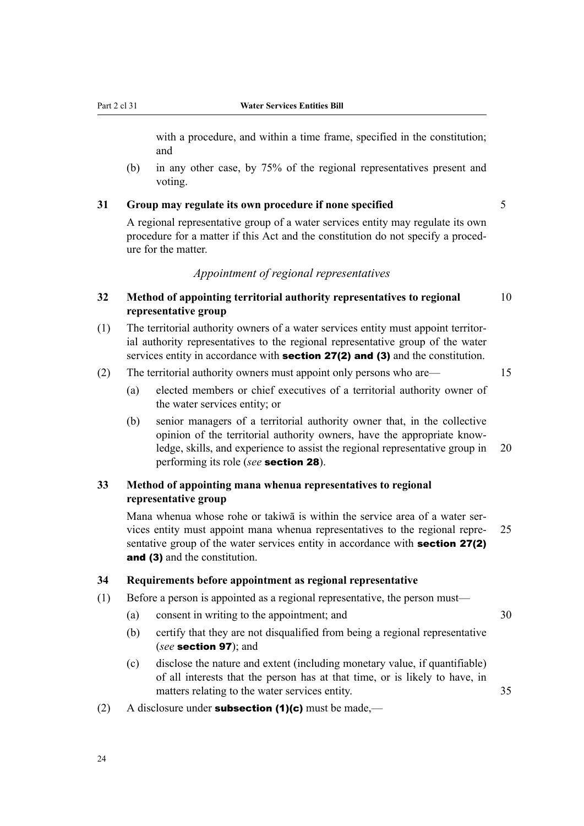with a procedure, and within a time frame, specified in the constitution; and

(b) in any other case, by 75% of the regional representatives present and voting.

#### **31 Group may regulate its own procedure if none specified** 5

A regional representative group of a water services entity may regulate its own procedure for a matter if this Act and the constitution do not specify a proced‐ ure for the matter.

## *Appointment of regional representatives*

## **32 Method of appointing territorial authority representatives to regional** 10 **representative group**

- (1) The territorial authority owners of a water services entity must appoint territor‐ ial authority representatives to the regional representative group of the water services entity in accordance with **section 27(2) and (3)** and the constitution.
- (2) The territorial authority owners must appoint only persons who are— 15

- (a) elected members or chief executives of a territorial authority owner of the water services entity; or
- (b) senior managers of a territorial authority owner that, in the collective opinion of the territorial authority owners, have the appropriate know‐ ledge, skills, and experience to assist the regional representative group in 20 performing its role (*see* section 28).

## **33 Method of appointing mana whenua representatives to regional representative group**

Mana whenua whose rohe or takiwa is within the service area of a water services entity must appoint mana whenua representatives to the regional repre‐ 25 sentative group of the water services entity in accordance with **section 27(2)** and (3) and the constitution.

### **34 Requirements before appointment as regional representative**

- (1) Before a person is appointed as a regional representative, the person must—
	- (a) consent in writing to the appointment; and 30
	- (b) certify that they are not disqualified from being a regional representative (*see* section 97); and
	- (c) disclose the nature and extent (including monetary value, if quantifiable) of all interests that the person has at that time, or is likely to have, in matters relating to the water services entity. 35
- (2) A disclosure under **subsection (1)(c)** must be made,—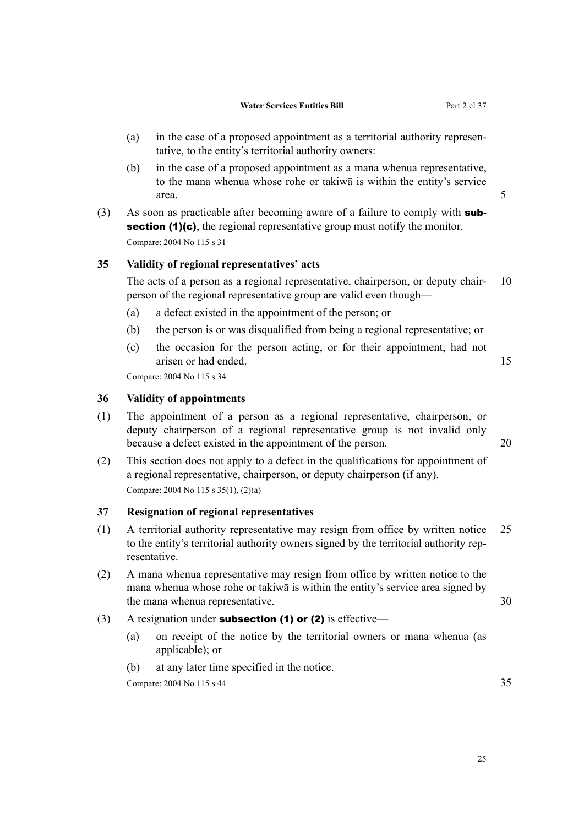- (a) in the case of a proposed appointment as a territorial authority representative, to the entity's territorial authority owners:
- (b) in the case of a proposed appointment as a mana whenua representative, to the mana whenua whose rohe or takiwā is within the entity's service area. 5
- (3) As soon as practicable after becoming aware of a failure to comply with **sub**section (1)(c), the regional representative group must notify the monitor. Compare: 2004 No 115 s 31

### **35 Validity of regional representatives' acts**

The acts of a person as a regional representative, chairperson, or deputy chair- 10 person of the regional representative group are valid even though—

- (a) a defect existed in the appointment of the person; or
- (b) the person is or was disqualified from being a regional representative; or
- (c) the occasion for the person acting, or for their appointment, had not arisen or had ended. 15

Compare: 2004 No 115 s 34

### **36 Validity of appointments**

- (1) The appointment of a person as a regional representative, chairperson, or deputy chairperson of a regional representative group is not invalid only because a defect existed in the appointment of the person. 20
- (2) This section does not apply to a defect in the qualifications for appointment of a regional representative, chairperson, or deputy chairperson (if any). Compare: 2004 No 115 s 35(1), (2)(a)

#### **37 Resignation of regional representatives**

- (1) A territorial authority representative may resign from office by written notice 25 to the entity's territorial authority owners signed by the territorial authority rep‐ resentative.
- (2) A mana whenua representative may resign from office by written notice to the mana whenua whose rohe or takiwā is within the entity's service area signed by the mana whenua representative. 30
- (3) A resignation under **subsection (1) or (2)** is effective—
	- (a) on receipt of the notice by the territorial owners or mana whenua (as applicable); or
	- (b) at any later time specified in the notice.

Compare:  $2004 \text{ No } 115 \text{ s } 44$  35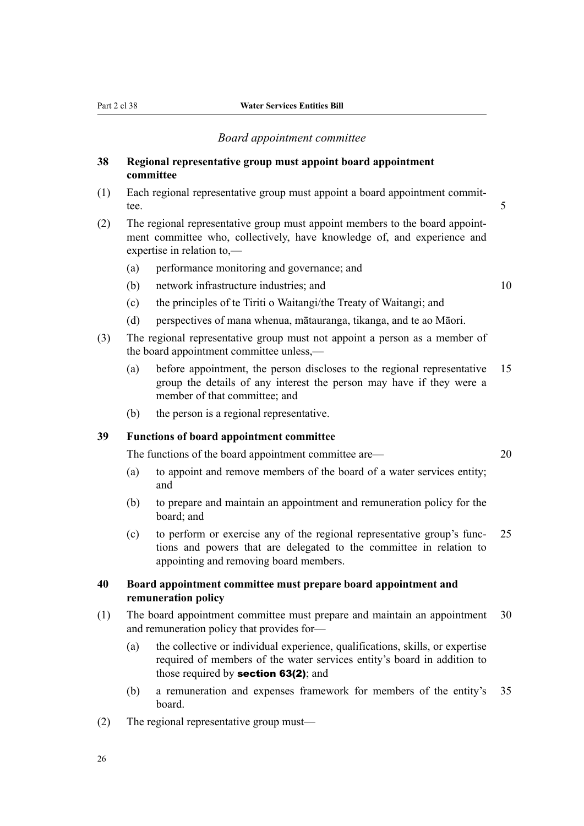#### *Board appointment committee*

### **38 Regional representative group must appoint board appointment committee**

- (1) Each regional representative group must appoint a board appointment commit‐ tee. 5
- (2) The regional representative group must appoint members to the board appoint‐ ment committee who, collectively, have knowledge of, and experience and expertise in relation to,—
	- (a) performance monitoring and governance; and
	- (b) network infrastructure industries; and 10

- (c) the principles of te Tiriti o Waitangi/the Treaty of Waitangi; and
- (d) perspectives of mana whenua, mātauranga, tikanga, and te ao Māori.
- (3) The regional representative group must not appoint a person as a member of the board appointment committee unless,—
	- (a) before appointment, the person discloses to the regional representative 15 group the details of any interest the person may have if they were a member of that committee; and
	- (b) the person is a regional representative.

## **39 Functions of board appointment committee**

The functions of the board appointment committee are— 20

- (a) to appoint and remove members of the board of a water services entity; and
- (b) to prepare and maintain an appointment and remuneration policy for the board; and
- (c) to perform or exercise any of the regional representative group's func‐ 25 tions and powers that are delegated to the committee in relation to appointing and removing board members.

## **40 Board appointment committee must prepare board appointment and remuneration policy**

- (1) The board appointment committee must prepare and maintain an appointment 30 and remuneration policy that provides for—
	- (a) the collective or individual experience, qualifications, skills, or expertise required of members of the water services entity's board in addition to those required by **section 63(2)**; and
	- (b) a remuneration and expenses framework for members of the entity's 35 board.
- (2) The regional representative group must—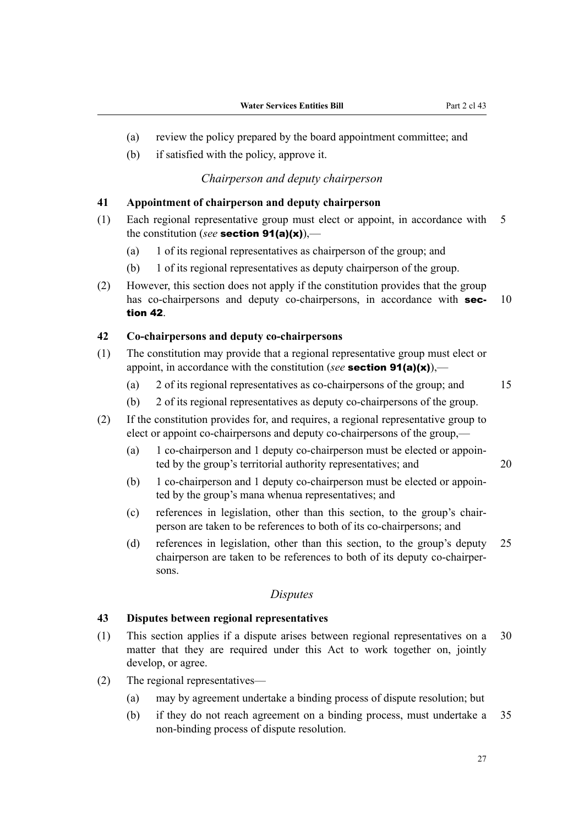- (a) review the policy prepared by the board appointment committee; and
- (b) if satisfied with the policy, approve it.

#### *Chairperson and deputy chairperson*

## **41 Appointment of chairperson and deputy chairperson**

- (1) Each regional representative group must elect or appoint, in accordance with 5 the constitution (*see* section 91(a)(x)),—
	- (a) 1 of its regional representatives as chairperson of the group; and
	- (b) 1 of its regional representatives as deputy chairperson of the group.
- (2) However, this section does not apply if the constitution provides that the group has co-chairpersons and deputy co-chairpersons, in accordance with **sec-** 10 tion 42.

#### **42 Co-chairpersons and deputy co-chairpersons**

- (1) The constitution may provide that a regional representative group must elect or appoint, in accordance with the constitution (*see* section 91(a)(x)),—
	- (a) 2 of its regional representatives as co-chairpersons of the group; and 15

- (b) 2 of its regional representatives as deputy co-chairpersons of the group.
- (2) If the constitution provides for, and requires, a regional representative group to elect or appoint co-chairpersons and deputy co-chairpersons of the group,—
	- (a) 1 co-chairperson and 1 deputy co-chairperson must be elected or appoin‐ ted by the group's territorial authority representatives; and 20
	- (b) 1 co-chairperson and 1 deputy co-chairperson must be elected or appoin‐ ted by the group's mana whenua representatives; and
	- (c) references in legislation, other than this section, to the group's chair‐ person are taken to be references to both of its co-chairpersons; and
	- (d) references in legislation, other than this section, to the group's deputy 25 chairperson are taken to be references to both of its deputy co-chairper‐ sons.

### *Disputes*

### **43 Disputes between regional representatives**

- (1) This section applies if a dispute arises between regional representatives on a 30 matter that they are required under this Act to work together on, jointly develop, or agree.
- (2) The regional representatives—
	- (a) may by agreement undertake a binding process of dispute resolution; but
	- (b) if they do not reach agreement on a binding process, must undertake a 35 non-binding process of dispute resolution.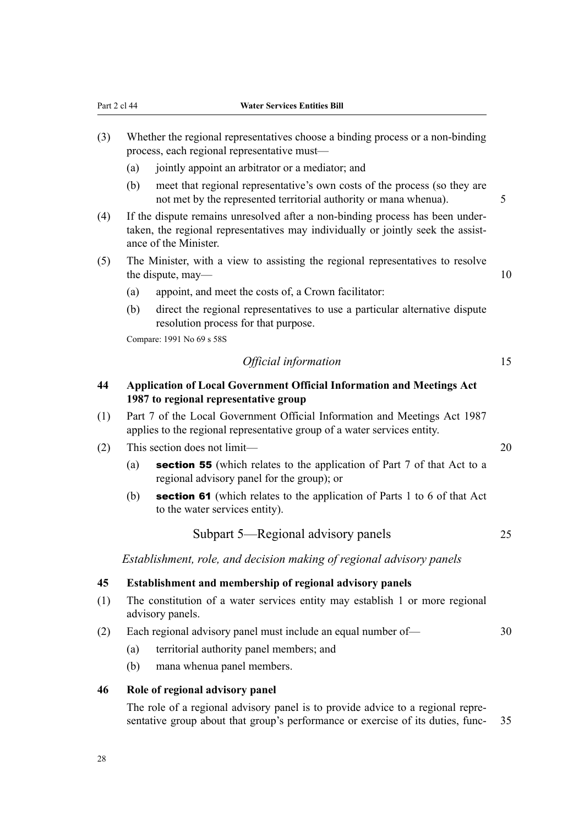- (3) Whether the regional representatives choose a binding process or a non-binding process, each regional representative must—
	- (a) jointly appoint an arbitrator or a mediator; and
	- (b) meet that regional representative's own costs of the process (so they are not met by the represented territorial authority or mana whenua). 5
- (4) If the dispute remains unresolved after a non-binding process has been under‐ taken, the regional representatives may individually or jointly seek the assistance of the Minister.
- (5) The Minister, with a view to assisting the regional representatives to resolve the dispute, may— 10
	- (a) appoint, and meet the costs of, a Crown facilitator:
	- (b) direct the regional representatives to use a particular alternative dispute resolution process for that purpose.

Compare: 1991 No 69 s 58S

## *Official information* 15

## **44 Application of Local Government Official Information and Meetings Act 1987 to regional representative group**

- (1) Part 7 of the Local Government Official Information and Meetings Act 1987 applies to the regional representative group of a water services entity.
- (2) This section does not limit— 20
	- (a) section 55 (which relates to the application of Part 7 of that Act to a regional advisory panel for the group); or
	- (b) section 61 (which relates to the application of Parts 1 to 6 of that Act to the water services entity).

Subpart 5—Regional advisory panels 25

*Establishment, role, and decision making of regional advisory panels*

#### **45 Establishment and membership of regional advisory panels**

- (1) The constitution of a water services entity may establish 1 or more regional advisory panels.
- (2) Each regional advisory panel must include an equal number of— 30
	- (a) territorial authority panel members; and
	- (b) mana whenua panel members.

### **46 Role of regional advisory panel**

The role of a regional advisory panel is to provide advice to a regional representative group about that group's performance or exercise of its duties, func- 35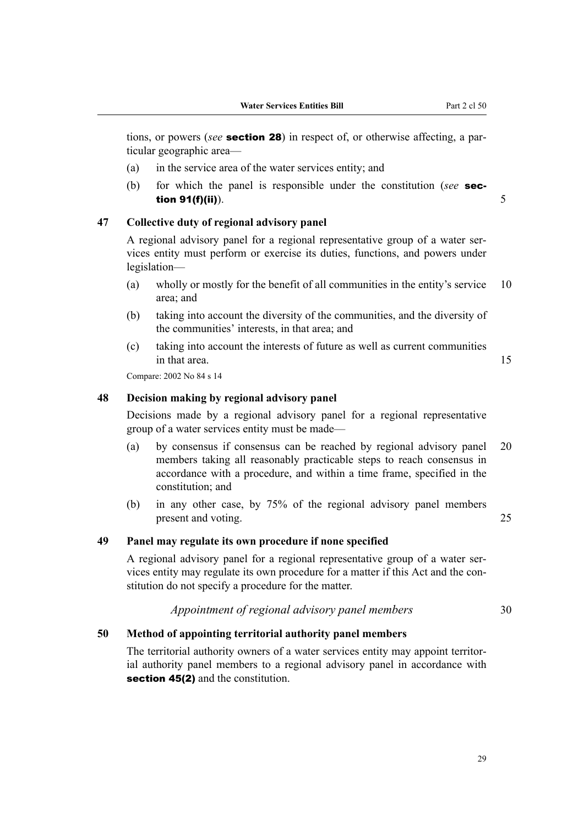tions, or powers (*see* section 28) in respect of, or otherwise affecting, a par‐ ticular geographic area—

- (a) in the service area of the water services entity; and
- (b) for which the panel is responsible under the constitution (*see* sec**tion 91(f)(ii)**).  $5$

#### **47 Collective duty of regional advisory panel**

A regional advisory panel for a regional representative group of a water ser‐ vices entity must perform or exercise its duties, functions, and powers under legislation—

- (a) wholly or mostly for the benefit of all communities in the entity's service 10 area; and
- (b) taking into account the diversity of the communities, and the diversity of the communities' interests, in that area; and
- (c) taking into account the interests of future as well as current communities in that area. 15

Compare: 2002 No 84 s 14

#### **48 Decision making by regional advisory panel**

Decisions made by a regional advisory panel for a regional representative group of a water services entity must be made—

- (a) by consensus if consensus can be reached by regional advisory panel 20 members taking all reasonably practicable steps to reach consensus in accordance with a procedure, and within a time frame, specified in the constitution; and
- (b) in any other case, by 75% of the regional advisory panel members present and voting. 25

#### **49 Panel may regulate its own procedure if none specified**

A regional advisory panel for a regional representative group of a water ser‐ vices entity may regulate its own procedure for a matter if this Act and the constitution do not specify a procedure for the matter.

## *Appointment of regional advisory panel members* 30

#### **50 Method of appointing territorial authority panel members**

The territorial authority owners of a water services entity may appoint territorial authority panel members to a regional advisory panel in accordance with section 45(2) and the constitution.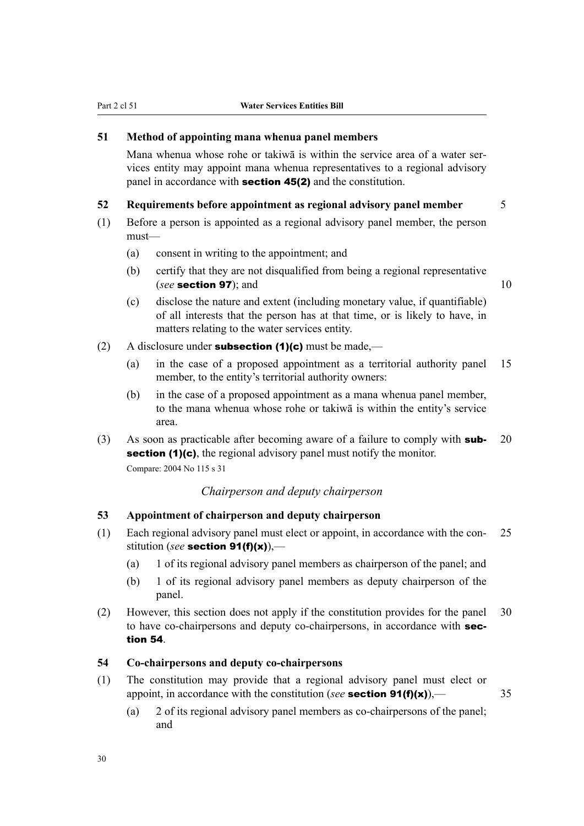### **51 Method of appointing mana whenua panel members**

Mana whenua whose rohe or takiwa is within the service area of a water services entity may appoint mana whenua representatives to a regional advisory panel in accordance with section 45(2) and the constitution.

#### **52 Requirements before appointment as regional advisory panel member** 5

- (1) Before a person is appointed as a regional advisory panel member, the person must—
	- (a) consent in writing to the appointment; and
	- (b) certify that they are not disqualified from being a regional representative (*see* section 97); and 10

- (c) disclose the nature and extent (including monetary value, if quantifiable) of all interests that the person has at that time, or is likely to have, in matters relating to the water services entity.
- (2) A disclosure under **subsection (1)(c)** must be made,—
	- (a) in the case of a proposed appointment as a territorial authority panel 15 member, to the entity's territorial authority owners:
	- (b) in the case of a proposed appointment as a mana whenua panel member, to the mana whenua whose rohe or takiwā is within the entity's service area.

(3) As soon as practicable after becoming aware of a failure to comply with **sub-** 20 section (1)(c), the regional advisory panel must notify the monitor.

Compare: 2004 No 115 s 31

## *Chairperson and deputy chairperson*

### **53 Appointment of chairperson and deputy chairperson**

- (1) Each regional advisory panel must elect or appoint, in accordance with the con‐ 25 stitution (*see* section 91(f)(x)),—
	- (a) 1 of its regional advisory panel members as chairperson of the panel; and
	- (b) 1 of its regional advisory panel members as deputy chairperson of the panel.
- (2) However, this section does not apply if the constitution provides for the panel 30 to have co-chairpersons and deputy co-chairpersons, in accordance with section 54.

### **54 Co-chairpersons and deputy co-chairpersons**

- (1) The constitution may provide that a regional advisory panel must elect or appoint, in accordance with the constitution (*see* section 91(f)(x)),— 35
	- (a) 2 of its regional advisory panel members as co-chairpersons of the panel; and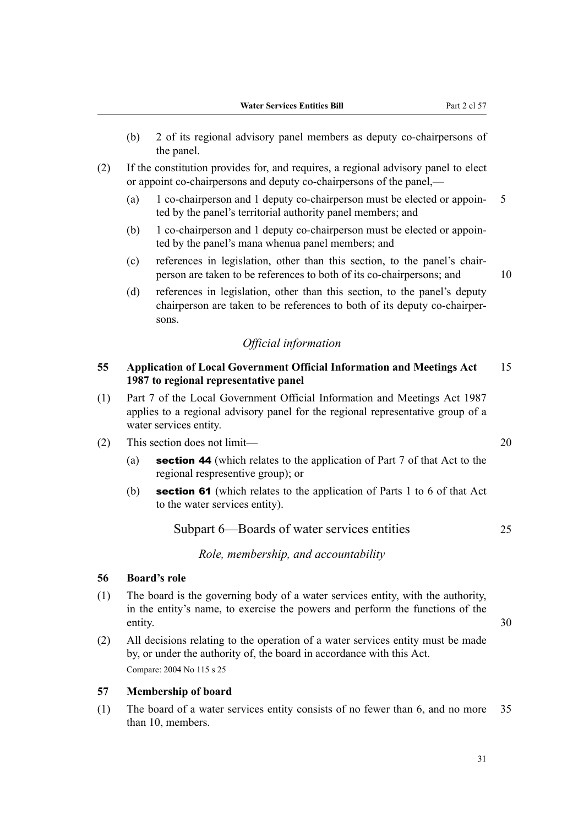- (b) 2 of its regional advisory panel members as deputy co-chairpersons of the panel.
- (2) If the constitution provides for, and requires, a regional advisory panel to elect or appoint co-chairpersons and deputy co-chairpersons of the panel,—
	- (a) 1 co-chairperson and 1 deputy co-chairperson must be elected or appoin‐ 5 ted by the panel's territorial authority panel members; and
	- (b) 1 co-chairperson and 1 deputy co-chairperson must be elected or appoin‐ ted by the panel's mana whenua panel members; and
	- (c) references in legislation, other than this section, to the panel's chair‐ person are taken to be references to both of its co-chairpersons; and  $10$
	- (d) references in legislation, other than this section, to the panel's deputy chairperson are taken to be references to both of its deputy co-chairper‐ sons.

## *Official information*

### **55 Application of Local Government Official Information and Meetings Act** 15 **1987 to regional representative panel**

- (1) Part 7 of the Local Government Official Information and Meetings Act 1987 applies to a regional advisory panel for the regional representative group of a water services entity.
- (2) This section does not limit— 20
	- (a) section 44 (which relates to the application of Part  $7$  of that Act to the regional respresentive group); or
	- (b) section 61 (which relates to the application of Parts 1 to 6 of that Act to the water services entity).

Subpart 6—Boards of water services entities 25

*Role, membership, and accountability*

### **56 Board's role**

- (1) The board is the governing body of a water services entity, with the authority, in the entity's name, to exercise the powers and perform the functions of the entity. 30
- (2) All decisions relating to the operation of a water services entity must be made by, or under the authority of, the board in accordance with this Act. Compare: 2004 No 115 s 25

#### **57 Membership of board**

(1) The board of a water services entity consists of no fewer than 6, and no more 35 than 10, members.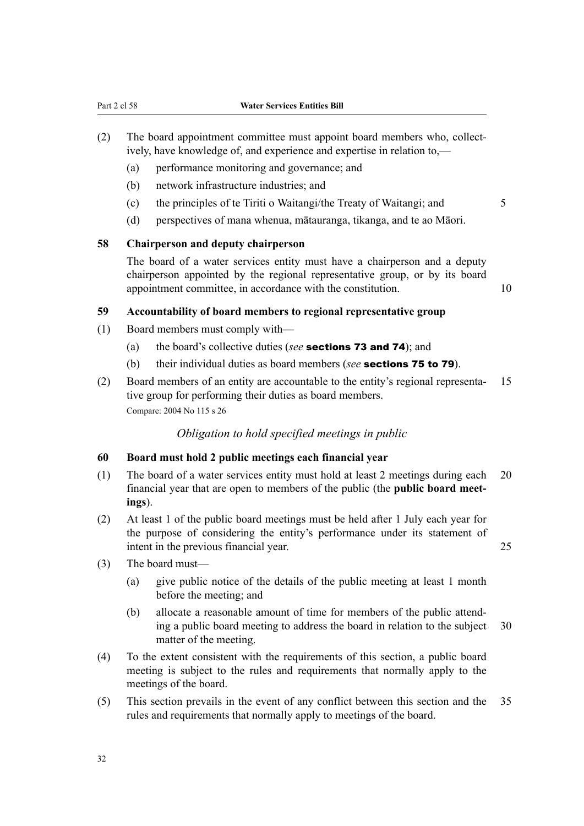- (2) The board appointment committee must appoint board members who, collectively, have knowledge of, and experience and expertise in relation to,—
	- (a) performance monitoring and governance; and
	- (b) network infrastructure industries; and
	- (c) the principles of te Tiriti o Waitangi/the Treaty of Waitangi; and  $5$
	- (d) perspectives of mana whenua, mātauranga, tikanga, and te ao Māori.

#### **58 Chairperson and deputy chairperson**

The board of a water services entity must have a chairperson and a deputy chairperson appointed by the regional representative group, or by its board appointment committee, in accordance with the constitution. 10

#### **59 Accountability of board members to regional representative group**

- (1) Board members must comply with—
	- (a) the board's collective duties (*see* sections 73 and 74); and
	- (b) their individual duties as board members (*see* sections 75 to 79).
- (2) Board members of an entity are accountable to the entity's regional representa‐ 15 tive group for performing their duties as board members. Compare: 2004 No 115 s 26

#### *Obligation to hold specified meetings in public*

### **60 Board must hold 2 public meetings each financial year**

- (1) The board of a water services entity must hold at least 2 meetings during each 20 financial year that are open to members of the public (the **public board meet‐ ings**).
- (2) At least 1 of the public board meetings must be held after 1 July each year for the purpose of considering the entity's performance under its statement of intent in the previous financial year. 25

- (3) The board must—
	- (a) give public notice of the details of the public meeting at least 1 month before the meeting; and
	- (b) allocate a reasonable amount of time for members of the public attend‐ ing a public board meeting to address the board in relation to the subject 30 matter of the meeting.
- (4) To the extent consistent with the requirements of this section, a public board meeting is subject to the rules and requirements that normally apply to the meetings of the board.
- (5) This section prevails in the event of any conflict between this section and the 35 rules and requirements that normally apply to meetings of the board.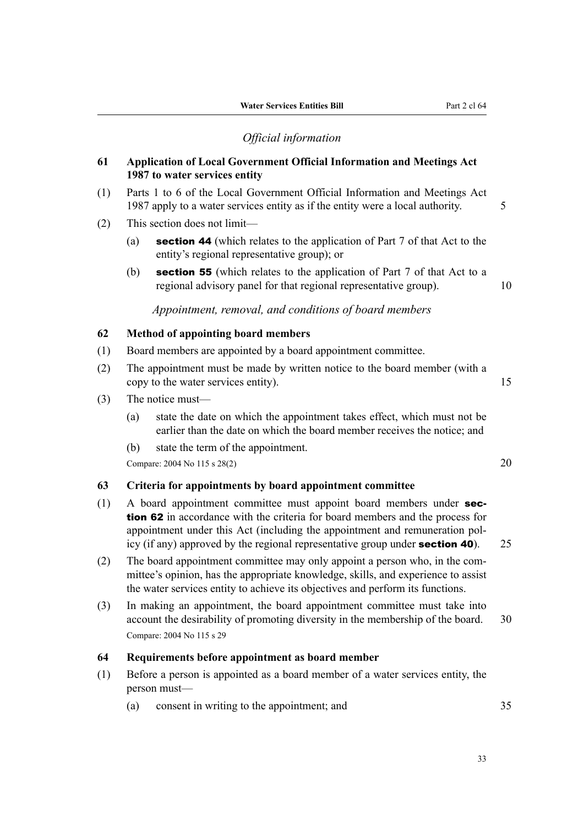## *Official information*

### **61 Application of Local Government Official Information and Meetings Act 1987 to water services entity**

- (1) Parts 1 to 6 of the Local Government Official Information and Meetings Act 1987 apply to a water services entity as if the entity were a local authority. 5
- (2) This section does not limit—
	- (a) section 44 (which relates to the application of Part 7 of that Act to the entity's regional representative group); or
	- (b) section 55 (which relates to the application of Part 7 of that Act to a regional advisory panel for that regional representative group). 10

### *Appointment, removal, and conditions of board members*

## **62 Method of appointing board members**

- (1) Board members are appointed by a board appointment committee.
- (2) The appointment must be made by written notice to the board member (with a copy to the water services entity). 15
- (3) The notice must—
	- (a) state the date on which the appointment takes effect, which must not be earlier than the date on which the board member receives the notice; and
	- (b) state the term of the appointment.

Compare: 2004 No 115 s 28(2) 20

#### **63 Criteria for appointments by board appointment committee**

- (1) A board appointment committee must appoint board members under section 62 in accordance with the criteria for board members and the process for appointment under this Act (including the appointment and remuneration pol‐ icy (if any) approved by the regional representative group under **section 40**).  $25$
- (2) The board appointment committee may only appoint a person who, in the com‐ mittee's opinion, has the appropriate knowledge, skills, and experience to assist the water services entity to achieve its objectives and perform its functions.
- (3) In making an appointment, the board appointment committee must take into account the desirability of promoting diversity in the membership of the board. 30 Compare: 2004 No 115 s 29

#### **64 Requirements before appointment as board member**

- (1) Before a person is appointed as a board member of a water services entity, the person must—
	- (a) consent in writing to the appointment; and 35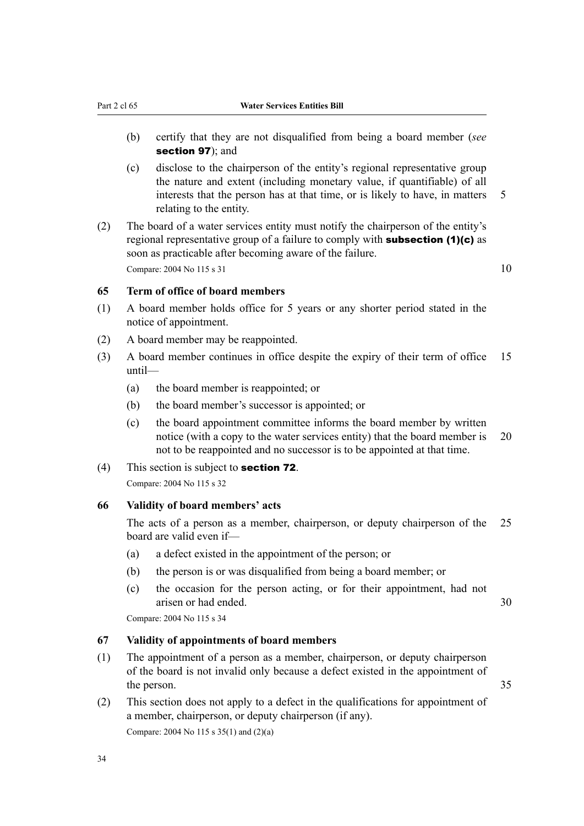- (b) certify that they are not disqualified from being a board member (*see* section 97); and
- (c) disclose to the chairperson of the entity's regional representative group the nature and extent (including monetary value, if quantifiable) of all interests that the person has at that time, or is likely to have, in matters 5 relating to the entity.
- (2) The board of a water services entity must notify the chairperson of the entity's regional representative group of a failure to comply with **subsection (1)(c)** as soon as practicable after becoming aware of the failure. Compare:  $2004 \text{ No } 115 \text{ s } 31$  10

### **65 Term of office of board members**

- (1) A board member holds office for 5 years or any shorter period stated in the notice of appointment.
- (2) A board member may be reappointed.
- (3) A board member continues in office despite the expiry of their term of office 15 until—
	- (a) the board member is reappointed; or
	- (b) the board member's successor is appointed; or
	- (c) the board appointment committee informs the board member by written notice (with a copy to the water services entity) that the board member is 20 not to be reappointed and no successor is to be appointed at that time.
- (4) This section is subject to section 72.

Compare: 2004 No 115 s 32

#### **66 Validity of board members' acts**

The acts of a person as a member, chairperson, or deputy chairperson of the 25 board are valid even if—

- (a) a defect existed in the appointment of the person; or
- (b) the person is or was disqualified from being a board member; or
- (c) the occasion for the person acting, or for their appointment, had not arisen or had ended. 30

Compare: 2004 No 115 s 34

### **67 Validity of appointments of board members**

- (1) The appointment of a person as a member, chairperson, or deputy chairperson of the board is not invalid only because a defect existed in the appointment of the person. 35
- (2) This section does not apply to a defect in the qualifications for appointment of a member, chairperson, or deputy chairperson (if any). Compare: 2004 No 115 s 35(1) and (2)(a)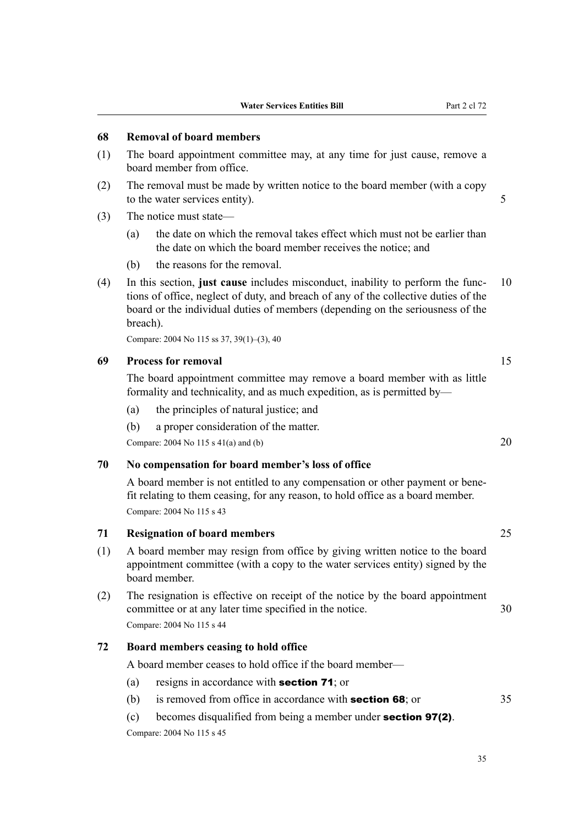### **68 Removal of board members**

- (1) The board appointment committee may, at any time for just cause, remove a board member from office.
- (2) The removal must be made by written notice to the board member (with a copy to the water services entity). 5
- (3) The notice must state—
	- (a) the date on which the removal takes effect which must not be earlier than the date on which the board member receives the notice; and
	- (b) the reasons for the removal.
- (4) In this section, **just cause** includes misconduct, inability to perform the func‐ 10 tions of office, neglect of duty, and breach of any of the collective duties of the board or the individual duties of members (depending on the seriousness of the breach).

Compare: 2004 No 115 ss 37, 39(1)–(3), 40

### **69 Process for removal** 15

The board appointment committee may remove a board member with as little formality and technicality, and as much expedition, as is permitted by—

- (a) the principles of natural justice; and
- (b) a proper consideration of the matter.

Compare: 2004 No 115 s  $41(a)$  and (b) 20

#### **70 No compensation for board member's loss of office**

A board member is not entitled to any compensation or other payment or bene‐ fit relating to them ceasing, for any reason, to hold office as a board member. Compare: 2004 No 115 s 43

## **71 Resignation of board members** 25

- (1) A board member may resign from office by giving written notice to the board appointment committee (with a copy to the water services entity) signed by the board member.
- (2) The resignation is effective on receipt of the notice by the board appointment committee or at any later time specified in the notice. 30 Compare: 2004 No 115 s 44

#### **72 Board members ceasing to hold office**

A board member ceases to hold office if the board member—

- (a) resigns in accordance with section 71; or
- (b) is removed from office in accordance with **section 68**; or  $35$
- (c) becomes disqualified from being a member under section 97(2). Compare: 2004 No 115 s 45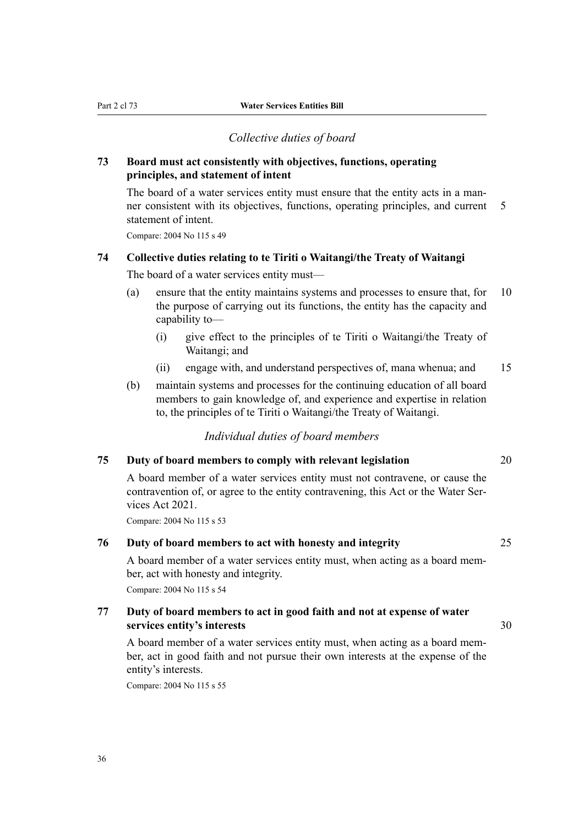#### *Collective duties of board*

### **73 Board must act consistently with objectives, functions, operating principles, and statement of intent**

The board of a water services entity must ensure that the entity acts in a manner consistent with its objectives, functions, operating principles, and current 5 statement of intent.

Compare: 2004 No 115 s 49

### **74 Collective duties relating to te Tiriti o Waitangi/the Treaty of Waitangi**

The board of a water services entity must—

- (a) ensure that the entity maintains systems and processes to ensure that, for 10 the purpose of carrying out its functions, the entity has the capacity and capability to—
	- (i) give effect to the principles of te Tiriti o Waitangi/the Treaty of Waitangi; and
	- (ii) engage with, and understand perspectives of, mana whenua; and 15
- (b) maintain systems and processes for the continuing education of all board members to gain knowledge of, and experience and expertise in relation to, the principles of te Tiriti o Waitangi/the Treaty of Waitangi.

### *Individual duties of board members*

#### **75 Duty of board members to comply with relevant legislation** 20

A board member of a water services entity must not contravene, or cause the contravention of, or agree to the entity contravening, this Act or the Water Services Act 2021.

Compare: 2004 No 115 s 53

#### **76 Duty of board members to act with honesty and integrity** 25

A board member of a water services entity must, when acting as a board mem‐ ber, act with honesty and integrity.

Compare: 2004 No 115 s 54

## **77 Duty of board members to act in good faith and not at expense of water services entity's interests** 30

A board member of a water services entity must, when acting as a board mem‐ ber, act in good faith and not pursue their own interests at the expense of the entity's interests.

Compare: 2004 No 115 s 55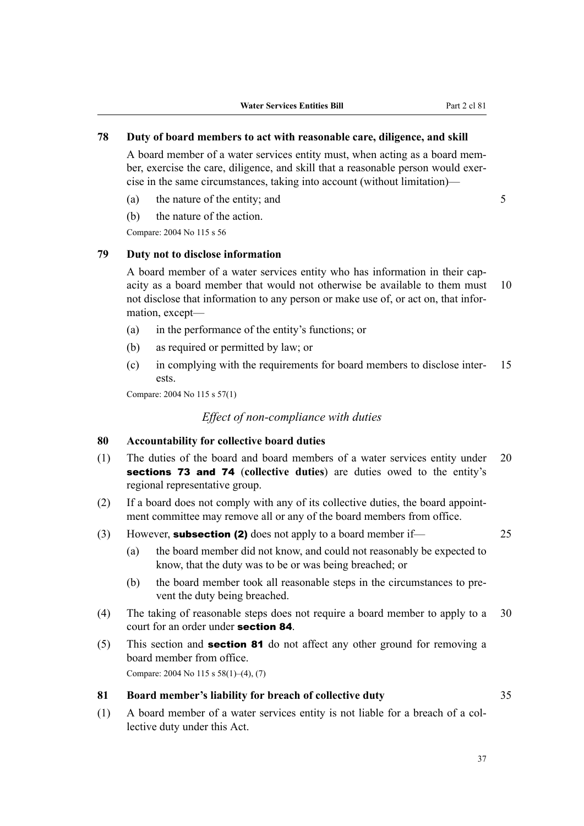## **78 Duty of board members to act with reasonable care, diligence, and skill**

A board member of a water services entity must, when acting as a board mem‐ ber, exercise the care, diligence, and skill that a reasonable person would exercise in the same circumstances, taking into account (without limitation)—

- (a) the nature of the entity; and  $5$
- (b) the nature of the action.

Compare: 2004 No 115 s 56

### **79 Duty not to disclose information**

A board member of a water services entity who has information in their cap‐ acity as a board member that would not otherwise be available to them must 10 not disclose that information to any person or make use of, or act on, that information, except—

- (a) in the performance of the entity's functions; or
- (b) as required or permitted by law; or
- (c) in complying with the requirements for board members to disclose inter‐ 15 ests.

Compare: 2004 No 115 s 57(1)

### *Effect of non-compliance with duties*

### **80 Accountability for collective board duties**

- (1) The duties of the board and board members of a water services entity under 20 sections 73 and 74 (**collective duties**) are duties owed to the entity's regional representative group.
- (2) If a board does not comply with any of its collective duties, the board appoint‐ ment committee may remove all or any of the board members from office.
- (3) However, subsection (2) does not apply to a board member if—  $25$ 
	-
	- (a) the board member did not know, and could not reasonably be expected to know, that the duty was to be or was being breached; or
	- (b) the board member took all reasonable steps in the circumstances to prevent the duty being breached.
- (4) The taking of reasonable steps does not require a board member to apply to a 30 court for an order under section 84.
- (5) This section and section 81 do not affect any other ground for removing a board member from office.

Compare: 2004 No 115 s 58(1)–(4), (7)

### **81 Board member's liability for breach of collective duty** 35

(1) A board member of a water services entity is not liable for a breach of a col‐ lective duty under this Act.

37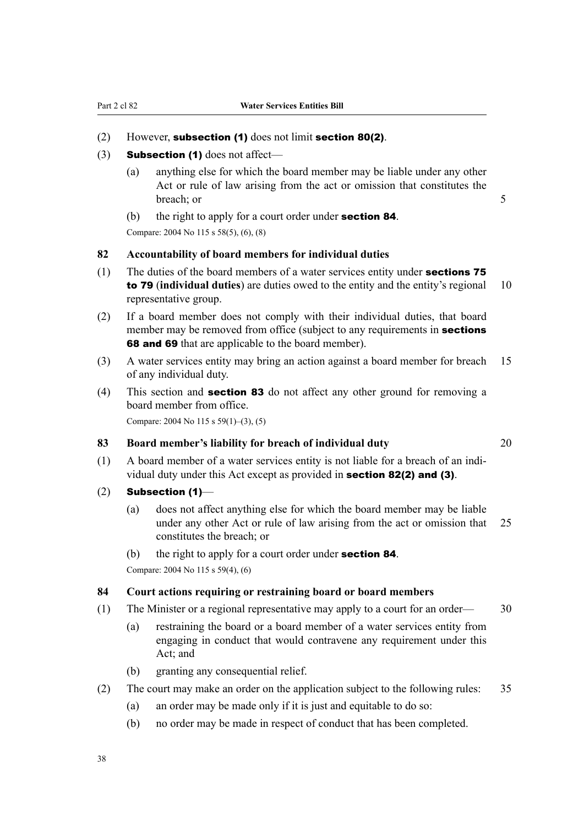### (2) However, subsection (1) does not limit section 80(2).

- (3) **Subsection (1)** does not affect—
	- (a) anything else for which the board member may be liable under any other Act or rule of law arising from the act or omission that constitutes the breach; or 5
	- (b) the right to apply for a court order under **section 84**.

Compare: 2004 No 115 s 58(5), (6), (8)

# **82 Accountability of board members for individual duties**

- (1) The duties of the board members of a water services entity under **sections 75** to 79 (**individual duties**) are duties owed to the entity and the entity's regional 10 representative group.
- (2) If a board member does not comply with their individual duties, that board member may be removed from office (subject to any requirements in **sections 68 and 69** that are applicable to the board member).
- (3) A water services entity may bring an action against a board member for breach 15 of any individual duty.
- (4) This section and section 83 do not affect any other ground for removing a board member from office.

Compare: 2004 No 115 s 59(1)–(3), (5)

#### **83 Board member's liability for breach of individual duty** 20

- $(1)$  A board member of a water services entity is not liable for a breach of an individual duty under this Act except as provided in section 82(2) and (3).
- $(2)$  Subsection (1)–
	- (a) does not affect anything else for which the board member may be liable under any other Act or rule of law arising from the act or omission that 25 constitutes the breach; or
	- (b) the right to apply for a court order under **section 84**.

Compare: 2004 No 115 s 59(4), (6)

### **84 Court actions requiring or restraining board or board members**

- (1) The Minister or a regional representative may apply to a court for an order— 30
	- (a) restraining the board or a board member of a water services entity from engaging in conduct that would contravene any requirement under this Act; and
	- (b) granting any consequential relief.
- (2) The court may make an order on the application subject to the following rules: 35
	- (a) an order may be made only if it is just and equitable to do so:
	- (b) no order may be made in respect of conduct that has been completed.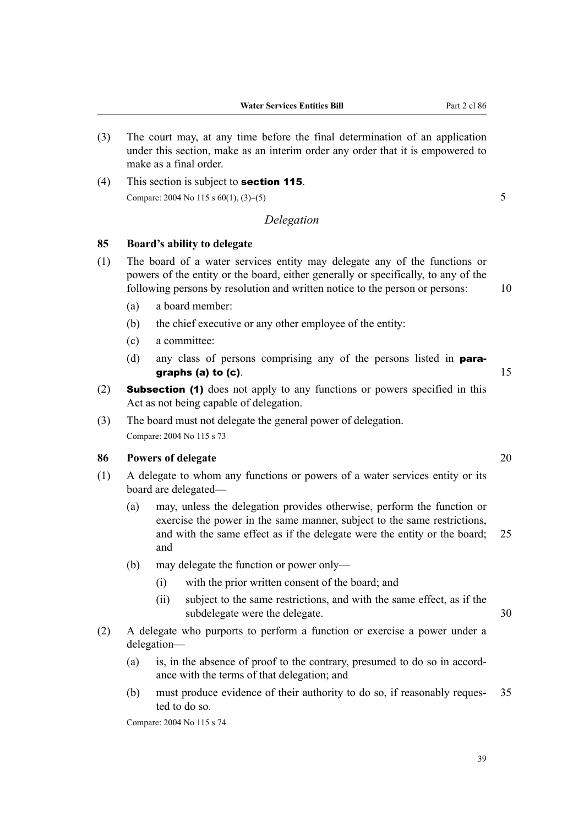**Water Services Entities Bill** Part 2 cl 86

- (3) The court may, at any time before the final determination of an application under this section, make as an interim order any order that it is empowered to make as a final order.
- (4) This section is subject to **section 115**. Compare: 2004 No 115 s  $60(1)$ ,  $(3)$ – $(5)$  5

## *Delegation*

### **85 Board's ability to delegate**

- (1) The board of a water services entity may delegate any of the functions or powers of the entity or the board, either generally or specifically, to any of the following persons by resolution and written notice to the person or persons: 10
	- (a) a board member:
	- (b) the chief executive or any other employee of the entity:
	- (c) a committee:
	- (d) any class of persons comprising any of the persons listed in paragraphs (a) to (c).  $15$
- (2) Subsection (1) does not apply to any functions or powers specified in this Act as not being capable of delegation.
- (3) The board must not delegate the general power of delegation. Compare: 2004 No 115 s 73

### **86 Powers of delegate** 20

- (1) A delegate to whom any functions or powers of a water services entity or its board are delegated—
	- (a) may, unless the delegation provides otherwise, perform the function or exercise the power in the same manner, subject to the same restrictions, and with the same effect as if the delegate were the entity or the board; 25 and
	- (b) may delegate the function or power only—
		- (i) with the prior written consent of the board; and
		- (ii) subject to the same restrictions, and with the same effect, as if the subdelegate were the delegate. 30
- (2) A delegate who purports to perform a function or exercise a power under a delegation—
	- (a) is, in the absence of proof to the contrary, presumed to do so in accord‐ ance with the terms of that delegation; and
	- (b) must produce evidence of their authority to do so, if reasonably reques‐ 35 ted to do so.

Compare: 2004 No 115 s 74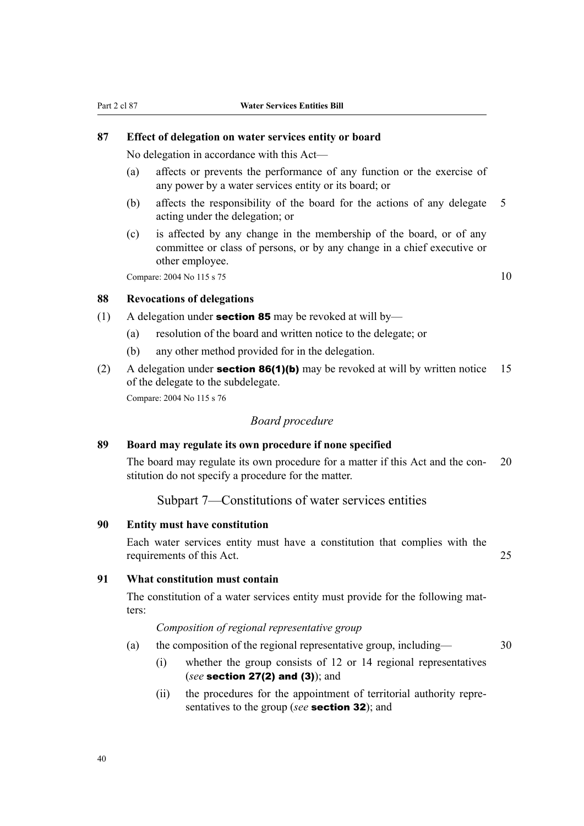#### **87 Effect of delegation on water services entity or board**

No delegation in accordance with this Act—

- (a) affects or prevents the performance of any function or the exercise of any power by a water services entity or its board; or
- (b) affects the responsibility of the board for the actions of any delegate 5 acting under the delegation; or
- (c) is affected by any change in the membership of the board, or of any committee or class of persons, or by any change in a chief executive or other employee.

Compare: 2004 No 115 s 75 10

#### **88 Revocations of delegations**

- (1) A delegation under **section 85** may be revoked at will by—
	- (a) resolution of the board and written notice to the delegate; or
	- (b) any other method provided for in the delegation.
- (2) A delegation under **section 86(1)(b)** may be revoked at will by written notice 15 of the delegate to the subdelegate. Compare: 2004 No 115 s 76

#### *Board procedure*

### **89 Board may regulate its own procedure if none specified**

The board may regulate its own procedure for a matter if this Act and the con- 20 stitution do not specify a procedure for the matter.

Subpart 7—Constitutions of water services entities

#### **90 Entity must have constitution**

Each water services entity must have a constitution that complies with the requirements of this Act. 25

### **91 What constitution must contain**

The constitution of a water services entity must provide for the following matters:

*Composition of regional representative group*

- (a) the composition of the regional representative group, including— 30
	- (i) whether the group consists of 12 or 14 regional representatives (*see* section 27(2) and (3)); and
	- (ii) the procedures for the appointment of territorial authority repre‐ sentatives to the group (*see* section 32); and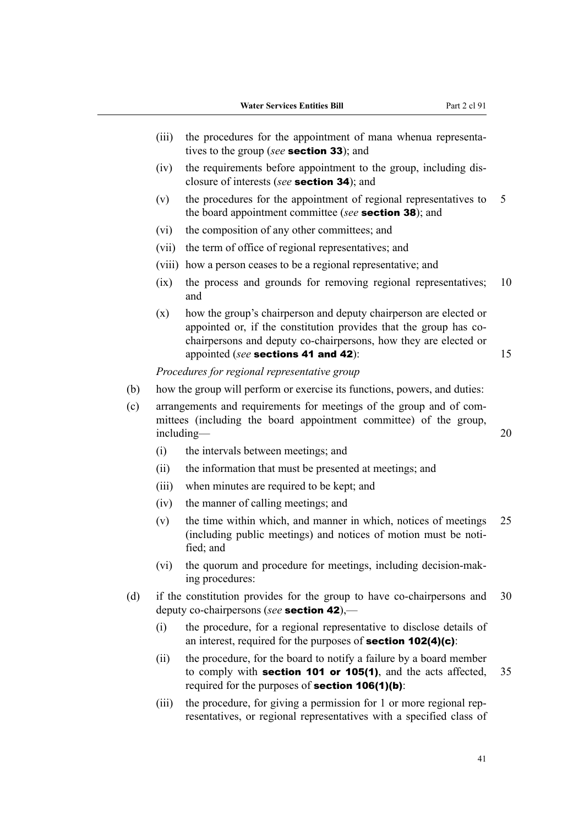- (iii) the procedures for the appointment of mana whenua representatives to the group (*see* section 33); and
- (iv) the requirements before appointment to the group, including disclosure of interests (*see* section 34); and
- (v) the procedures for the appointment of regional representatives to 5 the board appointment committee (*see* section 38); and
- (vi) the composition of any other committees; and
- (vii) the term of office of regional representatives; and
- (viii) how a person ceases to be a regional representative; and
- (ix) the process and grounds for removing regional representatives; 10 and
- (x) how the group's chairperson and deputy chairperson are elected or appointed or, if the constitution provides that the group has cochairpersons and deputy co-chairpersons, how they are elected or appointed (*see* sections 41 and 42): 15

*Procedures for regional representative group*

- (b) how the group will perform or exercise its functions, powers, and duties:
- (c) arrangements and requirements for meetings of the group and of com‐ mittees (including the board appointment committee) of the group, including— 20
	- (i) the intervals between meetings; and
	- (ii) the information that must be presented at meetings; and
	- (iii) when minutes are required to be kept; and
	- (iv) the manner of calling meetings; and
	- (v) the time within which, and manner in which, notices of meetings 25 (including public meetings) and notices of motion must be noti‐ fied; and
	- (vi) the quorum and procedure for meetings, including decision-mak‐ ing procedures:
- (d) if the constitution provides for the group to have co-chairpersons and 30 deputy co-chairpersons (*see* section 42),—
	- (i) the procedure, for a regional representative to disclose details of an interest, required for the purposes of section 102(4)(c):
	- (ii) the procedure, for the board to notify a failure by a board member to comply with **section 101 or 105(1)**, and the acts affected, 35 required for the purposes of section 106(1)(b):
	- (iii) the procedure, for giving a permission for 1 or more regional representatives, or regional representatives with a specified class of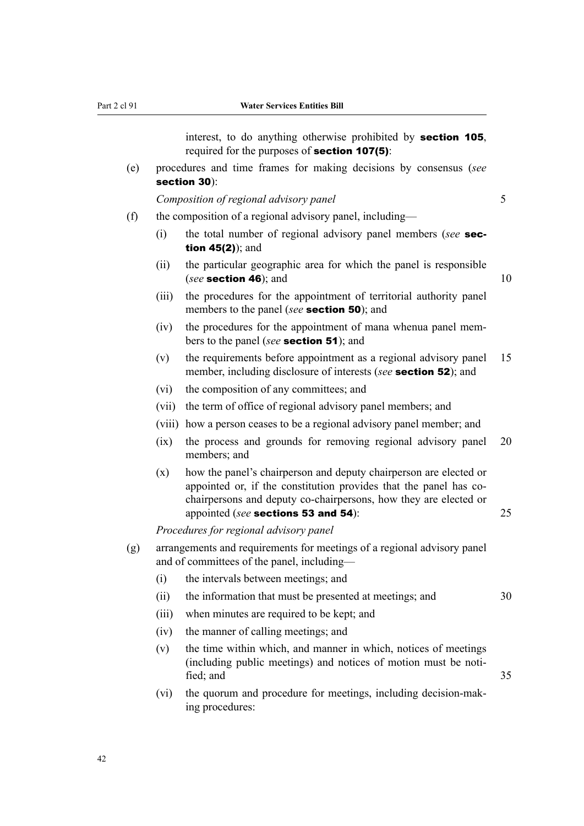interest, to do anything otherwise prohibited by section 105, required for the purposes of section 107(5):

(e) procedures and time frames for making decisions by consensus (*see* section 30):

*Composition of regional advisory panel* 5

- (f) the composition of a regional advisory panel, including—
	- (i) the total number of regional advisory panel members (*see* section 45(2)); and
	- (ii) the particular geographic area for which the panel is responsible (*see* section 46); and 10
	- (iii) the procedures for the appointment of territorial authority panel members to the panel (*see* section 50); and
	- (iv) the procedures for the appointment of mana whenua panel mem‐ bers to the panel (*see* section 51); and
	- (v) the requirements before appointment as a regional advisory panel 15 member, including disclosure of interests (*see* section 52); and
	- (vi) the composition of any committees; and
	- (vii) the term of office of regional advisory panel members; and
	- (viii) how a person ceases to be a regional advisory panel member; and
	- (ix) the process and grounds for removing regional advisory panel 20 members; and
	- (x) how the panel's chairperson and deputy chairperson are elected or appointed or, if the constitution provides that the panel has cochairpersons and deputy co-chairpersons, how they are elected or appointed (*see* **sections 53 and 54**): 25

*Procedures for regional advisory panel*

- (g) arrangements and requirements for meetings of a regional advisory panel and of committees of the panel, including—
	- (i) the intervals between meetings; and
	- (ii) the information that must be presented at meetings; and 30
	- (iii) when minutes are required to be kept; and
	- (iv) the manner of calling meetings; and
	- (v) the time within which, and manner in which, notices of meetings (including public meetings) and notices of motion must be noti‐ fied; and 35
	- (vi) the quorum and procedure for meetings, including decision-mak‐ ing procedures: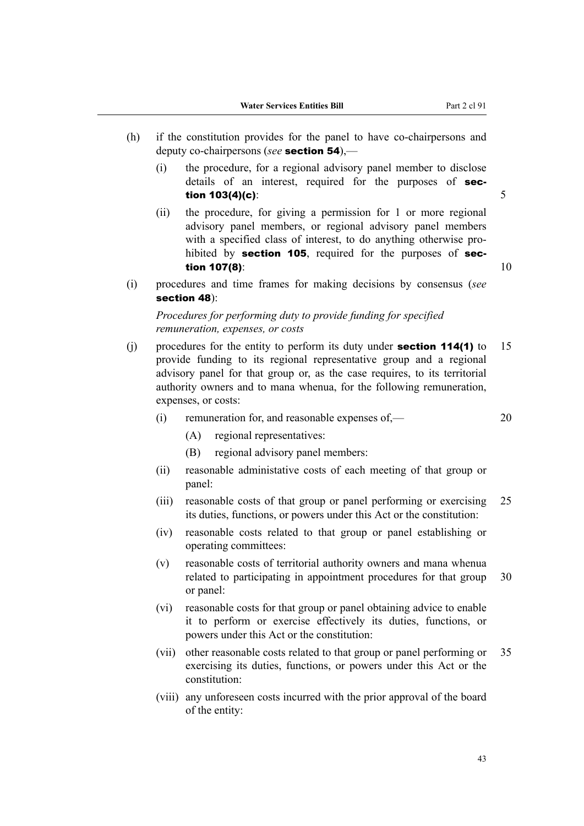- (h) if the constitution provides for the panel to have co-chairpersons and deputy co-chairpersons (*see* section 54),—
	- (i) the procedure, for a regional advisory panel member to disclose details of an interest, required for the purposes of **sec**tion  $103(4)(c)$ : 5
	- (ii) the procedure, for giving a permission for 1 or more regional advisory panel members, or regional advisory panel members with a specified class of interest, to do anything otherwise prohibited by section 105, required for the purposes of sec**tion 107(8):**  $10$
- (i) procedures and time frames for making decisions by consensus (*see* section 48):

# *Procedures for performing duty to provide funding for specified remuneration, expenses, or costs*

- (j) procedures for the entity to perform its duty under **section 114(1)** to 15 provide funding to its regional representative group and a regional advisory panel for that group or, as the case requires, to its territorial authority owners and to mana whenua, for the following remuneration, expenses, or costs:
	- (i) remuneration for, and reasonable expenses of,— 20
		- (A) regional representatives:
		- (B) regional advisory panel members:
	- (ii) reasonable administative costs of each meeting of that group or panel:
	- (iii) reasonable costs of that group or panel performing or exercising 25 its duties, functions, or powers under this Act or the constitution:
	- (iv) reasonable costs related to that group or panel establishing or operating committees:
	- (v) reasonable costs of territorial authority owners and mana whenua related to participating in appointment procedures for that group 30 or panel:
	- (vi) reasonable costs for that group or panel obtaining advice to enable it to perform or exercise effectively its duties, functions, or powers under this Act or the constitution:
	- (vii) other reasonable costs related to that group or panel performing or 35 exercising its duties, functions, or powers under this Act or the constitution:
	- (viii) any unforeseen costs incurred with the prior approval of the board of the entity: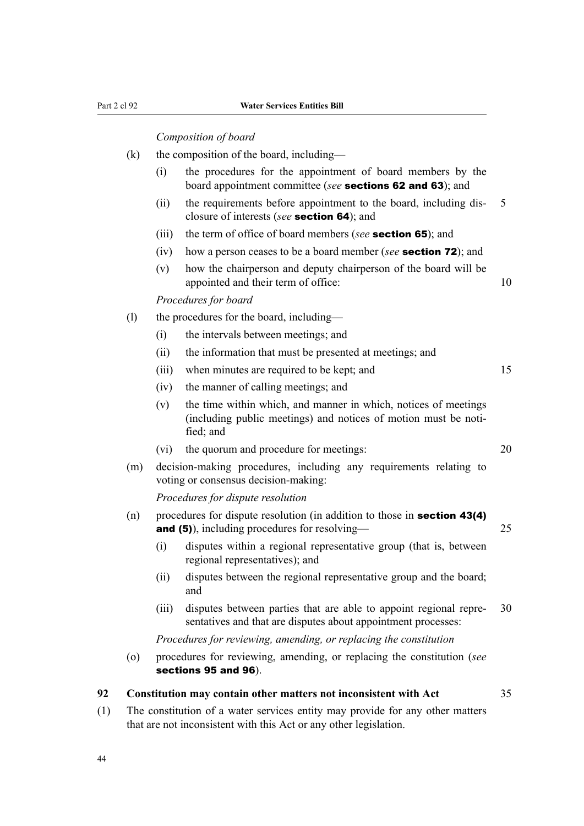#### *Composition of board*

- $(k)$  the composition of the board, including—
	- (i) the procedures for the appointment of board members by the board appointment committee (*see* sections 62 and 63); and
	- (ii) the requirements before appointment to the board, including disclosure of interests (*see* section 64); and
	- (iii) the term of office of board members (*see* section 65); and
	- (iv) how a person ceases to be a board member (*see* section 72); and
	- (v) how the chairperson and deputy chairperson of the board will be appointed and their term of office: 10

*Procedures for board*

- (l) the procedures for the board, including—
	- (i) the intervals between meetings; and
	- (ii) the information that must be presented at meetings; and
	- (iii) when minutes are required to be kept; and 15
	- (iv) the manner of calling meetings; and
	- (v) the time within which, and manner in which, notices of meetings (including public meetings) and notices of motion must be noti‐ fied; and
	- (vi) the quorum and procedure for meetings: 20
- (m) decision-making procedures, including any requirements relating to voting or consensus decision-making:

*Procedures for dispute resolution*

- (n) procedures for dispute resolution (in addition to those in **section 43(4)** and (5)), including procedures for resolving— 25
	- (i) disputes within a regional representative group (that is, between regional representatives); and
	- (ii) disputes between the regional representative group and the board; and
	- (iii) disputes between parties that are able to appoint regional repre‐ 30 sentatives and that are disputes about appointment processes:

*Procedures for reviewing, amending, or replacing the constitution*

(o) procedures for reviewing, amending, or replacing the constitution (*see* sections 95 and 96).

#### **92 Constitution may contain other matters not inconsistent with Act** 35

(1) The constitution of a water services entity may provide for any other matters that are not inconsistent with this Act or any other legislation.

44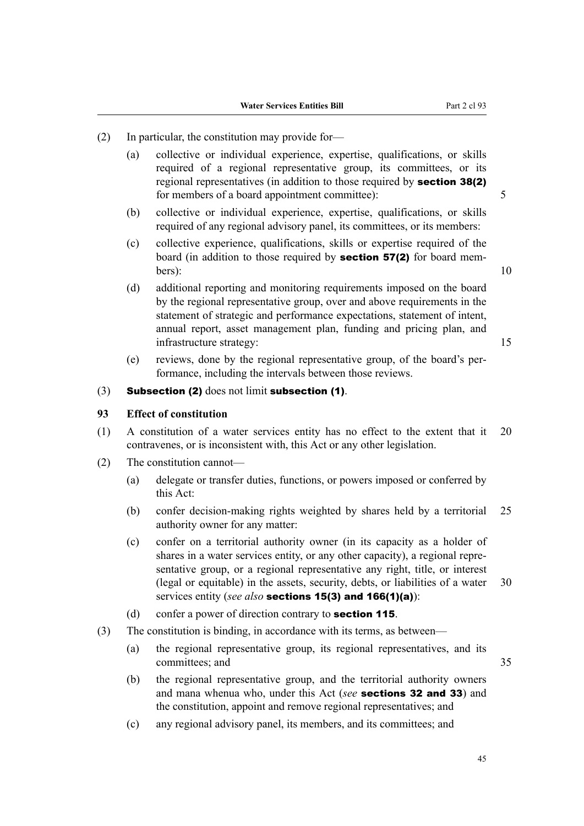- (2) In particular, the constitution may provide for—
	- (a) collective or individual experience, expertise, qualifications, or skills required of a regional representative group, its committees, or its regional representatives (in addition to those required by **section 38(2)** for members of a board appointment committee): 5
	- (b) collective or individual experience, expertise, qualifications, or skills required of any regional advisory panel, its committees, or its members:
	- (c) collective experience, qualifications, skills or expertise required of the board (in addition to those required by **section 57(2)** for board mem- $\text{bers}$ : 10
	- (d) additional reporting and monitoring requirements imposed on the board by the regional representative group, over and above requirements in the statement of strategic and performance expectations, statement of intent, annual report, asset management plan, funding and pricing plan, and infrastructure strategy: 15
	- (e) reviews, done by the regional representative group, of the board's per‐ formance, including the intervals between those reviews.
- $(3)$  Subsection (2) does not limit subsection (1).

# **93 Effect of constitution**

- (1) A constitution of a water services entity has no effect to the extent that it 20 contravenes, or is inconsistent with, this Act or any other legislation.
- (2) The constitution cannot—
	- (a) delegate or transfer duties, functions, or powers imposed or conferred by this Act:
	- (b) confer decision-making rights weighted by shares held by a territorial 25 authority owner for any matter:
	- (c) confer on a territorial authority owner (in its capacity as a holder of shares in a water services entity, or any other capacity), a regional repre‐ sentative group, or a regional representative any right, title, or interest (legal or equitable) in the assets, security, debts, or liabilities of a water 30 services entity (*see also* sections 15(3) and 166(1)(a)):
	- (d) confer a power of direction contrary to **section 115**.
- (3) The constitution is binding, in accordance with its terms, as between—
	- (a) the regional representative group, its regional representatives, and its committees; and 35
	- (b) the regional representative group, and the territorial authority owners and mana whenua who, under this Act (*see* sections 32 and 33) and the constitution, appoint and remove regional representatives; and
	- (c) any regional advisory panel, its members, and its committees; and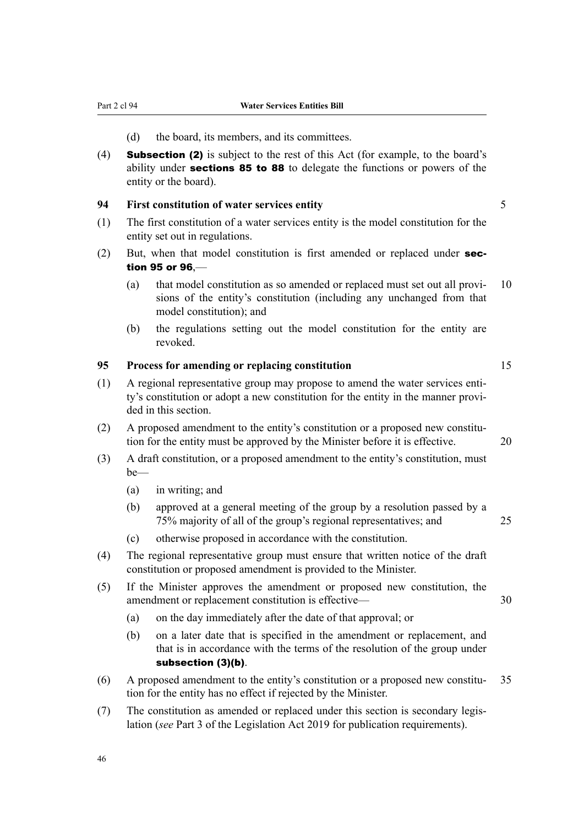- (d) the board, its members, and its committees.
- (4) Subsection (2) is subject to the rest of this Act (for example, to the board's ability under **sections 85 to 88** to delegate the functions or powers of the entity or the board).

#### **94 First constitution of water services entity** 5

- (1) The first constitution of a water services entity is the model constitution for the entity set out in regulations.
- $(2)$  But, when that model constitution is first amended or replaced under **sec**tion 95 or 96,—
	- (a) that model constitution as so amended or replaced must set out all provi-  $10$ sions of the entity's constitution (including any unchanged from that model constitution); and
	- (b) the regulations setting out the model constitution for the entity are revoked.

# **95 Process for amending or replacing constitution** 15

- (1) A regional representative group may propose to amend the water services entity's constitution or adopt a new constitution for the entity in the manner provi‐ ded in this section.
- (2) A proposed amendment to the entity's constitution or a proposed new constitu‐ tion for the entity must be approved by the Minister before it is effective. 20
- (3) A draft constitution, or a proposed amendment to the entity's constitution, must be—
	- (a) in writing; and
	- (b) approved at a general meeting of the group by a resolution passed by a 75% majority of all of the group's regional representatives; and 25
	- (c) otherwise proposed in accordance with the constitution.
- (4) The regional representative group must ensure that written notice of the draft constitution or proposed amendment is provided to the Minister.
- (5) If the Minister approves the amendment or proposed new constitution, the amendment or replacement constitution is effective— 30
	- (a) on the day immediately after the date of that approval; or
	- (b) on a later date that is specified in the amendment or replacement, and that is in accordance with the terms of the resolution of the group under subsection (3)(b).
- (6) A proposed amendment to the entity's constitution or a proposed new constitu-  $35$ tion for the entity has no effect if rejected by the Minister.
- (7) The constitution as amended or replaced under this section is secondary legis‐ lation (*see* Part 3 of the Legislation Act 2019 for publication requirements).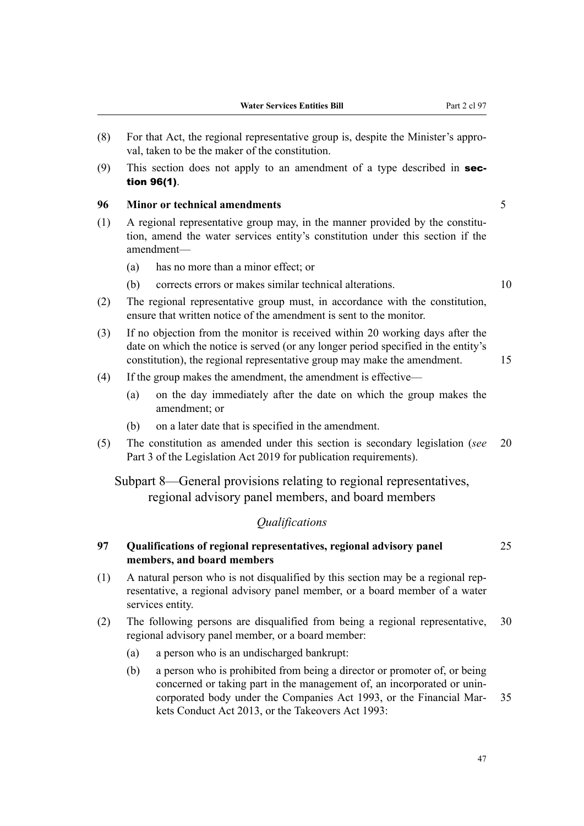- (8) For that Act, the regional representative group is, despite the Minister's appro‐ val, taken to be the maker of the constitution.
- (9) This section does not apply to an amendment of a type described in **sec**tion 96(1).

# **96 Minor or technical amendments** 5

- $(1)$  A regional representative group may, in the manner provided by the constitution, amend the water services entity's constitution under this section if the amendment—
	- (a) has no more than a minor effect; or
	- (b) corrects errors or makes similar technical alterations. 10
- (2) The regional representative group must, in accordance with the constitution, ensure that written notice of the amendment is sent to the monitor.
- (3) If no objection from the monitor is received within 20 working days after the date on which the notice is served (or any longer period specified in the entity's constitution), the regional representative group may make the amendment. 15
- (4) If the group makes the amendment, the amendment is effective—
	- (a) on the day immediately after the date on which the group makes the amendment; or
	- (b) on a later date that is specified in the amendment.
- (5) The constitution as amended under this section is secondary legislation (*see* 20 Part 3 of the Legislation Act 2019 for publication requirements).

Subpart 8—General provisions relating to regional representatives, regional advisory panel members, and board members

# *Qualifications*

# **97 Qualifications of regional representatives, regional advisory panel** 25 **members, and board members**

- $(1)$  A natural person who is not disqualified by this section may be a regional rep– resentative, a regional advisory panel member, or a board member of a water services entity.
- (2) The following persons are disqualified from being a regional representative, 30 regional advisory panel member, or a board member:
	- (a) a person who is an undischarged bankrupt:
	- (b) a person who is prohibited from being a director or promoter of, or being concerned or taking part in the management of, an incorporated or unin‐ corporated body under the Companies Act 1993, or the Financial Mar- 35 kets Conduct Act 2013, or the Takeovers Act 1993: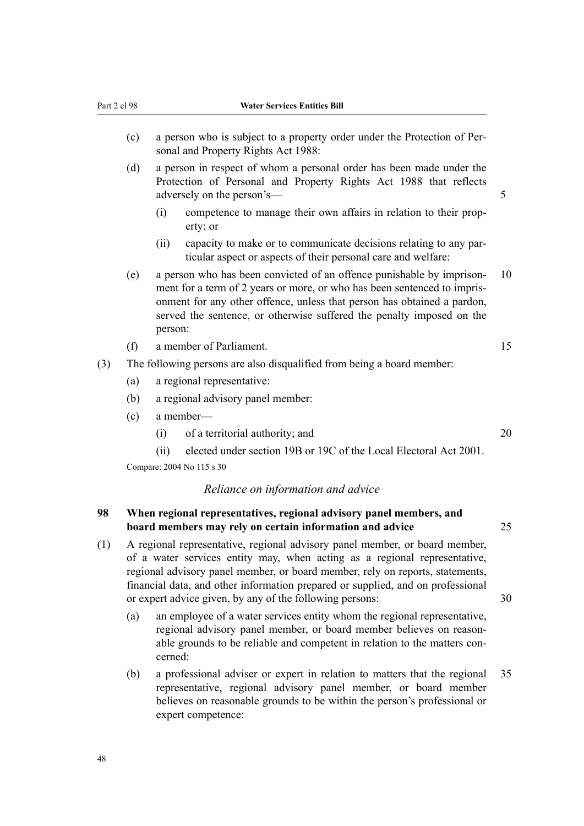| Part 2 cl 98<br>(c) |                                                                                                                                                                                                                                                                                                                                                                                          |                                                                                                                                                                         | <b>Water Services Entities Bill</b>                                                                                                                                                                                                                                                                   |    |  |  |
|---------------------|------------------------------------------------------------------------------------------------------------------------------------------------------------------------------------------------------------------------------------------------------------------------------------------------------------------------------------------------------------------------------------------|-------------------------------------------------------------------------------------------------------------------------------------------------------------------------|-------------------------------------------------------------------------------------------------------------------------------------------------------------------------------------------------------------------------------------------------------------------------------------------------------|----|--|--|
|                     |                                                                                                                                                                                                                                                                                                                                                                                          | a person who is subject to a property order under the Protection of Per-<br>sonal and Property Rights Act 1988:                                                         |                                                                                                                                                                                                                                                                                                       |    |  |  |
|                     | (d)                                                                                                                                                                                                                                                                                                                                                                                      | a person in respect of whom a personal order has been made under the<br>Protection of Personal and Property Rights Act 1988 that reflects<br>adversely on the person's- |                                                                                                                                                                                                                                                                                                       |    |  |  |
|                     |                                                                                                                                                                                                                                                                                                                                                                                          | (i)                                                                                                                                                                     | competence to manage their own affairs in relation to their prop-<br>erty; or                                                                                                                                                                                                                         |    |  |  |
|                     |                                                                                                                                                                                                                                                                                                                                                                                          | (ii)                                                                                                                                                                    | capacity to make or to communicate decisions relating to any par-<br>ticular aspect or aspects of their personal care and welfare:                                                                                                                                                                    |    |  |  |
|                     | (e)                                                                                                                                                                                                                                                                                                                                                                                      | person:                                                                                                                                                                 | a person who has been convicted of an offence punishable by imprison-<br>ment for a term of 2 years or more, or who has been sentenced to impris-<br>onment for any other offence, unless that person has obtained a pardon,<br>served the sentence, or otherwise suffered the penalty imposed on the | 10 |  |  |
|                     | (f)                                                                                                                                                                                                                                                                                                                                                                                      | a member of Parliament.                                                                                                                                                 |                                                                                                                                                                                                                                                                                                       |    |  |  |
| (3)                 |                                                                                                                                                                                                                                                                                                                                                                                          |                                                                                                                                                                         | The following persons are also disqualified from being a board member:                                                                                                                                                                                                                                |    |  |  |
|                     | (a)                                                                                                                                                                                                                                                                                                                                                                                      |                                                                                                                                                                         | a regional representative:                                                                                                                                                                                                                                                                            |    |  |  |
|                     | (b)                                                                                                                                                                                                                                                                                                                                                                                      | a regional advisory panel member:                                                                                                                                       |                                                                                                                                                                                                                                                                                                       |    |  |  |
|                     | (c)                                                                                                                                                                                                                                                                                                                                                                                      | a member-                                                                                                                                                               |                                                                                                                                                                                                                                                                                                       |    |  |  |
|                     |                                                                                                                                                                                                                                                                                                                                                                                          | (i)                                                                                                                                                                     | of a territorial authority; and                                                                                                                                                                                                                                                                       | 20 |  |  |
|                     |                                                                                                                                                                                                                                                                                                                                                                                          | (ii)                                                                                                                                                                    | elected under section 19B or 19C of the Local Electoral Act 2001.                                                                                                                                                                                                                                     |    |  |  |
|                     | Compare: 2004 No 115 s 30                                                                                                                                                                                                                                                                                                                                                                |                                                                                                                                                                         |                                                                                                                                                                                                                                                                                                       |    |  |  |
|                     |                                                                                                                                                                                                                                                                                                                                                                                          |                                                                                                                                                                         | Reliance on information and advice                                                                                                                                                                                                                                                                    |    |  |  |
| 98                  |                                                                                                                                                                                                                                                                                                                                                                                          | When regional representatives, regional advisory panel members, and<br>25<br>board members may rely on certain information and advice                                   |                                                                                                                                                                                                                                                                                                       |    |  |  |
| (1)                 | A regional representative, regional advisory panel member, or board member,<br>of a water services entity may, when acting as a regional representative,<br>regional advisory panel member, or board member, rely on reports, statements,<br>financial data, and other information prepared or supplied, and on professional<br>or expert advice given, by any of the following persons: |                                                                                                                                                                         |                                                                                                                                                                                                                                                                                                       |    |  |  |
|                     | (a)                                                                                                                                                                                                                                                                                                                                                                                      | cerned:                                                                                                                                                                 | an employee of a water services entity whom the regional representative,<br>regional advisory panel member, or board member believes on reason-<br>able grounds to be reliable and competent in relation to the matters con-                                                                          |    |  |  |

(b) a professional adviser or expert in relation to matters that the regional 35 representative, regional advisory panel member, or board member believes on reasonable grounds to be within the person's professional or expert competence: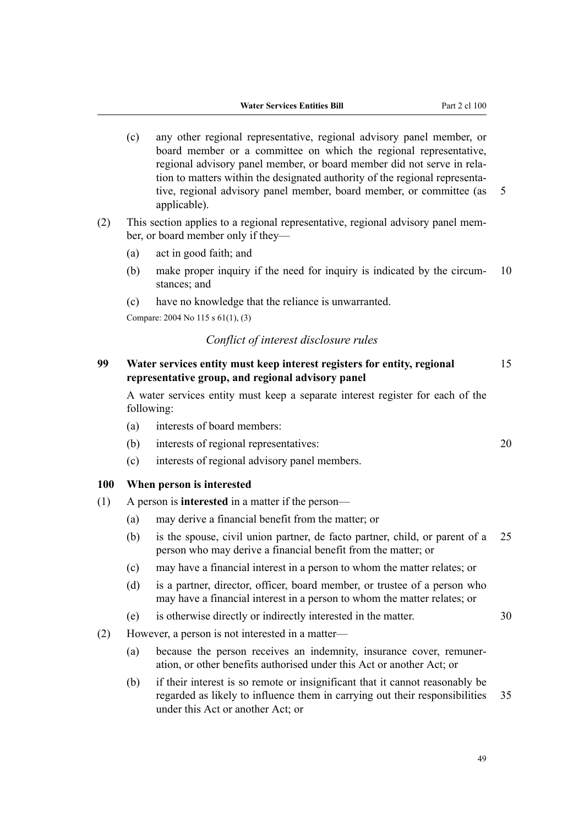- (c) any other regional representative, regional advisory panel member, or board member or a committee on which the regional representative, regional advisory panel member, or board member did not serve in rela‐ tion to matters within the designated authority of the regional representa‐ tive, regional advisory panel member, board member, or committee (as 5 applicable).
- (2) This section applies to a regional representative, regional advisory panel mem‐ ber, or board member only if they—
	- (a) act in good faith; and
	- (b) make proper inquiry if the need for inquiry is indicated by the circum-  $10$ stances; and
	- (c) have no knowledge that the reliance is unwarranted.

Compare: 2004 No 115 s 61(1), (3)

## *Conflict of interest disclosure rules*

# **99 Water services entity must keep interest registers for entity, regional** 15 **representative group, and regional advisory panel**

A water services entity must keep a separate interest register for each of the following:

- (a) interests of board members:
- (b) interests of regional representatives: 20
- (c) interests of regional advisory panel members.

# **100 When person is interested**

- (1) A person is **interested** in a matter if the person—
	- (a) may derive a financial benefit from the matter; or
	- (b) is the spouse, civil union partner, de facto partner, child, or parent of a 25 person who may derive a financial benefit from the matter; or
	- (c) may have a financial interest in a person to whom the matter relates; or
	- (d) is a partner, director, officer, board member, or trustee of a person who may have a financial interest in a person to whom the matter relates; or
	- (e) is otherwise directly or indirectly interested in the matter. 30
- (2) However, a person is not interested in a matter—
	- (a) because the person receives an indemnity, insurance cover, remuner‐ ation, or other benefits authorised under this Act or another Act; or
	- (b) if their interest is so remote or insignificant that it cannot reasonably be regarded as likely to influence them in carrying out their responsibilities 35 under this Act or another Act; or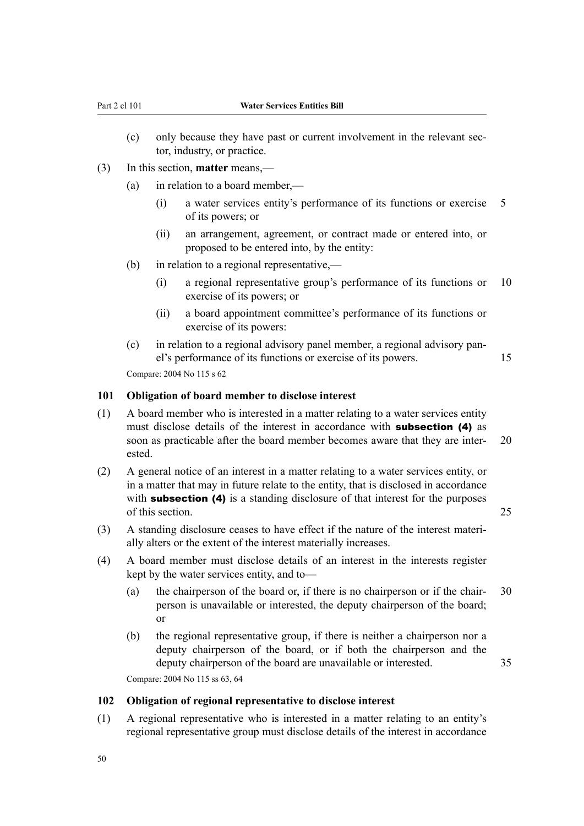- (c) only because they have past or current involvement in the relevant sector, industry, or practice.
- (3) In this section, **matter** means,—
	- (a) in relation to a board member,—
		- (i) a water services entity's performance of its functions or exercise 5 of its powers; or
		- (ii) an arrangement, agreement, or contract made or entered into, or proposed to be entered into, by the entity:
	- (b) in relation to a regional representative,—
		- (i) a regional representative group's performance of its functions or 10 exercise of its powers; or
		- (ii) a board appointment committee's performance of its functions or exercise of its powers:
	- (c) in relation to a regional advisory panel member, a regional advisory pan‐ el's performance of its functions or exercise of its powers. 15 Compare: 2004 No 115 s 62

# **101 Obligation of board member to disclose interest**

- (1) A board member who is interested in a matter relating to a water services entity must disclose details of the interest in accordance with **subsection (4)** as soon as practicable after the board member becomes aware that they are inter- 20 ested.
- (2) A general notice of an interest in a matter relating to a water services entity, or in a matter that may in future relate to the entity, that is disclosed in accordance with **subsection (4)** is a standing disclosure of that interest for the purposes of this section. 25
- (3) A standing disclosure ceases to have effect if the nature of the interest materi‐ ally alters or the extent of the interest materially increases.
- (4) A board member must disclose details of an interest in the interests register kept by the water services entity, and to—
	- (a) the chairperson of the board or, if there is no chairperson or if the chair-  $30$ person is unavailable or interested, the deputy chairperson of the board; or
	- (b) the regional representative group, if there is neither a chairperson nor a deputy chairperson of the board, or if both the chairperson and the deputy chairperson of the board are unavailable or interested.  $35$ Compare: 2004 No 115 ss 63, 64

**102 Obligation of regional representative to disclose interest**

(1) A regional representative who is interested in a matter relating to an entity's regional representative group must disclose details of the interest in accordance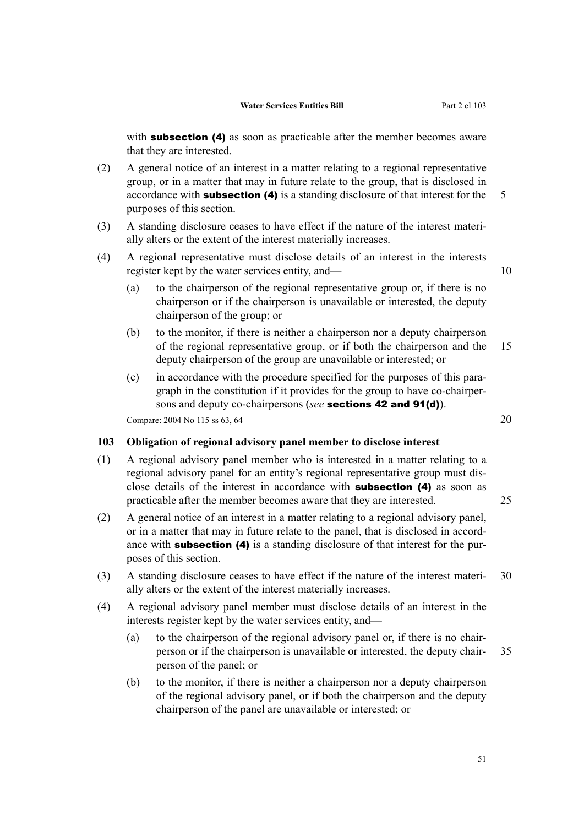with **subsection (4)** as soon as practicable after the member becomes aware that they are interested.

- (2) A general notice of an interest in a matter relating to a regional representative group, or in a matter that may in future relate to the group, that is disclosed in accordance with **subsection (4)** is a standing disclosure of that interest for the  $\overline{5}$ purposes of this section.
- (3) A standing disclosure ceases to have effect if the nature of the interest materi‐ ally alters or the extent of the interest materially increases.
- (4) A regional representative must disclose details of an interest in the interests register kept by the water services entity, and— 10

- (a) to the chairperson of the regional representative group or, if there is no chairperson or if the chairperson is unavailable or interested, the deputy chairperson of the group; or
- (b) to the monitor, if there is neither a chairperson nor a deputy chairperson of the regional representative group, or if both the chairperson and the 15 deputy chairperson of the group are unavailable or interested; or
- (c) in accordance with the procedure specified for the purposes of this para‐ graph in the constitution if it provides for the group to have co-chairper‐ sons and deputy co-chairpersons (*see* sections 42 and 91(d)). Compare:  $2004$  No 115 ss 63, 64 20

**103 Obligation of regional advisory panel member to disclose interest**

- (1) A regional advisory panel member who is interested in a matter relating to a regional advisory panel for an entity's regional representative group must dis‐ close details of the interest in accordance with subsection (4) as soon as practicable after the member becomes aware that they are interested. 25
- (2) A general notice of an interest in a matter relating to a regional advisory panel, or in a matter that may in future relate to the panel, that is disclosed in accord‐ ance with **subsection (4)** is a standing disclosure of that interest for the purposes of this section.
- (3) A standing disclosure ceases to have effect if the nature of the interest materi‐ 30 ally alters or the extent of the interest materially increases.
- (4) A regional advisory panel member must disclose details of an interest in the interests register kept by the water services entity, and—
	- (a) to the chairperson of the regional advisory panel or, if there is no chair‐ person or if the chairperson is unavailable or interested, the deputy chair‐ 35 person of the panel; or
	- (b) to the monitor, if there is neither a chairperson nor a deputy chairperson of the regional advisory panel, or if both the chairperson and the deputy chairperson of the panel are unavailable or interested; or

51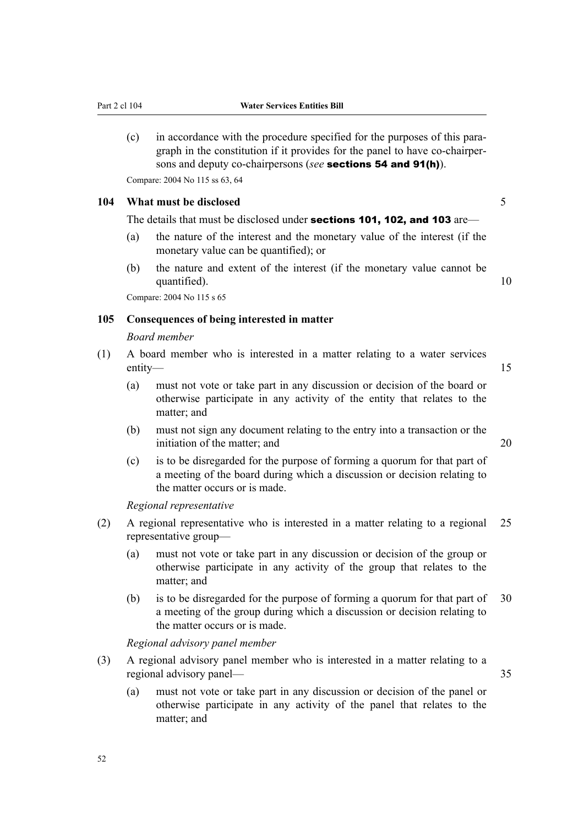(c) in accordance with the procedure specified for the purposes of this para‐ graph in the constitution if it provides for the panel to have co-chairper‐ sons and deputy co-chairpersons (*see* sections 54 and 91(h)).

Compare: 2004 No 115 ss 63, 64

# **104 What must be disclosed** 5

The details that must be disclosed under **sections 101, 102, and 103** are—

- (a) the nature of the interest and the monetary value of the interest (if the monetary value can be quantified); or
- (b) the nature and extent of the interest (if the monetary value cannot be quantified). 10

Compare: 2004 No 115 s 65

#### **105 Consequences of being interested in matter**

#### *Board member*

- (1) A board member who is interested in a matter relating to a water services entity— and the state of the state of the state of the state of the state of the state of the state of the state of the state of the state of the state of the state of the state of the state of the state of the state of th
	- (a) must not vote or take part in any discussion or decision of the board or otherwise participate in any activity of the entity that relates to the matter; and
	- (b) must not sign any document relating to the entry into a transaction or the initiation of the matter; and 20
	- (c) is to be disregarded for the purpose of forming a quorum for that part of a meeting of the board during which a discussion or decision relating to the matter occurs or is made.

*Regional representative*

- (2) A regional representative who is interested in a matter relating to a regional 25 representative group—
	- (a) must not vote or take part in any discussion or decision of the group or otherwise participate in any activity of the group that relates to the matter; and
	- (b) is to be disregarded for the purpose of forming a quorum for that part of 30 a meeting of the group during which a discussion or decision relating to the matter occurs or is made.

*Regional advisory panel member*

- (3) A regional advisory panel member who is interested in a matter relating to a regional advisory panel— 35
	- (a) must not vote or take part in any discussion or decision of the panel or otherwise participate in any activity of the panel that relates to the matter; and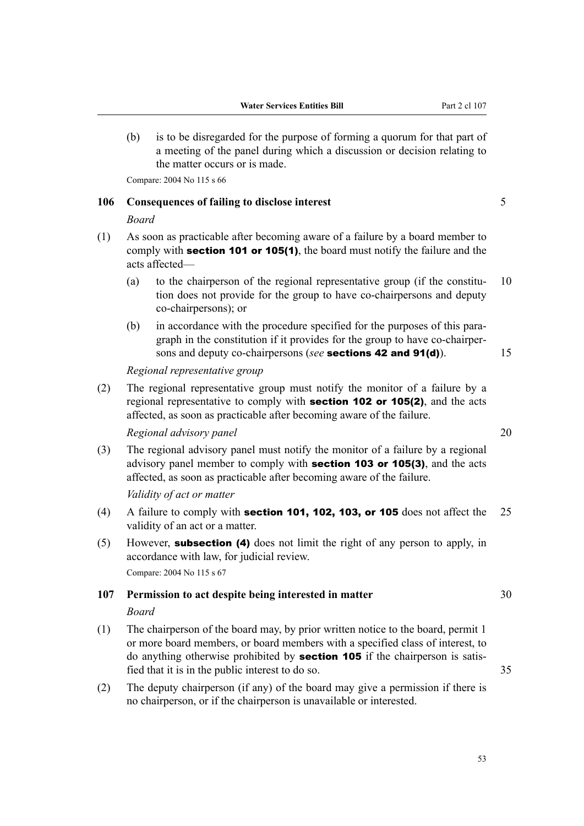(b) is to be disregarded for the purpose of forming a quorum for that part of a meeting of the panel during which a discussion or decision relating to the matter occurs or is made.

Compare: 2004 No 115 s 66

# **106 Consequences of failing to disclose interest** 5

#### *Board*

- (1) As soon as practicable after becoming aware of a failure by a board member to comply with **section 101 or 105(1)**, the board must notify the failure and the acts affected—
	- (a) to the chairperson of the regional representative group (if the constitu-  $10$ tion does not provide for the group to have co-chairpersons and deputy co-chairpersons); or
	- (b) in accordance with the procedure specified for the purposes of this para‐ graph in the constitution if it provides for the group to have co-chairper‐ sons and deputy co-chairpersons (*see* **sections 42 and 91(d)**). 15

#### *Regional representative group*

(2) The regional representative group must notify the monitor of a failure by a regional representative to comply with **section 102 or 105(2)**, and the acts affected, as soon as practicable after becoming aware of the failure.

*Regional advisory panel* 20

(3) The regional advisory panel must notify the monitor of a failure by a regional advisory panel member to comply with section 103 or 105(3), and the acts affected, as soon as practicable after becoming aware of the failure.

#### *Validity of act or matter*

- (4) A failure to comply with **section 101, 102, 103, or 105** does not affect the  $25$ validity of an act or a matter.
- (5) However, subsection (4) does not limit the right of any person to apply, in accordance with law, for judicial review. Compare: 2004 No 115 s 67

#### **107 Permission to act despite being interested in matter** 30

#### *Board*

- (1) The chairperson of the board may, by prior written notice to the board, permit 1 or more board members, or board members with a specified class of interest, to do anything otherwise prohibited by section 105 if the chairperson is satisfied that it is in the public interest to do so. 35
- (2) The deputy chairperson (if any) of the board may give a permission if there is no chairperson, or if the chairperson is unavailable or interested.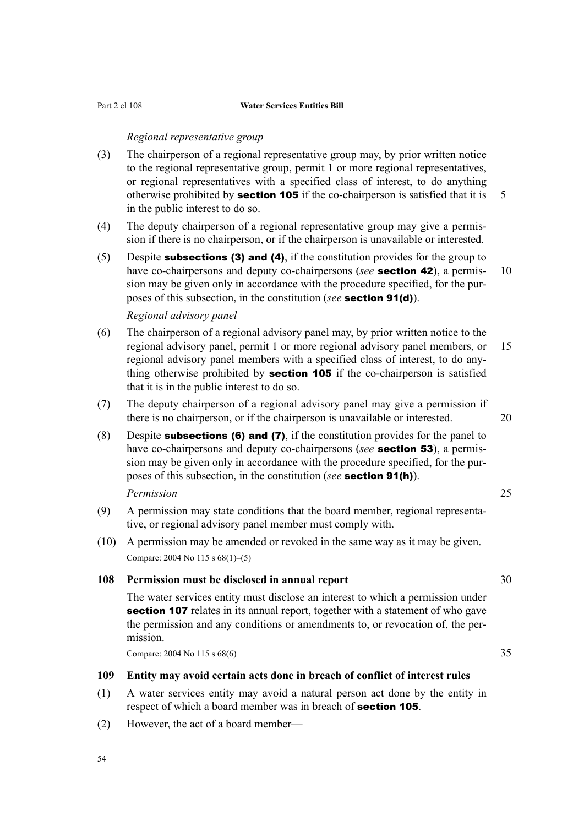#### *Regional representative group*

- (3) The chairperson of a regional representative group may, by prior written notice to the regional representative group, permit 1 or more regional representatives, or regional representatives with a specified class of interest, to do anything otherwise prohibited by **section 105** if the co-chairperson is satisfied that it is  $\overline{5}$ in the public interest to do so.
- (4) The deputy chairperson of a regional representative group may give a permis‐ sion if there is no chairperson, or if the chairperson is unavailable or interested.
- (5) Despite **subsections (3) and (4)**, if the constitution provides for the group to have co-chairpersons and deputy co-chairpersons (*see* **section 42**), a permis- 10 sion may be given only in accordance with the procedure specified, for the purposes of this subsection, in the constitution (*see* section 91(d)).

# *Regional advisory panel*

- (6) The chairperson of a regional advisory panel may, by prior written notice to the regional advisory panel, permit 1 or more regional advisory panel members, or 15 regional advisory panel members with a specified class of interest, to do anything otherwise prohibited by **section 105** if the co-chairperson is satisfied that it is in the public interest to do so.
- (7) The deputy chairperson of a regional advisory panel may give a permission if there is no chairperson, or if the chairperson is unavailable or interested. 20
- (8) Despite **subsections (6) and (7)**, if the constitution provides for the panel to have co-chairpersons and deputy co-chairpersons (*see* **section 53**), a permission may be given only in accordance with the procedure specified, for the purposes of this subsection, in the constitution (*see* section 91(h)).

# *Permission* 25

- (9) A permission may state conditions that the board member, regional representa‐ tive, or regional advisory panel member must comply with.
- (10) A permission may be amended or revoked in the same way as it may be given. Compare: 2004 No 115 s 68(1)–(5)

## **108 Permission must be disclosed in annual report** 30

The water services entity must disclose an interest to which a permission under section 107 relates in its annual report, together with a statement of who gave the permission and any conditions or amendments to, or revocation of, the permission.

Compare: 2004 No 115 s 68(6) 35

# **109 Entity may avoid certain acts done in breach of conflict of interest rules**

- (1) A water services entity may avoid a natural person act done by the entity in respect of which a board member was in breach of **section 105**.
- (2) However, the act of a board member—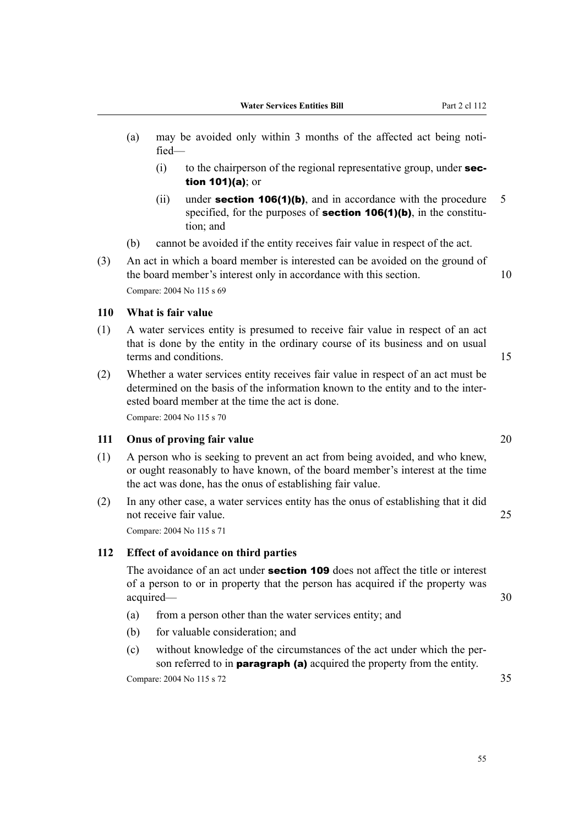- (a) may be avoided only within 3 months of the affected act being notified—
	- $(i)$  to the chairperson of the regional representative group, under **sec**tion 101)(a); or
	- (ii) under **section 106(1)(b)**, and in accordance with the procedure  $\overline{5}$ specified, for the purposes of **section 106(1)(b)**, in the constitution; and
- (b) cannot be avoided if the entity receives fair value in respect of the act.
- (3) An act in which a board member is interested can be avoided on the ground of the board member's interest only in accordance with this section. 10 Compare: 2004 No 115 s 69

#### **110 What is fair value**

- (1) A water services entity is presumed to receive fair value in respect of an act that is done by the entity in the ordinary course of its business and on usual terms and conditions. 15
- (2) Whether a water services entity receives fair value in respect of an act must be determined on the basis of the information known to the entity and to the interested board member at the time the act is done.

Compare: 2004 No 115 s 70

#### **111 Onus of proving fair value** 20

- (1) A person who is seeking to prevent an act from being avoided, and who knew, or ought reasonably to have known, of the board member's interest at the time the act was done, has the onus of establishing fair value.
- (2) In any other case, a water services entity has the onus of establishing that it did not receive fair value. 25

Compare: 2004 No 115 s 71

### **112 Effect of avoidance on third parties**

The avoidance of an act under **section 109** does not affect the title or interest of a person to or in property that the person has acquired if the property was acquired— 30

- (a) from a person other than the water services entity; and
- (b) for valuable consideration; and
- (c) without knowledge of the circumstances of the act under which the per‐ son referred to in **paragraph (a)** acquired the property from the entity.

Compare: 2004 No 115 s 72 35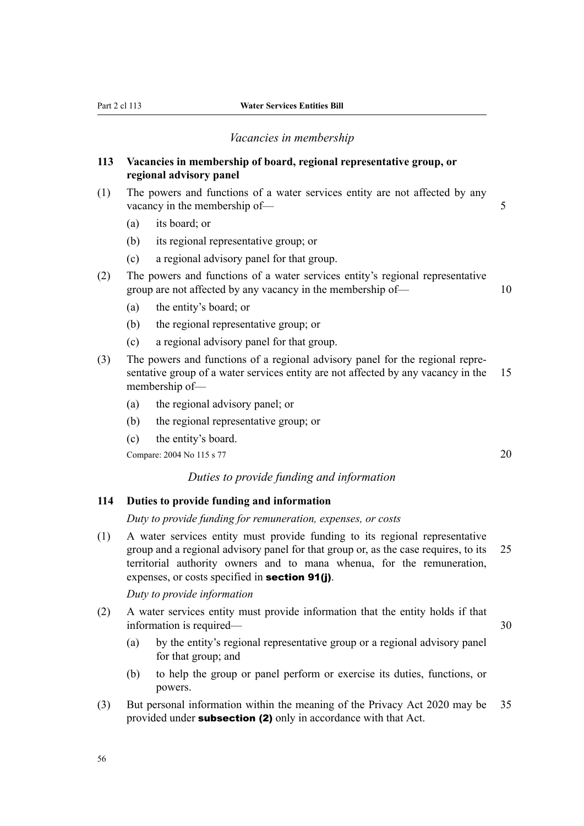#### *Vacancies in membership*

# **113 Vacancies in membership of board, regional representative group, or regional advisory panel**

- (1) The powers and functions of a water services entity are not affected by any vacancy in the membership of — 5
	- (a) its board; or
	- (b) its regional representative group; or
	- (c) a regional advisory panel for that group.
- (2) The powers and functions of a water services entity's regional representative group are not affected by any vacancy in the membership of — 10
	- (a) the entity's board; or
	- (b) the regional representative group; or
	- (c) a regional advisory panel for that group.
- (3) The powers and functions of a regional advisory panel for the regional repre‐ sentative group of a water services entity are not affected by any vacancy in the 15 membership of—
	- (a) the regional advisory panel; or
	- (b) the regional representative group; or
	- (c) the entity's board.

Compare: 2004 No 115 s 77 20

### *Duties to provide funding and information*

# **114 Duties to provide funding and information**

*Duty to provide funding for remuneration, expenses, or costs*

(1) A water services entity must provide funding to its regional representative group and a regional advisory panel for that group or, as the case requires, to its 25 territorial authority owners and to mana whenua, for the remuneration, expenses, or costs specified in section 91(j).

*Duty to provide information*

- (2) A water services entity must provide information that the entity holds if that information is required— 30
	- (a) by the entity's regional representative group or a regional advisory panel for that group; and
	- (b) to help the group or panel perform or exercise its duties, functions, or powers.
- (3) But personal information within the meaning of the Privacy Act 2020 may be 35 provided under **subsection (2)** only in accordance with that Act.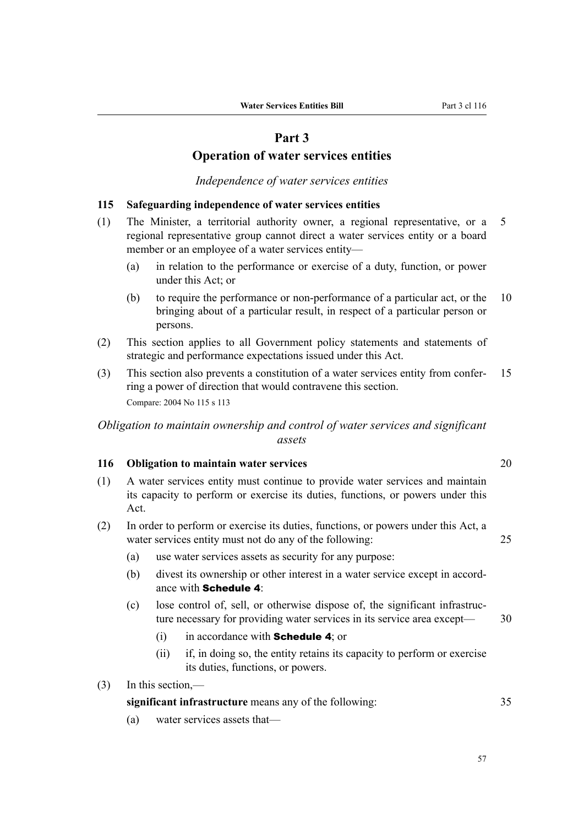# **Part 3**

# **Operation of water services entities**

# *Independence of water services entities*

# **115 Safeguarding independence of water services entities**

- (1) The Minister, a territorial authority owner, a regional representative, or a 5 regional representative group cannot direct a water services entity or a board member or an employee of a water services entity—
	- (a) in relation to the performance or exercise of a duty, function, or power under this Act; or
	- (b) to require the performance or non-performance of a particular act, or the 10 bringing about of a particular result, in respect of a particular person or persons.
- (2) This section applies to all Government policy statements and statements of strategic and performance expectations issued under this Act.
- (3) This section also prevents a constitution of a water services entity from confer‐ 15 ring a power of direction that would contravene this section. Compare: 2004 No 115 s 113

# *Obligation to maintain ownership and control of water services and significant assets*

# **116 Obligation to maintain water services** 20

- (1) A water services entity must continue to provide water services and maintain its capacity to perform or exercise its duties, functions, or powers under this Act.
- (2) In order to perform or exercise its duties, functions, or powers under this Act, a water services entity must not do any of the following: 25
	- (a) use water services assets as security for any purpose:
	- (b) divest its ownership or other interest in a water service except in accordance with Schedule 4:
	- (c) lose control of, sell, or otherwise dispose of, the significant infrastruc‐ ture necessary for providing water services in its service area except— 30
		- (i) in accordance with **Schedule 4**; or
		- (ii) if, in doing so, the entity retains its capacity to perform or exercise its duties, functions, or powers.
- (3) In this section,—

| significant infrastructure means any of the following: |  |
|--------------------------------------------------------|--|
|--------------------------------------------------------|--|

(a) water services assets that—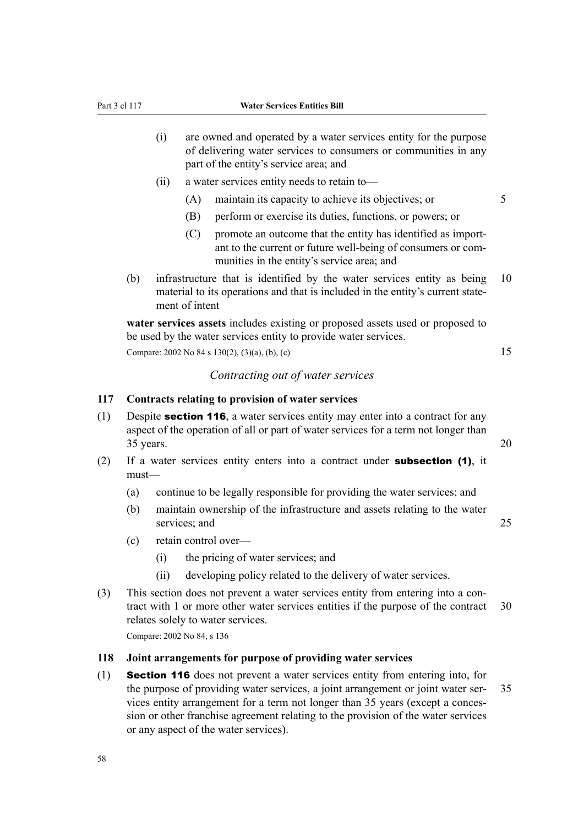- (i) are owned and operated by a water services entity for the purpose of delivering water services to consumers or communities in any part of the entity's service area; and
- (ii) a water services entity needs to retain to—
	- (A) maintain its capacity to achieve its objectives; or 5
	- (B) perform or exercise its duties, functions, or powers; or
	- (C) promote an outcome that the entity has identified as important to the current or future well-being of consumers or com‐ munities in the entity's service area; and
- (b) infrastructure that is identified by the water services entity as being 10 material to its operations and that is included in the entity's current statement of intent

**water services assets** includes existing or proposed assets used or proposed to be used by the water services entity to provide water services.

Compare: 2002 No 84 s 130(2), (3)(a), (b), (c) 15

## *Contracting out of water services*

#### **117 Contracts relating to provision of water services**

- (1) Despite section 116, a water services entity may enter into a contract for any aspect of the operation of all or part of water services for a term not longer than  $35 \text{ years.}$  20
- (2) If a water services entity enters into a contract under **subsection (1)**, it must—
	- (a) continue to be legally responsible for providing the water services; and
	- (b) maintain ownership of the infrastructure and assets relating to the water services: and 25
	- (c) retain control over—
		- (i) the pricing of water services; and
		- (ii) developing policy related to the delivery of water services.
- (3) This section does not prevent a water services entity from entering into a contract with 1 or more other water services entities if the purpose of the contract 30 relates solely to water services.

Compare: 2002 No 84, s 136

#### **118 Joint arrangements for purpose of providing water services**

(1) Section 116 does not prevent a water services entity from entering into, for the purpose of providing water services, a joint arrangement or joint water ser- 35 vices entity arrangement for a term not longer than 35 years (except a conces‐ sion or other franchise agreement relating to the provision of the water services or any aspect of the water services).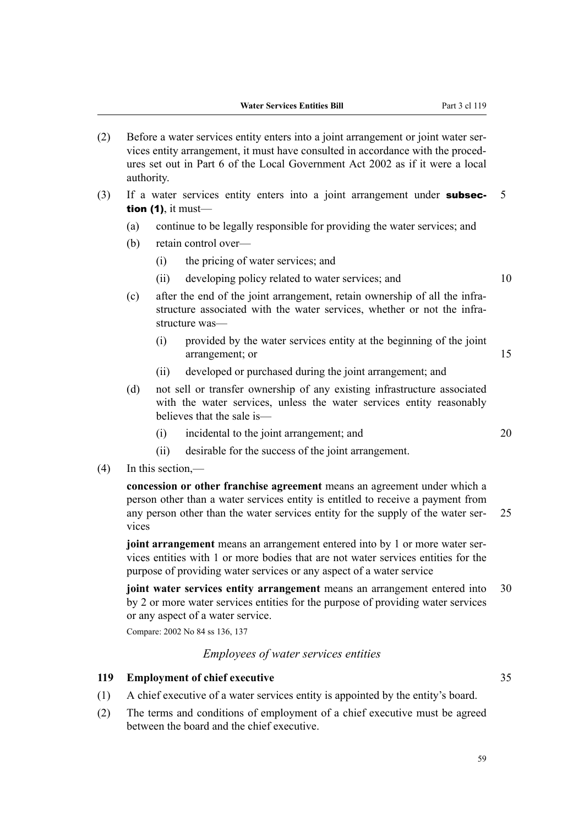- (2) Before a water services entity enters into a joint arrangement or joint water ser‐ vices entity arrangement, it must have consulted in accordance with the proced‐ ures set out in Part 6 of the Local Government Act 2002 as if it were a local authority.
- (3) If a water services entity enters into a joint arrangement under **subsec-** 5 tion  $(1)$ , it must-
	- (a) continue to be legally responsible for providing the water services; and
	- (b) retain control over—
		- (i) the pricing of water services; and
		- (ii) developing policy related to water services; and 10
	- $(c)$  after the end of the joint arrangement, retain ownership of all the infrastructure associated with the water services, whether or not the infrastructure was—
		- (i) provided by the water services entity at the beginning of the joint arrangement; or 15
		- (ii) developed or purchased during the joint arrangement; and
	- (d) not sell or transfer ownership of any existing infrastructure associated with the water services, unless the water services entity reasonably believes that the sale is—
		- (i) incidental to the joint arrangement; and 20
		- (ii) desirable for the success of the joint arrangement.
- (4) In this section,—

**concession or other franchise agreement** means an agreement under which a person other than a water services entity is entitled to receive a payment from any person other than the water services entity for the supply of the water ser- 25 vices

**joint arrangement** means an arrangement entered into by 1 or more water services entities with 1 or more bodies that are not water services entities for the purpose of providing water services or any aspect of a water service

**joint water services entity arrangement** means an arrangement entered into 30 by 2 or more water services entities for the purpose of providing water services or any aspect of a water service.

Compare: 2002 No 84 ss 136, 137

# *Employees of water services entities*

# **119 Employment of chief executive** 35

- (1) A chief executive of a water services entity is appointed by the entity's board.
- (2) The terms and conditions of employment of a chief executive must be agreed between the board and the chief executive.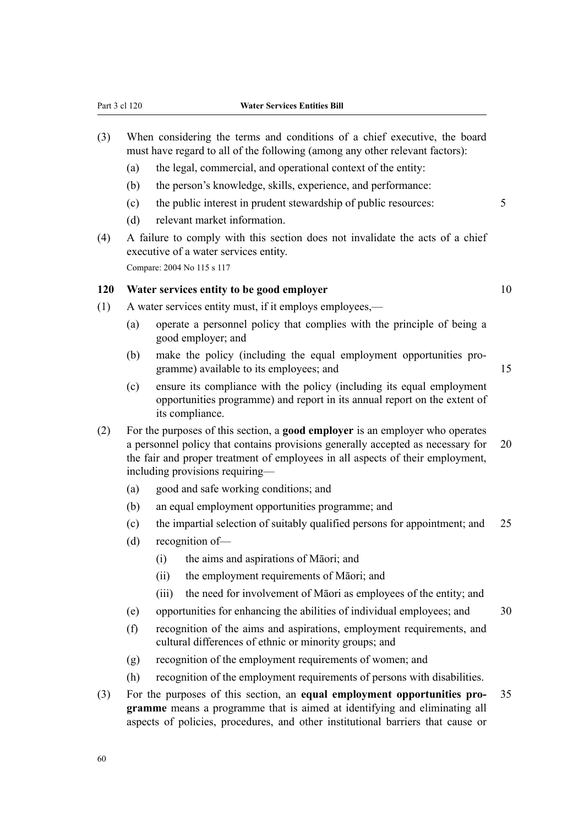- (3) When considering the terms and conditions of a chief executive, the board must have regard to all of the following (among any other relevant factors):
	- (a) the legal, commercial, and operational context of the entity:
	- (b) the person's knowledge, skills, experience, and performance:
	- (c) the public interest in prudent stewardship of public resources: 5
	- (d) relevant market information.
- (4) A failure to comply with this section does not invalidate the acts of a chief executive of a water services entity. Compare: 2004 No 115 s 117

#### **120 Water services entity to be good employer** 10

- (1) A water services entity must, if it employs employees,—
	- (a) operate a personnel policy that complies with the principle of being a good employer; and
	- (b) make the policy (including the equal employment opportunities pro‐ gramme) available to its employees; and 15
	- (c) ensure its compliance with the policy (including its equal employment opportunities programme) and report in its annual report on the extent of its compliance.
- (2) For the purposes of this section, a **good employer** is an employer who operates a personnel policy that contains provisions generally accepted as necessary for 20 the fair and proper treatment of employees in all aspects of their employment, including provisions requiring—
	- (a) good and safe working conditions; and
	- (b) an equal employment opportunities programme; and
	- (c) the impartial selection of suitably qualified persons for appointment; and 25
	- (d) recognition of—
		- (i) the aims and aspirations of Māori; and
		- (ii) the employment requirements of Māori; and
		- (iii) the need for involvement of Māori as employees of the entity; and
	- (e) opportunities for enhancing the abilities of individual employees; and 30
	- (f) recognition of the aims and aspirations, employment requirements, and cultural differences of ethnic or minority groups; and
	- (g) recognition of the employment requirements of women; and
	- (h) recognition of the employment requirements of persons with disabilities.
- (3) For the purposes of this section, an **equal employment opportunities pro‐** 35 **gramme** means a programme that is aimed at identifying and eliminating all aspects of policies, procedures, and other institutional barriers that cause or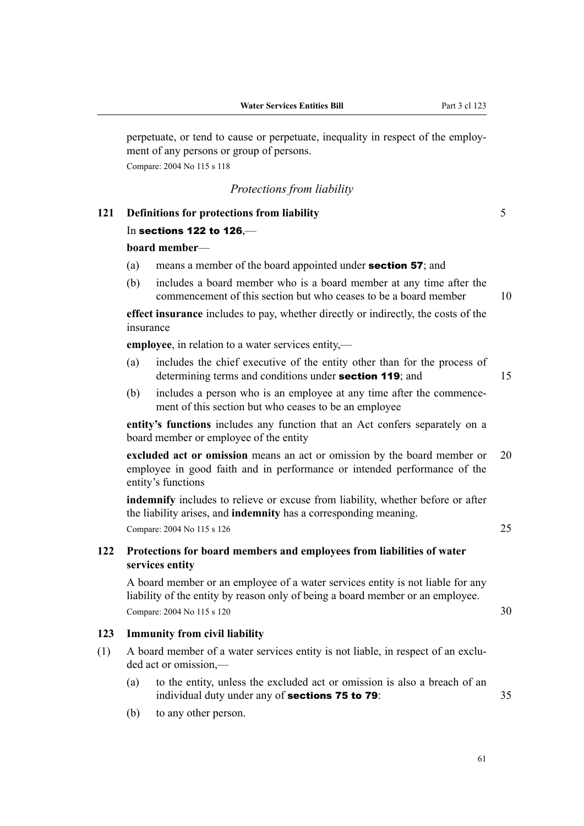perpetuate, or tend to cause or perpetuate, inequality in respect of the employment of any persons or group of persons. Compare: 2004 No 115 s 118

*Protections from liability*

In sections 122 to 126,—

|     | board member-                                                                                                                                                    |                                                                                                                                                                            |    |  |  |  |
|-----|------------------------------------------------------------------------------------------------------------------------------------------------------------------|----------------------------------------------------------------------------------------------------------------------------------------------------------------------------|----|--|--|--|
|     | (a)                                                                                                                                                              | means a member of the board appointed under section 57; and                                                                                                                |    |  |  |  |
|     | (b)                                                                                                                                                              | includes a board member who is a board member at any time after the<br>commencement of this section but who ceases to be a board member                                    |    |  |  |  |
|     |                                                                                                                                                                  | effect insurance includes to pay, whether directly or indirectly, the costs of the<br>insurance                                                                            |    |  |  |  |
|     |                                                                                                                                                                  | employee, in relation to a water services entity,—                                                                                                                         |    |  |  |  |
|     | (a)                                                                                                                                                              | includes the chief executive of the entity other than for the process of<br>determining terms and conditions under section 119; and                                        | 15 |  |  |  |
|     | (b)                                                                                                                                                              | includes a person who is an employee at any time after the commence-<br>ment of this section but who ceases to be an employee                                              |    |  |  |  |
|     |                                                                                                                                                                  | entity's functions includes any function that an Act confers separately on a<br>board member or employee of the entity                                                     |    |  |  |  |
|     |                                                                                                                                                                  | excluded act or omission means an act or omission by the board member or<br>employee in good faith and in performance or intended performance of the<br>entity's functions |    |  |  |  |
|     |                                                                                                                                                                  | indemnify includes to relieve or excuse from liability, whether before or after<br>the liability arises, and indemnity has a corresponding meaning.                        |    |  |  |  |
|     |                                                                                                                                                                  | Compare: 2004 No 115 s 126                                                                                                                                                 | 25 |  |  |  |
| 122 | Protections for board members and employees from liabilities of water<br>services entity                                                                         |                                                                                                                                                                            |    |  |  |  |
|     | A board member or an employee of a water services entity is not liable for any<br>liability of the entity by reason only of being a board member or an employee. |                                                                                                                                                                            |    |  |  |  |
|     | Compare: 2004 No 115 s 120                                                                                                                                       |                                                                                                                                                                            |    |  |  |  |
| 123 |                                                                                                                                                                  | <b>Immunity from civil liability</b>                                                                                                                                       |    |  |  |  |
| (1) | A board member of a water services entity is not liable, in respect of an exclu-<br>ded act or omission,-                                                        |                                                                                                                                                                            |    |  |  |  |
|     | (a)                                                                                                                                                              | to the entity, unless the excluded act or omission is also a breach of an<br>individual duty under any of sections 75 to 79:                                               | 35 |  |  |  |
|     | (b)                                                                                                                                                              | to any other person.                                                                                                                                                       |    |  |  |  |
|     |                                                                                                                                                                  |                                                                                                                                                                            |    |  |  |  |

**121 Definitions for protections from liability** 5

61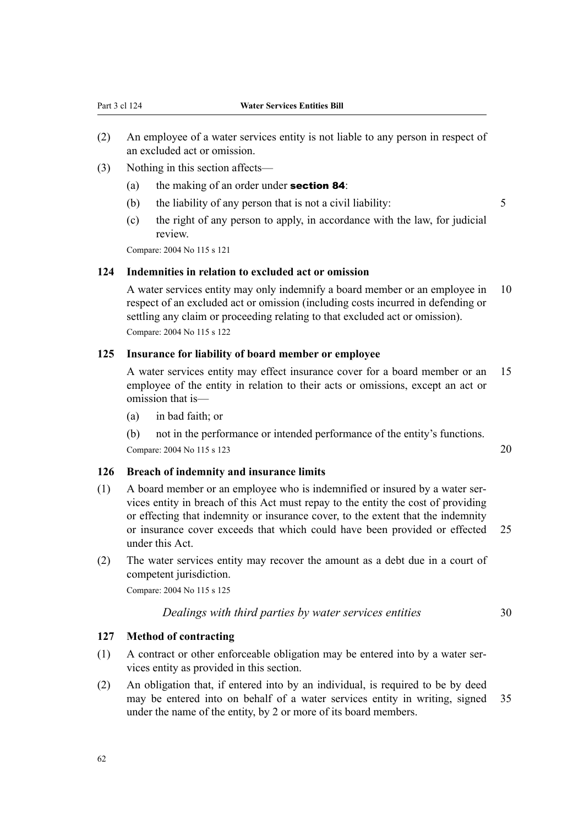- (2) An employee of a water services entity is not liable to any person in respect of an excluded act or omission.
- (3) Nothing in this section affects—
	- (a) the making of an order under **section 84**:
	- (b) the liability of any person that is not a civil liability:  $\frac{5}{5}$

(c) the right of any person to apply, in accordance with the law, for judicial review.

Compare: 2004 No 115 s 121

#### **124 Indemnities in relation to excluded act or omission**

A water services entity may only indemnify a board member or an employee in 10 respect of an excluded act or omission (including costs incurred in defending or settling any claim or proceeding relating to that excluded act or omission). Compare: 2004 No 115 s 122

#### **125 Insurance for liability of board member or employee**

A water services entity may effect insurance cover for a board member or an 15 employee of the entity in relation to their acts or omissions, except an act or omission that is—

(a) in bad faith; or

(b) not in the performance or intended performance of the entity's functions. Compare: 2004 No 115 s 123 20

# **126 Breach of indemnity and insurance limits**

- (1) A board member or an employee who is indemnified or insured by a water ser‐ vices entity in breach of this Act must repay to the entity the cost of providing or effecting that indemnity or insurance cover, to the extent that the indemnity or insurance cover exceeds that which could have been provided or effected 25 under this Act.
- (2) The water services entity may recover the amount as a debt due in a court of competent jurisdiction.

Compare: 2004 No 115 s 125

*Dealings with third parties by water services entities* 30

### **127 Method of contracting**

- (1) A contract or other enforceable obligation may be entered into by a water ser‐ vices entity as provided in this section.
- (2) An obligation that, if entered into by an individual, is required to be by deed may be entered into on behalf of a water services entity in writing, signed 35 under the name of the entity, by 2 or more of its board members.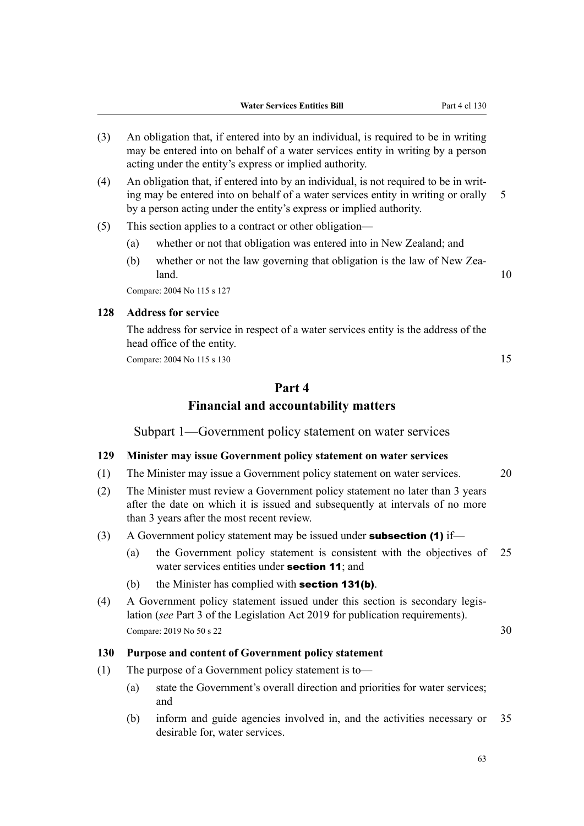- (3) An obligation that, if entered into by an individual, is required to be in writing may be entered into on behalf of a water services entity in writing by a person acting under the entity's express or implied authority.
- (4) An obligation that, if entered into by an individual, is not required to be in writ‐ ing may be entered into on behalf of a water services entity in writing or orally 5 by a person acting under the entity's express or implied authority.
- (5) This section applies to a contract or other obligation—
	- (a) whether or not that obligation was entered into in New Zealand; and
	- (b) whether or not the law governing that obligation is the law of New Zea- $\lambda$  and  $\lambda$  10

Compare: 2004 No 115 s 127

# **128 Address for service**

The address for service in respect of a water services entity is the address of the head office of the entity.

Compare: 2004 No 115 s 130 15

# **Part 4 Financial and accountability matters**

Subpart 1—Government policy statement on water services

#### **129 Minister may issue Government policy statement on water services**

- (1) The Minister may issue a Government policy statement on water services. 20
- (2) The Minister must review a Government policy statement no later than 3 years after the date on which it is issued and subsequently at intervals of no more than 3 years after the most recent review.
- (3) A Government policy statement may be issued under **subsection (1)** if—
	- (a) the Government policy statement is consistent with the objectives of 25 water services entities under **section 11**; and
	- (b) the Minister has complied with **section 131(b)**.
- (4) A Government policy statement issued under this section is secondary legis‐ lation (*see* Part 3 of the Legislation Act 2019 for publication requirements). Compare: 2019 No 50 s 22 30

#### **130 Purpose and content of Government policy statement**

- (1) The purpose of a Government policy statement is to—
	- (a) state the Government's overall direction and priorities for water services; and
	- (b) inform and guide agencies involved in, and the activities necessary or 35 desirable for, water services.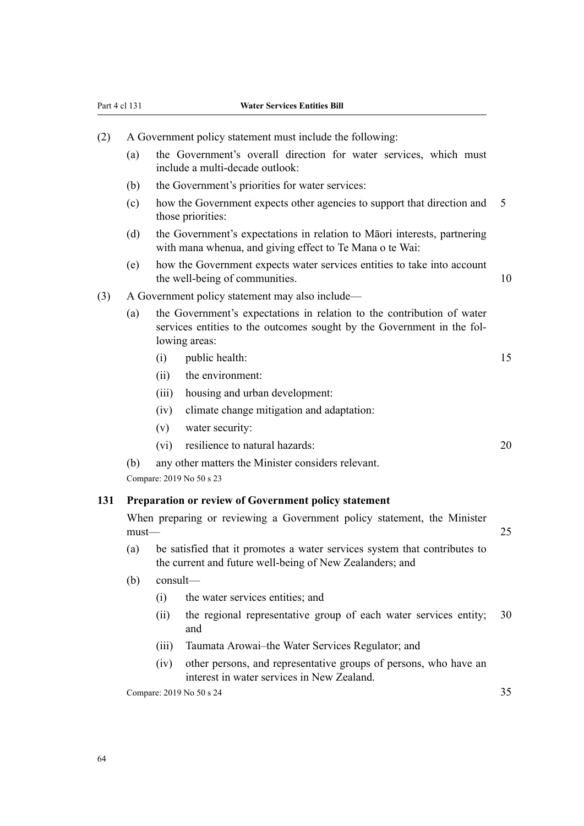# Part 4 cl 131 **Water Services Entities Bill**

| (2) | A Government policy statement must include the following:                                                                                                                |                                                                                                                                       |                                                                                                                                      |    |  |  |
|-----|--------------------------------------------------------------------------------------------------------------------------------------------------------------------------|---------------------------------------------------------------------------------------------------------------------------------------|--------------------------------------------------------------------------------------------------------------------------------------|----|--|--|
|     | (a)                                                                                                                                                                      |                                                                                                                                       | the Government's overall direction for water services, which must<br>include a multi-decade outlook:                                 |    |  |  |
|     | (b)                                                                                                                                                                      |                                                                                                                                       | the Government's priorities for water services:                                                                                      |    |  |  |
|     | (c)                                                                                                                                                                      |                                                                                                                                       | how the Government expects other agencies to support that direction and<br>those priorities:                                         | 5  |  |  |
|     | (d)                                                                                                                                                                      |                                                                                                                                       | the Government's expectations in relation to Māori interests, partnering<br>with mana whenua, and giving effect to Te Mana o te Wai: |    |  |  |
|     | (e)                                                                                                                                                                      |                                                                                                                                       | how the Government expects water services entities to take into account<br>the well-being of communities.                            | 10 |  |  |
| (3) |                                                                                                                                                                          |                                                                                                                                       | A Government policy statement may also include—                                                                                      |    |  |  |
|     | the Government's expectations in relation to the contribution of water<br>(a)<br>services entities to the outcomes sought by the Government in the fol-<br>lowing areas: |                                                                                                                                       |                                                                                                                                      |    |  |  |
|     |                                                                                                                                                                          | (i)                                                                                                                                   | public health:                                                                                                                       | 15 |  |  |
|     |                                                                                                                                                                          | (ii)                                                                                                                                  | the environment:                                                                                                                     |    |  |  |
|     |                                                                                                                                                                          | (iii)                                                                                                                                 | housing and urban development:                                                                                                       |    |  |  |
|     |                                                                                                                                                                          | (iv)                                                                                                                                  | climate change mitigation and adaptation:                                                                                            |    |  |  |
|     |                                                                                                                                                                          | (v)                                                                                                                                   | water security:                                                                                                                      |    |  |  |
|     |                                                                                                                                                                          | $(v_i)$                                                                                                                               | resilience to natural hazards:                                                                                                       | 20 |  |  |
|     | (b)                                                                                                                                                                      | any other matters the Minister considers relevant.                                                                                    |                                                                                                                                      |    |  |  |
|     | Compare: 2019 No 50 s 23                                                                                                                                                 |                                                                                                                                       |                                                                                                                                      |    |  |  |
| 131 | Preparation or review of Government policy statement                                                                                                                     |                                                                                                                                       |                                                                                                                                      |    |  |  |
|     | When preparing or reviewing a Government policy statement, the Minister<br>$must$ —                                                                                      |                                                                                                                                       |                                                                                                                                      |    |  |  |
|     | (a)                                                                                                                                                                      | be satisfied that it promotes a water services system that contributes to<br>the current and future well-being of New Zealanders; and |                                                                                                                                      |    |  |  |
|     | (b)                                                                                                                                                                      | consult-                                                                                                                              |                                                                                                                                      |    |  |  |
|     |                                                                                                                                                                          | (i)                                                                                                                                   | the water services entities; and                                                                                                     |    |  |  |
|     |                                                                                                                                                                          | (ii)                                                                                                                                  | the regional representative group of each water services entity;<br>and                                                              | 30 |  |  |
|     |                                                                                                                                                                          | (iii)                                                                                                                                 | Taumata Arowai-the Water Services Regulator; and                                                                                     |    |  |  |
|     |                                                                                                                                                                          | (iv)                                                                                                                                  | other persons, and representative groups of persons, who have an<br>interest in water services in New Zealand.                       |    |  |  |

Compare: 2019 No 50 s 24 35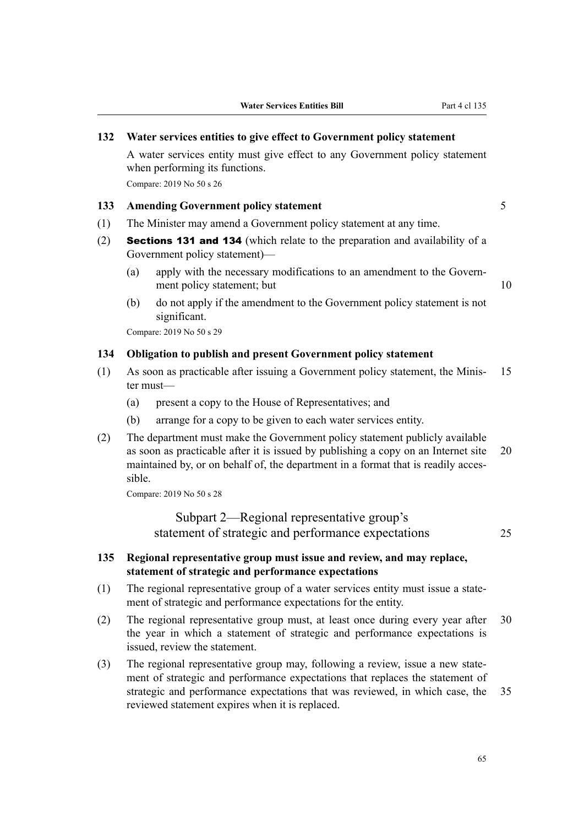#### **132 Water services entities to give effect to Government policy statement**

A water services entity must give effect to any Government policy statement when performing its functions.

Compare: 2019 No 50 s 26

# **133 Amending Government policy statement** 5

- (1) The Minister may amend a Government policy statement at any time.
- (2) Sections 131 and 134 (which relate to the preparation and availability of a Government policy statement)—
	- (a) apply with the necessary modifications to an amendment to the Govern‐ ment policy statement; but 10
	- (b) do not apply if the amendment to the Government policy statement is not significant.

Compare: 2019 No 50 s 29

#### **134 Obligation to publish and present Government policy statement**

- (1) As soon as practicable after issuing a Government policy statement, the Minis‐ 15 ter must—
	- (a) present a copy to the House of Representatives; and
	- (b) arrange for a copy to be given to each water services entity.
- (2) The department must make the Government policy statement publicly available as soon as practicable after it is issued by publishing a copy on an Internet site 20 maintained by, or on behalf of, the department in a format that is readily accessible.

Compare: 2019 No 50 s 28

Subpart 2—Regional representative group's statement of strategic and performance expectations 25

# **135 Regional representative group must issue and review, and may replace, statement of strategic and performance expectations**

- (1) The regional representative group of a water services entity must issue a state‐ ment of strategic and performance expectations for the entity.
- (2) The regional representative group must, at least once during every year after 30 the year in which a statement of strategic and performance expectations is issued, review the statement.
- (3) The regional representative group may, following a review, issue a new state‐ ment of strategic and performance expectations that replaces the statement of strategic and performance expectations that was reviewed, in which case, the 35 reviewed statement expires when it is replaced.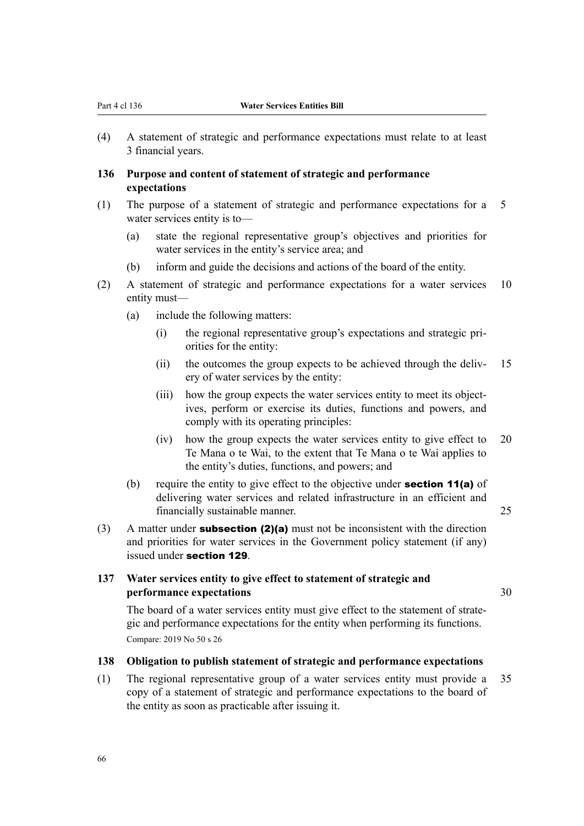(4) A statement of strategic and performance expectations must relate to at least 3 financial years.

# **136 Purpose and content of statement of strategic and performance expectations**

- (1) The purpose of a statement of strategic and performance expectations for a 5 water services entity is to—
	- (a) state the regional representative group's objectives and priorities for water services in the entity's service area; and
	- (b) inform and guide the decisions and actions of the board of the entity.
- (2) A statement of strategic and performance expectations for a water services 10 entity must—
	- (a) include the following matters:
		- (i) the regional representative group's expectations and strategic pri‐ orities for the entity:
		- (ii) the outcomes the group expects to be achieved through the deliv- 15 ery of water services by the entity:
		- (iii) how the group expects the water services entity to meet its objectives, perform or exercise its duties, functions and powers, and comply with its operating principles:
		- (iv) how the group expects the water services entity to give effect to 20 Te Mana o te Wai, to the extent that Te Mana o te Wai applies to the entity's duties, functions, and powers; and
	- (b) require the entity to give effect to the objective under **section 11(a)** of delivering water services and related infrastructure in an efficient and financially sustainable manner. 25
- (3) A matter under **subsection (2)(a)** must not be inconsistent with the direction and priorities for water services in the Government policy statement (if any) issued under section 129.

# **137 Water services entity to give effect to statement of strategic and performance expectations** 30

The board of a water services entity must give effect to the statement of strategic and performance expectations for the entity when performing its functions. Compare: 2019 No 50 s 26

# **138 Obligation to publish statement of strategic and performance expectations**

(1) The regional representative group of a water services entity must provide a 35 copy of a statement of strategic and performance expectations to the board of the entity as soon as practicable after issuing it.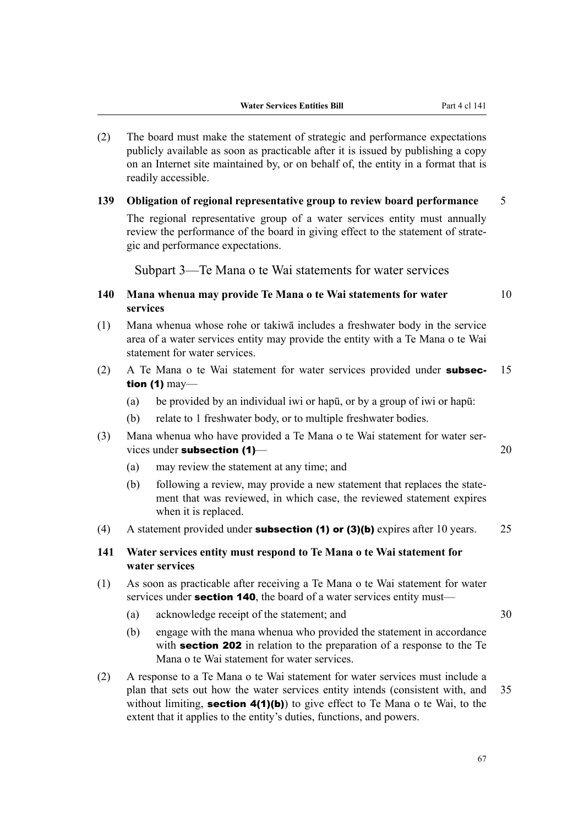- (2) The board must make the statement of strategic and performance expectations publicly available as soon as practicable after it is issued by publishing a copy on an Internet site maintained by, or on behalf of, the entity in a format that is readily accessible.
- **139 Obligation of regional representative group to review board performance** 5

The regional representative group of a water services entity must annually review the performance of the board in giving effect to the statement of strategic and performance expectations.

Subpart 3—Te Mana o te Wai statements for water services

# **140 Mana whenua may provide Te Mana o te Wai statements for water** 10 **services**

- (1) Mana whenua whose rohe or takiwā includes a freshwater body in the service area of a water services entity may provide the entity with a Te Mana o te Wai statement for water services.
- (2) A Te Mana o te Wai statement for water services provided under **subsec-** 15 tion (1) may—
	- (a) be provided by an individual iwi or hapū, or by a group of iwi or hapū:
	- (b) relate to 1 freshwater body, or to multiple freshwater bodies.
- (3) Mana whenua who have provided a Te Mana o te Wai statement for water ser‐ vices under subsection (1)—<br>20
	- (a) may review the statement at any time; and
	- (b) following a review, may provide a new statement that replaces the statement that was reviewed, in which case, the reviewed statement expires when it is replaced.
- (4) A statement provided under **subsection (1) or (3)(b)** expires after 10 years.  $25$
- **141 Water services entity must respond to Te Mana o te Wai statement for water services**
- (1) As soon as practicable after receiving a Te Mana o te Wai statement for water services under **section 140**, the board of a water services entity must—
	- (a) acknowledge receipt of the statement; and 30
- - (b) engage with the mana whenua who provided the statement in accordance with **section 202** in relation to the preparation of a response to the Te Mana o te Wai statement for water services.
- (2) A response to a Te Mana o te Wai statement for water services must include a plan that sets out how the water services entity intends (consistent with, and 35 without limiting, **section 4(1)(b)**) to give effect to Te Mana o te Wai, to the extent that it applies to the entity's duties, functions, and powers.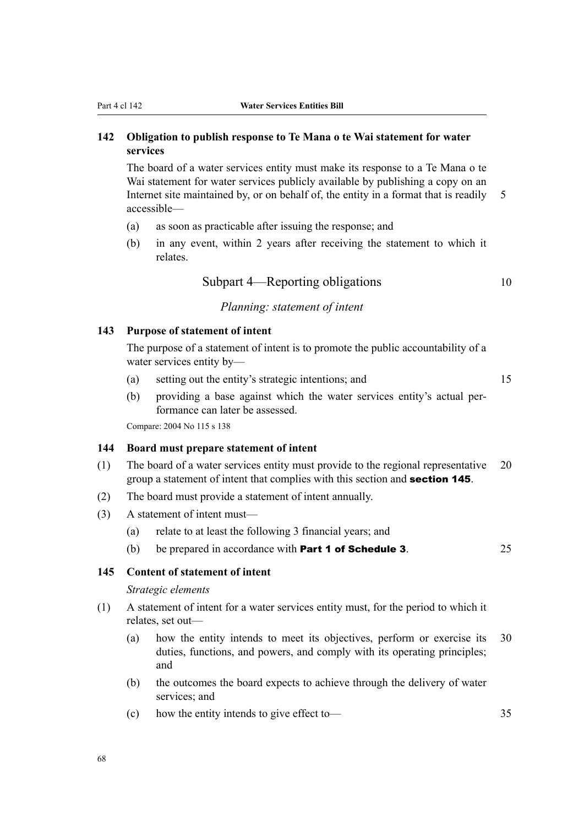# **142 Obligation to publish response to Te Mana o te Wai statement for water services**

The board of a water services entity must make its response to a Te Mana o te Wai statement for water services publicly available by publishing a copy on an Internet site maintained by, or on behalf of, the entity in a format that is readily 5 accessible—

- (a) as soon as practicable after issuing the response; and
- (b) in any event, within 2 years after receiving the statement to which it relates.

Subpart 4—Reporting obligations 10

# *Planning: statement of intent*

# **143 Purpose of statement of intent**

The purpose of a statement of intent is to promote the public accountability of a water services entity by—

- (a) setting out the entity's strategic intentions; and 15
- (b) providing a base against which the water services entity's actual per‐ formance can later be assessed.

Compare: 2004 No 115 s 138

# **144 Board must prepare statement of intent**

- (1) The board of a water services entity must provide to the regional representative 20 group a statement of intent that complies with this section and section 145.
- (2) The board must provide a statement of intent annually.
- (3) A statement of intent must—
	- (a) relate to at least the following 3 financial years; and
	- (b) be prepared in accordance with **Part 1 of Schedule 3**.  $25$

# **145 Content of statement of intent**

#### *Strategic elements*

- (1) A statement of intent for a water services entity must, for the period to which it relates, set out—
	- (a) how the entity intends to meet its objectives, perform or exercise its 30 duties, functions, and powers, and comply with its operating principles; and
	- (b) the outcomes the board expects to achieve through the delivery of water services; and
	- (c) how the entity intends to give effect to— 35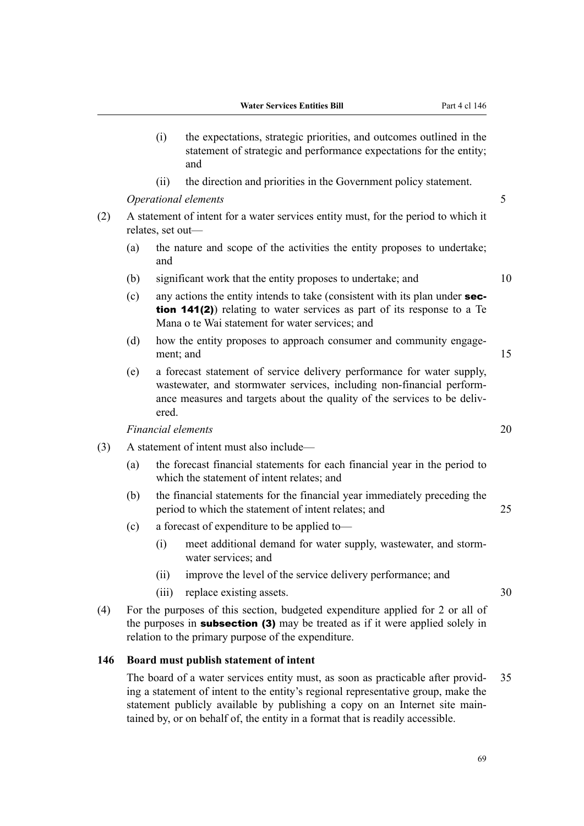- (i) the expectations, strategic priorities, and outcomes outlined in the statement of strategic and performance expectations for the entity; and
- (ii) the direction and priorities in the Government policy statement.

*Operational elements* 5

- (2) A statement of intent for a water services entity must, for the period to which it relates, set out—
	- (a) the nature and scope of the activities the entity proposes to undertake; and
	- (b) significant work that the entity proposes to undertake; and 10
	- (c) any actions the entity intends to take (consistent with its plan under  $sec$ tion 141(2)) relating to water services as part of its response to a Te Mana o te Wai statement for water services; and
	- (d) how the entity proposes to approach consumer and community engagement: and 15
	- (e) a forecast statement of service delivery performance for water supply, wastewater, and stormwater services, including non-financial performance measures and targets about the quality of the services to be delivered.

*Financial elements* 20

- (3) A statement of intent must also include—
	- (a) the forecast financial statements for each financial year in the period to which the statement of intent relates; and
	- (b) the financial statements for the financial year immediately preceding the period to which the statement of intent relates; and 25
	- (c) a forecast of expenditure to be applied to—
		- (i) meet additional demand for water supply, wastewater, and storm‐ water services; and
		- (ii) improve the level of the service delivery performance; and
		- (iii) replace existing assets. 30
- (4) For the purposes of this section, budgeted expenditure applied for 2 or all of the purposes in **subsection (3)** may be treated as if it were applied solely in relation to the primary purpose of the expenditure.

#### **146 Board must publish statement of intent**

The board of a water services entity must, as soon as practicable after provid- 35 ing a statement of intent to the entity's regional representative group, make the statement publicly available by publishing a copy on an Internet site maintained by, or on behalf of, the entity in a format that is readily accessible.

69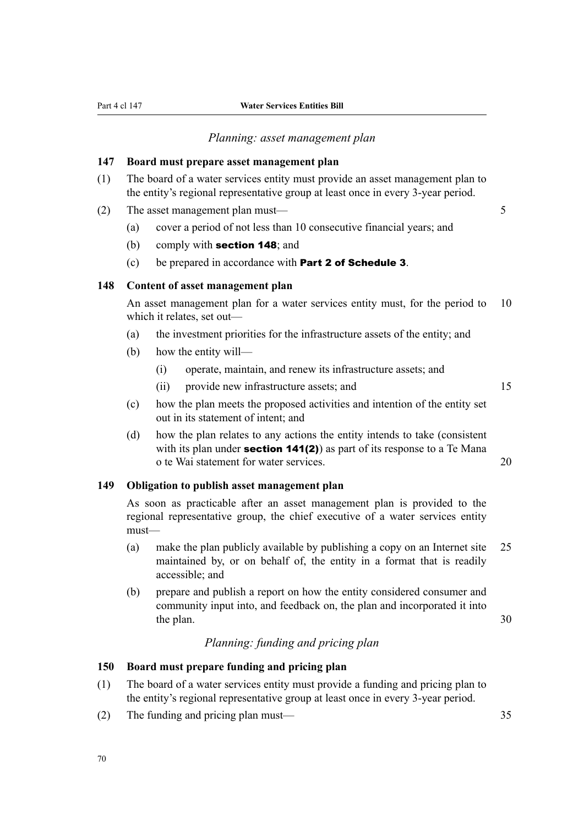#### *Planning: asset management plan*

#### **147 Board must prepare asset management plan**

(1) The board of a water services entity must provide an asset management plan to the entity's regional representative group at least once in every 3-year period.

(2) The asset management plan must— 5

- 
- (a) cover a period of not less than 10 consecutive financial years; and
- (b) comply with section 148; and
- (c) be prepared in accordance with Part 2 of Schedule 3.

# **148 Content of asset management plan**

An asset management plan for a water services entity must, for the period to 10 which it relates, set out—

- (a) the investment priorities for the infrastructure assets of the entity; and
- (b) how the entity will—
	- (i) operate, maintain, and renew its infrastructure assets; and
	- (ii) provide new infrastructure assets; and 15

- (c) how the plan meets the proposed activities and intention of the entity set out in its statement of intent; and
- (d) how the plan relates to any actions the entity intends to take (consistent with its plan under **section 141(2)**) as part of its response to a Te Mana o te Wai statement for water services. 20

#### **149 Obligation to publish asset management plan**

As soon as practicable after an asset management plan is provided to the regional representative group, the chief executive of a water services entity must—

- (a) make the plan publicly available by publishing a copy on an Internet site 25 maintained by, or on behalf of, the entity in a format that is readily accessible; and
- (b) prepare and publish a report on how the entity considered consumer and community input into, and feedback on, the plan and incorporated it into the plan. 30

# *Planning: funding and pricing plan*

# **150 Board must prepare funding and pricing plan**

- (1) The board of a water services entity must provide a funding and pricing plan to the entity's regional representative group at least once in every 3-year period.
- (2) The funding and pricing plan must— 35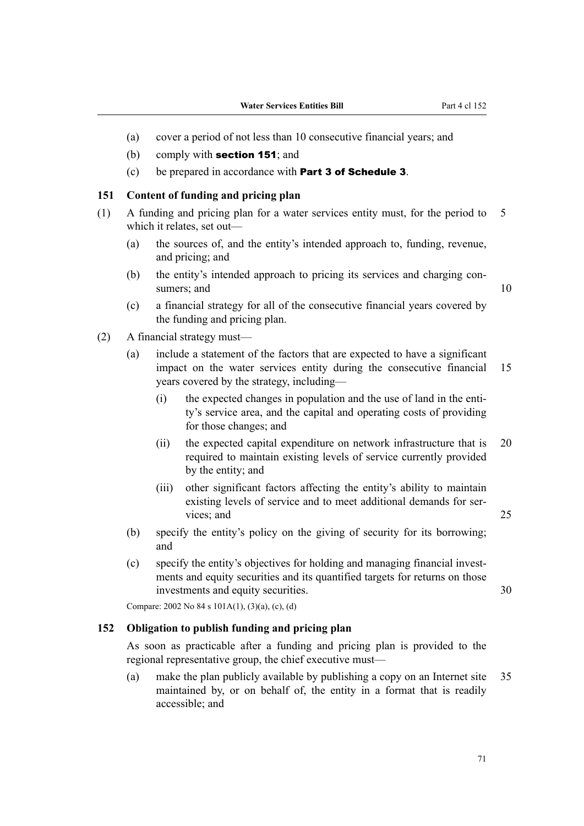- (a) cover a period of not less than 10 consecutive financial years; and
- (b) comply with section 151; and
- (c) be prepared in accordance with Part 3 of Schedule 3.

#### **151 Content of funding and pricing plan**

- (1) A funding and pricing plan for a water services entity must, for the period to 5 which it relates, set out—
	- (a) the sources of, and the entity's intended approach to, funding, revenue, and pricing; and
	- (b) the entity's intended approach to pricing its services and charging consumers; and 10

- (c) a financial strategy for all of the consecutive financial years covered by the funding and pricing plan.
- (2) A financial strategy must—
	- (a) include a statement of the factors that are expected to have a significant impact on the water services entity during the consecutive financial 15 years covered by the strategy, including—
		- (i) the expected changes in population and the use of land in the entity's service area, and the capital and operating costs of providing for those changes; and
		- (ii) the expected capital expenditure on network infrastructure that is 20 required to maintain existing levels of service currently provided by the entity; and
		- (iii) other significant factors affecting the entity's ability to maintain existing levels of service and to meet additional demands for services; and 25
	- (b) specify the entity's policy on the giving of security for its borrowing; and
	- (c) specify the entity's objectives for holding and managing financial invest‐ ments and equity securities and its quantified targets for returns on those investments and equity securities. 30

Compare: 2002 No 84 s 101A(1), (3)(a), (c), (d)

# **152 Obligation to publish funding and pricing plan**

As soon as practicable after a funding and pricing plan is provided to the regional representative group, the chief executive must—

(a) make the plan publicly available by publishing a copy on an Internet site 35 maintained by, or on behalf of, the entity in a format that is readily accessible; and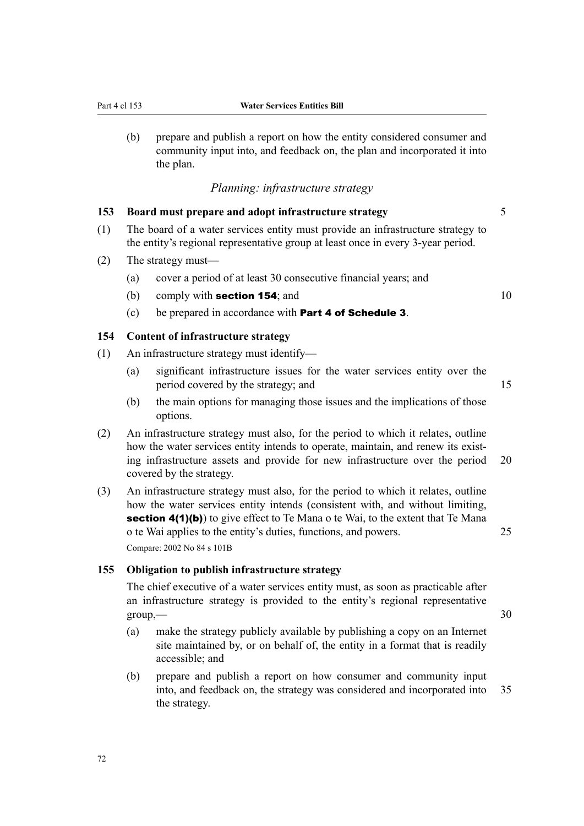(b) prepare and publish a report on how the entity considered consumer and community input into, and feedback on, the plan and incorporated it into the plan.

# *Planning: infrastructure strategy*

# **153 Board must prepare and adopt infrastructure strategy** 5

- (1) The board of a water services entity must provide an infrastructure strategy to the entity's regional representative group at least once in every 3-year period.
- (2) The strategy must—
	- (a) cover a period of at least 30 consecutive financial years; and
	- (b) comply with **section 154**; and  $10$
	- (c) be prepared in accordance with Part 4 of Schedule 3.

#### **154 Content of infrastructure strategy**

- (1) An infrastructure strategy must identify—
	- (a) significant infrastructure issues for the water services entity over the period covered by the strategy; and 15
	- (b) the main options for managing those issues and the implications of those options.
- (2) An infrastructure strategy must also, for the period to which it relates, outline how the water services entity intends to operate, maintain, and renew its existing infrastructure assets and provide for new infrastructure over the period 20 covered by the strategy.
- (3) An infrastructure strategy must also, for the period to which it relates, outline how the water services entity intends (consistent with, and without limiting, **section 4(1)(b)**) to give effect to Te Mana o te Wai, to the extent that Te Mana o te Wai applies to the entity's duties, functions, and powers. 25 Compare: 2002 No 84 s 101B

#### **155 Obligation to publish infrastructure strategy**

The chief executive of a water services entity must, as soon as practicable after an infrastructure strategy is provided to the entity's regional representative  $group, \qquad \qquad$  30

- (a) make the strategy publicly available by publishing a copy on an Internet site maintained by, or on behalf of, the entity in a format that is readily accessible; and
- (b) prepare and publish a report on how consumer and community input into, and feedback on, the strategy was considered and incorporated into 35 the strategy.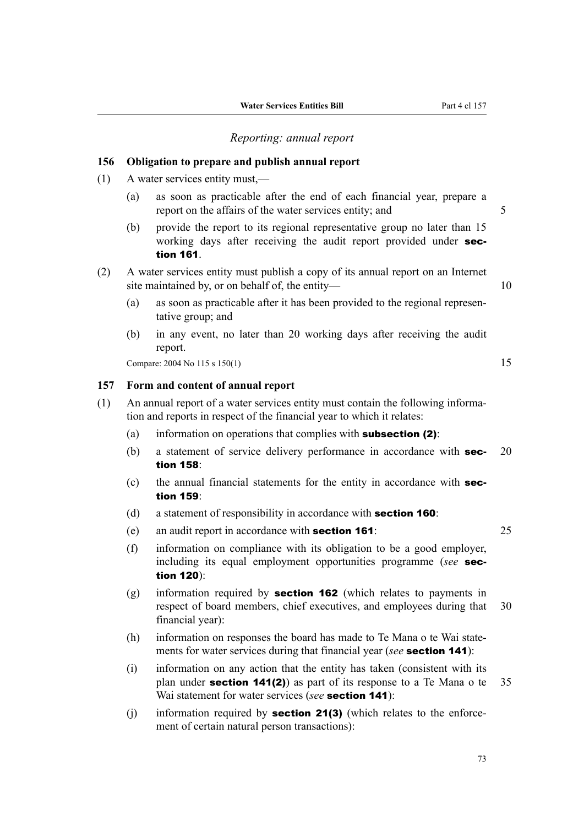#### *Reporting: annual report*

# **156 Obligation to prepare and publish annual report**

- (1) A water services entity must,—
	- (a) as soon as practicable after the end of each financial year, prepare a report on the affairs of the water services entity; and  $5$
	- (b) provide the report to its regional representative group no later than 15 working days after receiving the audit report provided under section 161.
- (2) A water services entity must publish a copy of its annual report on an Internet site maintained by, or on behalf of, the entity— 10
	- (a) as soon as practicable after it has been provided to the regional represen‐ tative group; and
	- (b) in any event, no later than 20 working days after receiving the audit report.

Compare: 2004 No 115 s 150(1) 15

#### **157 Form and content of annual report**

- (1) An annual report of a water services entity must contain the following informa‐ tion and reports in respect of the financial year to which it relates:
	- (a) information on operations that complies with **subsection (2)**:
	- (b) a statement of service delivery performance in accordance with **sec-** 20 tion 158:
	- (c) the annual financial statements for the entity in accordance with section 159:
	- (d) a statement of responsibility in accordance with **section 160**:
	- (e) an audit report in accordance with section 161: 25

- (f) information on compliance with its obligation to be a good employer, including its equal employment opportunities programme (*see* section 120):
- (g) information required by section 162 (which relates to payments in respect of board members, chief executives, and employees during that 30 financial year):
- (h) information on responses the board has made to Te Mana o te Wai statements for water services during that financial year (*see* section 141):
- (i) information on any action that the entity has taken (consistent with its plan under **section 141(2)**) as part of its response to a Te Mana o te  $35$ Wai statement for water services (*see* **section 141**):
- (i) information required by **section 21(3)** (which relates to the enforcement of certain natural person transactions):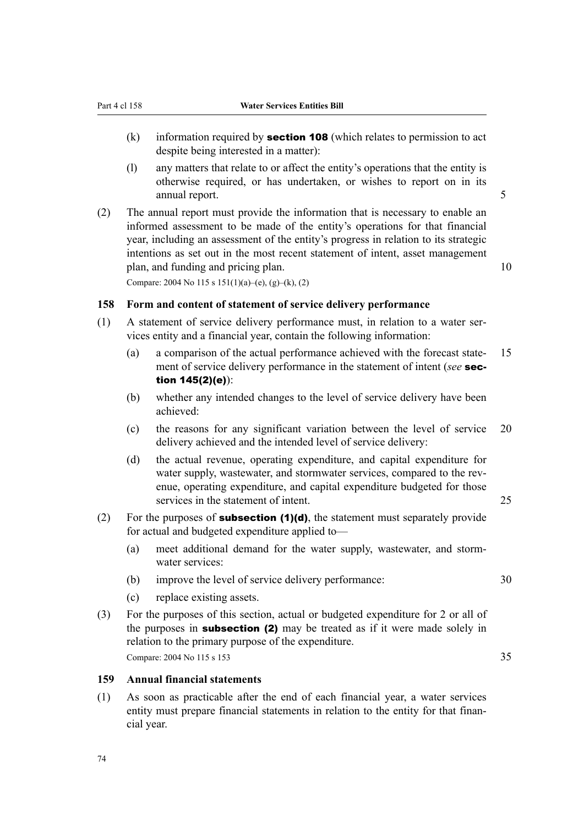- (k) information required by **section 108** (which relates to permission to act despite being interested in a matter):
- (l) any matters that relate to or affect the entity's operations that the entity is otherwise required, or has undertaken, or wishes to report on in its annual report. 5
- (2) The annual report must provide the information that is necessary to enable an informed assessment to be made of the entity's operations for that financial year, including an assessment of the entity's progress in relation to its strategic intentions as set out in the most recent statement of intent, asset management plan, and funding and pricing plan. 10 Compare: 2004 No 115 s  $151(1)(a)$ –(e), (g)–(k), (2)

**158 Form and content of statement of service delivery performance**

- (1) A statement of service delivery performance must, in relation to a water ser‐ vices entity and a financial year, contain the following information:
	- (a) a comparison of the actual performance achieved with the forecast state-15 ment of service delivery performance in the statement of intent (*see* section 145(2)(e)):
	- (b) whether any intended changes to the level of service delivery have been achieved:
	- (c) the reasons for any significant variation between the level of service 20 delivery achieved and the intended level of service delivery:
	- (d) the actual revenue, operating expenditure, and capital expenditure for water supply, wastewater, and stormwater services, compared to the revenue, operating expenditure, and capital expenditure budgeted for those services in the statement of intent. 25
- (2) For the purposes of **subsection (1)(d)**, the statement must separately provide for actual and budgeted expenditure applied to—
	- (a) meet additional demand for the water supply, wastewater, and storm‐ water services:
	- (b) improve the level of service delivery performance: 30
	- (c) replace existing assets.
- (3) For the purposes of this section, actual or budgeted expenditure for 2 or all of the purposes in **subsection (2)** may be treated as if it were made solely in relation to the primary purpose of the expenditure. Compare: 2004 No 115 s 153 35

#### **159 Annual financial statements**

(1) As soon as practicable after the end of each financial year, a water services entity must prepare financial statements in relation to the entity for that financial year.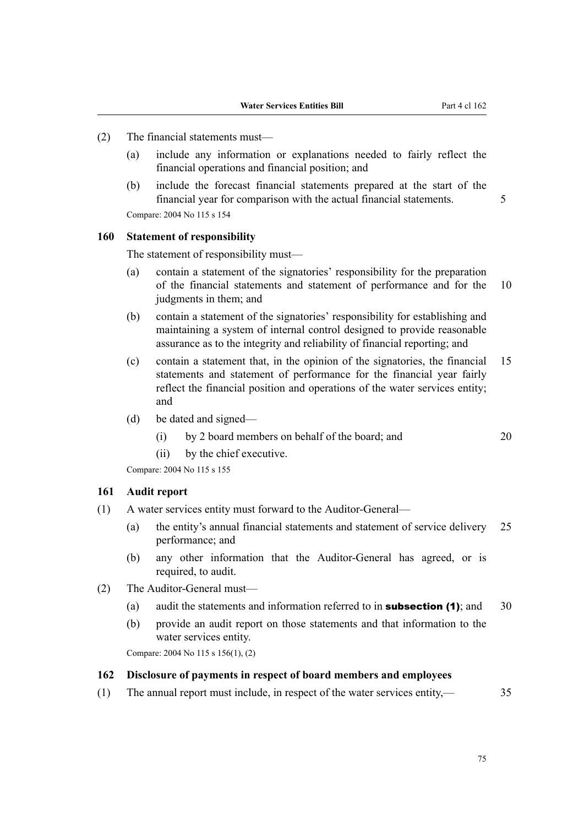- (2) The financial statements must—
	- (a) include any information or explanations needed to fairly reflect the financial operations and financial position; and
	- (b) include the forecast financial statements prepared at the start of the financial year for comparison with the actual financial statements. 5 Compare: 2004 No 115 s 154

#### **160 Statement of responsibility**

The statement of responsibility must—

- (a) contain a statement of the signatories' responsibility for the preparation of the financial statements and statement of performance and for the 10 judgments in them; and
- (b) contain a statement of the signatories' responsibility for establishing and maintaining a system of internal control designed to provide reasonable assurance as to the integrity and reliability of financial reporting; and
- (c) contain a statement that, in the opinion of the signatories, the financial 15 statements and statement of performance for the financial year fairly reflect the financial position and operations of the water services entity; and
- (d) be dated and signed—
	- (i) by 2 board members on behalf of the board; and 20
	- (ii) by the chief executive.

Compare: 2004 No 115 s 155

#### **161 Audit report**

- (1) A water services entity must forward to the Auditor-General—
	- (a) the entity's annual financial statements and statement of service delivery 25 performance; and
	- (b) any other information that the Auditor-General has agreed, or is required, to audit.
- (2) The Auditor-General must—
	- (a) audit the statements and information referred to in **subsection (1)**; and  $30$
	- (b) provide an audit report on those statements and that information to the water services entity.

Compare: 2004 No 115 s 156(1), (2)

## **162 Disclosure of payments in respect of board members and employees**

(1) The annual report must include, in respect of the water services entity,— 35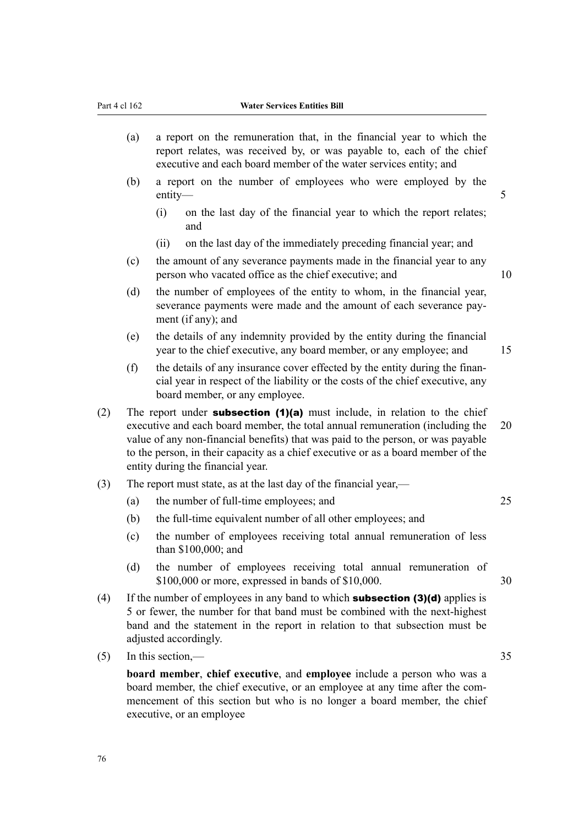- (a) a report on the remuneration that, in the financial year to which the report relates, was received by, or was payable to, each of the chief executive and each board member of the water services entity; and
- (b) a report on the number of employees who were employed by the entity—5
	- (i) on the last day of the financial year to which the report relates; and
	- (ii) on the last day of the immediately preceding financial year; and
- (c) the amount of any severance payments made in the financial year to any person who vacated office as the chief executive; and 10
- (d) the number of employees of the entity to whom, in the financial year, severance payments were made and the amount of each severance payment (if any); and
- (e) the details of any indemnity provided by the entity during the financial year to the chief executive, any board member, or any employee; and 15
- (f) the details of any insurance cover effected by the entity during the finan‐ cial year in respect of the liability or the costs of the chief executive, any board member, or any employee.
- (2) The report under **subsection (1)(a)** must include, in relation to the chief executive and each board member, the total annual remuneration (including the 20 value of any non-financial benefits) that was paid to the person, or was payable to the person, in their capacity as a chief executive or as a board member of the entity during the financial year.
- (3) The report must state, as at the last day of the financial year,—
	- (a) the number of full-time employees; and 25
	- (b) the full-time equivalent number of all other employees; and
	- (c) the number of employees receiving total annual remuneration of less than \$100,000; and
	- (d) the number of employees receiving total annual remuneration of \$100,000 or more, expressed in bands of \$10,000. 30
- (4) If the number of employees in any band to which **subsection (3)(d)** applies is 5 or fewer, the number for that band must be combined with the next-highest band and the statement in the report in relation to that subsection must be adjusted accordingly.
- (5) In this section,— 35

**board member**, **chief executive**, and **employee** include a person who was a board member, the chief executive, or an employee at any time after the commencement of this section but who is no longer a board member, the chief executive, or an employee

76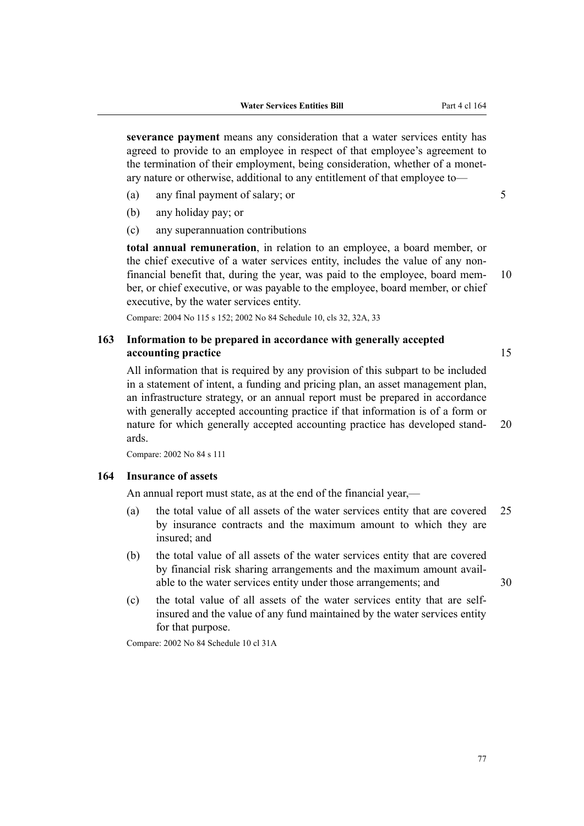**severance payment** means any consideration that a water services entity has agreed to provide to an employee in respect of that employee's agreement to the termination of their employment, being consideration, whether of a monetary nature or otherwise, additional to any entitlement of that employee to—

- (a) any final payment of salary; or 5
- (b) any holiday pay; or
- (c) any superannuation contributions

**total annual remuneration**, in relation to an employee, a board member, or the chief executive of a water services entity, includes the value of any nonfinancial benefit that, during the year, was paid to the employee, board mem-  $10$ ber, or chief executive, or was payable to the employee, board member, or chief executive, by the water services entity.

Compare: 2004 No 115 s 152; 2002 No 84 Schedule 10, cls 32, 32A, 33

# **163 Information to be prepared in accordance with generally accepted accounting practice** 15

All information that is required by any provision of this subpart to be included in a statement of intent, a funding and pricing plan, an asset management plan, an infrastructure strategy, or an annual report must be prepared in accordance with generally accepted accounting practice if that information is of a form or nature for which generally accepted accounting practice has developed stand- 20 ards.

Compare: 2002 No 84 s 111

#### **164 Insurance of assets**

An annual report must state, as at the end of the financial year,—

- (a) the total value of all assets of the water services entity that are covered 25 by insurance contracts and the maximum amount to which they are insured; and
- (b) the total value of all assets of the water services entity that are covered by financial risk sharing arrangements and the maximum amount avail‐ able to the water services entity under those arrangements; and  $30$
- (c) the total value of all assets of the water services entity that are selfinsured and the value of any fund maintained by the water services entity for that purpose.

Compare: 2002 No 84 Schedule 10 cl 31A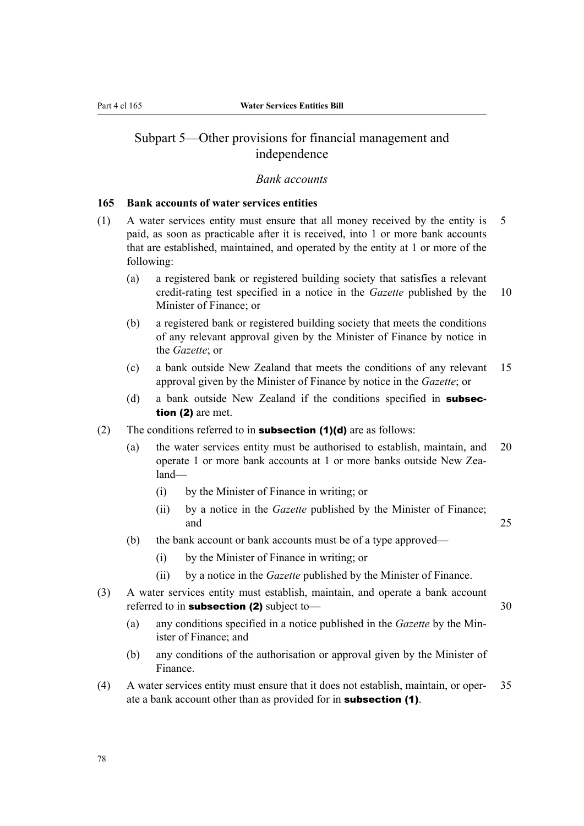# Subpart 5—Other provisions for financial management and independence

### *Bank accounts*

### **165 Bank accounts of water services entities**

- (1) A water services entity must ensure that all money received by the entity is 5 paid, as soon as practicable after it is received, into 1 or more bank accounts that are established, maintained, and operated by the entity at 1 or more of the following:
	- (a) a registered bank or registered building society that satisfies a relevant credit-rating test specified in a notice in the *Gazette* published by the 10 Minister of Finance; or
	- (b) a registered bank or registered building society that meets the conditions of any relevant approval given by the Minister of Finance by notice in the *Gazette*; or
	- (c) a bank outside New Zealand that meets the conditions of any relevant 15 approval given by the Minister of Finance by notice in the *Gazette*; or
	- (d) a bank outside New Zealand if the conditions specified in **subsec**tion (2) are met.
- (2) The conditions referred to in **subsection (1)(d)** are as follows:
	- (a) the water services entity must be authorised to establish, maintain, and 20 operate 1 or more bank accounts at 1 or more banks outside New Zealand—
		- (i) by the Minister of Finance in writing; or
		- (ii) by a notice in the *Gazette* published by the Minister of Finance; and 25
	- (b) the bank account or bank accounts must be of a type approved—
		- (i) by the Minister of Finance in writing; or
		- (ii) by a notice in the *Gazette* published by the Minister of Finance.
- (3) A water services entity must establish, maintain, and operate a bank account referred to in **subsection (2)** subject to— 30
	- (a) any conditions specified in a notice published in the *Gazette* by the Min‐ ister of Finance; and
	- (b) any conditions of the authorisation or approval given by the Minister of Finance.
- (4) A water services entity must ensure that it does not establish, maintain, or oper‐ 35 ate a bank account other than as provided for in subsection (1).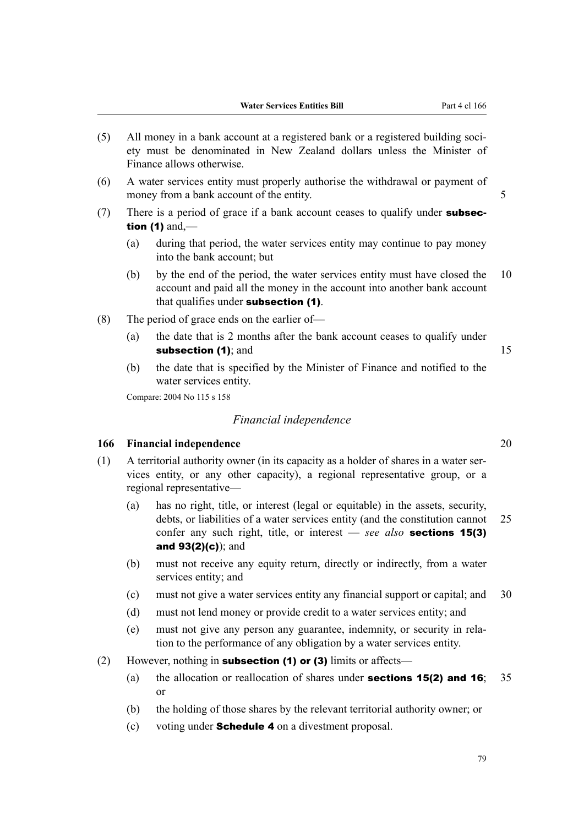- (5) All money in a bank account at a registered bank or a registered building soci‐ ety must be denominated in New Zealand dollars unless the Minister of Finance allows otherwise.
- (6) A water services entity must properly authorise the withdrawal or payment of money from a bank account of the entity. 5
- (7) There is a period of grace if a bank account ceases to qualify under **subsec**tion  $(1)$  and,—
	- (a) during that period, the water services entity may continue to pay money into the bank account; but
	- (b) by the end of the period, the water services entity must have closed the 10 account and paid all the money in the account into another bank account that qualifies under subsection (1).
- (8) The period of grace ends on the earlier of—
	- (a) the date that is 2 months after the bank account ceases to qualify under subsection (1); and 15
	- (b) the date that is specified by the Minister of Finance and notified to the water services entity.

Compare: 2004 No 115 s 158

## *Financial independence*

## **166 Financial independence** 20

- (1) A territorial authority owner (in its capacity as a holder of shares in a water ser‐ vices entity, or any other capacity), a regional representative group, or a regional representative—
	- (a) has no right, title, or interest (legal or equitable) in the assets, security, debts, or liabilities of a water services entity (and the constitution cannot 25 confer any such right, title, or interest — *see also* sections 15(3) and 93(2)(c)); and
	- (b) must not receive any equity return, directly or indirectly, from a water services entity; and
	- (c) must not give a water services entity any financial support or capital; and 30
	- (d) must not lend money or provide credit to a water services entity; and
	- (e) must not give any person any guarantee, indemnity, or security in rela‐ tion to the performance of any obligation by a water services entity.
- (2) However, nothing in **subsection (1) or (3)** limits or affects—
	- (a) the allocation or reallocation of shares under **sections 15(2) and 16**; 35 or
	- (b) the holding of those shares by the relevant territorial authority owner; or
	- (c) voting under Schedule 4 on a divestment proposal.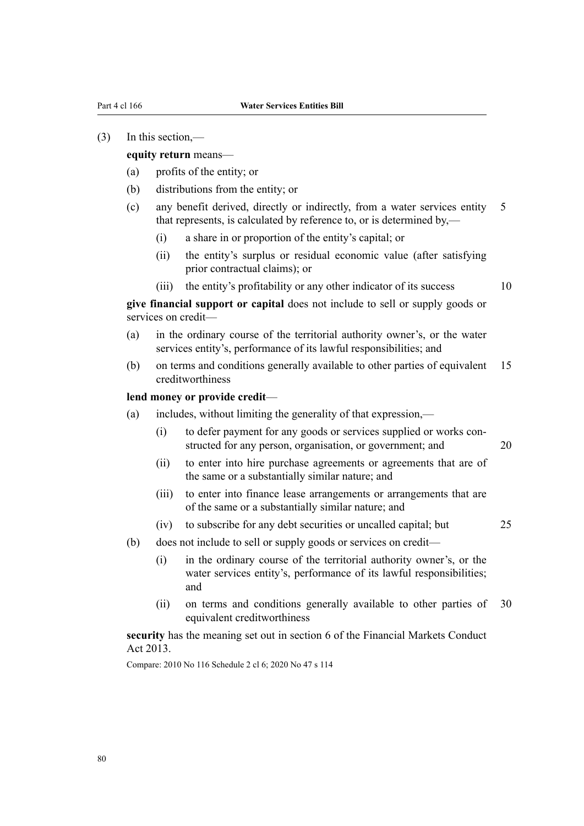#### (3) In this section,—

#### **equity return** means—

- (a) profits of the entity; or
- (b) distributions from the entity; or
- (c) any benefit derived, directly or indirectly, from a water services entity 5 that represents, is calculated by reference to, or is determined by,—
	- (i) a share in or proportion of the entity's capital; or
	- (ii) the entity's surplus or residual economic value (after satisfying prior contractual claims); or
	- (iii) the entity's profitability or any other indicator of its success 10

**give financial support or capital** does not include to sell or supply goods or services on credit-

- (a) in the ordinary course of the territorial authority owner's, or the water services entity's, performance of its lawful responsibilities; and
- (b) on terms and conditions generally available to other parties of equivalent 15 creditworthiness

## **lend money or provide credit**—

- (a) includes, without limiting the generality of that expression,—
	- (i) to defer payment for any goods or services supplied or works constructed for any person, organisation, or government; and 20
	- (ii) to enter into hire purchase agreements or agreements that are of the same or a substantially similar nature; and
	- (iii) to enter into finance lease arrangements or arrangements that are of the same or a substantially similar nature; and
	- (iv) to subscribe for any debt securities or uncalled capital; but 25
- (b) does not include to sell or supply goods or services on credit—
	- (i) in the ordinary course of the territorial authority owner's, or the water services entity's, performance of its lawful responsibilities; and
	- (ii) on terms and conditions generally available to other parties of 30 equivalent creditworthiness

**security** has the meaning set out in section 6 of the Financial Markets Conduct Act 2013.

Compare: 2010 No 116 Schedule 2 cl 6; 2020 No 47 s 114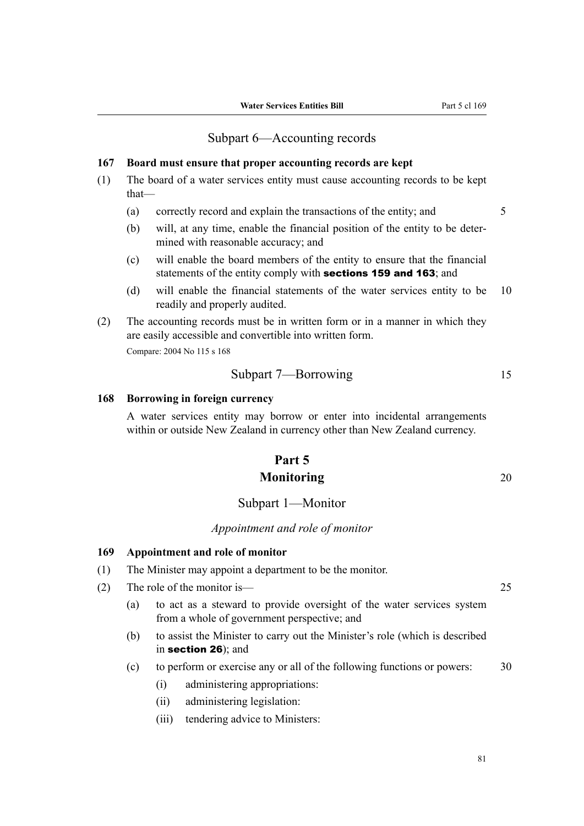# Subpart 6—Accounting records

### **167 Board must ensure that proper accounting records are kept**

- (1) The board of a water services entity must cause accounting records to be kept that—
	- (a) correctly record and explain the transactions of the entity; and 5
	- (b) will, at any time, enable the financial position of the entity to be deter‐ mined with reasonable accuracy; and
	- (c) will enable the board members of the entity to ensure that the financial statements of the entity comply with **sections 159 and 163**; and
	- (d) will enable the financial statements of the water services entity to be 10 readily and properly audited.
- (2) The accounting records must be in written form or in a manner in which they are easily accessible and convertible into written form.

Compare: 2004 No 115 s 168

Subpart 7—Borrowing 15

### **168 Borrowing in foreign currency**

A water services entity may borrow or enter into incidental arrangements within or outside New Zealand in currency other than New Zealand currency.

# **Part 5 Monitoring** 20

# Subpart 1—Monitor

### *Appointment and role of monitor*

# **169 Appointment and role of monitor**

- (1) The Minister may appoint a department to be the monitor.
- (2) The role of the monitor is— 25
	- (a) to act as a steward to provide oversight of the water services system from a whole of government perspective; and
	- (b) to assist the Minister to carry out the Minister's role (which is described in section 26); and
	- (c) to perform or exercise any or all of the following functions or powers: 30
		- (i) administering appropriations:
		- (ii) administering legislation:
		- (iii) tendering advice to Ministers: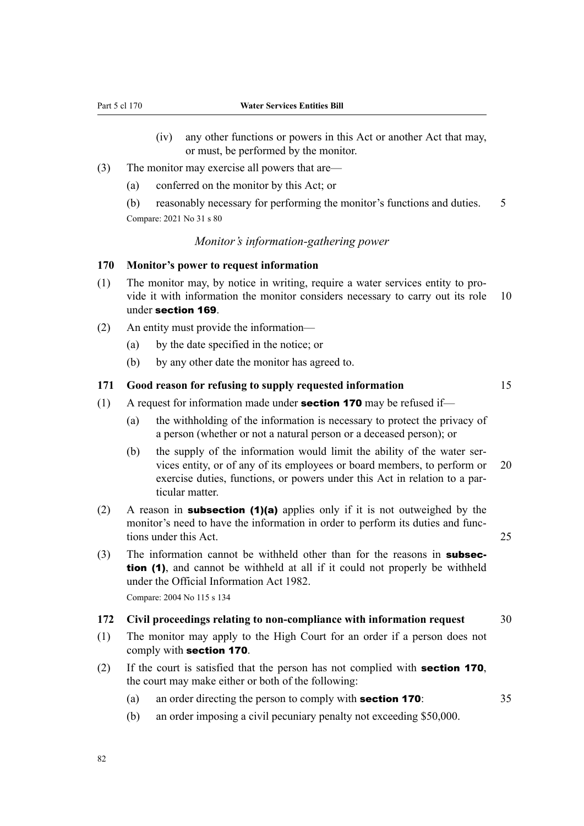- (iv) any other functions or powers in this Act or another Act that may, or must, be performed by the monitor.
- (3) The monitor may exercise all powers that are—
	- (a) conferred on the monitor by this Act; or

(b) reasonably necessary for performing the monitor's functions and duties. 5 Compare: 2021 No 31 s 80

# *Monitor's information-gathering power*

# **170 Monitor's power to request information**

- (1) The monitor may, by notice in writing, require a water services entity to pro‐ vide it with information the monitor considers necessary to carry out its role 10 under section 169.
- (2) An entity must provide the information—
	- (a) by the date specified in the notice; or
	- (b) by any other date the monitor has agreed to.

# **171 Good reason for refusing to supply requested information** 15

- (1) A request for information made under **section 170** may be refused if—
	- (a) the withholding of the information is necessary to protect the privacy of a person (whether or not a natural person or a deceased person); or
	- (b) the supply of the information would limit the ability of the water services entity, or of any of its employees or board members, to perform or 20 exercise duties, functions, or powers under this Act in relation to a particular matter.
- (2) A reason in **subsection (1)(a)** applies only if it is not outweighed by the monitor's need to have the information in order to perform its duties and functions under this Act. 25
- (3) The information cannot be withheld other than for the reasons in subsection (1), and cannot be withheld at all if it could not properly be withheld under the Official Information Act 1982. Compare: 2004 No 115 s 134

#### **172 Civil proceedings relating to non-compliance with information request** 30

- (1) The monitor may apply to the High Court for an order if a person does not comply with section 170.
- (2) If the court is satisfied that the person has not complied with section 170, the court may make either or both of the following:
	- (a) an order directing the person to comply with **section 170**: 35
	- (b) an order imposing a civil pecuniary penalty not exceeding \$50,000.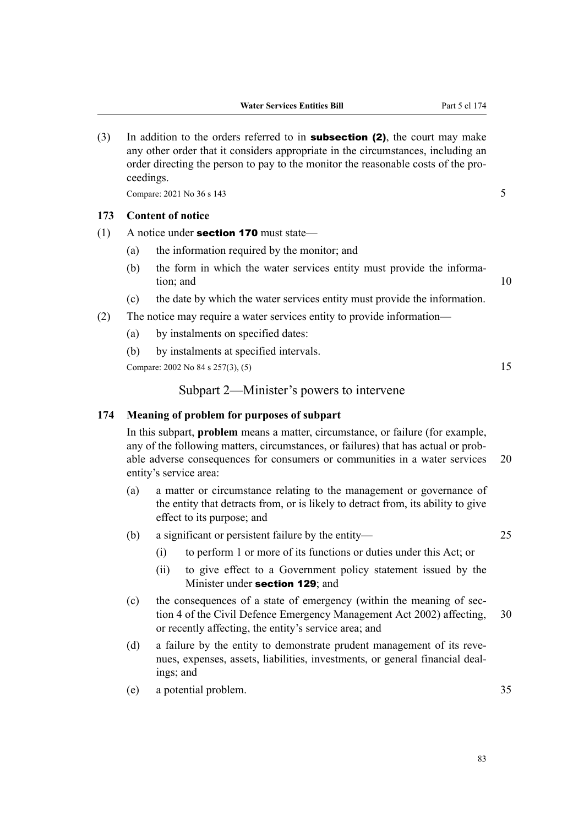(3) In addition to the orders referred to in **subsection (2)**, the court may make any other order that it considers appropriate in the circumstances, including an order directing the person to pay to the monitor the reasonable costs of the pro‐ ceedings.

Compare:  $2021$  No  $36$  s  $143$  5

# **173 Content of notice**

- (1) A notice under **section 170** must state—
	- (a) the information required by the monitor; and
	- (b) the form in which the water services entity must provide the information; and 10
	- (c) the date by which the water services entity must provide the information.
- (2) The notice may require a water services entity to provide information—
	- (a) by instalments on specified dates:
	- (b) by instalments at specified intervals.

Compare: 2002 No 84 s 257(3), (5) 15

## Subpart 2—Minister's powers to intervene

## **174 Meaning of problem for purposes of subpart**

In this subpart, **problem** means a matter, circumstance, or failure (for example, any of the following matters, circumstances, or failures) that has actual or probable adverse consequences for consumers or communities in a water services 20 entity's service area:

- (a) a matter or circumstance relating to the management or governance of the entity that detracts from, or is likely to detract from, its ability to give effect to its purpose; and
- (b) a significant or persistent failure by the entity— 25
	- (i) to perform 1 or more of its functions or duties under this Act; or
	- (ii) to give effect to a Government policy statement issued by the Minister under **section 129**; and
- (c) the consequences of a state of emergency (within the meaning of section 4 of the Civil Defence Emergency Management Act 2002) affecting, 30 or recently affecting, the entity's service area; and
- (d) a failure by the entity to demonstrate prudent management of its revenues, expenses, assets, liabilities, investments, or general financial deal‐ ings; and
- (e) a potential problem. 35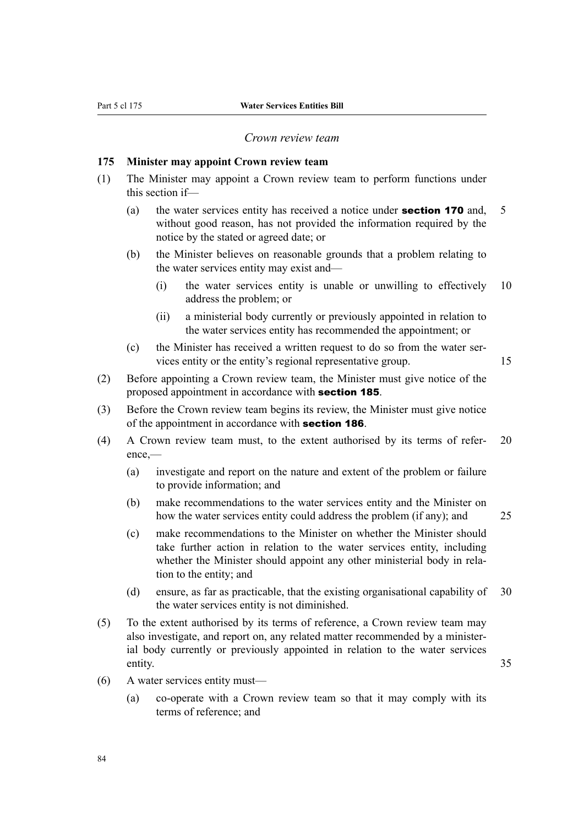# *Crown review team*

#### **175 Minister may appoint Crown review team**

- (1) The Minister may appoint a Crown review team to perform functions under this section if—
	- (a) the water services entity has received a notice under **section 170** and,  $\overline{5}$ without good reason, has not provided the information required by the notice by the stated or agreed date; or
	- (b) the Minister believes on reasonable grounds that a problem relating to the water services entity may exist and—
		- (i) the water services entity is unable or unwilling to effectively 10 address the problem; or
		- (ii) a ministerial body currently or previously appointed in relation to the water services entity has recommended the appointment; or
	- (c) the Minister has received a written request to do so from the water ser‐ vices entity or the entity's regional representative group. 15
- (2) Before appointing a Crown review team, the Minister must give notice of the proposed appointment in accordance with section 185.
- (3) Before the Crown review team begins its review, the Minister must give notice of the appointment in accordance with **section 186**.
- (4) A Crown review team must, to the extent authorised by its terms of refer‐ 20 ence,—
	- (a) investigate and report on the nature and extent of the problem or failure to provide information; and
	- (b) make recommendations to the water services entity and the Minister on how the water services entity could address the problem (if any); and 25

- (c) make recommendations to the Minister on whether the Minister should take further action in relation to the water services entity, including whether the Minister should appoint any other ministerial body in relation to the entity; and
- (d) ensure, as far as practicable, that the existing organisational capability of 30 the water services entity is not diminished.
- (5) To the extent authorised by its terms of reference, a Crown review team may also investigate, and report on, any related matter recommended by a minister‐ ial body currently or previously appointed in relation to the water services entity. 35
- (6) A water services entity must—
	- (a) co-operate with a Crown review team so that it may comply with its terms of reference; and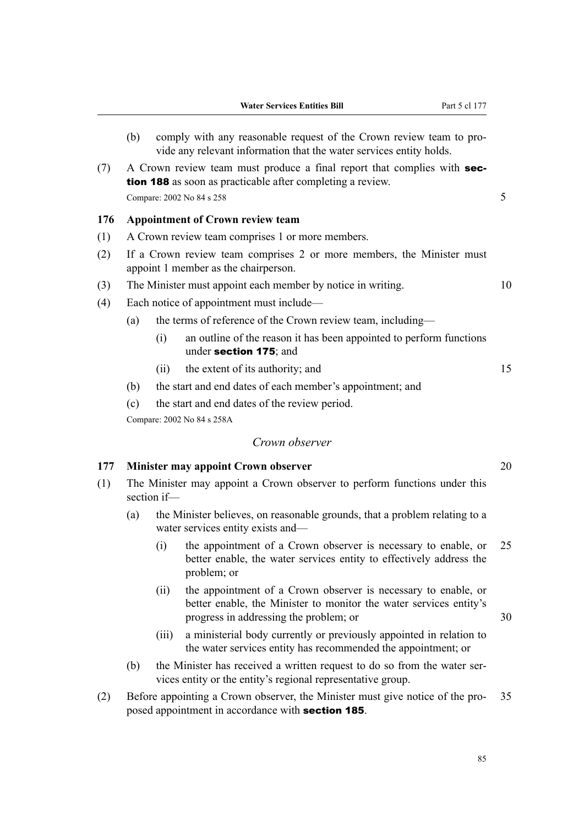- (b) comply with any reasonable request of the Crown review team to provide any relevant information that the water services entity holds.  $(7)$  A Crown review team must produce a final report that complies with **sec**tion 188 as soon as practicable after completing a review. Compare:  $2002$  No 84 s  $258$  5 **176 Appointment of Crown review team** (1) A Crown review team comprises 1 or more members. (2) If a Crown review team comprises 2 or more members, the Minister must appoint 1 member as the chairperson. (3) The Minister must appoint each member by notice in writing. 10 (4) Each notice of appointment must include— (a) the terms of reference of the Crown review team, including— (i) an outline of the reason it has been appointed to perform functions under section 175; and (ii) the extent of its authority; and 15 (b) the start and end dates of each member's appointment; and (c) the start and end dates of the review period. Compare: 2002 No 84 s 258A *Crown observer* **177 Minister may appoint Crown observer** 20 (1) The Minister may appoint a Crown observer to perform functions under this section if— (a) the Minister believes, on reasonable grounds, that a problem relating to a water services entity exists and— (i) the appointment of a Crown observer is necessary to enable, or 25 better enable, the water services entity to effectively address the problem; or (ii) the appointment of a Crown observer is necessary to enable, or better enable, the Minister to monitor the water services entity's progress in addressing the problem; or 30 (iii) a ministerial body currently or previously appointed in relation to the water services entity has recommended the appointment; or
	- (b) the Minister has received a written request to do so from the water ser‐ vices entity or the entity's regional representative group.
- (2) Before appointing a Crown observer, the Minister must give notice of the pro‐ 35 posed appointment in accordance with section 185.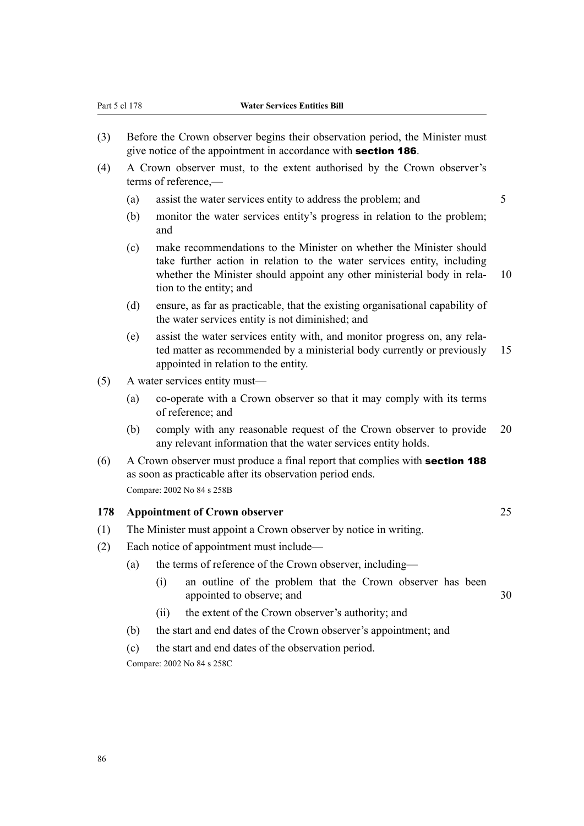- (3) Before the Crown observer begins their observation period, the Minister must give notice of the appointment in accordance with **section 186**.
- (4) A Crown observer must, to the extent authorised by the Crown observer's terms of reference,—
	- (a) assist the water services entity to address the problem; and 5
	- (b) monitor the water services entity's progress in relation to the problem; and
	- (c) make recommendations to the Minister on whether the Minister should take further action in relation to the water services entity, including whether the Minister should appoint any other ministerial body in rela- 10 tion to the entity; and
	- (d) ensure, as far as practicable, that the existing organisational capability of the water services entity is not diminished; and
	- (e) assist the water services entity with, and monitor progress on, any rela‐ ted matter as recommended by a ministerial body currently or previously 15 appointed in relation to the entity.
- (5) A water services entity must—
	- (a) co-operate with a Crown observer so that it may comply with its terms of reference; and
	- (b) comply with any reasonable request of the Crown observer to provide 20 any relevant information that the water services entity holds.
- (6) A Crown observer must produce a final report that complies with section 188 as soon as practicable after its observation period ends. Compare: 2002 No 84 s 258B

## **178 Appointment of Crown observer** 25

- (1) The Minister must appoint a Crown observer by notice in writing.
- (2) Each notice of appointment must include—
	- (a) the terms of reference of the Crown observer, including—
		- (i) an outline of the problem that the Crown observer has been appointed to observe; and 30
		- (ii) the extent of the Crown observer's authority; and
	- (b) the start and end dates of the Crown observer's appointment; and
	- (c) the start and end dates of the observation period.

Compare: 2002 No 84 s 258C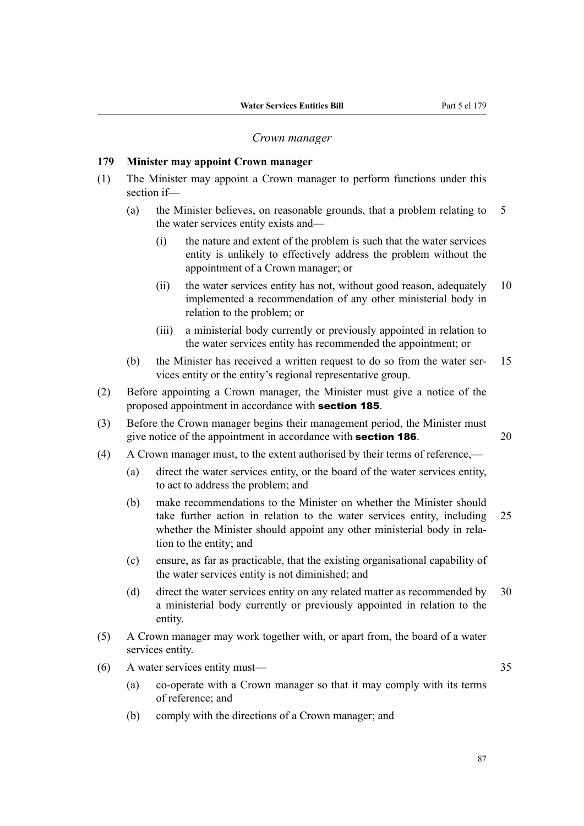#### *Crown manager*

## **179 Minister may appoint Crown manager**

- (1) The Minister may appoint a Crown manager to perform functions under this section if—
	- (a) the Minister believes, on reasonable grounds, that a problem relating to 5 the water services entity exists and—
		- (i) the nature and extent of the problem is such that the water services entity is unlikely to effectively address the problem without the appointment of a Crown manager; or
		- (ii) the water services entity has not, without good reason, adequately 10 implemented a recommendation of any other ministerial body in relation to the problem; or
		- (iii) a ministerial body currently or previously appointed in relation to the water services entity has recommended the appointment; or
	- (b) the Minister has received a written request to do so from the water ser‐ 15 vices entity or the entity's regional representative group.
- (2) Before appointing a Crown manager, the Minister must give a notice of the proposed appointment in accordance with section 185.
- (3) Before the Crown manager begins their management period, the Minister must give notice of the appointment in accordance with **section 186**. 20
- (4) A Crown manager must, to the extent authorised by their terms of reference,—
	- (a) direct the water services entity, or the board of the water services entity, to act to address the problem; and
	- (b) make recommendations to the Minister on whether the Minister should take further action in relation to the water services entity, including 25 whether the Minister should appoint any other ministerial body in relation to the entity; and
	- (c) ensure, as far as practicable, that the existing organisational capability of the water services entity is not diminished; and
	- (d) direct the water services entity on any related matter as recommended by 30 a ministerial body currently or previously appointed in relation to the entity.
- (5) A Crown manager may work together with, or apart from, the board of a water services entity.
- (6) A water services entity must— 35
	- (a) co-operate with a Crown manager so that it may comply with its terms of reference; and
	- (b) comply with the directions of a Crown manager; and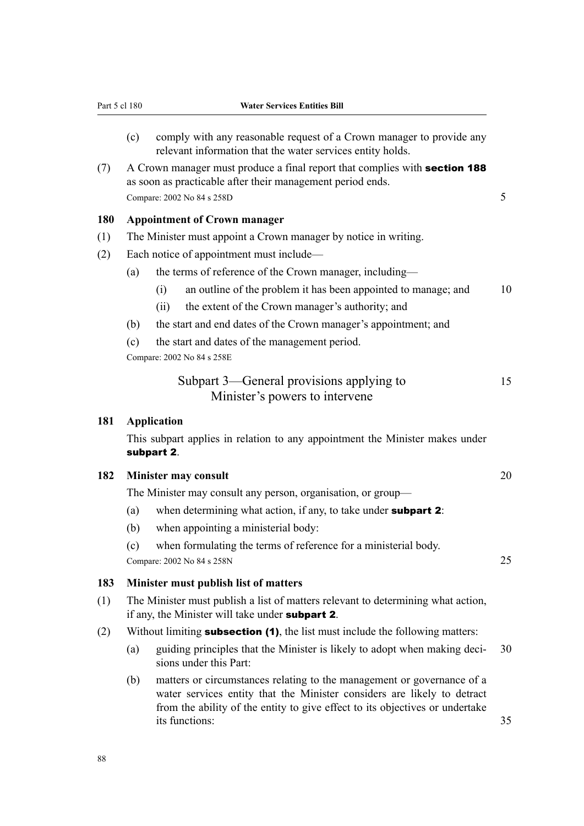- (c) comply with any reasonable request of a Crown manager to provide any relevant information that the water services entity holds.
- $(7)$  A Crown manager must produce a final report that complies with **section 188** as soon as practicable after their management period ends. Compare:  $2002$  No 84 s  $258D$  5

# **180 Appointment of Crown manager**

- (1) The Minister must appoint a Crown manager by notice in writing.
- (2) Each notice of appointment must include—
	- (a) the terms of reference of the Crown manager, including—
		- (i) an outline of the problem it has been appointed to manage; and  $10$
		- (ii) the extent of the Crown manager's authority; and
	- (b) the start and end dates of the Crown manager's appointment; and
	- (c) the start and dates of the management period.

Compare: 2002 No 84 s 258E

| Subpart 3—General provisions applying to | 15 |
|------------------------------------------|----|
| Minister's powers to intervene           |    |

#### **181 Application**

This subpart applies in relation to any appointment the Minister makes under subpart 2.

## **182 Minister may consult** 20

The Minister may consult any person, organisation, or group—

- (a) when determining what action, if any, to take under **subpart 2**:
- (b) when appointing a ministerial body:
- (c) when formulating the terms of reference for a ministerial body. Compare: 2002 No 84 s 258N 25

#### **183 Minister must publish list of matters**

- (1) The Minister must publish a list of matters relevant to determining what action, if any, the Minister will take under subpart 2.
- (2) Without limiting **subsection (1)**, the list must include the following matters:
	- (a) guiding principles that the Minister is likely to adopt when making deci‐ 30 sions under this Part:
	- (b) matters or circumstances relating to the management or governance of a water services entity that the Minister considers are likely to detract from the ability of the entity to give effect to its objectives or undertake its functions: 35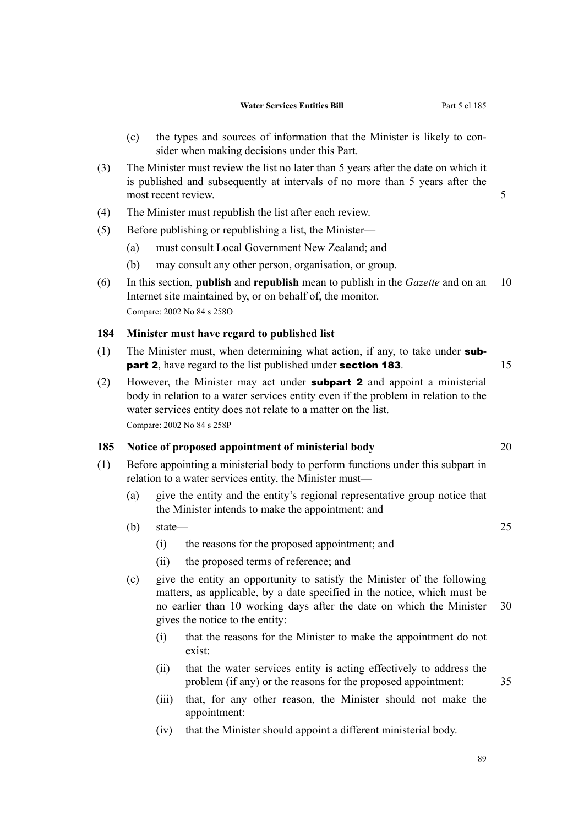- (c) the types and sources of information that the Minister is likely to con‐ sider when making decisions under this Part.
- (3) The Minister must review the list no later than 5 years after the date on which it is published and subsequently at intervals of no more than 5 years after the most recent review. 5
- (4) The Minister must republish the list after each review.
- (5) Before publishing or republishing a list, the Minister—
	- (a) must consult Local Government New Zealand; and
	- (b) may consult any other person, organisation, or group.
- (6) In this section, **publish** and **republish** mean to publish in the *Gazette* and on an 10 Internet site maintained by, or on behalf of, the monitor. Compare: 2002 No 84 s 258O

## **184 Minister must have regard to published list**

- (1) The Minister must, when determining what action, if any, to take under **subpart 2**, have regard to the list published under **section 183**. 15
- (2) However, the Minister may act under **subpart 2** and appoint a ministerial body in relation to a water services entity even if the problem in relation to the water services entity does not relate to a matter on the list. Compare: 2002 No 84 s 258P

# **185 Notice of proposed appointment of ministerial body** 20

- (1) Before appointing a ministerial body to perform functions under this subpart in relation to a water services entity, the Minister must—
	- (a) give the entity and the entity's regional representative group notice that the Minister intends to make the appointment; and
	- $(b)$  state— 25
		- (i) the reasons for the proposed appointment; and
		- (ii) the proposed terms of reference; and
	- (c) give the entity an opportunity to satisfy the Minister of the following matters, as applicable, by a date specified in the notice, which must be no earlier than 10 working days after the date on which the Minister 30 gives the notice to the entity:
		- (i) that the reasons for the Minister to make the appointment do not exist:
		- (ii) that the water services entity is acting effectively to address the problem (if any) or the reasons for the proposed appointment: 35
		- (iii) that, for any other reason, the Minister should not make the appointment:
		- (iv) that the Minister should appoint a different ministerial body.

89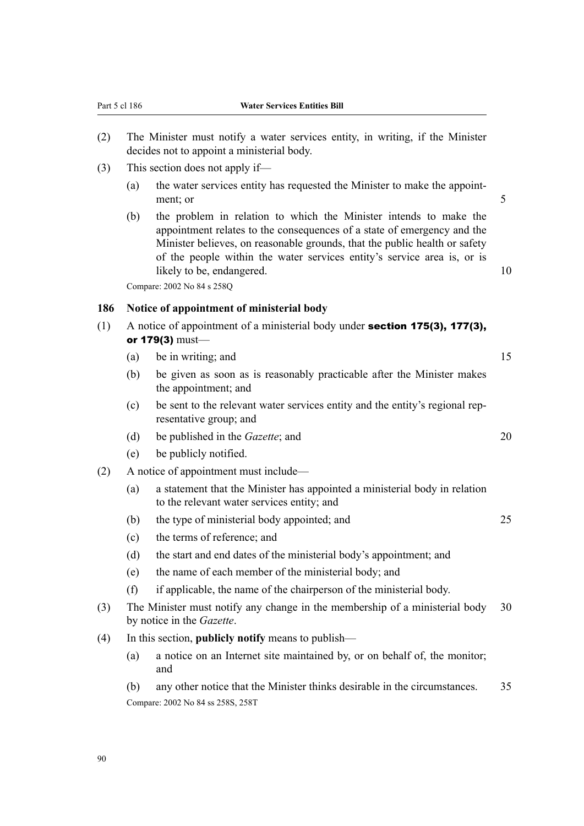- (2) The Minister must notify a water services entity, in writing, if the Minister decides not to appoint a ministerial body.
- (3) This section does not apply if—
	- (a) the water services entity has requested the Minister to make the appointment; or 5
	- (b) the problem in relation to which the Minister intends to make the appointment relates to the consequences of a state of emergency and the Minister believes, on reasonable grounds, that the public health or safety of the people within the water services entity's service area is, or is likely to be, endangered. 10

Compare: 2002 No 84 s 258Q

# **186 Notice of appointment of ministerial body**

- (1) A notice of appointment of a ministerial body under section 175(3), 177(3), or 179(3) must—
	- (a) be in writing; and  $15$
	- (b) be given as soon as is reasonably practicable after the Minister makes the appointment; and
	- (c) be sent to the relevant water services entity and the entity's regional rep‐ resentative group; and
	- (d) be published in the *Gazette*; and 20
	- (e) be publicly notified.
- (2) A notice of appointment must include—
	- (a) a statement that the Minister has appointed a ministerial body in relation to the relevant water services entity; and
	- (b) the type of ministerial body appointed; and 25
	- (c) the terms of reference; and
	- (d) the start and end dates of the ministerial body's appointment; and
	- (e) the name of each member of the ministerial body; and
	- (f) if applicable, the name of the chairperson of the ministerial body.
- (3) The Minister must notify any change in the membership of a ministerial body 30 by notice in the *Gazette*.
- (4) In this section, **publicly notify** means to publish—
	- (a) a notice on an Internet site maintained by, or on behalf of, the monitor; and
	- (b) any other notice that the Minister thinks desirable in the circumstances. 35 Compare: 2002 No 84 ss 258S, 258T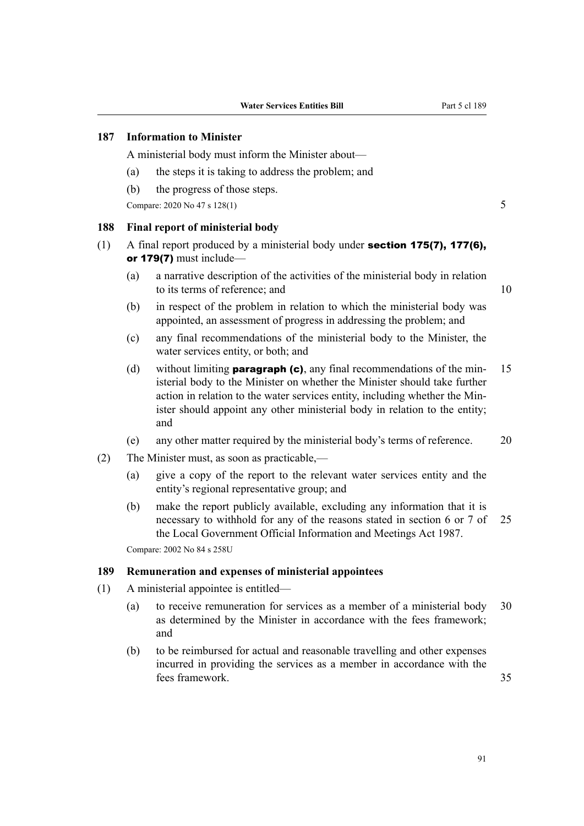# **187 Information to Minister**

A ministerial body must inform the Minister about—

- (a) the steps it is taking to address the problem; and
- (b) the progress of those steps.

Compare: 2020 No 47 s 128(1) 5

## **188 Final report of ministerial body**

- (1) A final report produced by a ministerial body under **section 175(7), 177(6)**, or 179(7) must include—
	- (a) a narrative description of the activities of the ministerial body in relation to its terms of reference: and 10
	- (b) in respect of the problem in relation to which the ministerial body was appointed, an assessment of progress in addressing the problem; and
	- (c) any final recommendations of the ministerial body to the Minister, the water services entity, or both; and
	- (d) without limiting **paragraph (c)**, any final recommendations of the min-15 isterial body to the Minister on whether the Minister should take further action in relation to the water services entity, including whether the Min‐ ister should appoint any other ministerial body in relation to the entity; and
	- (e) any other matter required by the ministerial body's terms of reference. 20
- (2) The Minister must, as soon as practicable,—
	- (a) give a copy of the report to the relevant water services entity and the entity's regional representative group; and
	- (b) make the report publicly available, excluding any information that it is necessary to withhold for any of the reasons stated in section 6 or 7 of 25 the Local Government Official Information and Meetings Act 1987.

Compare: 2002 No 84 s 258U

#### **189 Remuneration and expenses of ministerial appointees**

- (1) A ministerial appointee is entitled—
	- (a) to receive remuneration for services as a member of a ministerial body 30 as determined by the Minister in accordance with the fees framework; and
	- (b) to be reimbursed for actual and reasonable travelling and other expenses incurred in providing the services as a member in accordance with the fees framework. 35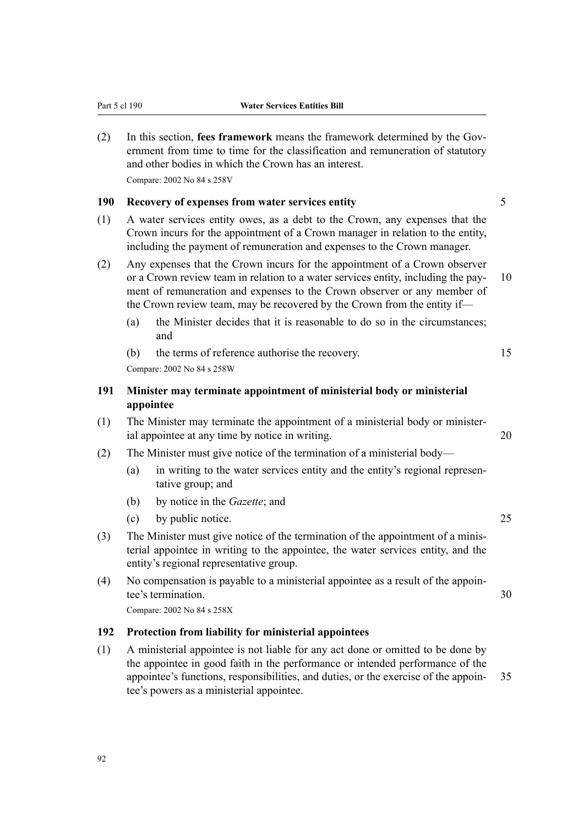(2) In this section, **fees framework** means the framework determined by the Gov‐ ernment from time to time for the classification and remuneration of statutory and other bodies in which the Crown has an interest. Compare: 2002 No 84 s 258V

### **190 Recovery of expenses from water services entity** 5

- (1) A water services entity owes, as a debt to the Crown, any expenses that the Crown incurs for the appointment of a Crown manager in relation to the entity, including the payment of remuneration and expenses to the Crown manager.
- (2) Any expenses that the Crown incurs for the appointment of a Crown observer or a Crown review team in relation to a water services entity, including the pay- 10 ment of remuneration and expenses to the Crown observer or any member of the Crown review team, may be recovered by the Crown from the entity if—
	- (a) the Minister decides that it is reasonable to do so in the circumstances; and
	- (b) the terms of reference authorise the recovery. 15

Compare: 2002 No 84 s 258W

# **191 Minister may terminate appointment of ministerial body or ministerial appointee**

- (1) The Minister may terminate the appointment of a ministerial body or minister‐ ial appointee at any time by notice in writing. 20
- (2) The Minister must give notice of the termination of a ministerial body—
	- (a) in writing to the water services entity and the entity's regional representative group; and
	- (b) by notice in the *Gazette*; and
	- (c) by public notice. 25
- (3) The Minister must give notice of the termination of the appointment of a minis‐ terial appointee in writing to the appointee, the water services entity, and the entity's regional representative group.
- (4) No compensation is payable to a ministerial appointee as a result of the appoin‐ tee's termination. 30

Compare: 2002 No 84 s 258X

# **192 Protection from liability for ministerial appointees**

(1) A ministerial appointee is not liable for any act done or omitted to be done by the appointee in good faith in the performance or intended performance of the appointee's functions, responsibilities, and duties, or the exercise of the appoin‐ 35 tee's powers as a ministerial appointee.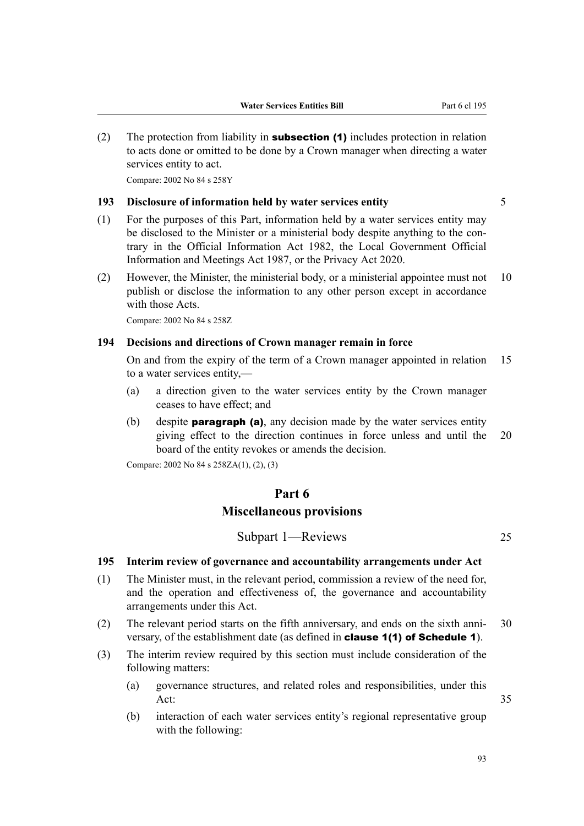(2) The protection from liability in **subsection (1)** includes protection in relation to acts done or omitted to be done by a Crown manager when directing a water services entity to act.

Compare: 2002 No 84 s 258Y

# **193 Disclosure of information held by water services entity** 5

- 
- (1) For the purposes of this Part, information held by a water services entity may be disclosed to the Minister or a ministerial body despite anything to the contrary in the Official Information Act 1982, the Local Government Official Information and Meetings Act 1987, or the Privacy Act 2020.
- (2) However, the Minister, the ministerial body, or a ministerial appointee must not 10 publish or disclose the information to any other person except in accordance with those Acts.

Compare: 2002 No 84 s 258Z

# **194 Decisions and directions of Crown manager remain in force**

On and from the expiry of the term of a Crown manager appointed in relation 15 to a water services entity,—

- (a) a direction given to the water services entity by the Crown manager ceases to have effect; and
- (b) despite **paragraph (a)**, any decision made by the water services entity giving effect to the direction continues in force unless and until the 20 board of the entity revokes or amends the decision.

Compare: 2002 No 84 s 258ZA(1), (2), (3)

# **Part 6 Miscellaneous provisions**

Subpart 1—Reviews 25

# **195 Interim review of governance and accountability arrangements under Act**

- (1) The Minister must, in the relevant period, commission a review of the need for, and the operation and effectiveness of, the governance and accountability arrangements under this Act.
- (2) The relevant period starts on the fifth anniversary, and ends on the sixth anni- 30 versary, of the establishment date (as defined in clause 1(1) of Schedule 1).
- (3) The interim review required by this section must include consideration of the following matters:
	- (a) governance structures, and related roles and responsibilities, under this Act: 35
	- (b) interaction of each water services entity's regional representative group with the following: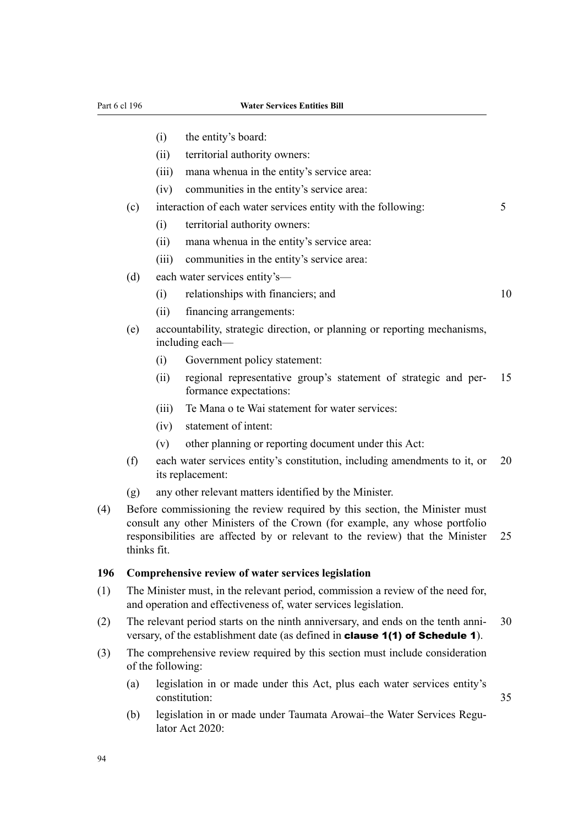#### Part 6 cl 196 **Water Services Entities Bill**

- (i) the entity's board:
- (ii) territorial authority owners:
- (iii) mana whenua in the entity's service area:
- (iv) communities in the entity's service area:
- (c) interaction of each water services entity with the following: 5
	- (i) territorial authority owners:
	- (ii) mana whenua in the entity's service area:
	- (iii) communities in the entity's service area:
- (d) each water services entity's—
	- (i) relationships with financiers; and 10

- (ii) financing arrangements:
- (e) accountability, strategic direction, or planning or reporting mechanisms, including each—
	- (i) Government policy statement:
	- (ii) regional representative group's statement of strategic and per‐ 15 formance expectations:
	- (iii) Te Mana o te Wai statement for water services:
	- (iv) statement of intent:
	- (v) other planning or reporting document under this Act:
- (f) each water services entity's constitution, including amendments to it, or 20 its replacement:
- (g) any other relevant matters identified by the Minister.
- (4) Before commissioning the review required by this section, the Minister must consult any other Ministers of the Crown (for example, any whose portfolio responsibilities are affected by or relevant to the review) that the Minister 25 thinks fit.

# **196 Comprehensive review of water services legislation**

- (1) The Minister must, in the relevant period, commission a review of the need for, and operation and effectiveness of, water services legislation.
- (2) The relevant period starts on the ninth anniversary, and ends on the tenth anni-  $30$ versary, of the establishment date (as defined in clause 1(1) of Schedule 1).
- (3) The comprehensive review required by this section must include consideration of the following:
	- (a) legislation in or made under this Act, plus each water services entity's constitution: 35
	- (b) legislation in or made under Taumata Arowai–the Water Services Regulator Act 2020: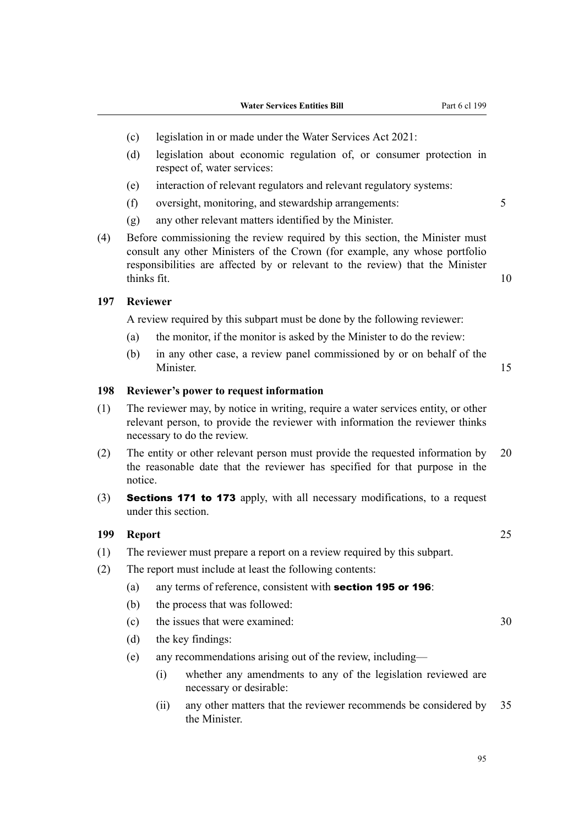- (c) legislation in or made under the Water Services Act 2021:
- (d) legislation about economic regulation of, or consumer protection in respect of, water services:
- (e) interaction of relevant regulators and relevant regulatory systems:
- (f) oversight, monitoring, and stewardship arrangements: 5
- (g) any other relevant matters identified by the Minister.
- (4) Before commissioning the review required by this section, the Minister must consult any other Ministers of the Crown (for example, any whose portfolio responsibilities are affected by or relevant to the review) that the Minister thinks fit. 10

# **197 Reviewer**

A review required by this subpart must be done by the following reviewer:

- (a) the monitor, if the monitor is asked by the Minister to do the review:
- (b) in any other case, a review panel commissioned by or on behalf of the Minister. 15

## **198 Reviewer's power to request information**

- (1) The reviewer may, by notice in writing, require a water services entity, or other relevant person, to provide the reviewer with information the reviewer thinks necessary to do the review.
- (2) The entity or other relevant person must provide the requested information by 20 the reasonable date that the reviewer has specified for that purpose in the notice.
- (3) Sections 171 to 173 apply, with all necessary modifications, to a request under this section.

#### **199 Report** 25

- (1) The reviewer must prepare a report on a review required by this subpart.
- (2) The report must include at least the following contents:
	- (a) any terms of reference, consistent with section 195 or 196:
	- (b) the process that was followed:
	- (c) the issues that were examined: 30
	- (d) the key findings:
	- (e) any recommendations arising out of the review, including—
		- (i) whether any amendments to any of the legislation reviewed are necessary or desirable:
		- (ii) any other matters that the reviewer recommends be considered by 35 the Minister.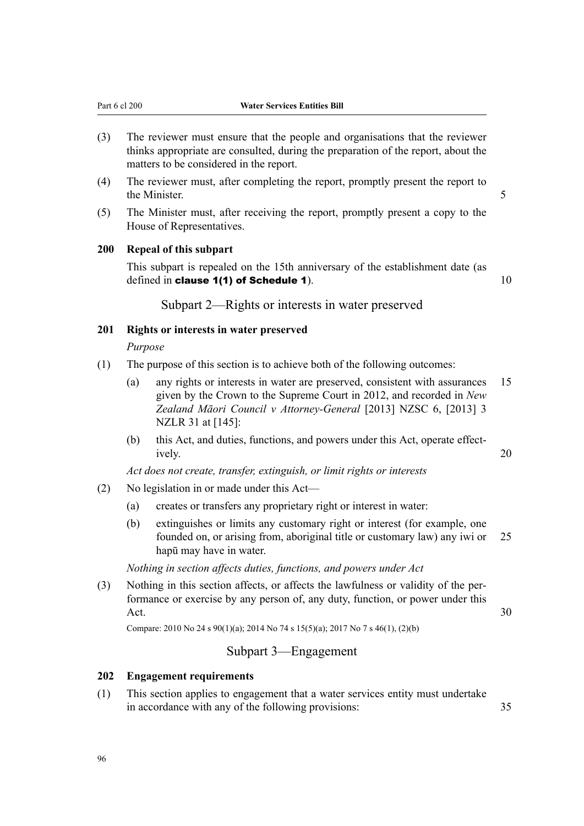- (3) The reviewer must ensure that the people and organisations that the reviewer thinks appropriate are consulted, during the preparation of the report, about the matters to be considered in the report.
- (4) The reviewer must, after completing the report, promptly present the report to the Minister. 5
- (5) The Minister must, after receiving the report, promptly present a copy to the House of Representatives.

# **200 Repeal of this subpart**

This subpart is repealed on the 15th anniversary of the establishment date (as defined in clause  $1(1)$  of Schedule 1).  $10$ 

Subpart 2—Rights or interests in water preserved

# **201 Rights or interests in water preserved**

#### *Purpose*

- (1) The purpose of this section is to achieve both of the following outcomes:
	- (a) any rights or interests in water are preserved, consistent with assurances 15 given by the Crown to the Supreme Court in 2012, and recorded in *New Zealand Māori Council v Attorney-General* [2013] NZSC 6, [2013] 3 NZLR 31 at [145]:
	- (b) this Act, and duties, functions, and powers under this Act, operate effectively. 20

*Act does not create, transfer, extinguish, or limit rights or interests*

- (2) No legislation in or made under this Act—
	- (a) creates or transfers any proprietary right or interest in water:
	- (b) extinguishes or limits any customary right or interest (for example, one founded on, or arising from, aboriginal title or customary law) any iwi or 25 hapū may have in water.

*Nothing in section affects duties, functions, and powers under Act*

(3) Nothing in this section affects, or affects the lawfulness or validity of the per‐ formance or exercise by any person of, any duty, function, or power under this Act.  $30$ 

Compare: 2010 No 24 s 90(1)(a); 2014 No 74 s 15(5)(a); 2017 No 7 s 46(1), (2)(b)

# Subpart 3—Engagement

# **202 Engagement requirements**

(1) This section applies to engagement that a water services entity must undertake in accordance with any of the following provisions: 35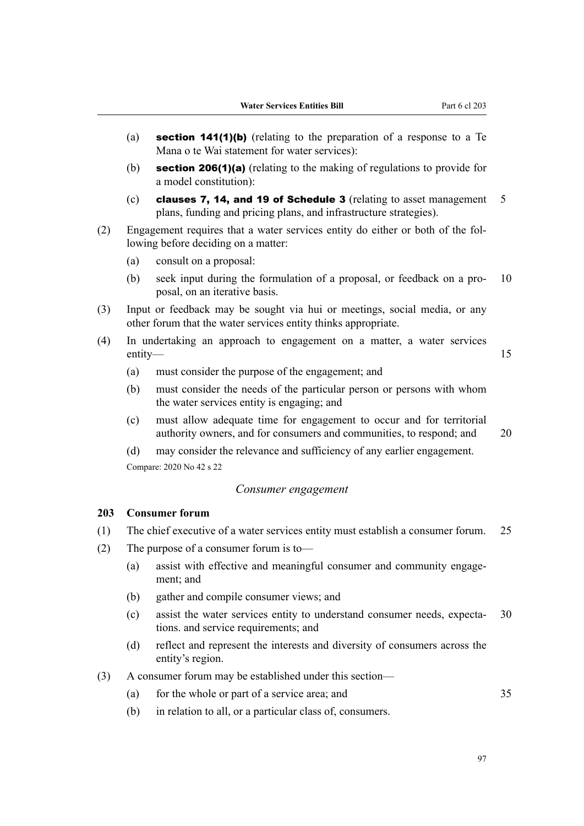- (a) section 141(1)(b) (relating to the preparation of a response to a Te Mana o te Wai statement for water services):
- (b) section 206(1)(a) (relating to the making of regulations to provide for a model constitution):
- (c) clauses 7, 14, and 19 of Schedule 3 (relating to asset management  $5$ plans, funding and pricing plans, and infrastructure strategies).
- (2) Engagement requires that a water services entity do either or both of the fol‐ lowing before deciding on a matter:
	- (a) consult on a proposal:
	- (b) seek input during the formulation of a proposal, or feedback on a pro‐ 10 posal, on an iterative basis.
- (3) Input or feedback may be sought via hui or meetings, social media, or any other forum that the water services entity thinks appropriate.
- (4) In undertaking an approach to engagement on a matter, a water services entity— and the set of the set of the set of the set of the set of the set of the set of the set of the set of the set of the set of the set of the set of the set of the set of the set of the set of the set of the set of t
	- (a) must consider the purpose of the engagement; and
	- (b) must consider the needs of the particular person or persons with whom the water services entity is engaging; and
	- (c) must allow adequate time for engagement to occur and for territorial authority owners, and for consumers and communities, to respond; and 20

(d) may consider the relevance and sufficiency of any earlier engagement. Compare: 2020 No 42 s 22

# *Consumer engagement*

# **203 Consumer forum**

- (1) The chief executive of a water services entity must establish a consumer forum. 25
- (2) The purpose of a consumer forum is to—
	- (a) assist with effective and meaningful consumer and community engage‐ ment; and
	- (b) gather and compile consumer views; and
	- (c) assist the water services entity to understand consumer needs, expecta‐ 30 tions. and service requirements; and
	- (d) reflect and represent the interests and diversity of consumers across the entity's region.
- (3) A consumer forum may be established under this section—
	- (a) for the whole or part of a service area; and 35
	- (b) in relation to all, or a particular class of, consumers.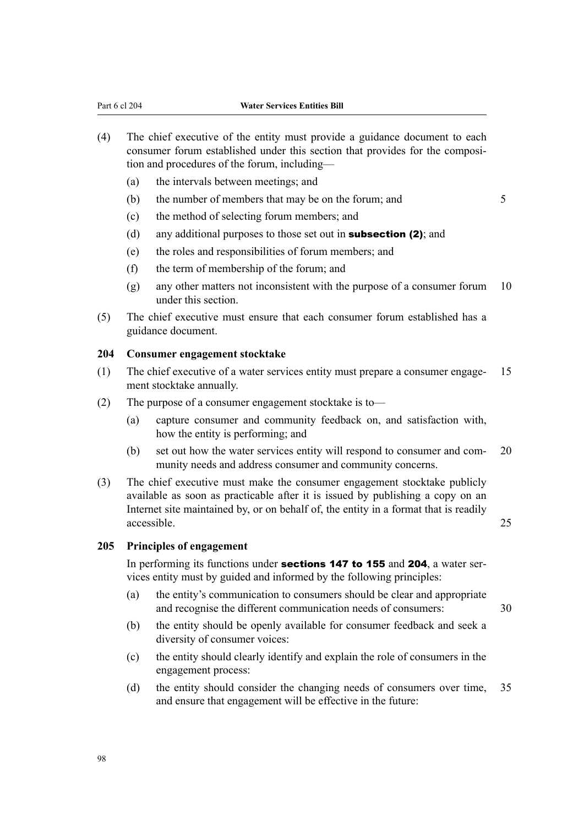- (4) The chief executive of the entity must provide a guidance document to each consumer forum established under this section that provides for the composition and procedures of the forum, including—
	- (a) the intervals between meetings; and
	- (b) the number of members that may be on the forum; and  $5$

- (c) the method of selecting forum members; and
- (d) any additional purposes to those set out in **subsection (2)**; and
- (e) the roles and responsibilities of forum members; and
- (f) the term of membership of the forum; and
- (g) any other matters not inconsistent with the purpose of a consumer forum  $10$ under this section.
- (5) The chief executive must ensure that each consumer forum established has a guidance document.

# **204 Consumer engagement stocktake**

- (1) The chief executive of a water services entity must prepare a consumer engage-  $15$ ment stocktake annually.
- (2) The purpose of a consumer engagement stocktake is to—
	- (a) capture consumer and community feedback on, and satisfaction with, how the entity is performing; and
	- (b) set out how the water services entity will respond to consumer and com‐ 20 munity needs and address consumer and community concerns.
- (3) The chief executive must make the consumer engagement stocktake publicly available as soon as practicable after it is issued by publishing a copy on an Internet site maintained by, or on behalf of, the entity in a format that is readily accessible. 25

#### **205 Principles of engagement**

In performing its functions under **sections 147 to 155** and **204**, a water services entity must by guided and informed by the following principles:

- (a) the entity's communication to consumers should be clear and appropriate and recognise the different communication needs of consumers: 30
- (b) the entity should be openly available for consumer feedback and seek a diversity of consumer voices:
- (c) the entity should clearly identify and explain the role of consumers in the engagement process:
- (d) the entity should consider the changing needs of consumers over time, 35 and ensure that engagement will be effective in the future: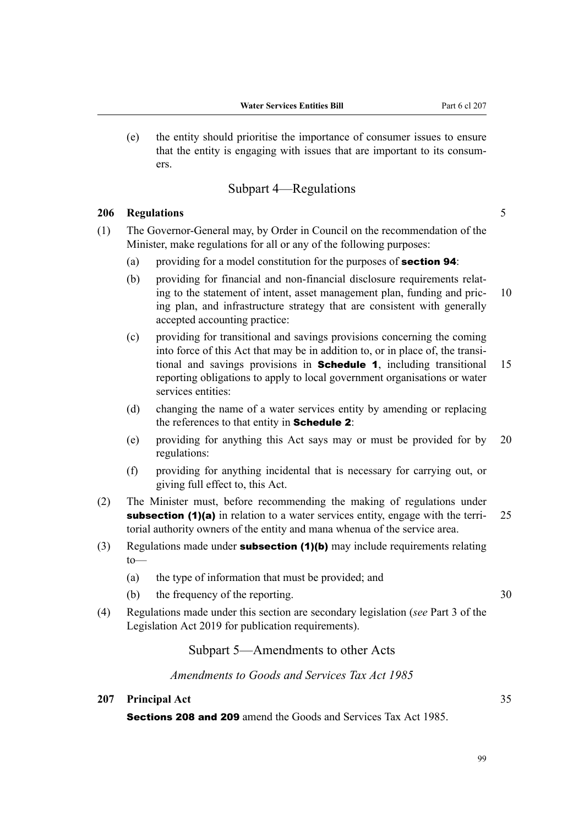(e) the entity should prioritise the importance of consumer issues to ensure that the entity is engaging with issues that are important to its consum‐ ers.

# Subpart 4—Regulations

# **206 Regulations** 5

- (1) The Governor-General may, by Order in Council on the recommendation of the Minister, make regulations for all or any of the following purposes:
	- (a) providing for a model constitution for the purposes of **section 94**:
	- (b) providing for financial and non-financial disclosure requirements relating to the statement of intent, asset management plan, funding and pric- 10 ing plan, and infrastructure strategy that are consistent with generally accepted accounting practice:
	- (c) providing for transitional and savings provisions concerning the coming into force of this Act that may be in addition to, or in place of, the transi‐ tional and savings provisions in **Schedule 1**, including transitional 15 reporting obligations to apply to local government organisations or water services entities:
	- (d) changing the name of a water services entity by amending or replacing the references to that entity in **Schedule 2**:
	- (e) providing for anything this Act says may or must be provided for by 20 regulations:
	- (f) providing for anything incidental that is necessary for carrying out, or giving full effect to, this Act.
- (2) The Minister must, before recommending the making of regulations under subsection (1)(a) in relation to a water services entity, engage with the terri-  $25$ torial authority owners of the entity and mana whenua of the service area.
- (3) Regulations made under **subsection (1)(b)** may include requirements relating to—
	- (a) the type of information that must be provided; and
	- (b) the frequency of the reporting. 30
- (4) Regulations made under this section are secondary legislation (*see* Part 3 of the Legislation Act 2019 for publication requirements).

# Subpart 5—Amendments to other Acts

*Amendments to Goods and Services Tax Act 1985*

## **207 Principal Act** 35

Sections 208 and 209 amend the Goods and Services Tax Act 1985.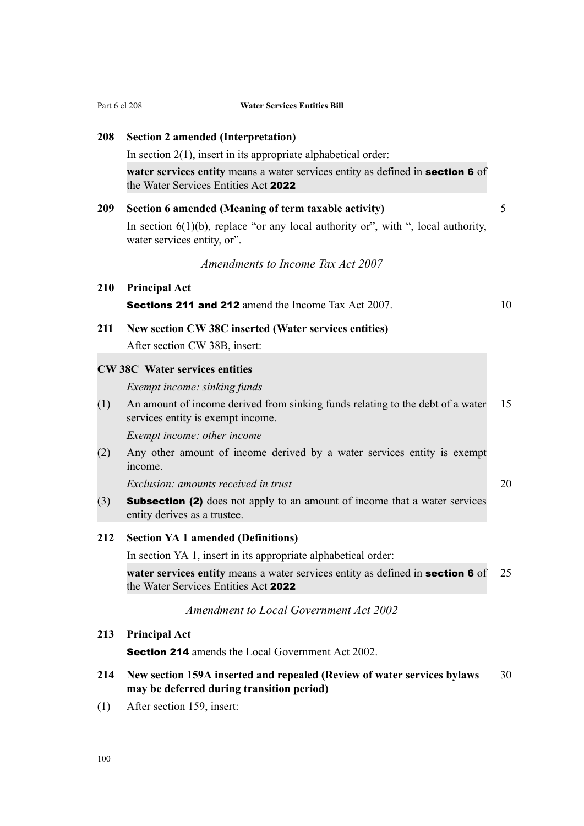| 208 | <b>Section 2 amended (Interpretation)</b>                                                                              |    |
|-----|------------------------------------------------------------------------------------------------------------------------|----|
|     | In section $2(1)$ , insert in its appropriate alphabetical order:                                                      |    |
|     | water services entity means a water services entity as defined in section 6 of<br>the Water Services Entities Act 2022 |    |
| 209 | Section 6 amended (Meaning of term taxable activity)                                                                   | 5  |
|     | In section $6(1)(b)$ , replace "or any local authority or", with ", local authority,<br>water services entity, or".    |    |
|     | Amendments to Income Tax Act 2007                                                                                      |    |
| 210 | <b>Principal Act</b>                                                                                                   |    |
|     | <b>Sections 211 and 212</b> amend the Income Tax Act 2007.                                                             | 10 |
| 211 | New section CW 38C inserted (Water services entities)                                                                  |    |
|     | After section CW 38B, insert:                                                                                          |    |
|     | <b>CW 38C</b> Water services entities                                                                                  |    |
|     | Exempt income: sinking funds                                                                                           |    |
| (1) | An amount of income derived from sinking funds relating to the debt of a water<br>services entity is exempt income.    | 15 |
|     | Exempt income: other income                                                                                            |    |
| (2) | Any other amount of income derived by a water services entity is exempt<br>income.                                     |    |
|     | <i>Exclusion: amounts received in trust</i>                                                                            | 20 |
| (3) | <b>Subsection (2)</b> does not apply to an amount of income that a water services<br>entity derives as a trustee.      |    |
| 212 | <b>Section YA 1 amended (Definitions)</b>                                                                              |    |
|     | In section YA 1, insert in its appropriate alphabetical order:                                                         |    |
|     | water services entity means a water services entity as defined in section 6 of<br>the Water Services Entities Act 2022 | 25 |
|     | <b>Amendment to Local Government Act 2002</b>                                                                          |    |
| 213 | <b>Principal Act</b>                                                                                                   |    |

Section 214 amends the Local Government Act 2002.

- **214 New section 159A inserted and repealed (Review of water services bylaws** 30 **may be deferred during transition period)**
- (1) After section 159, insert: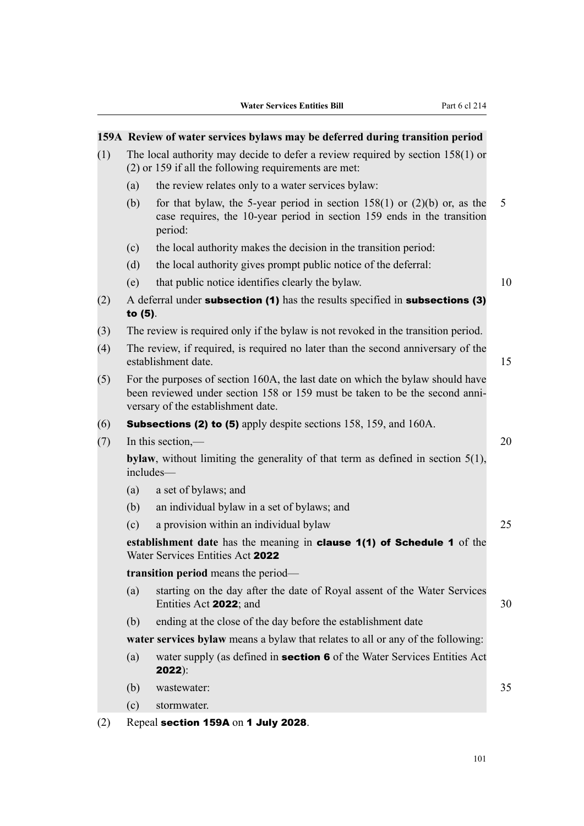# **159A Review of water services bylaws may be deferred during transition period**

- (1) The local authority may decide to defer a review required by section 158(1) or (2) or 159 if all the following requirements are met:
	- (a) the review relates only to a water services bylaw:
	- (b) for that bylaw, the 5-year period in section  $158(1)$  or  $(2)(b)$  or, as the 5 case requires, the 10-year period in section 159 ends in the transition period:
	- (c) the local authority makes the decision in the transition period:
	- (d) the local authority gives prompt public notice of the deferral:
	- (e) that public notice identifies clearly the bylaw. 10
- (2) A deferral under subsection (1) has the results specified in subsections (3) to (5).
- (3) The review is required only if the bylaw is not revoked in the transition period.
- (4) The review, if required, is required no later than the second anniversary of the establishment date. 15
- (5) For the purposes of section 160A, the last date on which the bylaw should have been reviewed under section 158 or 159 must be taken to be the second anniversary of the establishment date.
- (6) Subsections (2) to (5) apply despite sections 158, 159, and 160A.
- (7) In this section,— 20

**bylaw**, without limiting the generality of that term as defined in section 5(1), includes—

- (a) a set of bylaws; and
- (b) an individual bylaw in a set of bylaws; and
- (c) a provision within an individual bylaw 25

**establishment date** has the meaning in clause 1(1) of Schedule 1 of the Water Services Entities Act 2022

**transition period** means the period—

- (a) starting on the day after the date of Royal assent of the Water Services Entities Act 2022; and 30
- (b) ending at the close of the day before the establishment date

**water services bylaw** means a bylaw that relates to all or any of the following:

(a) water supply (as defined in **section 6** of the Water Services Entities Act 2022):

(b) wastewater: 35

(c) stormwater.

(2) Repeal section 159A on 1 July 2028.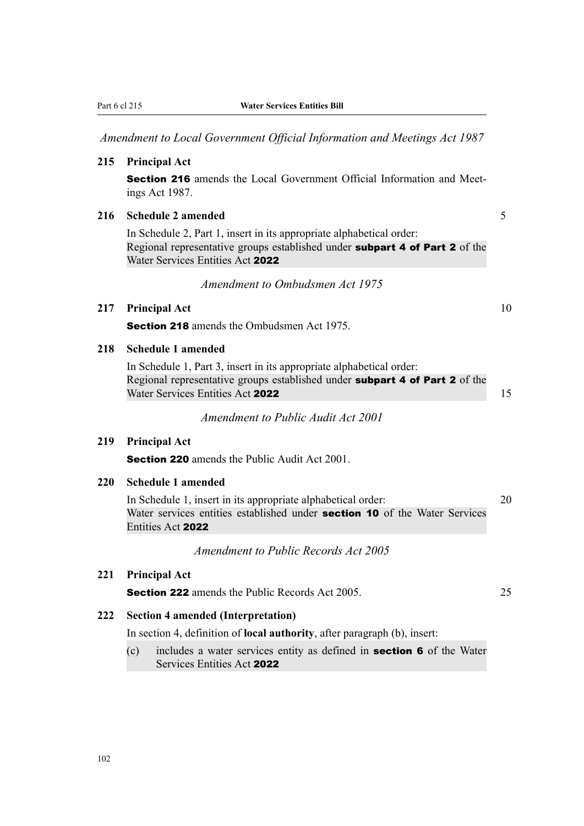|            | Part 6 cl 215<br><b>Water Services Entities Bill</b>                                                                                                                                    |  |
|------------|-----------------------------------------------------------------------------------------------------------------------------------------------------------------------------------------|--|
|            | Amendment to Local Government Official Information and Meetings Act 1987                                                                                                                |  |
| 215        | <b>Principal Act</b>                                                                                                                                                                    |  |
|            | Section 216 amends the Local Government Official Information and Meet-<br>ings Act 1987.                                                                                                |  |
| 216        | <b>Schedule 2 amended</b>                                                                                                                                                               |  |
|            | In Schedule 2, Part 1, insert in its appropriate alphabetical order:<br>Regional representative groups established under subpart 4 of Part 2 of the<br>Water Services Entities Act 2022 |  |
|            | Amendment to Ombudsmen Act 1975                                                                                                                                                         |  |
| 217        | <b>Principal Act</b>                                                                                                                                                                    |  |
|            | <b>Section 218</b> amends the Ombudsmen Act 1975.                                                                                                                                       |  |
| 218        | <b>Schedule 1 amended</b>                                                                                                                                                               |  |
|            | In Schedule 1, Part 3, insert in its appropriate alphabetical order:<br>Regional representative groups established under subpart 4 of Part 2 of the<br>Water Services Entities Act 2022 |  |
|            | Amendment to Public Audit Act 2001                                                                                                                                                      |  |
| 219        | <b>Principal Act</b>                                                                                                                                                                    |  |
|            | <b>Section 220</b> amends the Public Audit Act 2001.                                                                                                                                    |  |
| <b>220</b> | <b>Schedule 1 amended</b>                                                                                                                                                               |  |
|            | In Schedule 1, insert in its appropriate alphabetical order:<br>Water services entities established under section 10 of the Water Services<br>Entities Act 2022                         |  |
|            | <b>Amendment to Public Records Act 2005</b>                                                                                                                                             |  |
| 221        | <b>Principal Act</b>                                                                                                                                                                    |  |
|            | <b>Section 222</b> amends the Public Records Act 2005.                                                                                                                                  |  |
| 222        | <b>Section 4 amended (Interpretation)</b>                                                                                                                                               |  |
|            | In section 4, definition of <b>local authority</b> , after paragraph (b), insert:                                                                                                       |  |
|            | includes a water services entity as defined in <b>section 6</b> of the Water<br>(c)                                                                                                     |  |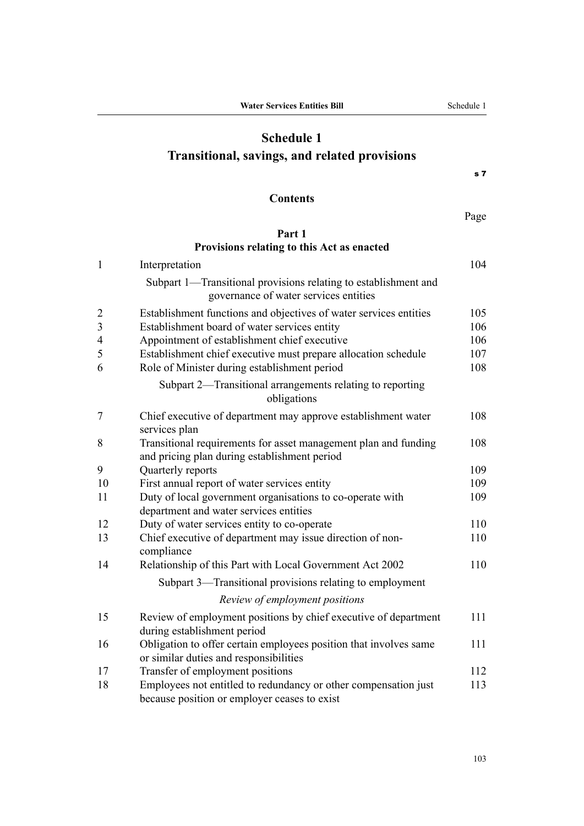# **Schedule 1 Transitional, savings, and related provisions**

s 7

# **Contents**

Page

# **[Part 1](#page-133-0) [Provisions relating to this Act as enacted](#page-133-0)**

| $\mathbf{1}$            | Interpretation                                                                                                  | 104 |
|-------------------------|-----------------------------------------------------------------------------------------------------------------|-----|
|                         | Subpart 1—Transitional provisions relating to establishment and<br>governance of water services entities        |     |
| $\overline{2}$          | Establishment functions and objectives of water services entities                                               | 105 |
| $\overline{\mathbf{3}}$ | Establishment board of water services entity                                                                    | 106 |
| $\overline{4}$          | Appointment of establishment chief executive                                                                    | 106 |
| 5                       | Establishment chief executive must prepare allocation schedule                                                  | 107 |
| 6                       | Role of Minister during establishment period                                                                    | 108 |
|                         | Subpart 2—Transitional arrangements relating to reporting<br>obligations                                        |     |
| $\tau$                  | Chief executive of department may approve establishment water<br>services plan                                  | 108 |
| 8                       | Transitional requirements for asset management plan and funding<br>and pricing plan during establishment period | 108 |
| 9                       | Quarterly reports                                                                                               | 109 |
| 10                      | First annual report of water services entity                                                                    | 109 |
| 11                      | Duty of local government organisations to co-operate with                                                       | 109 |
|                         | department and water services entities                                                                          |     |
| 12                      | Duty of water services entity to co-operate                                                                     | 110 |
| 13                      | Chief executive of department may issue direction of non-<br>compliance                                         | 110 |
| 14                      | Relationship of this Part with Local Government Act 2002                                                        | 110 |
|                         | Subpart 3—Transitional provisions relating to employment                                                        |     |
|                         | Review of employment positions                                                                                  |     |
| 15                      | Review of employment positions by chief executive of department<br>during establishment period                  | 111 |
| 16                      | Obligation to offer certain employees position that involves same<br>or similar duties and responsibilities     | 111 |
| 17                      | Transfer of employment positions                                                                                | 112 |
| 18                      | Employees not entitled to redundancy or other compensation just<br>because position or employer ceases to exist | 113 |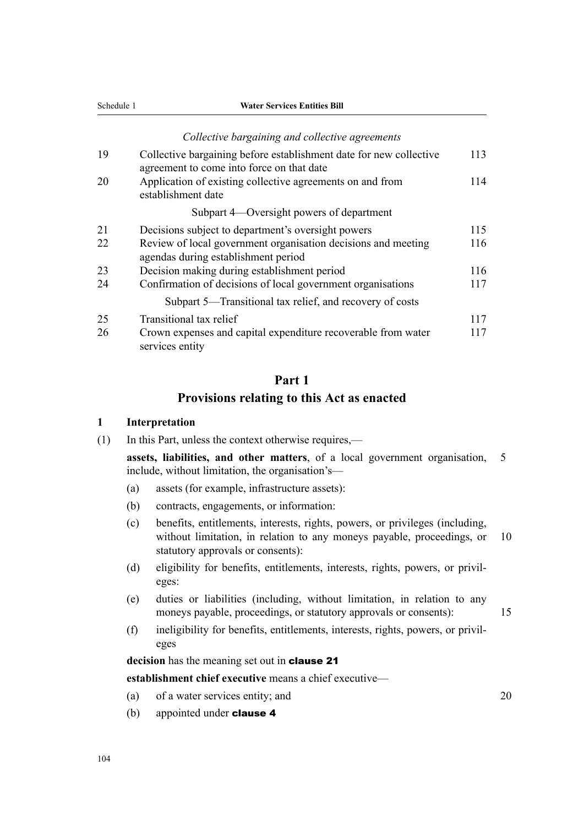<span id="page-133-0"></span>

|    | Collective bargaining and collective agreements                                                                 |     |
|----|-----------------------------------------------------------------------------------------------------------------|-----|
| 19 | Collective bargaining before establishment date for new collective<br>agreement to come into force on that date | 113 |
| 20 | Application of existing collective agreements on and from<br>establishment date                                 | 114 |
|    | Subpart 4—Oversight powers of department                                                                        |     |
| 21 | Decisions subject to department's oversight powers                                                              | 115 |
| 22 | Review of local government organisation decisions and meeting<br>agendas during establishment period            | 116 |
| 23 | Decision making during establishment period                                                                     | 116 |
| 24 | Confirmation of decisions of local government organisations                                                     | 117 |
|    | Subpart 5—Transitional tax relief, and recovery of costs                                                        |     |
| 25 | Transitional tax relief                                                                                         | 117 |
| 26 | Crown expenses and capital expenditure recoverable from water<br>services entity                                | 117 |

# **Part 1 Provisions relating to this Act as enacted**

#### **1 Interpretation**

(1) In this Part, unless the context otherwise requires,—

**assets, liabilities, and other matters**, of a local government organisation, 5 include, without limitation, the organisation's—

- (a) assets (for example, infrastructure assets):
- (b) contracts, engagements, or information:
- (c) benefits, entitlements, interests, rights, powers, or privileges (including, without limitation, in relation to any moneys payable, proceedings, or 10 statutory approvals or consents):
- (d) eligibility for benefits, entitlements, interests, rights, powers, or privileges:
- (e) duties or liabilities (including, without limitation, in relation to any moneys payable, proceedings, or statutory approvals or consents): 15
- (f) ineligibility for benefits, entitlements, interests, rights, powers, or privil‐ eges

**decision** has the meaning set out in clause 21

**establishment chief executive** means a chief executive—

- (a) of a water services entity; and 20
- (b) appointed under **clause 4**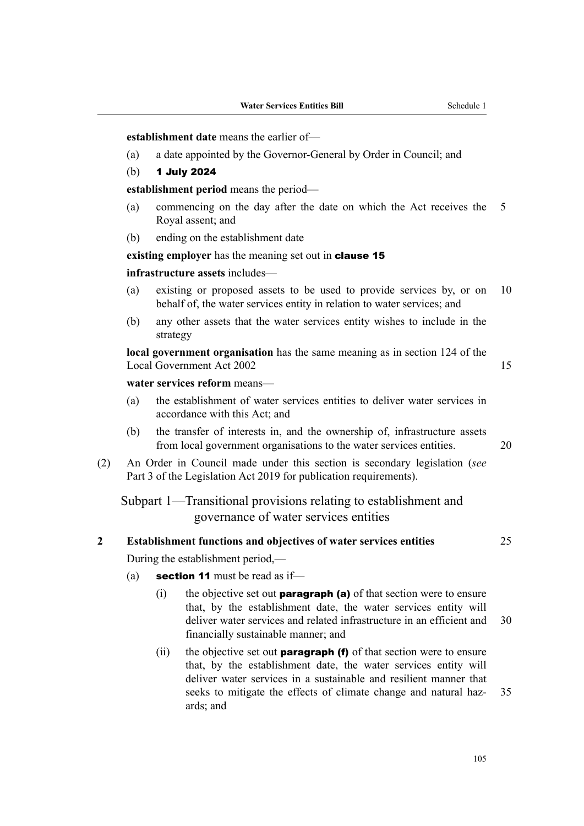<span id="page-134-0"></span>**establishment date** means the earlier of—

- (a) a date appointed by the Governor-General by Order in Council; and
- (b) 1 July 2024

**establishment period** means the period—

- (a) commencing on the day after the date on which the Act receives the 5 Royal assent; and
- (b) ending on the establishment date

**existing employer** has the meaning set out in **clause 15** 

**infrastructure assets** includes—

- (a) existing or proposed assets to be used to provide services by, or on 10 behalf of, the water services entity in relation to water services; and
- (b) any other assets that the water services entity wishes to include in the strategy

**local government organisation** has the same meaning as in section 124 of the Local Government Act 2002 15

# **water services reform** means—

- (a) the establishment of water services entities to deliver water services in accordance with this Act; and
- (b) the transfer of interests in, and the ownership of, infrastructure assets from local government organisations to the water services entities. 20
- (2) An Order in Council made under this section is secondary legislation (*see* Part 3 of the Legislation Act 2019 for publication requirements).

Subpart 1—Transitional provisions relating to establishment and governance of water services entities

# **2 Establishment functions and objectives of water services entities** 25

During the establishment period,—

- (a) **section 11** must be read as if-
	- (i) the objective set out **paragraph (a)** of that section were to ensure that, by the establishment date, the water services entity will deliver water services and related infrastructure in an efficient and 30 financially sustainable manner; and
	- (ii) the objective set out **paragraph (f)** of that section were to ensure that, by the establishment date, the water services entity will deliver water services in a sustainable and resilient manner that seeks to mitigate the effects of climate change and natural haz- 35 ards; and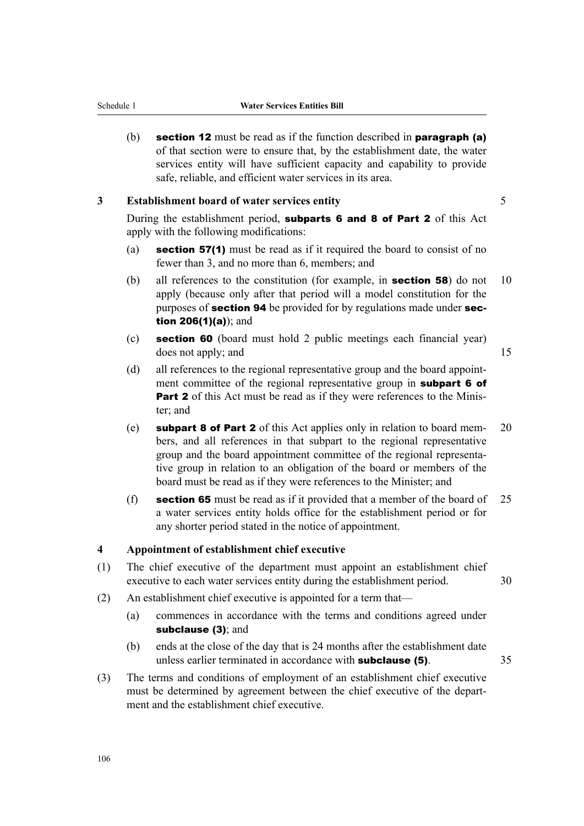- <span id="page-135-0"></span>
	- (b) section 12 must be read as if the function described in paragraph (a) of that section were to ensure that, by the establishment date, the water services entity will have sufficient capacity and capability to provide safe, reliable, and efficient water services in its area.

# **3 Establishment board of water services entity** 5

During the establishment period, subparts 6 and 8 of Part 2 of this Act apply with the following modifications:

- (a) section 57(1) must be read as if it required the board to consist of no fewer than 3, and no more than 6, members; and
- (b) all references to the constitution (for example, in **section 58**) do not 10 apply (because only after that period will a model constitution for the purposes of **section 94** be provided for by regulations made under **sec**tion 206(1)(a)); and
- (c) section 60 (board must hold 2 public meetings each financial year) does not apply; and 15

- (d) all references to the regional representative group and the board appointment committee of the regional representative group in **subpart 6 of Part 2** of this Act must be read as if they were references to the Minister; and
- (e) subpart 8 of Part 2 of this Act applies only in relation to board mem- 20 bers, and all references in that subpart to the regional representative group and the board appointment committee of the regional representa‐ tive group in relation to an obligation of the board or members of the board must be read as if they were references to the Minister; and
- (f) section 65 must be read as if it provided that a member of the board of  $25$ a water services entity holds office for the establishment period or for any shorter period stated in the notice of appointment.

# **4 Appointment of establishment chief executive**

- (1) The chief executive of the department must appoint an establishment chief executive to each water services entity during the establishment period. 30
- (2) An establishment chief executive is appointed for a term that—
	- (a) commences in accordance with the terms and conditions agreed under subclause (3); and
	- (b) ends at the close of the day that is 24 months after the establishment date unless earlier terminated in accordance with **subclause (5)**. 35
- (3) The terms and conditions of employment of an establishment chief executive must be determined by agreement between the chief executive of the department and the establishment chief executive.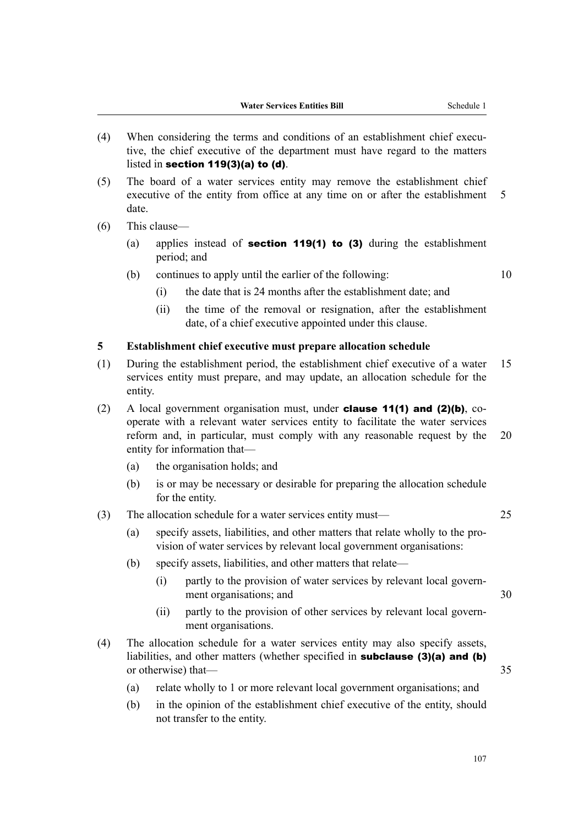- <span id="page-136-0"></span>(4) When considering the terms and conditions of an establishment chief executive, the chief executive of the department must have regard to the matters listed in section 119(3)(a) to (d).
- (5) The board of a water services entity may remove the establishment chief executive of the entity from office at any time on or after the establishment 5 date.
- (6) This clause—
	- (a) applies instead of **section 119(1) to (3)** during the establishment period; and
	- (b) continues to apply until the earlier of the following:  $10$ 
		- (i) the date that is 24 months after the establishment date; and
		- (ii) the time of the removal or resignation, after the establishment date, of a chief executive appointed under this clause.

### **5 Establishment chief executive must prepare allocation schedule**

- (1) During the establishment period, the establishment chief executive of a water 15 services entity must prepare, and may update, an allocation schedule for the entity.
- (2) A local government organisation must, under **clause 11(1) and (2)(b)**, cooperate with a relevant water services entity to facilitate the water services reform and, in particular, must comply with any reasonable request by the 20 entity for information that—
	- (a) the organisation holds; and
	- (b) is or may be necessary or desirable for preparing the allocation schedule for the entity.
- (3) The allocation schedule for a water services entity must— 25
	- (a) specify assets, liabilities, and other matters that relate wholly to the pro‐ vision of water services by relevant local government organisations:
	- (b) specify assets, liabilities, and other matters that relate—
		- (i) partly to the provision of water services by relevant local govern‐ ment organisations; and 30
		- (ii) partly to the provision of other services by relevant local govern‐ ment organisations.
- (4) The allocation schedule for a water services entity may also specify assets, liabilities, and other matters (whether specified in **subclause (3)(a) and (b)** or otherwise) that— 35
	- (a) relate wholly to 1 or more relevant local government organisations; and
	- (b) in the opinion of the establishment chief executive of the entity, should not transfer to the entity.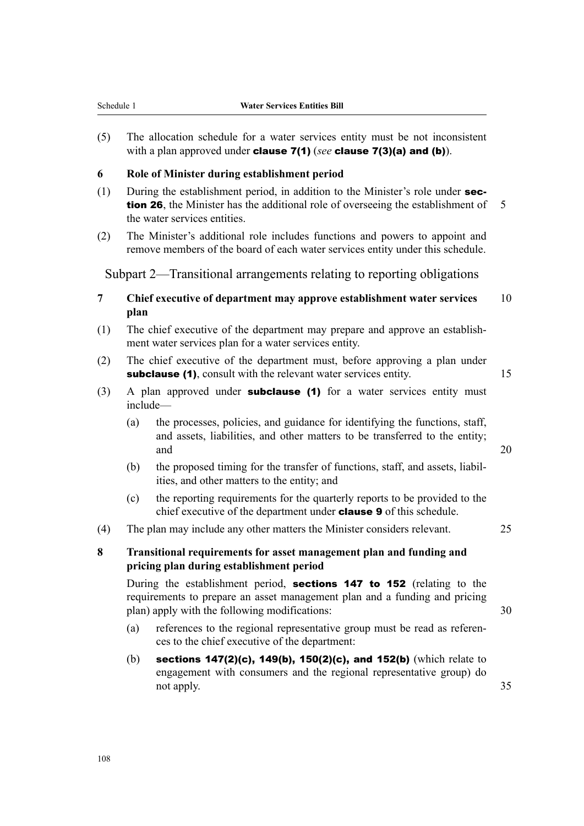<span id="page-137-0"></span>(5) The allocation schedule for a water services entity must be not inconsistent with a plan approved under clause 7(1) (*see* clause 7(3)(a) and (b)).

## **6 Role of Minister during establishment period**

- (1) During the establishment period, in addition to the Minister's role under section 26, the Minister has the additional role of overseeing the establishment of 5 the water services entities.
- (2) The Minister's additional role includes functions and powers to appoint and remove members of the board of each water services entity under this schedule.

Subpart 2—Transitional arrangements relating to reporting obligations

- **7 Chief executive of department may approve establishment water services** 10 **plan**
- (1) The chief executive of the department may prepare and approve an establish‐ ment water services plan for a water services entity.
- (2) The chief executive of the department must, before approving a plan under subclause (1), consult with the relevant water services entity. 15
- (3) A plan approved under **subclause (1)** for a water services entity must include—
	- (a) the processes, policies, and guidance for identifying the functions, staff, and assets, liabilities, and other matters to be transferred to the entity; and 20
	- (b) the proposed timing for the transfer of functions, staff, and assets, liabil– ities, and other matters to the entity; and
	- (c) the reporting requirements for the quarterly reports to be provided to the chief executive of the department under clause 9 of this schedule.
- (4) The plan may include any other matters the Minister considers relevant. 25
- **8 Transitional requirements for asset management plan and funding and pricing plan during establishment period**

During the establishment period, **sections 147 to 152** (relating to the requirements to prepare an asset management plan and a funding and pricing plan) apply with the following modifications: 30

- (a) references to the regional representative group must be read as references to the chief executive of the department:
- (b) sections  $147(2)(c)$ ,  $149(b)$ ,  $150(2)(c)$ , and  $152(b)$  (which relate to engagement with consumers and the regional representative group) do not apply. 35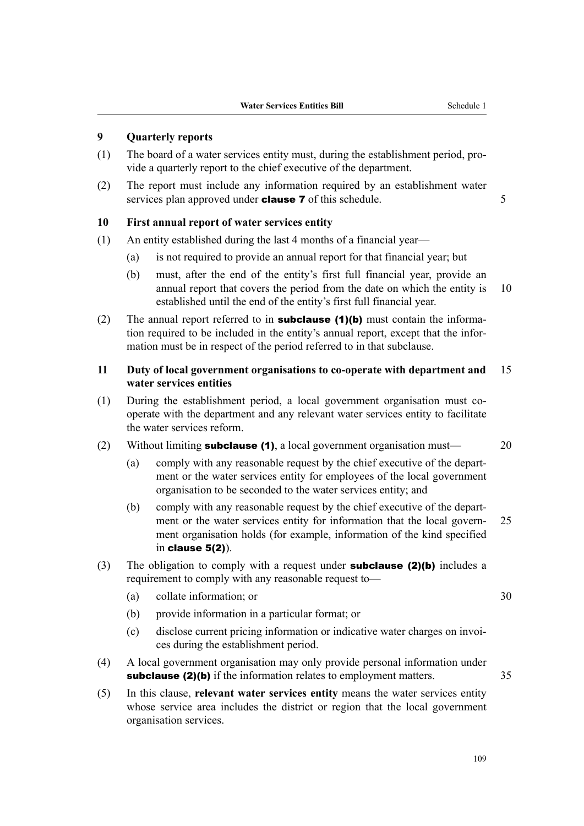# <span id="page-138-0"></span>**9 Quarterly reports**

- (1) The board of a water services entity must, during the establishment period, pro‐ vide a quarterly report to the chief executive of the department.
- (2) The report must include any information required by an establishment water services plan approved under **clause 7** of this schedule. 5

## **10 First annual report of water services entity**

- (1) An entity established during the last 4 months of a financial year—
	- (a) is not required to provide an annual report for that financial year; but
	- (b) must, after the end of the entity's first full financial year, provide an annual report that covers the period from the date on which the entity is 10 established until the end of the entity's first full financial year.
- (2) The annual report referred to in **subclause (1)(b)** must contain the information required to be included in the entity's annual report, except that the infor‐ mation must be in respect of the period referred to in that subclause.

# **11 Duty of local government organisations to co-operate with department and** 15 **water services entities**

- (1) During the establishment period, a local government organisation must cooperate with the department and any relevant water services entity to facilitate the water services reform.
- (2) Without limiting **subclause (1)**, a local government organisation must  $-$  20
	- (a) comply with any reasonable request by the chief executive of the depart‐ ment or the water services entity for employees of the local government organisation to be seconded to the water services entity; and
	- (b) comply with any reasonable request by the chief executive of the depart‐ ment or the water services entity for information that the local govern- 25 ment organisation holds (for example, information of the kind specified in clause 5(2)).
- (3) The obligation to comply with a request under **subclause (2)(b)** includes a requirement to comply with any reasonable request to—
	- (a) collate information; or 30
	- (b) provide information in a particular format; or
	- (c) disclose current pricing information or indicative water charges on invoi‐ ces during the establishment period.
- (4) A local government organisation may only provide personal information under subclause (2)(b) if the information relates to employment matters. 35
- (5) In this clause, **relevant water services entity** means the water services entity whose service area includes the district or region that the local government organisation services.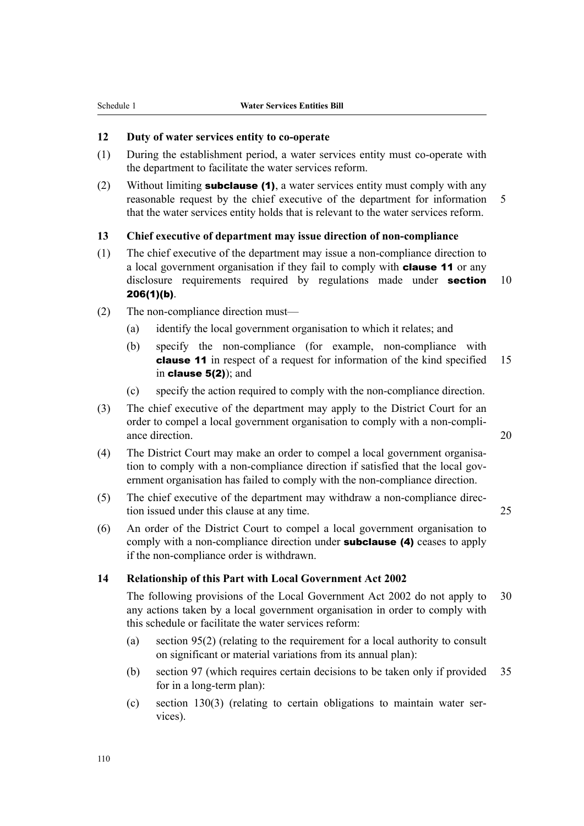# <span id="page-139-0"></span>**12 Duty of water services entity to co-operate**

- (1) During the establishment period, a water services entity must co-operate with the department to facilitate the water services reform.
- (2) Without limiting **subclause (1)**, a water services entity must comply with any reasonable request by the chief executive of the department for information 5 that the water services entity holds that is relevant to the water services reform.

# **13 Chief executive of department may issue direction of non-compliance**

- (1) The chief executive of the department may issue a non-compliance direction to a local government organisation if they fail to comply with **clause 11** or any disclosure requirements required by regulations made under **section** 10 206(1)(b).
- (2) The non-compliance direction must—
	- (a) identify the local government organisation to which it relates; and
	- (b) specify the non-compliance (for example, non-compliance with **clause 11** in respect of a request for information of the kind specified 15 in clause 5(2)); and
	- (c) specify the action required to comply with the non-compliance direction.
- (3) The chief executive of the department may apply to the District Court for an order to compel a local government organisation to comply with a non-compli‐ ance direction. 20
- (4) The District Court may make an order to compel a local government organisation to comply with a non-compliance direction if satisfied that the local government organisation has failed to comply with the non-compliance direction.
- (5) The chief executive of the department may withdraw a non-compliance direc‐ tion issued under this clause at any time. 25
- (6) An order of the District Court to compel a local government organisation to comply with a non-compliance direction under **subclause** (4) ceases to apply if the non-compliance order is withdrawn.

## **14 Relationship of this Part with Local Government Act 2002**

The following provisions of the Local Government Act 2002 do not apply to 30 any actions taken by a local government organisation in order to comply with this schedule or facilitate the water services reform:

- (a) section 95(2) (relating to the requirement for a local authority to consult on significant or material variations from its annual plan):
- (b) section 97 (which requires certain decisions to be taken only if provided 35 for in a long-term plan):
- $(c)$  section 130(3) (relating to certain obligations to maintain water services).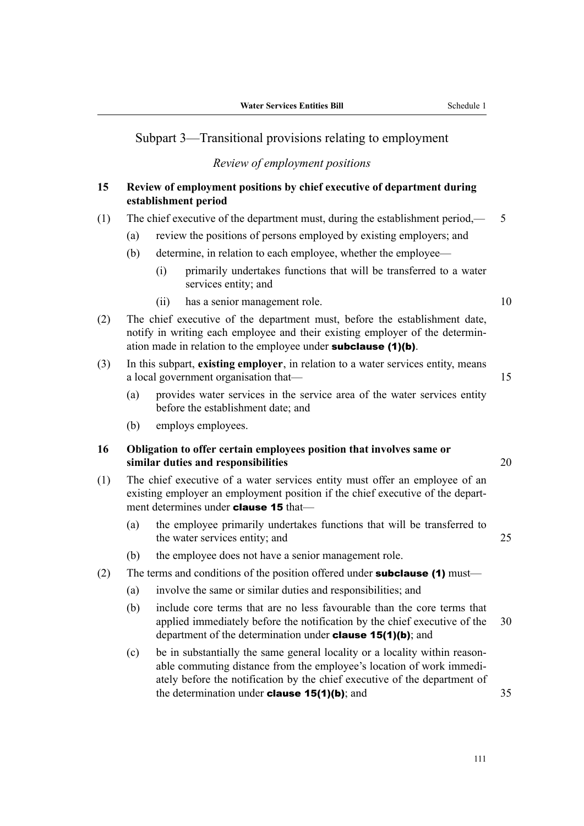# <span id="page-140-0"></span>Subpart 3—Transitional provisions relating to employment

# *Review of employment positions*

# **15 Review of employment positions by chief executive of department during establishment period**

# (1) The chief executive of the department must, during the establishment period,— 5

- (a) review the positions of persons employed by existing employers; and
- (b) determine, in relation to each employee, whether the employee—
	- (i) primarily undertakes functions that will be transferred to a water services entity; and
	- (ii) has a senior management role. 10

- (2) The chief executive of the department must, before the establishment date, notify in writing each employee and their existing employer of the determin‐ ation made in relation to the employee under **subclause** (1)(b).
- (3) In this subpart, **existing employer**, in relation to a water services entity, means a local government organisation that— 15
	- (a) provides water services in the service area of the water services entity before the establishment date; and
	- (b) employs employees.

# **16 Obligation to offer certain employees position that involves same or similar duties and responsibilities** 20

(1) The chief executive of a water services entity must offer an employee of an existing employer an employment position if the chief executive of the department determines under **clause 15** that—

- (a) the employee primarily undertakes functions that will be transferred to the water services entity; and 25
- (b) the employee does not have a senior management role.

# (2) The terms and conditions of the position offered under **subclause (1)** must—

- (a) involve the same or similar duties and responsibilities; and
- (b) include core terms that are no less favourable than the core terms that applied immediately before the notification by the chief executive of the 30 department of the determination under **clause 15(1)(b)**; and
- (c) be in substantially the same general locality or a locality within reason‐ able commuting distance from the employee's location of work immedi‐ ately before the notification by the chief executive of the department of the determination under **clause 15(1)(b)**; and  $35$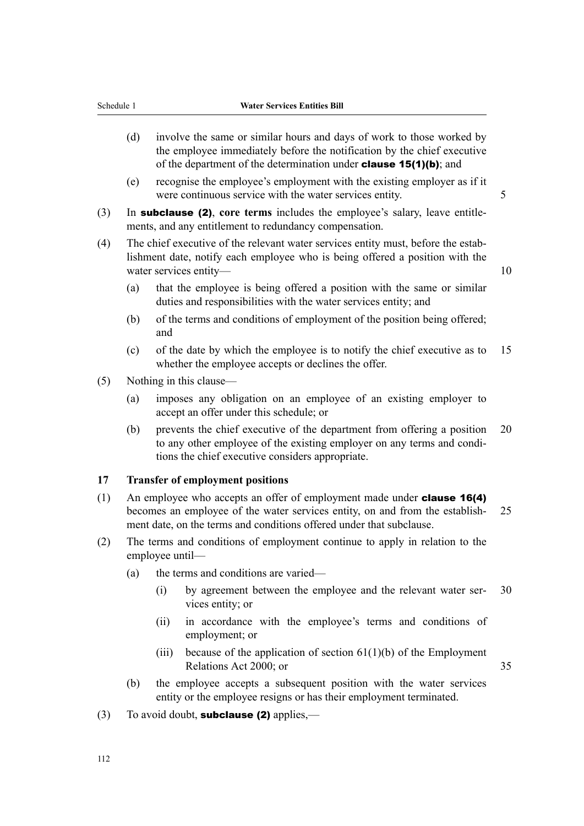- <span id="page-141-0"></span>(d) involve the same or similar hours and days of work to those worked by the employee immediately before the notification by the chief executive of the department of the determination under clause 15(1)(b); and
- (e) recognise the employee's employment with the existing employer as if it were continuous service with the water services entity.
- (3) In subclause (2), **core terms** includes the employee's salary, leave entitle‐ ments, and any entitlement to redundancy compensation.
- (4) The chief executive of the relevant water services entity must, before the estab‐ lishment date, notify each employee who is being offered a position with the water services entity— 10
	- (a) that the employee is being offered a position with the same or similar duties and responsibilities with the water services entity; and
	- (b) of the terms and conditions of employment of the position being offered; and
	- (c) of the date by which the employee is to notify the chief executive as to 15 whether the employee accepts or declines the offer.
- (5) Nothing in this clause—
	- (a) imposes any obligation on an employee of an existing employer to accept an offer under this schedule; or
	- (b) prevents the chief executive of the department from offering a position 20 to any other employee of the existing employer on any terms and conditions the chief executive considers appropriate.

# **17 Transfer of employment positions**

- (1) An employee who accepts an offer of employment made under **clause 16(4)** becomes an employee of the water services entity, on and from the establish- 25 ment date, on the terms and conditions offered under that subclause.
- (2) The terms and conditions of employment continue to apply in relation to the employee until—
	- (a) the terms and conditions are varied—
		- (i) by agreement between the employee and the relevant water ser- 30 vices entity; or
		- (ii) in accordance with the employee's terms and conditions of employment; or
		- (iii) because of the application of section  $61(1)(b)$  of the Employment Relations Act 2000; or 35
	- (b) the employee accepts a subsequent position with the water services entity or the employee resigns or has their employment terminated.
- (3) To avoid doubt, **subclause (2)** applies,—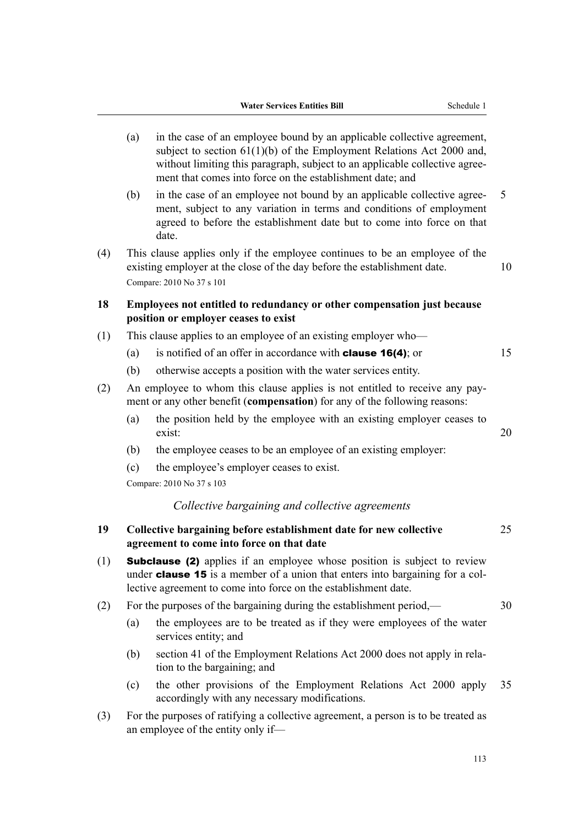- <span id="page-142-0"></span>(a) in the case of an employee bound by an applicable collective agreement, subject to section 61(1)(b) of the Employment Relations Act 2000 and, without limiting this paragraph, subject to an applicable collective agreement that comes into force on the establishment date; and (b) in the case of an employee not bound by an applicable collective agree‐ 5 ment, subject to any variation in terms and conditions of employment agreed to before the establishment date but to come into force on that
- (4) This clause applies only if the employee continues to be an employee of the existing employer at the close of the day before the establishment date. 10 Compare: 2010 No 37 s 101

# **18 Employees not entitled to redundancy or other compensation just because position or employer ceases to exist**

- (1) This clause applies to an employee of an existing employer who—
	- (a) is notified of an offer in accordance with **clause 16(4)**; or  $15$
	- (b) otherwise accepts a position with the water services entity.
- (2) An employee to whom this clause applies is not entitled to receive any pay‐ ment or any other benefit (**compensation**) for any of the following reasons:
	- (a) the position held by the employee with an existing employer ceases to exist: 20
	- (b) the employee ceases to be an employee of an existing employer:
	- (c) the employee's employer ceases to exist.
	- Compare: 2010 No 37 s 103

date.

## *Collective bargaining and collective agreements*

**19 Collective bargaining before establishment date for new collective** 25 **agreement to come into force on that date** (1) Subclause (2) applies if an employee whose position is subject to review under **clause 15** is a member of a union that enters into bargaining for a collective agreement to come into force on the establishment date. (2) For the purposes of the bargaining during the establishment period,— 30 (a) the employees are to be treated as if they were employees of the water services entity; and (b) section 41 of the Employment Relations Act 2000 does not apply in rela‐ tion to the bargaining; and (c) the other provisions of the Employment Relations Act 2000 apply 35 accordingly with any necessary modifications. (3) For the purposes of ratifying a collective agreement, a person is to be treated as an employee of the entity only if—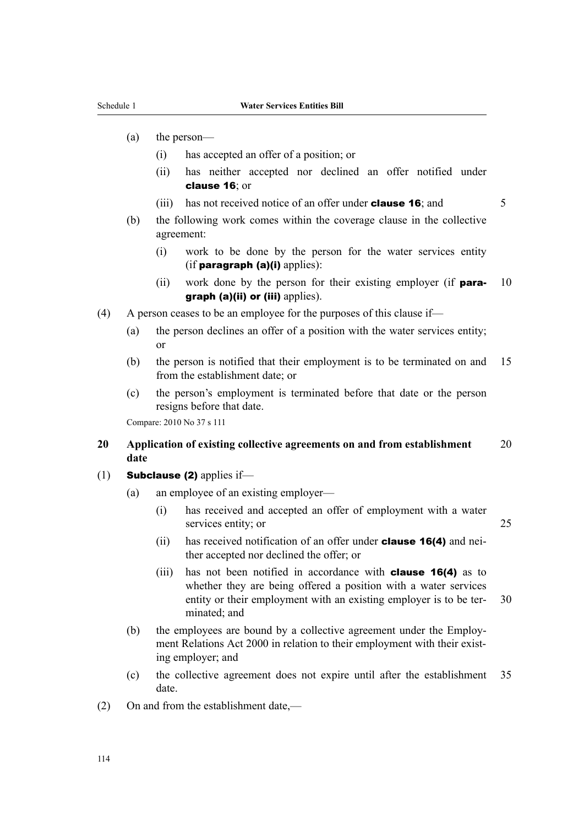- <span id="page-143-0"></span>(a) the person—
	- (i) has accepted an offer of a position; or
	- (ii) has neither accepted nor declined an offer notified under clause 16; or
	- (iii) has not received notice of an offer under **clause 16**; and  $\overline{5}$

- (b) the following work comes within the coverage clause in the collective agreement:
	- (i) work to be done by the person for the water services entity  $(i$ f paragraph  $(a)(i)$  applies):
	- (ii) work done by the person for their existing employer (if **para-** 10 graph (a)(ii) or (iii) applies).
- (4) A person ceases to be an employee for the purposes of this clause if—
	- (a) the person declines an offer of a position with the water services entity; or
	- (b) the person is notified that their employment is to be terminated on and 15 from the establishment date; or
	- (c) the person's employment is terminated before that date or the person resigns before that date.

Compare: 2010 No 37 s 111

# **20 Application of existing collective agreements on and from establishment** 20 **date**

- (1) **Subclause (2)** applies if-
	- (a) an employee of an existing employer—
		- (i) has received and accepted an offer of employment with a water services entity; or 25
		- (ii) has received notification of an offer under **clause 16(4)** and neither accepted nor declined the offer; or
		- (iii) has not been notified in accordance with **clause 16(4)** as to whether they are being offered a position with a water services entity or their employment with an existing employer is to be ter- 30 minated; and
	- (b) the employees are bound by a collective agreement under the Employment Relations Act 2000 in relation to their employment with their existing employer; and
	- (c) the collective agreement does not expire until after the establishment 35 date.
- (2) On and from the establishment date,—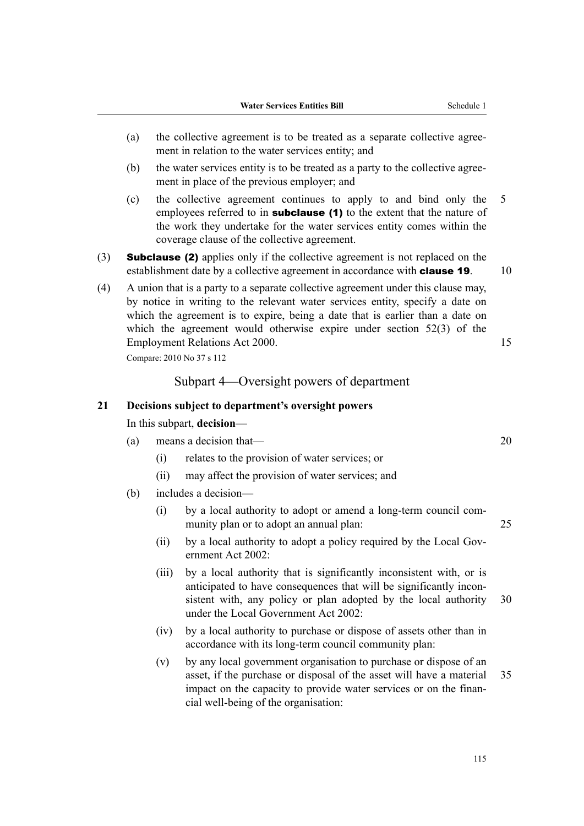- (a) the collective agreement is to be treated as a separate collective agree‐ ment in relation to the water services entity; and
- (b) the water services entity is to be treated as a party to the collective agree‐ ment in place of the previous employer; and
- (c) the collective agreement continues to apply to and bind only the 5 employees referred to in **subclause** (1) to the extent that the nature of the work they undertake for the water services entity comes within the coverage clause of the collective agreement.
- (3) Subclause (2) applies only if the collective agreement is not replaced on the establishment date by a collective agreement in accordance with **clause 19**. 10
- (4) A union that is a party to a separate collective agreement under this clause may, by notice in writing to the relevant water services entity, specify a date on which the agreement is to expire, being a date that is earlier than a date on which the agreement would otherwise expire under section 52(3) of the Employment Relations Act 2000. 15

Compare: 2010 No 37 s 112

### Subpart 4—Oversight powers of department

#### **21 Decisions subject to department's oversight powers**

In this subpart, **decision**—

- (a) means a decision that— 20
	- (i) relates to the provision of water services; or
	- (ii) may affect the provision of water services; and
- (b) includes a decision—
	- (i) by a local authority to adopt or amend a long-term council com‐ munity plan or to adopt an annual plan: 25
	- (ii) by a local authority to adopt a policy required by the Local Government Act 2002:
	- (iii) by a local authority that is significantly inconsistent with, or is anticipated to have consequences that will be significantly incon‐ sistent with, any policy or plan adopted by the local authority 30 under the Local Government Act 2002:
	- (iv) by a local authority to purchase or dispose of assets other than in accordance with its long-term council community plan:
	- (v) by any local government organisation to purchase or dispose of an asset, if the purchase or disposal of the asset will have a material 35 impact on the capacity to provide water services or on the financial well-being of the organisation: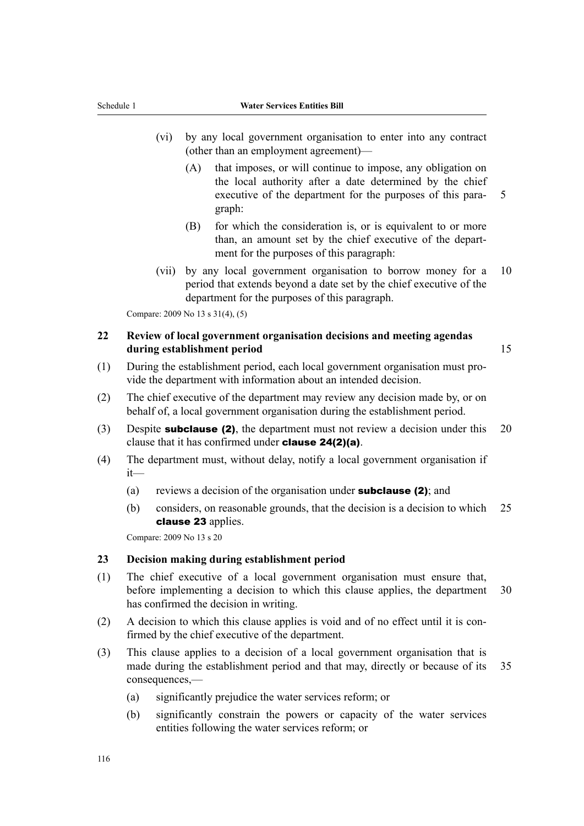- (vi) by any local government organisation to enter into any contract (other than an employment agreement)—
	- (A) that imposes, or will continue to impose, any obligation on the local authority after a date determined by the chief executive of the department for the purposes of this para- 5 graph:
	- (B) for which the consideration is, or is equivalent to or more than, an amount set by the chief executive of the depart‐ ment for the purposes of this paragraph:
- (vii) by any local government organisation to borrow money for a 10 period that extends beyond a date set by the chief executive of the department for the purposes of this paragraph.

Compare: 2009 No 13 s 31(4), (5)

### **22 Review of local government organisation decisions and meeting agendas during establishment period** 15

- (1) During the establishment period, each local government organisation must pro‐ vide the department with information about an intended decision.
- (2) The chief executive of the department may review any decision made by, or on behalf of, a local government organisation during the establishment period.
- (3) Despite **subclause (2)**, the department must not review a decision under this  $20$ clause that it has confirmed under clause 24(2)(a).
- (4) The department must, without delay, notify a local government organisation if it—
	- (a) reviews a decision of the organisation under **subclause (2)**; and
	- (b) considers, on reasonable grounds, that the decision is a decision to which 25 clause 23 applies.

Compare: 2009 No 13 s 20

#### **23 Decision making during establishment period**

- (1) The chief executive of a local government organisation must ensure that, before implementing a decision to which this clause applies, the department 30 has confirmed the decision in writing.
- (2) A decision to which this clause applies is void and of no effect until it is confirmed by the chief executive of the department.
- (3) This clause applies to a decision of a local government organisation that is made during the establishment period and that may, directly or because of its 35 consequences,—
	- (a) significantly prejudice the water services reform; or
	- (b) significantly constrain the powers or capacity of the water services entities following the water services reform; or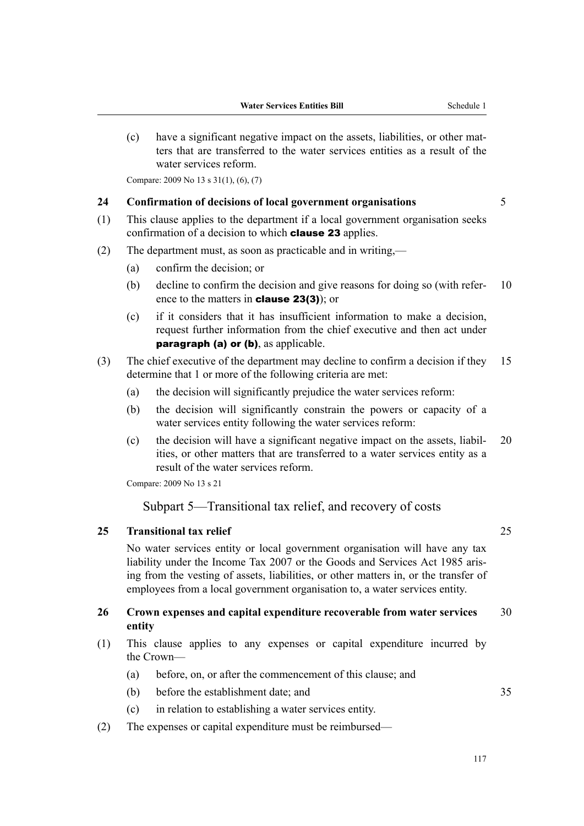(c) have a significant negative impact on the assets, liabilities, or other mat‐ ters that are transferred to the water services entities as a result of the water services reform.

Compare: 2009 No 13 s 31(1), (6), (7)

#### **24 Confirmation of decisions of local government organisations** 5

- (1) This clause applies to the department if a local government organisation seeks confirmation of a decision to which **clause 23** applies.
- (2) The department must, as soon as practicable and in writing,—
	- (a) confirm the decision; or
	- (b) decline to confirm the decision and give reasons for doing so (with refer- 10 ence to the matters in clause 23(3)); or
	- (c) if it considers that it has insufficient information to make a decision, request further information from the chief executive and then act under paragraph (a) or (b), as applicable.
- (3) The chief executive of the department may decline to confirm a decision if they 15 determine that 1 or more of the following criteria are met:
	- (a) the decision will significantly prejudice the water services reform:
	- (b) the decision will significantly constrain the powers or capacity of a water services entity following the water services reform:
	- (c) the decision will have a significant negative impact on the assets, liabil‐ 20 ities, or other matters that are transferred to a water services entity as a result of the water services reform.

Compare: 2009 No 13 s 21

### Subpart 5—Transitional tax relief, and recovery of costs

#### **25 Transitional tax relief** 25

No water services entity or local government organisation will have any tax liability under the Income Tax 2007 or the Goods and Services Act 1985 aris‐ ing from the vesting of assets, liabilities, or other matters in, or the transfer of employees from a local government organisation to, a water services entity.

#### **26 Crown expenses and capital expenditure recoverable from water services** 30 **entity**

- (1) This clause applies to any expenses or capital expenditure incurred by the Crown—
	- (a) before, on, or after the commencement of this clause; and
	- (b) before the establishment date; and 35
	- (c) in relation to establishing a water services entity.
- (2) The expenses or capital expenditure must be reimbursed—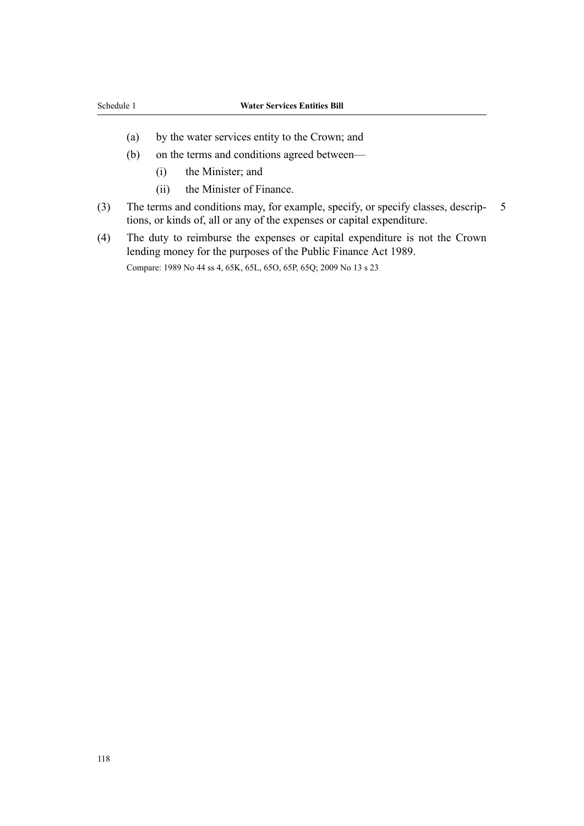- (a) by the water services entity to the Crown; and
- (b) on the terms and conditions agreed between—
	- (i) the Minister; and
	- (ii) the Minister of Finance.
- (3) The terms and conditions may, for example, specify, or specify classes, descrip‐ 5 tions, or kinds of, all or any of the expenses or capital expenditure.
- (4) The duty to reimburse the expenses or capital expenditure is not the Crown lending money for the purposes of the Public Finance Act 1989. Compare: 1989 No 44 ss 4, 65K, 65L, 65O, 65P, 65Q; 2009 No 13 s 23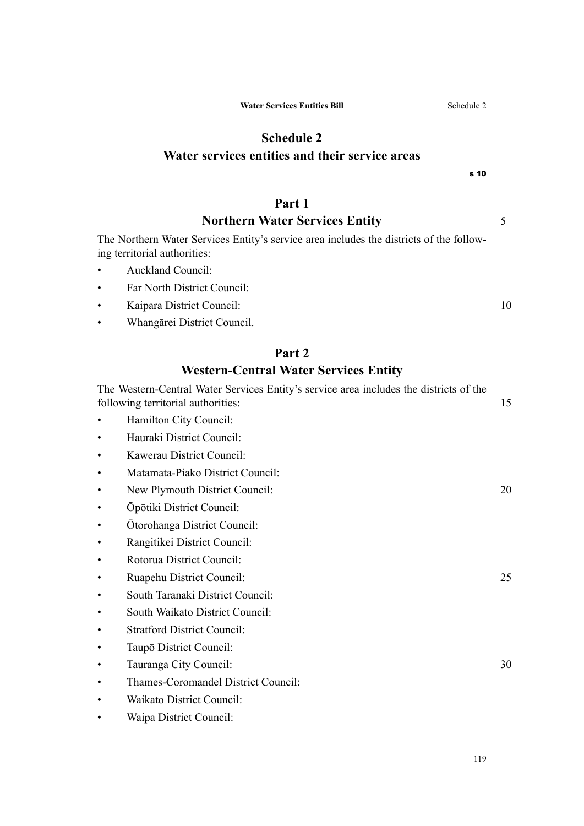# **Schedule 2 Water services entities and their service areas**

# **Part 1**

# **Northern Water Services Entity** 5

The Northern Water Services Entity's service area includes the districts of the follow‐ ing territorial authorities:

- Auckland Council:
- Far North District Council:
- Kaipara District Council: 10
- Whangārei District Council.

# **Part 2**

# **Western-Central Water Services Entity**

|           | The Western-Central Water Services Entity's service area includes the districts of the<br>following territorial authorities: | 15 |
|-----------|------------------------------------------------------------------------------------------------------------------------------|----|
|           | Hamilton City Council:                                                                                                       |    |
|           | Hauraki District Council:                                                                                                    |    |
|           | Kawerau District Council:                                                                                                    |    |
| $\bullet$ | Matamata-Piako District Council:                                                                                             |    |
| $\bullet$ | New Plymouth District Council:                                                                                               | 20 |
| $\bullet$ | Ōpōtiki District Council:                                                                                                    |    |
| $\bullet$ | Ōtorohanga District Council:                                                                                                 |    |
| $\bullet$ | Rangitikei District Council:                                                                                                 |    |
| $\bullet$ | Rotorua District Council:                                                                                                    |    |
| ٠         | Ruapehu District Council:                                                                                                    | 25 |
| ٠         | South Taranaki District Council:                                                                                             |    |
| ٠         | South Waikato District Council:                                                                                              |    |
| ٠         | <b>Stratford District Council:</b>                                                                                           |    |
|           | Taupō District Council:                                                                                                      |    |
|           | Tauranga City Council:                                                                                                       | 30 |
|           | Thames-Coromandel District Council:                                                                                          |    |
|           | Waikato District Council:                                                                                                    |    |
|           | Waipa District Council:                                                                                                      |    |

s 10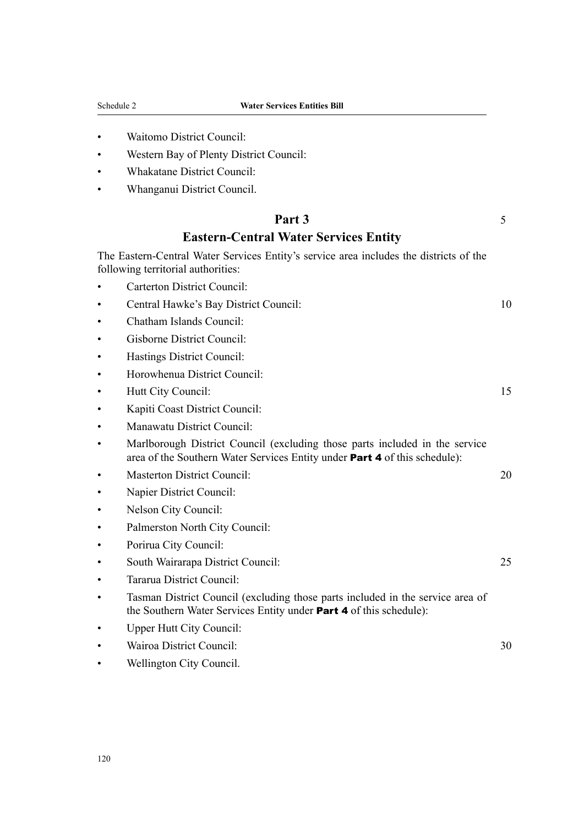- Waitomo District Council:
- Western Bay of Plenty District Council:
- Whakatane District Council:
- Whanganui District Council.

## **Part 3** 5

# **Eastern-Central Water Services Entity**

The Eastern-Central Water Services Entity's service area includes the districts of the following territorial authorities:

- Carterton District Council:
- Central Hawke's Bay District Council: 10
- Chatham Islands Council:
- Gisborne District Council:
- Hastings District Council:
- Horowhenua District Council:
- Hutt City Council: 15
- Kapiti Coast District Council:
- Manawatu District Council:
- Marlborough District Council (excluding those parts included in the service area of the Southern Water Services Entity under Part 4 of this schedule):
- Masterton District Council: 20
- Napier District Council:
- Nelson City Council:
- Palmerston North City Council:
- Porirua City Council:
- South Wairarapa District Council: 25
- Tararua District Council:
- Tasman District Council (excluding those parts included in the service area of the Southern Water Services Entity under Part 4 of this schedule):
- Upper Hutt City Council:
- Wairoa District Council: 30
- Wellington City Council.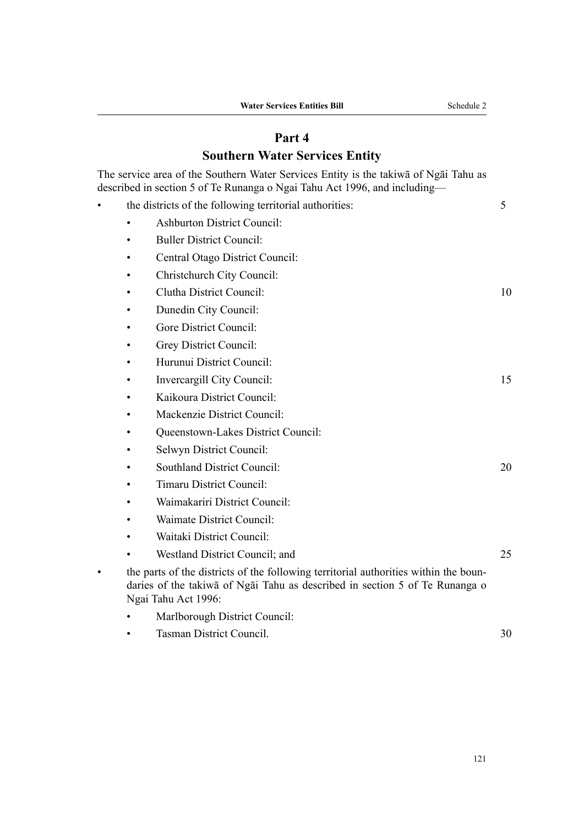# **Part 4**

# **Southern Water Services Entity**

The service area of the Southern Water Services Entity is the takiwā of Ngāi Tahu as described in section 5 of Te Runanga o Ngai Tahu Act 1996, and including—

| the districts of the following territorial authorities: |                                                                                                                                                                                            |    |
|---------------------------------------------------------|--------------------------------------------------------------------------------------------------------------------------------------------------------------------------------------------|----|
|                                                         | <b>Ashburton District Council:</b>                                                                                                                                                         |    |
|                                                         | <b>Buller District Council:</b>                                                                                                                                                            |    |
|                                                         | Central Otago District Council:                                                                                                                                                            |    |
|                                                         | Christchurch City Council:                                                                                                                                                                 |    |
|                                                         | Clutha District Council:                                                                                                                                                                   | 10 |
|                                                         | Dunedin City Council:                                                                                                                                                                      |    |
|                                                         | Gore District Council:                                                                                                                                                                     |    |
|                                                         | Grey District Council:                                                                                                                                                                     |    |
|                                                         | Hurunui District Council:                                                                                                                                                                  |    |
|                                                         | Invercargill City Council:                                                                                                                                                                 | 15 |
|                                                         | Kaikoura District Council:                                                                                                                                                                 |    |
|                                                         | Mackenzie District Council:                                                                                                                                                                |    |
|                                                         | Queenstown-Lakes District Council:                                                                                                                                                         |    |
|                                                         | Selwyn District Council:                                                                                                                                                                   |    |
|                                                         | <b>Southland District Council:</b>                                                                                                                                                         | 20 |
|                                                         | <b>Timaru District Council:</b>                                                                                                                                                            |    |
|                                                         | Waimakariri District Council:                                                                                                                                                              |    |
|                                                         | Waimate District Council:                                                                                                                                                                  |    |
|                                                         | Waitaki District Council:                                                                                                                                                                  |    |
|                                                         | Westland District Council; and                                                                                                                                                             | 25 |
|                                                         | the parts of the districts of the following territorial authorities within the boun-<br>daries of the takiwa of Ngai Tahu as described in section 5 of Te Runanga o<br>Ngai Tahu Act 1996: |    |
|                                                         | Marlborough District Council:                                                                                                                                                              |    |
|                                                         | Tasman District Council.                                                                                                                                                                   | 30 |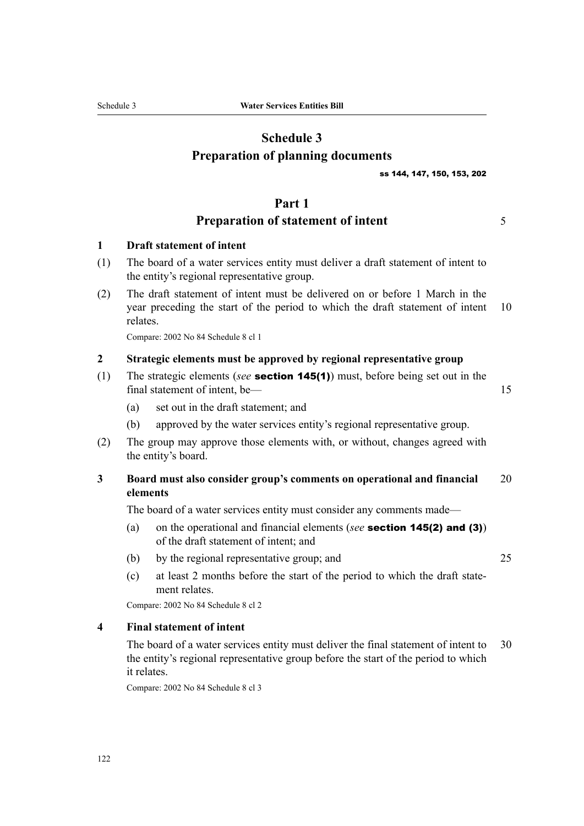# **Schedule 3 Preparation of planning documents**

ss 144, 147, 150, 153, 202

#### **Part 1**

# **Preparation of statement of intent** 5

#### **1 Draft statement of intent**

- (1) The board of a water services entity must deliver a draft statement of intent to the entity's regional representative group.
- (2) The draft statement of intent must be delivered on or before 1 March in the year preceding the start of the period to which the draft statement of intent 10 relates.

Compare: 2002 No 84 Schedule 8 cl 1

#### **2 Strategic elements must be approved by regional representative group**

(1) The strategic elements (*see* section 145(1)) must, before being set out in the final statement of intent, be— 15

- (a) set out in the draft statement; and
- (b) approved by the water services entity's regional representative group.
- (2) The group may approve those elements with, or without, changes agreed with the entity's board.

### **3 Board must also consider group's comments on operational and financial** 20 **elements**

The board of a water services entity must consider any comments made—

- (a) on the operational and financial elements (*see* section 145(2) and (3)) of the draft statement of intent; and
- (b) by the regional representative group; and 25
- (c) at least 2 months before the start of the period to which the draft state‐ ment relates.

Compare: 2002 No 84 Schedule 8 cl 2

#### **4 Final statement of intent**

The board of a water services entity must deliver the final statement of intent to 30 the entity's regional representative group before the start of the period to which it relates.

Compare: 2002 No 84 Schedule 8 cl 3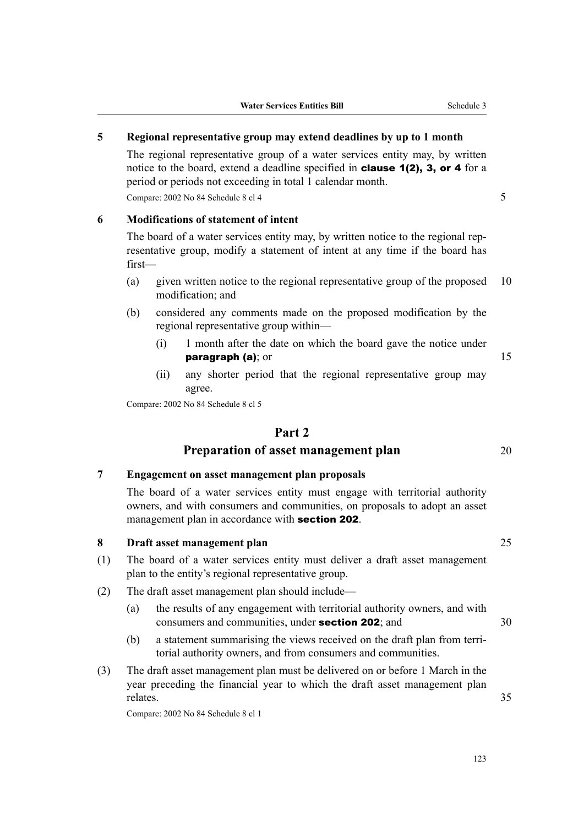### **5 Regional representative group may extend deadlines by up to 1 month**

The regional representative group of a water services entity may, by written notice to the board, extend a deadline specified in **clause 1(2), 3, or 4** for a period or periods not exceeding in total 1 calendar month.

Compare: 2002 No 84 Schedule 8 cl 4 5

#### **6 Modifications of statement of intent**

The board of a water services entity may, by written notice to the regional representative group, modify a statement of intent at any time if the board has first—

- (a) given written notice to the regional representative group of the proposed 10 modification; and
- (b) considered any comments made on the proposed modification by the regional representative group within—
	- (i) 1 month after the date on which the board gave the notice under **paragraph (a)**; or  $15$
	- (ii) any shorter period that the regional representative group may agree.

Compare: 2002 No 84 Schedule 8 cl 5

### **Part 2**

### **Preparation of asset management plan** 20

#### **7 Engagement on asset management plan proposals**

The board of a water services entity must engage with territorial authority owners, and with consumers and communities, on proposals to adopt an asset management plan in accordance with **section 202**.

#### **8 Draft asset management plan** 25

- (1) The board of a water services entity must deliver a draft asset management plan to the entity's regional representative group.
- (2) The draft asset management plan should include—
	- (a) the results of any engagement with territorial authority owners, and with consumers and communities, under **section 202**; and  $30$
	- (b) a statement summarising the views received on the draft plan from terri‐ torial authority owners, and from consumers and communities.
- (3) The draft asset management plan must be delivered on or before 1 March in the year preceding the financial year to which the draft asset management plan relates. 35

Compare: 2002 No 84 Schedule 8 cl 1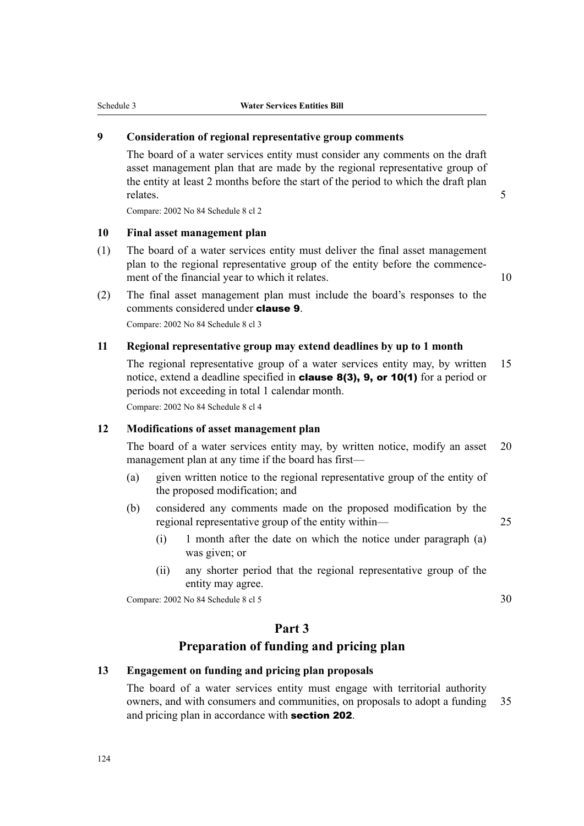### **9 Consideration of regional representative group comments**

The board of a water services entity must consider any comments on the draft asset management plan that are made by the regional representative group of the entity at least 2 months before the start of the period to which the draft plan relates. 5

Compare: 2002 No 84 Schedule 8 cl 2

#### **10 Final asset management plan**

- (1) The board of a water services entity must deliver the final asset management plan to the regional representative group of the entity before the commence‐ ment of the financial year to which it relates. 10
	-
- (2) The final asset management plan must include the board's responses to the comments considered under clause 9.

Compare: 2002 No 84 Schedule 8 cl 3

#### **11 Regional representative group may extend deadlines by up to 1 month**

The regional representative group of a water services entity may, by written 15 notice, extend a deadline specified in clause 8(3), 9, or 10(1) for a period or periods not exceeding in total 1 calendar month.

Compare: 2002 No 84 Schedule 8 cl 4

#### **12 Modifications of asset management plan**

The board of a water services entity may, by written notice, modify an asset 20 management plan at any time if the board has first—

- (a) given written notice to the regional representative group of the entity of the proposed modification; and
- (b) considered any comments made on the proposed modification by the regional representative group of the entity within— 25
	- (i) 1 month after the date on which the notice under paragraph (a) was given; or
	- (ii) any shorter period that the regional representative group of the entity may agree.

Compare: 2002 No 84 Schedule 8 cl 5 30

## **Part 3**

### **Preparation of funding and pricing plan**

#### **13 Engagement on funding and pricing plan proposals**

The board of a water services entity must engage with territorial authority owners, and with consumers and communities, on proposals to adopt a funding 35 and pricing plan in accordance with **section 202**.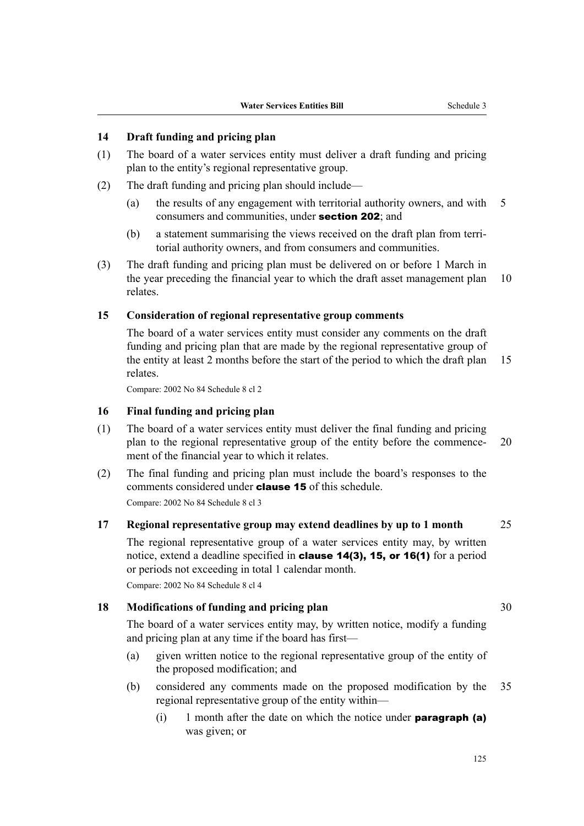### **14 Draft funding and pricing plan**

- (1) The board of a water services entity must deliver a draft funding and pricing plan to the entity's regional representative group.
- (2) The draft funding and pricing plan should include—
	- (a) the results of any engagement with territorial authority owners, and with 5 consumers and communities, under section 202; and
	- (b) a statement summarising the views received on the draft plan from terri‐ torial authority owners, and from consumers and communities.
- (3) The draft funding and pricing plan must be delivered on or before 1 March in the year preceding the financial year to which the draft asset management plan 10 relates.

#### **15 Consideration of regional representative group comments**

The board of a water services entity must consider any comments on the draft funding and pricing plan that are made by the regional representative group of the entity at least 2 months before the start of the period to which the draft plan 15 relates.

Compare: 2002 No 84 Schedule 8 cl 2

#### **16 Final funding and pricing plan**

- (1) The board of a water services entity must deliver the final funding and pricing plan to the regional representative group of the entity before the commence—20 ment of the financial year to which it relates.
- (2) The final funding and pricing plan must include the board's responses to the comments considered under clause 15 of this schedule.

Compare: 2002 No 84 Schedule 8 cl 3

#### **17 Regional representative group may extend deadlines by up to 1 month** 25

The regional representative group of a water services entity may, by written notice, extend a deadline specified in clause 14(3), 15, or 16(1) for a period or periods not exceeding in total 1 calendar month. Compare: 2002 No 84 Schedule 8 cl 4

## **18 Modifications of funding and pricing plan** 30

The board of a water services entity may, by written notice, modify a funding and pricing plan at any time if the board has first—

- (a) given written notice to the regional representative group of the entity of the proposed modification; and
- (b) considered any comments made on the proposed modification by the 35 regional representative group of the entity within—
	- (i) 1 month after the date on which the notice under **paragraph** (a) was given; or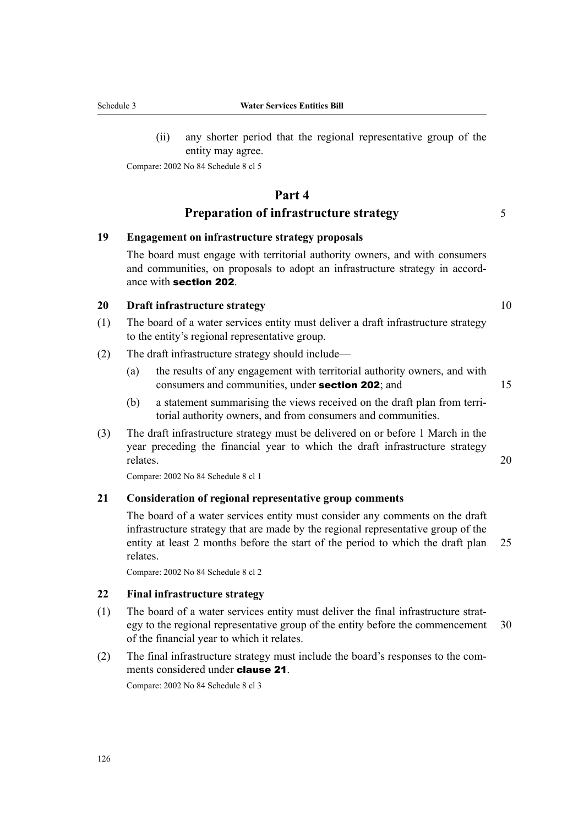(ii) any shorter period that the regional representative group of the entity may agree.

Compare: 2002 No 84 Schedule 8 cl 5

# **Part 4 Preparation of infrastructure strategy** 5

#### **19 Engagement on infrastructure strategy proposals**

The board must engage with territorial authority owners, and with consumers and communities, on proposals to adopt an infrastructure strategy in accord‐ ance with section 202.

#### **20 Draft infrastructure strategy** 10

- (1) The board of a water services entity must deliver a draft infrastructure strategy to the entity's regional representative group.
- (2) The draft infrastructure strategy should include—
	- (a) the results of any engagement with territorial authority owners, and with consumers and communities, under **section 202**; and 15
	- (b) a statement summarising the views received on the draft plan from territorial authority owners, and from consumers and communities.
- (3) The draft infrastructure strategy must be delivered on or before 1 March in the year preceding the financial year to which the draft infrastructure strategy relates. 20

Compare: 2002 No 84 Schedule 8 cl 1

#### **21 Consideration of regional representative group comments**

The board of a water services entity must consider any comments on the draft infrastructure strategy that are made by the regional representative group of the entity at least 2 months before the start of the period to which the draft plan 25 relates.

Compare: 2002 No 84 Schedule 8 cl 2

#### **22 Final infrastructure strategy**

- (1) The board of a water services entity must deliver the final infrastructure strat‐ egy to the regional representative group of the entity before the commencement 30 of the financial year to which it relates.
- (2) The final infrastructure strategy must include the board's responses to the com‐ ments considered under clause 21.

Compare: 2002 No 84 Schedule 8 cl 3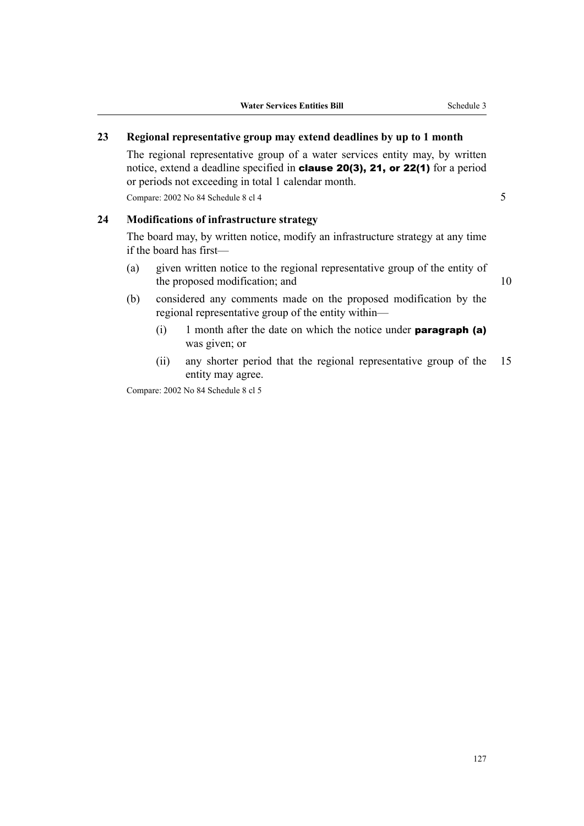### **23 Regional representative group may extend deadlines by up to 1 month**

The regional representative group of a water services entity may, by written notice, extend a deadline specified in clause 20(3), 21, or 22(1) for a period or periods not exceeding in total 1 calendar month.

Compare:  $2002$  No 84 Schedule 8 cl 4  $\overline{5}$ 

#### **24 Modifications of infrastructure strategy**

The board may, by written notice, modify an infrastructure strategy at any time if the board has first—

(a) given written notice to the regional representative group of the entity of the proposed modification; and 10

- (b) considered any comments made on the proposed modification by the regional representative group of the entity within—
	- (i) 1 month after the date on which the notice under **paragraph** (a) was given; or
	- (ii) any shorter period that the regional representative group of the 15 entity may agree.

Compare: 2002 No 84 Schedule 8 cl 5

127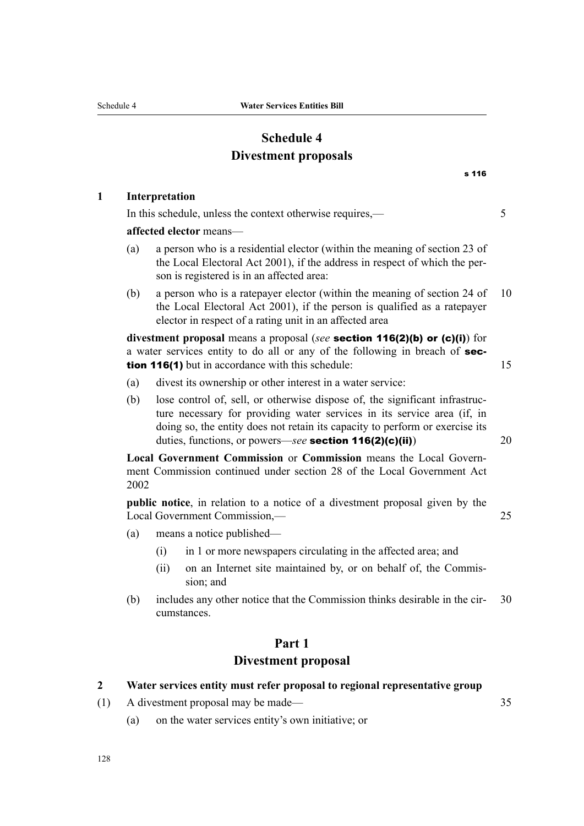# **Schedule 4 Divestment proposals**

|                               |                                                                                                                                                                                                                                                                                                    | s 116                                                           |    |  |
|-------------------------------|----------------------------------------------------------------------------------------------------------------------------------------------------------------------------------------------------------------------------------------------------------------------------------------------------|-----------------------------------------------------------------|----|--|
|                               | Interpretation                                                                                                                                                                                                                                                                                     |                                                                 |    |  |
|                               | In this schedule, unless the context otherwise requires,—                                                                                                                                                                                                                                          |                                                                 | 5  |  |
|                               | affected elector means-                                                                                                                                                                                                                                                                            |                                                                 |    |  |
| (a)                           | a person who is a residential elector (within the meaning of section 23 of<br>the Local Electoral Act 2001), if the address in respect of which the per-<br>son is registered is in an affected area:                                                                                              |                                                                 |    |  |
| (b)                           | a person who is a ratepayer elector (within the meaning of section 24 of<br>the Local Electoral Act 2001), if the person is qualified as a ratepayer<br>elector in respect of a rating unit in an affected area                                                                                    |                                                                 | 10 |  |
|                               | divestment proposal means a proposal (see section $116(2)(b)$ or $(c)(i)$ ) for<br>a water services entity to do all or any of the following in breach of sec-<br>tion 116(1) but in accordance with this schedule:                                                                                |                                                                 | 15 |  |
| (a)                           | divest its ownership or other interest in a water service:                                                                                                                                                                                                                                         |                                                                 |    |  |
| (b)                           | lose control of, sell, or otherwise dispose of, the significant infrastruc-<br>ture necessary for providing water services in its service area (if, in<br>doing so, the entity does not retain its capacity to perform or exercise its<br>duties, functions, or powers—see section $116(2)(c)(ii)$ |                                                                 | 20 |  |
| 2002                          | Local Government Commission or Commission means the Local Govern-<br>ment Commission continued under section 28 of the Local Government Act                                                                                                                                                        |                                                                 |    |  |
| Local Government Commission,- | <b>public notice</b> , in relation to a notice of a divestment proposal given by the                                                                                                                                                                                                               | 25                                                              |    |  |
| (a)                           | means a notice published—                                                                                                                                                                                                                                                                          |                                                                 |    |  |
|                               | in 1 or more newspapers circulating in the affected area; and<br>(i)                                                                                                                                                                                                                               |                                                                 |    |  |
|                               | (ii)<br>sion; and                                                                                                                                                                                                                                                                                  | on an Internet site maintained by, or on behalf of, the Commis- |    |  |
| (b)                           | includes any other notice that the Commission thinks desirable in the cir-<br>cumstances.                                                                                                                                                                                                          |                                                                 | 30 |  |

# **Part 1 Divestment proposal**

# **2 Water services entity must refer proposal to regional representative group**

- (1) A divestment proposal may be made— 35
	- (a) on the water services entity's own initiative; or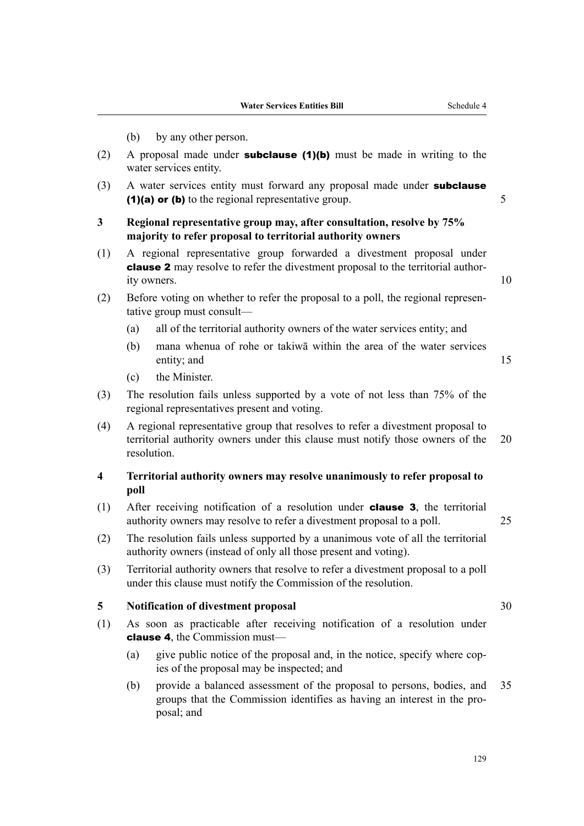- (b) by any other person. (2) A proposal made under **subclause (1)(b)** must be made in writing to the water services entity. (3) A water services entity must forward any proposal made under **subclause** (1)(a) or (b) to the regional representative group.  $5 \overline{5}$ **3 Regional representative group may, after consultation, resolve by 75% majority to refer proposal to territorial authority owners** (1) A regional representative group forwarded a divestment proposal under clause 2 may resolve to refer the divestment proposal to the territorial authority owners. 10 (2) Before voting on whether to refer the proposal to a poll, the regional representative group must consult— (a) all of the territorial authority owners of the water services entity; and (b) mana whenua of rohe or takiwā within the area of the water services entity; and 15 (c) the Minister. (3) The resolution fails unless supported by a vote of not less than 75% of the regional representatives present and voting. (4) A regional representative group that resolves to refer a divestment proposal to territorial authority owners under this clause must notify those owners of the 20 resolution. **4 Territorial authority owners may resolve unanimously to refer proposal to poll** (1) After receiving notification of a resolution under clause 3, the territorial authority owners may resolve to refer a divestment proposal to a poll. 25 (2) The resolution fails unless supported by a unanimous vote of all the territorial authority owners (instead of only all those present and voting).
- (3) Territorial authority owners that resolve to refer a divestment proposal to a poll under this clause must notify the Commission of the resolution.

#### **5 Notification of divestment proposal** 30

- (1) As soon as practicable after receiving notification of a resolution under clause 4, the Commission must—
	- (a) give public notice of the proposal and, in the notice, specify where copies of the proposal may be inspected; and
	- (b) provide a balanced assessment of the proposal to persons, bodies, and 35 groups that the Commission identifies as having an interest in the pro‐ posal; and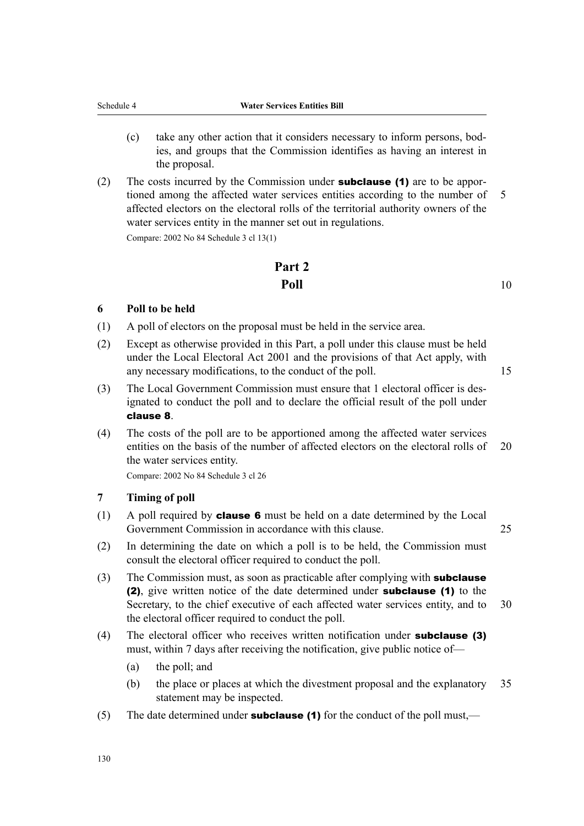- (c) take any other action that it considers necessary to inform persons, bod‐ ies, and groups that the Commission identifies as having an interest in the proposal.
- (2) The costs incurred by the Commission under **subclause (1)** are to be apportioned among the affected water services entities according to the number of 5 affected electors on the electoral rolls of the territorial authority owners of the water services entity in the manner set out in regulations.

Compare: 2002 No 84 Schedule 3 cl 13(1)

# **Part 2 Poll** 10

#### **6 Poll to be held**

- (1) A poll of electors on the proposal must be held in the service area.
- (2) Except as otherwise provided in this Part, a poll under this clause must be held under the Local Electoral Act 2001 and the provisions of that Act apply, with any necessary modifications, to the conduct of the poll. 15
- (3) The Local Government Commission must ensure that 1 electoral officer is des‐ ignated to conduct the poll and to declare the official result of the poll under clause 8.
- (4) The costs of the poll are to be apportioned among the affected water services entities on the basis of the number of affected electors on the electoral rolls of 20 the water services entity.

Compare: 2002 No 84 Schedule 3 cl 26

#### **7 Timing of poll**

- (1) A poll required by **clause 6** must be held on a date determined by the Local Government Commission in accordance with this clause. 25
- (2) In determining the date on which a poll is to be held, the Commission must consult the electoral officer required to conduct the poll.
- $(3)$  The Commission must, as soon as practicable after complying with **subclause** (2), give written notice of the date determined under subclause (1) to the Secretary, to the chief executive of each affected water services entity, and to 30 the electoral officer required to conduct the poll.
- (4) The electoral officer who receives written notification under subclause (3) must, within 7 days after receiving the notification, give public notice of—
	- (a) the poll; and
	- (b) the place or places at which the divestment proposal and the explanatory 35 statement may be inspected.
- (5) The date determined under **subclause (1)** for the conduct of the poll must,—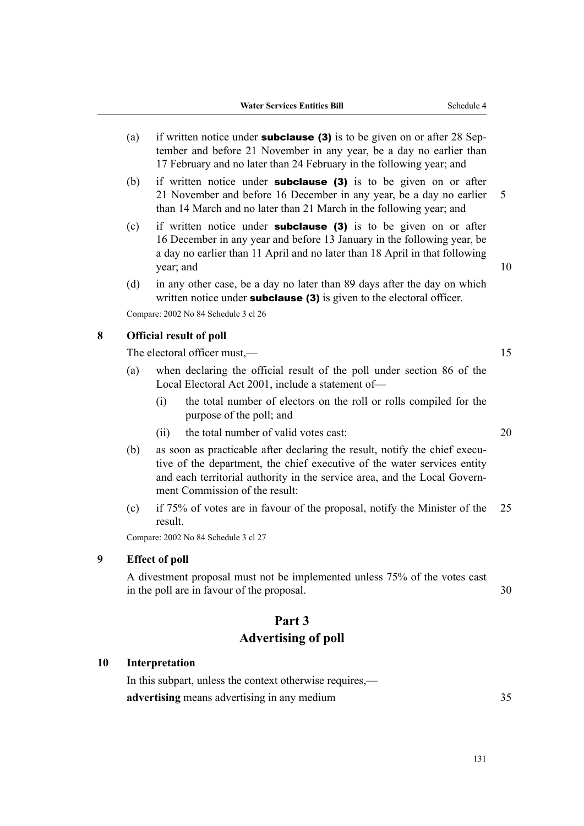- (a) if written notice under **subclause (3)** is to be given on or after 28 September and before 21 November in any year, be a day no earlier than 17 February and no later than 24 February in the following year; and
- (b) if written notice under **subclause (3)** is to be given on or after 21 November and before 16 December in any year, be a day no earlier 5 than 14 March and no later than 21 March in the following year; and
- (c) if written notice under **subclause (3)** is to be given on or after 16 December in any year and before 13 January in the following year, be a day no earlier than 11 April and no later than 18 April in that following year; and 10
- (d) in any other case, be a day no later than 89 days after the day on which written notice under **subclause** (3) is given to the electoral officer.

Compare: 2002 No 84 Schedule 3 cl 26

#### **8 Official result of poll**

The electoral officer must,— 15

- (a) when declaring the official result of the poll under section 86 of the Local Electoral Act 2001, include a statement of—
	- (i) the total number of electors on the roll or rolls compiled for the purpose of the poll; and
	- (ii) the total number of valid votes cast: 20
- (b) as soon as practicable after declaring the result, notify the chief executive of the department, the chief executive of the water services entity and each territorial authority in the service area, and the Local Government Commission of the result:
- (c) if 75% of votes are in favour of the proposal, notify the Minister of the 25 result.

Compare: 2002 No 84 Schedule 3 cl 27

#### **9 Effect of poll**

A divestment proposal must not be implemented unless 75% of the votes cast in the poll are in favour of the proposal. 30

# **Part 3 Advertising of poll**

### **10 Interpretation**

In this subpart, unless the context otherwise requires, **advertising** means advertising in any medium 35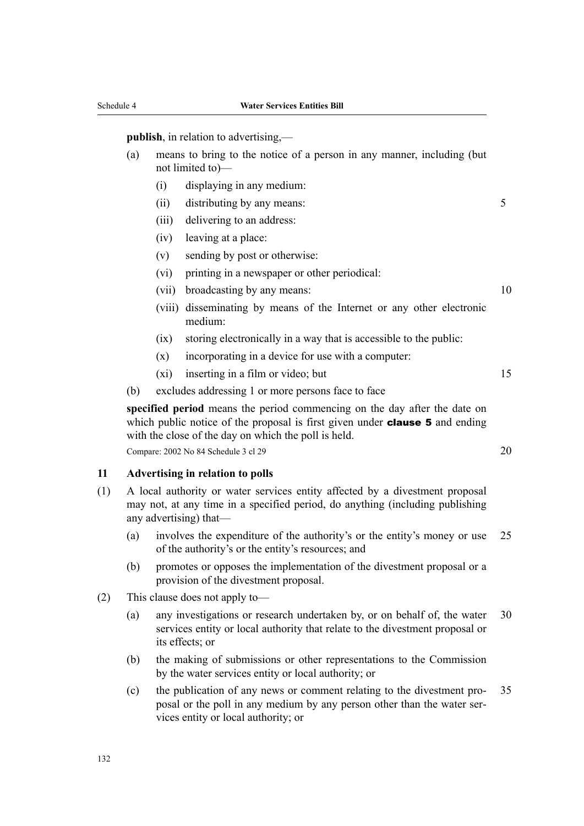**publish**, in relation to advertising,—

- (a) means to bring to the notice of a person in any manner, including (but not limited to)—
	- (i) displaying in any medium:
	- (ii) distributing by any means: 5
	- (iii) delivering to an address:
	- (iv) leaving at a place:
	- (v) sending by post or otherwise:
	- (vi) printing in a newspaper or other periodical:
	- (vii) broadcasting by any means: 10
	- (viii) disseminating by means of the Internet or any other electronic medium:
	- (ix) storing electronically in a way that is accessible to the public:
	- $(x)$  incorporating in a device for use with a computer:
	- $(x_i)$  inserting in a film or video; but 15
- (b) excludes addressing 1 or more persons face to face

**specified period** means the period commencing on the day after the date on which public notice of the proposal is first given under **clause 5** and ending with the close of the day on which the poll is held.

Compare: 2002 No 84 Schedule 3 cl 29 20 20

#### **11 Advertising in relation to polls**

- (1) A local authority or water services entity affected by a divestment proposal may not, at any time in a specified period, do anything (including publishing any advertising) that—
	- (a) involves the expenditure of the authority's or the entity's money or use 25 of the authority's or the entity's resources; and
	- (b) promotes or opposes the implementation of the divestment proposal or a provision of the divestment proposal.
- (2) This clause does not apply to—
	- (a) any investigations or research undertaken by, or on behalf of, the water 30 services entity or local authority that relate to the divestment proposal or its effects; or
	- (b) the making of submissions or other representations to the Commission by the water services entity or local authority; or
	- (c) the publication of any news or comment relating to the divestment pro‐ 35 posal or the poll in any medium by any person other than the water ser‐ vices entity or local authority; or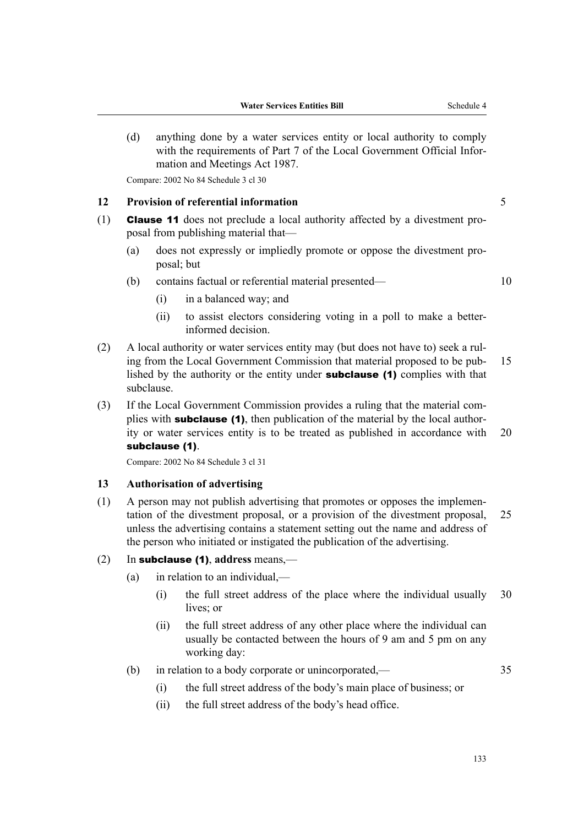(d) anything done by a water services entity or local authority to comply with the requirements of Part 7 of the Local Government Official Information and Meetings Act 1987.

Compare: 2002 No 84 Schedule 3 cl 30

#### **12 Provision of referential information** 5

- (1) **Clause 11** does not preclude a local authority affected by a divestment proposal from publishing material that—
	- (a) does not expressly or impliedly promote or oppose the divestment pro‐ posal; but
	- (b) contains factual or referential material presented— 10
		- (i) in a balanced way; and
		- (ii) to assist electors considering voting in a poll to make a betterinformed decision.
- (2) A local authority or water services entity may (but does not have to) seek a rul‐ ing from the Local Government Commission that material proposed to be pub-<br>15 lished by the authority or the entity under subclause (1) complies with that subclause.
- (3) If the Local Government Commission provides a ruling that the material com‐ plies with **subclause (1)**, then publication of the material by the local authority or water services entity is to be treated as published in accordance with 20 subclause (1).

Compare: 2002 No 84 Schedule 3 cl 31

#### **13 Authorisation of advertising**

(1) A person may not publish advertising that promotes or opposes the implemen‐ tation of the divestment proposal, or a provision of the divestment proposal, 25 unless the advertising contains a statement setting out the name and address of the person who initiated or instigated the publication of the advertising.

#### (2) In subclause (1), **address** means,—

- (a) in relation to an individual,—
	- (i) the full street address of the place where the individual usually 30 lives; or
	- (ii) the full street address of any other place where the individual can usually be contacted between the hours of 9 am and 5 pm on any working day:
- (b) in relation to a body corporate or unincorporated,— 35

- (i) the full street address of the body's main place of business; or
- (ii) the full street address of the body's head office.